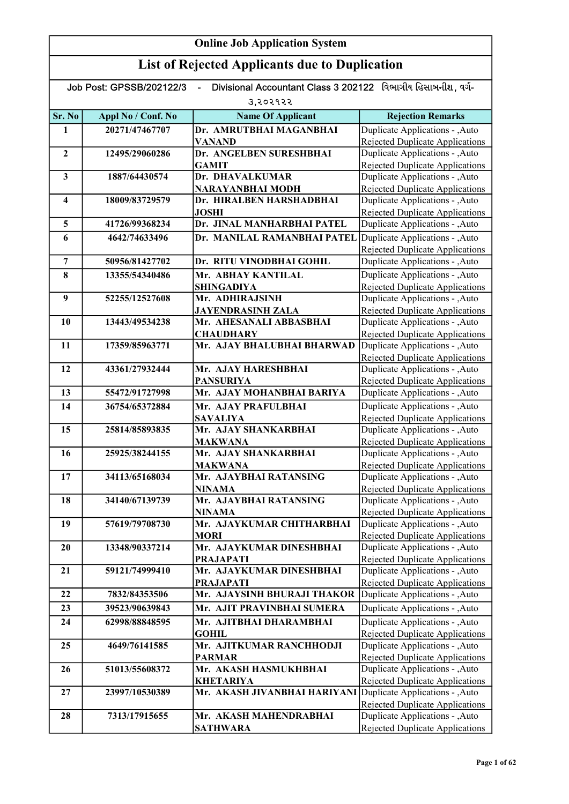|                  | <b>Online Job Application System</b>                  |                                                                                |                                                                           |  |
|------------------|-------------------------------------------------------|--------------------------------------------------------------------------------|---------------------------------------------------------------------------|--|
|                  | <b>List of Rejected Applicants due to Duplication</b> |                                                                                |                                                                           |  |
|                  | Job Post: GPSSB/202122/3                              | Divisional Accountant Class 3 202122 વિભાગીય હિસાબનીશ. વર્ગ-<br>$\blacksquare$ |                                                                           |  |
|                  |                                                       | उ,२०२१२२                                                                       |                                                                           |  |
| Sr. No           | Appl No / Conf. No                                    | <b>Name Of Applicant</b>                                                       | <b>Rejection Remarks</b>                                                  |  |
| 1                | 20271/47467707                                        | Dr. AMRUTBHAI MAGANBHAI                                                        | Duplicate Applications - , Auto                                           |  |
|                  |                                                       | VANAND                                                                         | <b>Rejected Duplicate Applications</b>                                    |  |
| $\boldsymbol{2}$ | 12495/29060286                                        | Dr. ANGELBEN SURESHBHAI                                                        | Duplicate Applications - , Auto                                           |  |
|                  |                                                       | <b>GAMIT</b>                                                                   | <b>Rejected Duplicate Applications</b>                                    |  |
| 3                | 1887/64430574                                         | Dr. DHAVALKUMAR                                                                | Duplicate Applications - , Auto                                           |  |
| 4                | 18009/83729579                                        | <b>NARAYANBHAI MODH</b><br>Dr. HIRALBEN HARSHADBHAI                            | <b>Rejected Duplicate Applications</b><br>Duplicate Applications - , Auto |  |
|                  |                                                       | <b>JOSHI</b>                                                                   | <b>Rejected Duplicate Applications</b>                                    |  |
| 5                | 41726/99368234                                        | Dr. JINAL MANHARBHAI PATEL                                                     | Duplicate Applications - ,Auto                                            |  |
| 6                | 4642/74633496                                         | Dr. MANILAL RAMANBHAI PATEL                                                    | Duplicate Applications - , Auto                                           |  |
|                  |                                                       |                                                                                | Rejected Duplicate Applications                                           |  |
| 7                | 50956/81427702                                        | Dr. RITU VINODBHAI GOHIL                                                       | Duplicate Applications - , Auto                                           |  |
| 8                | 13355/54340486                                        | Mr. ABHAY KANTILAL                                                             | Duplicate Applications - , Auto                                           |  |
|                  |                                                       | <b>SHINGADIYA</b>                                                              | <b>Rejected Duplicate Applications</b>                                    |  |
| 9                | 52255/12527608                                        | Mr. ADHIRAJSINH                                                                | Duplicate Applications - , Auto                                           |  |
|                  |                                                       | <b>JAYENDRASINH ZALA</b>                                                       | <b>Rejected Duplicate Applications</b>                                    |  |
| 10               | 13443/49534238                                        | Mr. AHESANALI ABBASBHAI                                                        | Duplicate Applications - , Auto                                           |  |
|                  |                                                       | <b>CHAUDHARY</b>                                                               | Rejected Duplicate Applications                                           |  |
| 11               | 17359/85963771                                        | Mr. AJAY BHALUBHAI BHARWAD                                                     | Duplicate Applications - , Auto                                           |  |
| 12               | 43361/27932444                                        | Mr. AJAY HARESHBHAI                                                            | Rejected Duplicate Applications<br>Duplicate Applications - , Auto        |  |
|                  |                                                       | <b>PANSURIYA</b>                                                               | <b>Rejected Duplicate Applications</b>                                    |  |
| 13               | 55472/91727998                                        | Mr. AJAY MOHANBHAI BARIYA                                                      | Duplicate Applications - , Auto                                           |  |
| 14               | 36754/65372884                                        | Mr. AJAY PRAFULBHAI                                                            | Duplicate Applications - , Auto                                           |  |
|                  |                                                       | <b>SAVALIYA</b>                                                                | <b>Rejected Duplicate Applications</b>                                    |  |
| 15               | 25814/85893835                                        | Mr. AJAY SHANKARBHAI                                                           | Duplicate Applications - , Auto                                           |  |
|                  |                                                       | <b>MAKWANA</b>                                                                 | <b>Rejected Duplicate Applications</b>                                    |  |
| 16               | 25925/38244155                                        | Mr. AJAY SHANKARBHAI                                                           | Duplicate Applications - , Auto                                           |  |
|                  |                                                       | <b>MAKWANA</b>                                                                 | <b>Rejected Duplicate Applications</b>                                    |  |
| 17               | 34113/65168034                                        | Mr. AJAYBHAI RATANSING<br><b>NINAMA</b>                                        | Duplicate Applications - , Auto<br><b>Rejected Duplicate Applications</b> |  |
| 18               | 34140/67139739                                        | Mr. AJAYBHAI RATANSING                                                         | Duplicate Applications - , Auto                                           |  |
|                  |                                                       | <b>NINAMA</b>                                                                  | <b>Rejected Duplicate Applications</b>                                    |  |
| 19               | 57619/79708730                                        | Mr. AJAYKUMAR CHITHARBHAI                                                      | Duplicate Applications - , Auto                                           |  |
|                  |                                                       | <b>MORI</b>                                                                    | <b>Rejected Duplicate Applications</b>                                    |  |
| 20               | 13348/90337214                                        | Mr. AJAYKUMAR DINESHBHAI                                                       | Duplicate Applications - , Auto                                           |  |
|                  |                                                       | <b>PRAJAPATI</b>                                                               | <b>Rejected Duplicate Applications</b>                                    |  |
| 21               | 59121/74999410                                        | Mr. AJAYKUMAR DINESHBHAI                                                       | Duplicate Applications - , Auto                                           |  |
| 22               | 7832/84353506                                         | <b>PRAJAPATI</b><br>Mr. AJAYSINH BHURAJI THAKOR                                | Rejected Duplicate Applications<br>Duplicate Applications - , Auto        |  |
| 23               | 39523/90639843                                        | Mr. AJIT PRAVINBHAI SUMERA                                                     | Duplicate Applications - , Auto                                           |  |
|                  |                                                       |                                                                                |                                                                           |  |
| 24               | 62998/88848595                                        | Mr. AJITBHAI DHARAMBHAI<br><b>GOHIL</b>                                        | Duplicate Applications - , Auto<br>Rejected Duplicate Applications        |  |
| 25               | 4649/76141585                                         | Mr. AJITKUMAR RANCHHODJI                                                       | Duplicate Applications - , Auto                                           |  |
|                  |                                                       | <b>PARMAR</b>                                                                  | Rejected Duplicate Applications                                           |  |
| 26               | 51013/55608372                                        | Mr. AKASH HASMUKHBHAI                                                          | Duplicate Applications - , Auto                                           |  |
|                  |                                                       | <b>KHETARIYA</b>                                                               | Rejected Duplicate Applications                                           |  |
| 27               | 23997/10530389                                        | Mr. AKASH JIVANBHAI HARIYANI                                                   | Duplicate Applications - , Auto                                           |  |
|                  | 7313/17915655                                         | Mr. AKASH MAHENDRABHAI                                                         | Rejected Duplicate Applications                                           |  |
| 28               |                                                       | <b>SATHWARA</b>                                                                | Duplicate Applications - , Auto<br><b>Rejected Duplicate Applications</b> |  |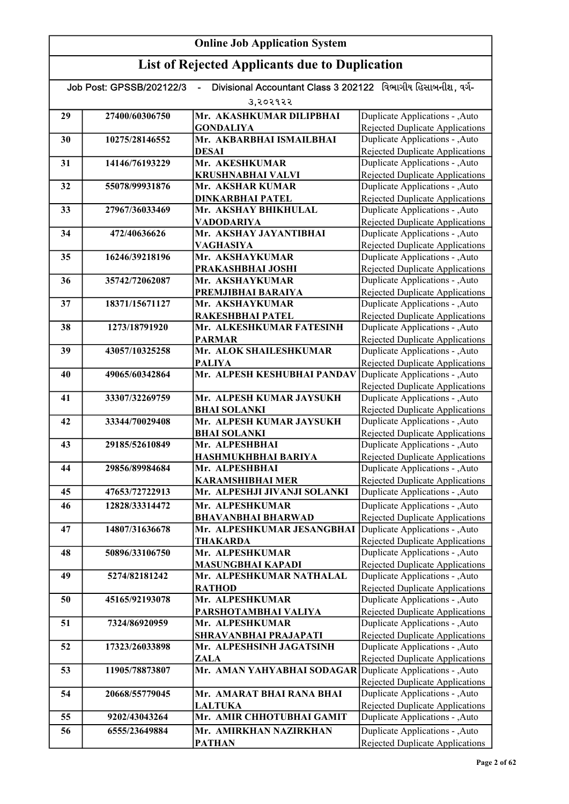| Divisional Accountant Class 3 202122 વિભાગીય હિસાબનીશ. વર્ગ-<br>Job Post: GPSSB/202122/3 |                |                                                         |                                                                           |
|------------------------------------------------------------------------------------------|----------------|---------------------------------------------------------|---------------------------------------------------------------------------|
|                                                                                          |                | 3,२०२१२२                                                |                                                                           |
| 29                                                                                       | 27400/60306750 | Mr. AKASHKUMAR DILIPBHAI<br><b>GONDALIYA</b>            | Duplicate Applications - , Auto                                           |
| 30                                                                                       | 10275/28146552 | Mr. AKBARBHAI ISMAILBHAI                                | <b>Rejected Duplicate Applications</b><br>Duplicate Applications - , Auto |
|                                                                                          |                | <b>DESAI</b>                                            | <b>Rejected Duplicate Applications</b>                                    |
| 31                                                                                       | 14146/76193229 | Mr. AKESHKUMAR                                          | Duplicate Applications - , Auto                                           |
|                                                                                          |                | <b>KRUSHNABHAI VALVI</b>                                | <b>Rejected Duplicate Applications</b>                                    |
| 32                                                                                       | 55078/99931876 | Mr. AKSHAR KUMAR                                        | Duplicate Applications - , Auto                                           |
|                                                                                          |                | <b>DINKARBHAI PATEL</b>                                 | <b>Rejected Duplicate Applications</b>                                    |
| 33                                                                                       | 27967/36033469 | Mr. AKSHAY BHIKHULAL                                    | Duplicate Applications - , Auto                                           |
|                                                                                          |                | <b>VADODARIYA</b>                                       | Rejected Duplicate Applications                                           |
| 34                                                                                       | 472/40636626   | Mr. AKSHAY JAYANTIBHAI                                  | Duplicate Applications - , Auto                                           |
|                                                                                          |                | VAGHASIYA                                               | <b>Rejected Duplicate Applications</b>                                    |
| 35                                                                                       | 16246/39218196 | Mr. AKSHAYKUMAR                                         | Duplicate Applications - , Auto                                           |
| 36                                                                                       | 35742/72062087 | PRAKASHBHAI JOSHI<br>Mr. AKSHAYKUMAR                    | <b>Rejected Duplicate Applications</b><br>Duplicate Applications - , Auto |
|                                                                                          |                | PREMJIBHAI BARAIYA                                      | <b>Rejected Duplicate Applications</b>                                    |
| 37                                                                                       | 18371/15671127 | Mr. AKSHAYKUMAR                                         | Duplicate Applications - , Auto                                           |
|                                                                                          |                | RAKESHBHAI PATEL                                        | <b>Rejected Duplicate Applications</b>                                    |
| 38                                                                                       | 1273/18791920  | Mr. ALKESHKUMAR FATESINH                                | Duplicate Applications - , Auto                                           |
|                                                                                          |                | <b>PARMAR</b>                                           | <b>Rejected Duplicate Applications</b>                                    |
| 39                                                                                       | 43057/10325258 | Mr. ALOK SHAILESHKUMAR                                  | Duplicate Applications - , Auto                                           |
|                                                                                          |                | <b>PALIYA</b>                                           | <b>Rejected Duplicate Applications</b>                                    |
| 40                                                                                       | 49065/60342864 | Mr. ALPESH KESHUBHAI PANDAV                             | Duplicate Applications - , Auto                                           |
|                                                                                          |                |                                                         | <b>Rejected Duplicate Applications</b>                                    |
| 41                                                                                       | 33307/32269759 | Mr. ALPESH KUMAR JAYSUKH                                | Duplicate Applications - , Auto                                           |
|                                                                                          |                | <b>BHAI SOLANKI</b>                                     | <b>Rejected Duplicate Applications</b>                                    |
| 42                                                                                       | 33344/70029408 | Mr. ALPESH KUMAR JAYSUKH                                | Duplicate Applications - , Auto                                           |
|                                                                                          |                | <b>BHAI SOLANKI</b>                                     | <b>Rejected Duplicate Applications</b>                                    |
| 43                                                                                       | 29185/52610849 | Mr. ALPESHBHAI                                          | Duplicate Applications - , Auto                                           |
|                                                                                          |                | HASHMUKHBHAI BARIYA                                     | <b>Rejected Duplicate Applications</b>                                    |
| 44                                                                                       | 29856/89984684 | Mr. ALPESHBHAI                                          | Duplicate Applications - , Auto                                           |
| 45                                                                                       | 47653/72722913 | <b>KARAMSHIBHAI MER</b><br>Mr. ALPESHJI JIVANJI SOLANKI | Rejected Duplicate Applications<br>Duplicate Applications - , Auto        |
| 46                                                                                       | 12828/33314472 | Mr. ALPESHKUMAR                                         | Duplicate Applications - , Auto                                           |
|                                                                                          |                | <b>BHAVANBHAI BHARWAD</b>                               | Rejected Duplicate Applications                                           |
| 47                                                                                       | 14807/31636678 | Mr. ALPESHKUMAR JESANGBHAI                              | Duplicate Applications - , Auto                                           |
|                                                                                          |                | <b>THAKARDA</b>                                         | <b>Rejected Duplicate Applications</b>                                    |
| 48                                                                                       | 50896/33106750 | Mr. ALPESHKUMAR                                         | Duplicate Applications - , Auto                                           |
|                                                                                          |                | <b>MASUNGBHAI KAPADI</b>                                | <b>Rejected Duplicate Applications</b>                                    |
| 49                                                                                       | 5274/82181242  | Mr. ALPESHKUMAR NATHALAL                                | Duplicate Applications - , Auto                                           |
|                                                                                          |                | <b>RATHOD</b>                                           | Rejected Duplicate Applications                                           |
| 50                                                                                       | 45165/92193078 | Mr. ALPESHKUMAR                                         | Duplicate Applications - , Auto                                           |
|                                                                                          |                | PARSHOTAMBHAI VALIYA                                    | Rejected Duplicate Applications                                           |
| 51                                                                                       | 7324/86920959  | Mr. ALPESHKUMAR                                         | Duplicate Applications - , Auto                                           |
|                                                                                          |                | SHRAVANBHAI PRAJAPATI                                   | <b>Rejected Duplicate Applications</b>                                    |
| 52                                                                                       | 17323/26033898 | Mr. ALPESHSINH JAGATSINH                                | Duplicate Applications - , Auto                                           |
|                                                                                          | 11905/78873807 | ZALA<br>Mr. AMAN YAHYABHAI SODAGAR                      | <b>Rejected Duplicate Applications</b><br>Duplicate Applications - , Auto |
| 53                                                                                       |                |                                                         | Rejected Duplicate Applications                                           |
| 54                                                                                       | 20668/55779045 | Mr. AMARAT BHAI RANA BHAI                               | Duplicate Applications - , Auto                                           |
|                                                                                          |                | <b>LALTUKA</b>                                          | Rejected Duplicate Applications                                           |
| 55                                                                                       | 9202/43043264  | Mr. AMIR CHHOTUBHAI GAMIT                               | Duplicate Applications - , Auto                                           |
| 56                                                                                       | 6555/23649884  | Mr. AMIRKHAN NAZIRKHAN                                  | Duplicate Applications - , Auto                                           |
|                                                                                          |                | <b>PATHAN</b>                                           | Rejected Duplicate Applications                                           |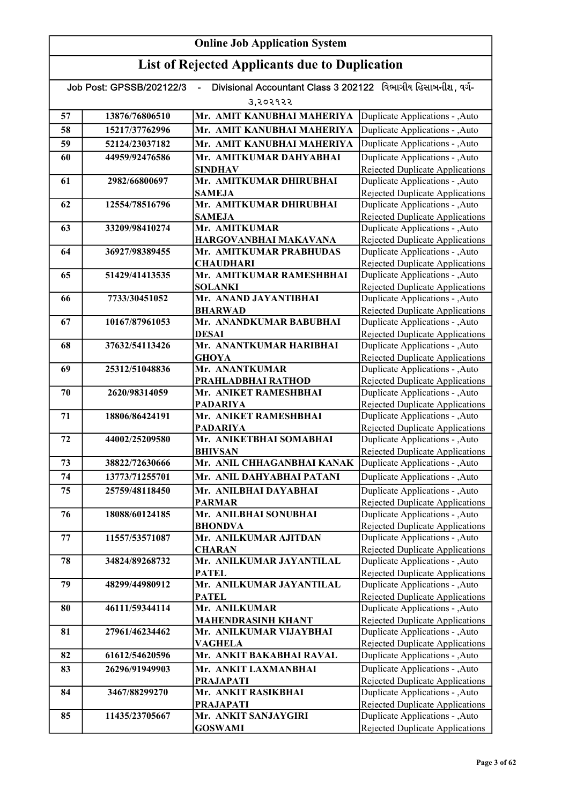#### Online Job Application System List of Rejected Applicants due to Duplication Job Post: GPSSB/202122/3 - Divisional Accountant Class 3 202122 વિભાગીય હિસાબનીશ, વર્ગ-૩,૨૦૨૧૨૨ 57 13876/76806510 Mr. AMIT KANUBHAI MAHERIYA 58 15217/37762996 Mr. AMIT KANUBHAI MAHERIYA 59 52124/23037182 Mr. AMIT KANUBHAI MAHERIYA 60 44959/92476586 Mr. AMITKUMAR DAHYABHAI SINDHAV 61 2982/66800697 Mr. AMITKUMAR DHIRUBHAI **SAMEJA** 62 12554/78516796 Mr. AMITKUMAR DHIRUBHAI **SAMEJA** 63 33209/98410274 Mr. AMITKUMAR HARGOVANBHAI MAKAVANA 64 36927/98389455 Mr. AMITKUMAR PRABHUDAS **CHAUDHARI** 65 | 51429/41413535 | Mr. AMITKUMAR RAMESHBHAI SOLANKI 66 7733/30451052 Mr. ANAND JAYANTIBHAI BHARWAD 67 10167/87961053 Mr. ANANDKUMAR BABUBHAI DESAI 68 37632/54113426 Mr. ANANTKUMAR HARIBHAI **GHOYA** 69 25312/51048836 Mr. ANANTKUMAR PRAHLADBHAI RATHOD 70 2620/98314059 Mr. ANIKET RAMESHBHAI PADARIYA 71 18806/86424191 Mr. ANIKET RAMESHBHAI PADARIYA 72 44002/25209580 Mr. ANIKETBHAI SOMABHAI BHIVSAN 73 38822/72630666 Mr. ANIL CHHAGANBHAI KANAK 74 13773/71255701 Mr. ANIL DAHYABHAI PATANI 75 25759/48118450 Mr. ANILBHAI DAYABHAI PARMAR 76 18088/60124185 Mr. ANILBHAI SONUBHAI BHONDVA 77 11557/53571087 Mr. ANILKUMAR AJITDAN **CHARAN** 78 34824/89268732 Mr. ANILKUMAR JAYANTILAL PATEL 79 48299/44980912 Mr. ANILKUMAR JAYANTILAL PATEL 80 46111/59344114 Mr. ANILKUMAR MAHENDRASINH KHANT 81 27961/46234462 Mr. ANILKUMAR VIJAYBHAI VAGHELA 82 61612/54620596 Mr. ANKIT BAKABHAI RAVAL 83 26296/91949903 Mr. ANKIT LAXMANBHAI PRAJAPATI 84 | 3467/88299270 | Mr. ANKIT RASIKBHAI PRAJAPATI 85 11435/23705667 Mr. ANKIT SANJAYGIRI GOSWAMI Duplicate Applications - ,Auto Rejected Duplicate Applications Duplicate Applications - ,Auto Rejected Duplicate Applications Duplicate Applications - ,Auto Rejected Duplicate Applications Duplicate Applications - ,Auto **Duplicate Applications - ,Auto** Rejected Duplicate Applications Duplicate Applications - ,Auto Rejected Duplicate Applications Duplicate Applications - ,Auto **Duplicate Applications - ,Auto Duplicate Applications - ,Auto** Rejected Duplicate Applications Duplicate Applications - ,Auto Rejected Duplicate Applications Duplicate Applications - ,Auto Rejected Duplicate Applications Duplicate Applications - ,Auto Rejected Duplicate Applications Duplicate Applications - ,Auto Rejected Duplicate Applications Duplicate Applications - ,Auto Rejected Duplicate Applications Duplicate Applications - ,Auto Rejected Duplicate Applications Duplicate Applications - ,Auto Rejected Duplicate Applications Duplicate Applications - ,Auto Rejected Duplicate Applications Duplicate Applications - ,Auto Rejected Duplicate Applications Duplicate Applications - ,Auto Rejected Duplicate Applications Duplicate Applications - ,Auto Rejected Duplicate Applications Duplicate Applications - ,Auto Rejected Duplicate Applications Duplicate Applications - ,Auto Rejected Duplicate Applications Duplicate Applications - ,Auto **Duplicate Applications - ,Auto Duplicate Applications - ,Auto Duplicate Applications - ,Auto** Rejected Duplicate Applications Duplicate Applications - ,Auto Rejected Duplicate Applications Duplicate Applications - ,Auto Rejected Duplicate Applications Duplicate Applications - ,Auto Rejected Duplicate Applications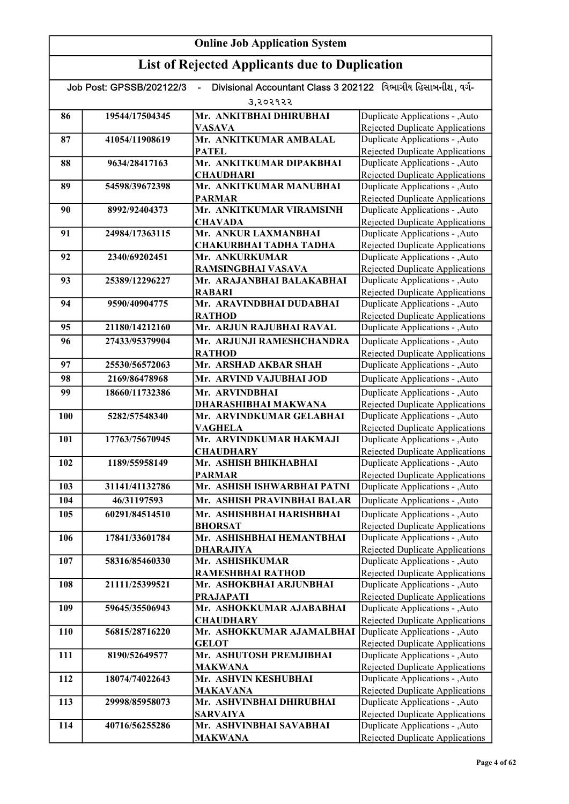| Divisional Accountant Class 3 202122 વિભાગીય હિસાબનીશ, વર્ગ-<br>Job Post: GPSSB/202122/3 |                |                                           |                                                                           |
|------------------------------------------------------------------------------------------|----------------|-------------------------------------------|---------------------------------------------------------------------------|
|                                                                                          |                | उ,२०२१२२                                  |                                                                           |
| 86                                                                                       | 19544/17504345 | Mr. ANKITBHAI DHIRUBHAI                   | Duplicate Applications - ,Auto                                            |
|                                                                                          |                | <b>VASAVA</b>                             | Rejected Duplicate Applications                                           |
| 87                                                                                       | 41054/11908619 | Mr. ANKITKUMAR AMBALAL                    | Duplicate Applications - , Auto                                           |
|                                                                                          |                | <b>PATEL</b>                              | Rejected Duplicate Applications                                           |
| 88                                                                                       | 9634/28417163  | Mr. ANKITKUMAR DIPAKBHAI                  | Duplicate Applications - , Auto                                           |
|                                                                                          |                | <b>CHAUDHARI</b>                          | <b>Rejected Duplicate Applications</b>                                    |
| 89                                                                                       | 54598/39672398 | Mr. ANKITKUMAR MANUBHAI                   | Duplicate Applications - , Auto                                           |
| 90                                                                                       | 8992/92404373  | <b>PARMAR</b><br>Mr. ANKITKUMAR VIRAMSINH | <b>Rejected Duplicate Applications</b><br>Duplicate Applications - , Auto |
|                                                                                          |                | <b>CHAVADA</b>                            | <b>Rejected Duplicate Applications</b>                                    |
| 91                                                                                       | 24984/17363115 | Mr. ANKUR LAXMANBHAI                      | Duplicate Applications - , Auto                                           |
|                                                                                          |                | CHAKURBHAI TADHA TADHA                    | <b>Rejected Duplicate Applications</b>                                    |
| 92                                                                                       | 2340/69202451  | Mr. ANKURKUMAR                            | Duplicate Applications - , Auto                                           |
|                                                                                          |                | RAMSINGBHAI VASAVA                        | <b>Rejected Duplicate Applications</b>                                    |
| 93                                                                                       | 25389/12296227 | Mr. ARAJANBHAI BALAKABHAI                 | Duplicate Applications - , Auto                                           |
|                                                                                          |                | <b>RABARI</b>                             | <b>Rejected Duplicate Applications</b>                                    |
| 94                                                                                       | 9590/40904775  | Mr. ARAVINDBHAI DUDABHAI                  | Duplicate Applications - , Auto                                           |
|                                                                                          |                | <b>RATHOD</b>                             | Rejected Duplicate Applications                                           |
| 95                                                                                       | 21180/14212160 | Mr. ARJUN RAJUBHAI RAVAL                  | Duplicate Applications - , Auto                                           |
| 96                                                                                       | 27433/95379904 | Mr. ARJUNJI RAMESHCHANDRA                 | Duplicate Applications - , Auto                                           |
| 97                                                                                       | 25530/56572063 | <b>RATHOD</b><br>Mr. ARSHAD AKBAR SHAH    | <b>Rejected Duplicate Applications</b><br>Duplicate Applications - ,Auto  |
| 98                                                                                       | 2169/86478968  | Mr. ARVIND VAJUBHAI JOD                   | Duplicate Applications - , Auto                                           |
| 99                                                                                       | 18660/11732386 | Mr. ARVINDBHAI                            | Duplicate Applications - , Auto                                           |
|                                                                                          |                | DHARASHIBHAI MAKWANA                      | <b>Rejected Duplicate Applications</b>                                    |
| 100                                                                                      | 5282/57548340  | Mr. ARVINDKUMAR GELABHAI                  | Duplicate Applications - , Auto                                           |
|                                                                                          |                | <b>VAGHELA</b>                            | <b>Rejected Duplicate Applications</b>                                    |
| 101                                                                                      | 17763/75670945 | Mr. ARVINDKUMAR HAKMAJI                   | Duplicate Applications - , Auto                                           |
|                                                                                          |                | <b>CHAUDHARY</b>                          | <b>Rejected Duplicate Applications</b>                                    |
| 102                                                                                      | 1189/55958149  | Mr. ASHISH BHIKHABHAI                     | Duplicate Applications - , Auto                                           |
|                                                                                          |                | <b>PARMAR</b>                             | <b>Rejected Duplicate Applications</b>                                    |
| 103                                                                                      | 31141/41132786 | Mr. ASHISH ISHWARBHAI PATNI               | Duplicate Applications - , Auto                                           |
| 104                                                                                      | 46/31197593    | Mr. ASHISH PRAVINBHAI BALAR               | Duplicate Applications - ,Auto                                            |
| 105                                                                                      | 60291/84514510 | Mr. ASHISHBHAI HARISHBHAI                 | Duplicate Applications - , Auto                                           |
|                                                                                          |                | <b>BHORSAT</b>                            | <b>Rejected Duplicate Applications</b>                                    |
| 106                                                                                      | 17841/33601784 | Mr. ASHISHBHAI HEMANTBHAI                 | Duplicate Applications - , Auto                                           |
| 107                                                                                      | 58316/85460330 | <b>DHARAJIYA</b><br>Mr. ASHISHKUMAR       | <b>Rejected Duplicate Applications</b><br>Duplicate Applications - , Auto |
|                                                                                          |                | RAMESHBHAI RATHOD                         | Rejected Duplicate Applications                                           |
| 108                                                                                      | 21111/25399521 | Mr. ASHOKBHAI ARJUNBHAI                   | Duplicate Applications - , Auto                                           |
|                                                                                          |                | <b>PRAJAPATI</b>                          | Rejected Duplicate Applications                                           |
| 109                                                                                      | 59645/35506943 | Mr. ASHOKKUMAR AJABABHAI                  | Duplicate Applications - , Auto                                           |
|                                                                                          |                | <b>CHAUDHARY</b>                          | <b>Rejected Duplicate Applications</b>                                    |
| <b>110</b>                                                                               | 56815/28716220 | Mr. ASHOKKUMAR AJAMALBHAI                 | Duplicate Applications - , Auto                                           |
|                                                                                          |                | <b>GELOT</b>                              | Rejected Duplicate Applications                                           |
| 111                                                                                      | 8190/52649577  | Mr. ASHUTOSH PREMJIBHAI                   | Duplicate Applications - , Auto                                           |
|                                                                                          |                | <b>MAKWANA</b>                            | <b>Rejected Duplicate Applications</b>                                    |
| 112                                                                                      | 18074/74022643 | Mr. ASHVIN KESHUBHAI<br><b>MAKAVANA</b>   | Duplicate Applications - , Auto<br>Rejected Duplicate Applications        |
| 113                                                                                      | 29998/85958073 | Mr. ASHVINBHAI DHIRUBHAI                  | Duplicate Applications - , Auto                                           |
|                                                                                          |                | <b>SARVAIYA</b>                           | <b>Rejected Duplicate Applications</b>                                    |
| 114                                                                                      | 40716/56255286 | Mr. ASHVINBHAI SAVABHAI                   | Duplicate Applications - , Auto                                           |
|                                                                                          |                | <b>MAKWANA</b>                            | Rejected Duplicate Applications                                           |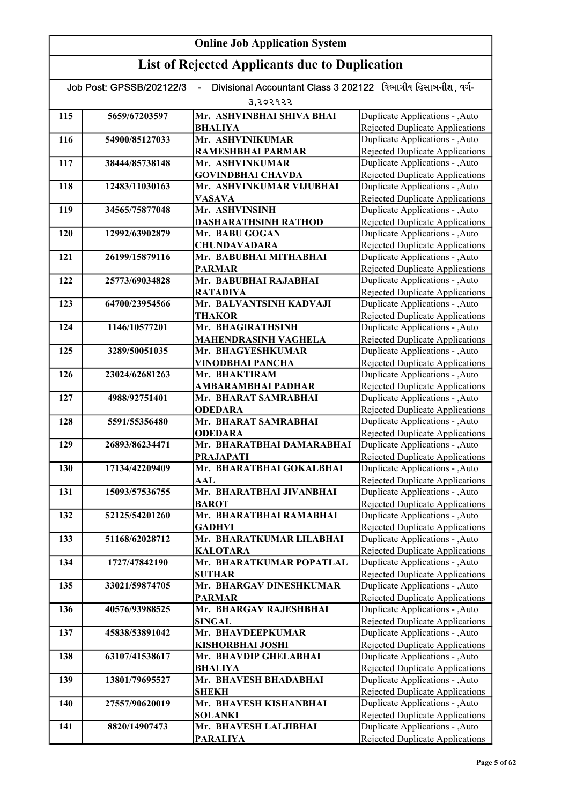#### Online Job Application System List of Rejected Applicants due to Duplication Job Post: GPSSB/202122/3 - Divisional Accountant Class 3 202122 વિભાગીય હિસાબનીશ, વર્ગ-૩,૨૦૨૧૨૨ 115 5659/67203597 Mr. ASHVINBHAI SHIVA BHAI BHALIYA 116 54900/85127033 Mr. ASHVINIKUMAR RAMESHBHAI PARMAR 117 38444/85738148 Mr. ASHVINKUMAR GOVINDBHAI CHAVDA 118 12483/11030163 Mr. ASHVINKUMAR VIJUBHAI VASAVA 119 34565/75877048 Mr. ASHVINSINH DASHARATHSINH RATHOD 120 12992/63902879 Mr. BABU GOGAN CHUNDAVADARA 121 26199/15879116 Mr. BABUBHAI MITHABHAI PARMAR 122 25773/69034828 Mr. BABUBHAI RAJABHAI RATADIYA 123 64700/23954566 Mr. BALVANTSINH KADVAJI **THAKOR** 124 1146/10577201 Mr. BHAGIRATHSINH MAHENDRASINH VAGHELA 125 3289/50051035 Mr. BHAGYESHKUMAR VINODBHAI PANCHA 126 23024/62681263 Mr. BHAKTIRAM AMBARAMBHAI PADHAR 127 4988/92751401 Mr. BHARAT SAMRABHAI **ODEDARA** 128 5591/55356480 Mr. BHARAT SAMRABHAI **ODEDARA** 129 26893/86234471 Mr. BHARATBHAI DAMARABHAI PRAJAPATI 130 17134/42209409 Mr. BHARATBHAI GOKALBHAI AAL 131 15093/57536755 Mr. BHARATBHAI JIVANBHAI **BAROT** 132 52125/54201260 Mr. BHARATBHAI RAMABHAI **GADHVI** 133 51168/62028712 Mr. BHARATKUMAR LILABHAI KALOTARA 134 1727/47842190 Mr. BHARATKUMAR POPATLAL SUTHAR 135 33021/59874705 Mr. BHARGAV DINESHKUMAR PARMAR 136 40576/93988525 Mr. BHARGAV RAJESHBHAI SINGAL 137 45838/53891042 Mr. BHAVDEEPKUMAR KISHORBHAI JOSHI 138 63107/41538617 Mr. BHAVDIP GHELABHAI BHALIYA 139 13801/79695527 Mr. BHAVESH BHADABHAI **SHEKH** 140 27557/90620019 Mr. BHAVESH KISHANBHAI SOLANKI 141 8820/14907473 Mr. BHAVESH LALJIBHAI PARALIYA Duplicate Applications - ,Auto Rejected Duplicate Applications Duplicate Applications - ,Auto Rejected Duplicate Applications Duplicate Applications - ,Auto Rejected Duplicate Applications Duplicate Applications - ,Auto Rejected Duplicate Applications Duplicate Applications - ,Auto Rejected Duplicate Applications Duplicate Applications - ,Auto Rejected Duplicate Applications Duplicate Applications - ,Auto Rejected Duplicate Applications Duplicate Applications - ,Auto Rejected Duplicate Applications Duplicate Applications - ,Auto Rejected Duplicate Applications Duplicate Applications - ,Auto Rejected Duplicate Applications Duplicate Applications - ,Auto Rejected Duplicate Applications Duplicate Applications - ,Auto Rejected Duplicate Applications Duplicate Applications - ,Auto Rejected Duplicate Applications Duplicate Applications - ,Auto Rejected Duplicate Applications Duplicate Applications - ,Auto Rejected Duplicate Applications Duplicate Applications - ,Auto Rejected Duplicate Applications Duplicate Applications - ,Auto Rejected Duplicate Applications Duplicate Applications - ,Auto Rejected Duplicate Applications Duplicate Applications - ,Auto Rejected Duplicate Applications Duplicate Applications - ,Auto Rejected Duplicate Applications Duplicate Applications - ,Auto Rejected Duplicate Applications Duplicate Applications - ,Auto Rejected Duplicate Applications Duplicate Applications - ,Auto Rejected Duplicate Applications Duplicate Applications - ,Auto Rejected Duplicate Applications Duplicate Applications - ,Auto Rejected Duplicate Applications Duplicate Applications - ,Auto Rejected Duplicate Applications Duplicate Applications - ,Auto Rejected Duplicate Applications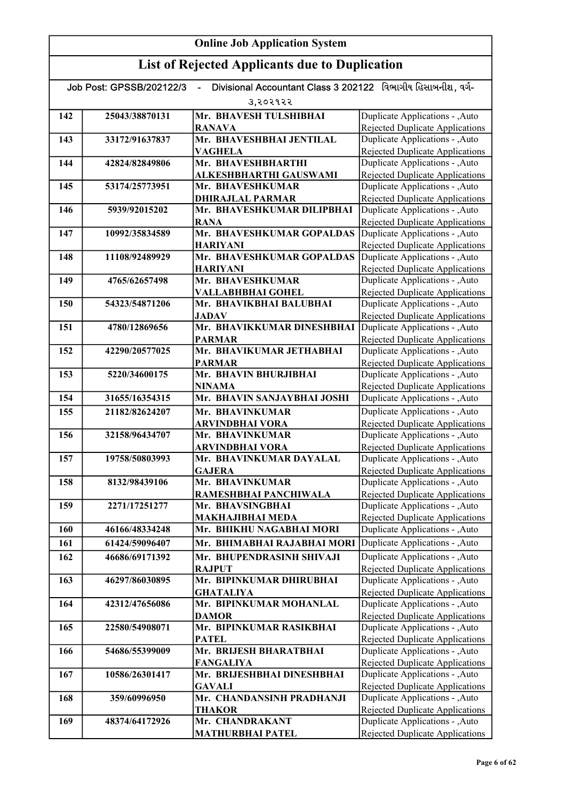|     | Divisional Accountant Class 3 202122 વિભાગીય હિસાબનીશ. વર્ગ-<br>Job Post: GPSSB/202122/3<br>ä, |                                              |                                                                           |  |
|-----|------------------------------------------------------------------------------------------------|----------------------------------------------|---------------------------------------------------------------------------|--|
|     |                                                                                                | उ,२०२१२२                                     |                                                                           |  |
| 142 | 25043/38870131                                                                                 | Mr. BHAVESH TULSHIBHAI<br><b>RANAVA</b>      | Duplicate Applications - ,Auto<br><b>Rejected Duplicate Applications</b>  |  |
| 143 | 33172/91637837                                                                                 | Mr. BHAVESHBHAI JENTILAL                     | Duplicate Applications - , Auto                                           |  |
|     |                                                                                                | <b>VAGHELA</b>                               | <b>Rejected Duplicate Applications</b>                                    |  |
| 144 | 42824/82849806                                                                                 | Mr. BHAVESHBHARTHI                           | Duplicate Applications - , Auto                                           |  |
|     |                                                                                                | ALKESHBHARTHI GAUSWAMI                       | <b>Rejected Duplicate Applications</b>                                    |  |
| 145 | 53174/25773951                                                                                 | Mr. BHAVESHKUMAR                             | Duplicate Applications - , Auto                                           |  |
|     |                                                                                                | <b>DHIRAJLAL PARMAR</b>                      | <b>Rejected Duplicate Applications</b>                                    |  |
| 146 | 5939/92015202                                                                                  | Mr. BHAVESHKUMAR DILIPBHAI                   | Duplicate Applications - , Auto                                           |  |
|     |                                                                                                | <b>RANA</b><br>Mr. BHAVESHKUMAR GOPALDAS     | <b>Rejected Duplicate Applications</b>                                    |  |
| 147 | 10992/35834589                                                                                 | <b>HARIYANI</b>                              | Duplicate Applications - , Auto<br><b>Rejected Duplicate Applications</b> |  |
| 148 | 11108/92489929                                                                                 | Mr. BHAVESHKUMAR GOPALDAS                    | Duplicate Applications - , Auto                                           |  |
|     |                                                                                                | <b>HARIYANI</b>                              | <b>Rejected Duplicate Applications</b>                                    |  |
| 149 | 4765/62657498                                                                                  | Mr. BHAVESHKUMAR                             | Duplicate Applications - , Auto                                           |  |
|     |                                                                                                | VALLABHBHAI GOHEL                            | Rejected Duplicate Applications                                           |  |
| 150 | 54323/54871206                                                                                 | Mr. BHAVIKBHAI BALUBHAI                      | Duplicate Applications - , Auto                                           |  |
|     |                                                                                                | <b>JADAV</b>                                 | <b>Rejected Duplicate Applications</b>                                    |  |
| 151 | 4780/12869656                                                                                  | Mr. BHAVIKKUMAR DINESHBHAI                   | Duplicate Applications - , Auto                                           |  |
|     |                                                                                                | <b>PARMAR</b>                                | Rejected Duplicate Applications                                           |  |
| 152 | 42290/20577025                                                                                 | Mr. BHAVIKUMAR JETHABHAI                     | Duplicate Applications - , Auto                                           |  |
|     |                                                                                                | <b>PARMAR</b>                                | <b>Rejected Duplicate Applications</b>                                    |  |
| 153 | 5220/34600175                                                                                  | Mr. BHAVIN BHURJIBHAI                        | Duplicate Applications - , Auto                                           |  |
| 154 | 31655/16354315                                                                                 | <b>NINAMA</b><br>Mr. BHAVIN SANJAYBHAI JOSHI | Rejected Duplicate Applications                                           |  |
|     |                                                                                                |                                              | Duplicate Applications - ,Auto                                            |  |
| 155 | 21182/82624207                                                                                 | Mr. BHAVINKUMAR                              | Duplicate Applications - , Auto                                           |  |
| 156 | 32158/96434707                                                                                 | <b>ARVINDBHAI VORA</b><br>Mr. BHAVINKUMAR    | Rejected Duplicate Applications<br>Duplicate Applications - , Auto        |  |
|     |                                                                                                | ARVINDBHAI VORA                              | <b>Rejected Duplicate Applications</b>                                    |  |
| 157 | 19758/50803993                                                                                 | Mr. BHAVINKUMAR DAYALAL                      | Duplicate Applications - , Auto                                           |  |
|     |                                                                                                | <b>GAJERA</b>                                | <b>Rejected Duplicate Applications</b>                                    |  |
| 158 | 8132/98439106                                                                                  | Mr. BHAVINKUMAR                              | Duplicate Applications - , Auto                                           |  |
|     |                                                                                                | RAMESHBHAI PANCHIWALA                        | <b>Rejected Duplicate Applications</b>                                    |  |
| 159 | 2271/17251277                                                                                  | Mr. BHAVSINGBHAI                             | Duplicate Applications - , Auto                                           |  |
|     |                                                                                                | MAKHAJIBHAI MEDA                             | <b>Rejected Duplicate Applications</b>                                    |  |
| 160 | 46166/48334248                                                                                 | Mr. BHIKHU NAGABHAI MORI                     | Duplicate Applications - , Auto                                           |  |
| 161 | 61424/59096407                                                                                 | Mr. BHIMABHAI RAJABHAI MORI                  | Duplicate Applications - , Auto                                           |  |
| 162 | 46686/69171392                                                                                 | Mr. BHUPENDRASINH SHIVAJI                    | Duplicate Applications - , Auto                                           |  |
|     |                                                                                                | <b>RAJPUT</b>                                | Rejected Duplicate Applications                                           |  |
| 163 | 46297/86030895                                                                                 | Mr. BIPINKUMAR DHIRUBHAI                     | Duplicate Applications - , Auto                                           |  |
| 164 | 42312/47656086                                                                                 | <b>GHATALIYA</b><br>Mr. BIPINKUMAR MOHANLAL  | <b>Rejected Duplicate Applications</b><br>Duplicate Applications - , Auto |  |
|     |                                                                                                | <b>DAMOR</b>                                 | <b>Rejected Duplicate Applications</b>                                    |  |
| 165 | 22580/54908071                                                                                 | Mr. BIPINKUMAR RASIKBHAI                     | Duplicate Applications - , Auto                                           |  |
|     |                                                                                                | <b>PATEL</b>                                 | <b>Rejected Duplicate Applications</b>                                    |  |
| 166 | 54686/55399009                                                                                 | Mr. BRIJESH BHARATBHAI                       | Duplicate Applications - ,Auto                                            |  |
|     |                                                                                                | <b>FANGALIYA</b>                             | <b>Rejected Duplicate Applications</b>                                    |  |
| 167 | 10586/26301417                                                                                 | Mr. BRIJESHBHAI DINESHBHAI                   | Duplicate Applications - , Auto                                           |  |
|     |                                                                                                | <b>GAVALI</b>                                | <b>Rejected Duplicate Applications</b>                                    |  |
| 168 | 359/60996950                                                                                   | Mr. CHANDANSINH PRADHANJI                    | Duplicate Applications - , Auto                                           |  |
|     |                                                                                                | <b>THAKOR</b>                                | Rejected Duplicate Applications                                           |  |
| 169 | 48374/64172926                                                                                 | Mr. CHANDRAKANT                              | Duplicate Applications - , Auto                                           |  |
|     |                                                                                                | <b>MATHURBHAI PATEL</b>                      | Rejected Duplicate Applications                                           |  |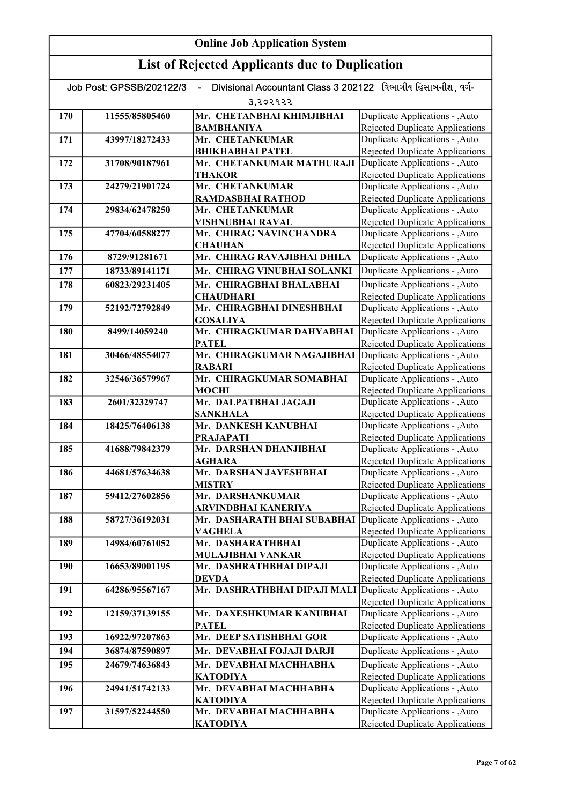#### Online Job Application System List of Rejected Applicants due to Duplication Job Post: GPSSB/202122/3 - Divisional Accountant Class 3 202122 વિભાગીય હિસાબનીશ, વર્ગ-૩,૨૦૨૧૨૨ 170 11555/85805460 Mr. CHETANBHAI KHIMJIBHAI BAMBHANIYA 171 43997/18272433 Mr. CHETANKUMAR BHIKHABHAI PATEL 172 31708/90187961 Mr. CHETANKUMAR MATHURAJI **THAKOR** 173 24279/21901724 Mr. CHETANKUMAR RAMDASBHAI RATHOD 174 29834/62478250 Mr. CHETANKUMAR VISHNUBHAI RAVAL 175 47704/60588277 Mr. CHIRAG NAVINCHANDRA **CHAUHAN** 176 8729/91281671 Mr. CHIRAG RAVAJIBHAI DHILA 177 18733/89141171 Mr. CHIRAG VINUBHAI SOLANKI 178 60823/29231405 Mr. CHIRAGBHAI BHALABHAI **CHAUDHARI** 179 52192/72792849 Mr. CHIRAGBHAI DINESHBHAI GOSALIYA 180 8499/14059240 Mr. CHIRAGKUMAR DAHYABHAI **PATEL** 181 30466/48554077 Mr. CHIRAGKUMAR NAGAJIBHAI RABARI 182 32546/36579967 Mr. CHIRAGKUMAR SOMABHAI MOCHI 183 2601/32329747 Mr. DALPATBHAI JAGAJI SANKHALA 184 18425/76406138 Mr. DANKESH KANUBHAI PRAJAPATI 185 41688/79842379 Mr. DARSHAN DHANJIBHAI AGHARA 186 44681/57634638 Mr. DARSHAN JAYESHBHAI MISTRY 187 59412/27602856 Mr. DARSHANKUMAR ARVINDBHAI KANERIYA 188 58727/36192031 Mr. DASHARATH BHAI SUBABHAI VAGHELA 189 14984/60761052 Mr. DASHARATHBHAI MULAJIBHAI VANKAR 190 16653/89001195 Mr. DASHRATHBHAI DIPAJI DEVDA 191 64286/95567167 Mr. DASHRATHBHAI DIPAJI MALI 192 12159/37139155 Mr. DAXESHKUMAR KANUBHAI PATEL 193 16922/97207863 Mr. DEEP SATISHBHAI GOR 194 36874/87590897 Mr. DEVABHAI FOJAJI DARJI 195 24679/74636843 Mr. DEVABHAI MACHHABHA KATODIYA 196 24941/51742133 Mr. DEVABHAI MACHHABHA **KATODIYA** 197 31597/52244550 Mr. DEVABHAI MACHHABHA **KATODIYA** Duplicate Applications - ,Auto **Duplicate Applications - ,Auto Duplicate Applications - ,Auto** Rejected Duplicate Applications Duplicate Applications - ,Auto Rejected Duplicate Applications Duplicate Applications - ,Auto Rejected Duplicate Applications Duplicate Applications - ,Auto Rejected Duplicate Applications Duplicate Applications - ,Auto Rejected Duplicate Applications Duplicate Applications - ,Auto Rejected Duplicate Applications Duplicate Applications - ,Auto Rejected Duplicate Applications Duplicate Applications - ,Auto Rejected Duplicate Applications Duplicate Applications - ,Auto Rejected Duplicate Applications Duplicate Applications - ,Auto Rejected Duplicate Applications Duplicate Applications - ,Auto Rejected Duplicate Applications Duplicate Applications - ,Auto Rejected Duplicate Applications Duplicate Applications - ,Auto Rejected Duplicate Applications Duplicate Applications - ,Auto Rejected Duplicate Applications Duplicate Applications - ,Auto Rejected Duplicate Applications Duplicate Applications - ,Auto Rejected Duplicate Applications Duplicate Applications - ,Auto **Duplicate Applications - ,Auto Duplicate Applications - ,Auto** Rejected Duplicate Applications Duplicate Applications - ,Auto Rejected Duplicate Applications Duplicate Applications - ,Auto Rejected Duplicate Applications Duplicate Applications - ,Auto Rejected Duplicate Applications Duplicate Applications - ,Auto Rejected Duplicate Applications Duplicate Applications - ,Auto Rejected Duplicate Applications Duplicate Applications - ,Auto Rejected Duplicate Applications Duplicate Applications - ,Auto Rejected Duplicate Applications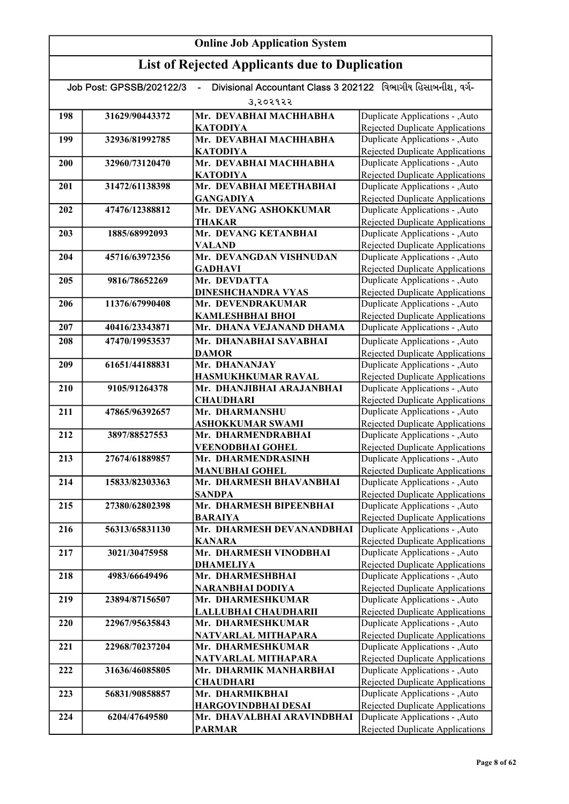| 3,२०२१२२<br>Duplicate Applications - , Auto<br>Mr. DEVABHAI MACHHABHA<br>198<br>31629/90443372<br>Rejected Duplicate Applications<br><b>KATODIYA</b><br>Duplicate Applications - , Auto<br>Mr. DEVABHAI MACHHABHA<br>199<br>32936/81992785<br>Rejected Duplicate Applications<br><b>KATODIYA</b><br>Mr. DEVABHAI MACHHABHA<br>Duplicate Applications - , Auto<br>32960/73120470<br>200<br><b>Rejected Duplicate Applications</b><br><b>KATODIYA</b><br>Mr. DEVABHAI MEETHABHAI<br>Duplicate Applications - , Auto<br>31472/61138398<br>201<br><b>Rejected Duplicate Applications</b><br><b>GANGADIYA</b><br>Mr. DEVANG ASHOKKUMAR<br>Duplicate Applications - , Auto<br>47476/12388812<br>202<br><b>THAKAR</b><br><b>Rejected Duplicate Applications</b><br>Mr. DEVANG KETANBHAI<br>Duplicate Applications - , Auto<br>203<br>1885/68992093<br><b>VALAND</b><br><b>Rejected Duplicate Applications</b><br>Mr. DEVANGDAN VISHNUDAN<br>Duplicate Applications - , Auto<br>204<br>45716/63972356<br><b>GADHAVI</b><br>Rejected Duplicate Applications<br>Mr. DEVDATTA<br>Duplicate Applications - , Auto<br>205<br>9816/78652269<br>Rejected Duplicate Applications<br><b>DINESHCHANDRA VYAS</b><br>Mr. DEVENDRAKUMAR<br>Duplicate Applications - , Auto<br>206<br>11376/67990408<br>Rejected Duplicate Applications<br><b>KAMLESHBHAI BHOI</b><br>Duplicate Applications - , Auto<br>207<br>Mr. DHANA VEJANAND DHAMA<br>40416/23343871<br>Duplicate Applications - , Auto<br>208<br>47470/19953537<br>Mr. DHANABHAI SAVABHAI<br><b>Rejected Duplicate Applications</b><br><b>DAMOR</b><br>Duplicate Applications - , Auto<br>Mr. DHANANJAY<br>209<br>61651/44188831<br><b>Rejected Duplicate Applications</b><br>HASMUKHKUMAR RAVAL<br>Duplicate Applications - , Auto<br>Mr. DHANJIBHAI ARAJANBHAI<br>210<br>9105/91264378<br><b>CHAUDHARI</b><br>Rejected Duplicate Applications<br>Duplicate Applications - , Auto<br>211<br>47865/96392657<br>Mr. DHARMANSHU<br><b>Rejected Duplicate Applications</b><br>ASHOKKUMAR SWAMI<br>Duplicate Applications - , Auto<br>Mr. DHARMENDRABHAI<br>212<br>3897/88527553<br><b>Rejected Duplicate Applications</b><br><b>VEENODBHAI GOHEL</b><br>Duplicate Applications - , Auto<br>213<br>27674/61889857<br>Mr. DHARMENDRASINH<br><b>Rejected Duplicate Applications</b><br><b>MANUBHAI GOHEL</b><br>Duplicate Applications - , Auto<br>214<br>15833/82303363<br>Mr. DHARMESH BHAVANBHAI<br><b>Rejected Duplicate Applications</b><br><b>SANDPA</b><br>Mr. DHARMESH BIPEENBHAI<br>Duplicate Applications - , Auto<br>215<br>27380/62802398<br><b>BARAIYA</b><br>Rejected Duplicate Applications<br>56313/65831130<br>Mr. DHARMESH DEVANANDBHAI<br>Duplicate Applications - , Auto<br>216<br><b>Rejected Duplicate Applications</b><br><b>KANARA</b><br>Mr. DHARMESH VINODBHAI<br>Duplicate Applications - , Auto<br>217<br>3021/30475958<br><b>Rejected Duplicate Applications</b><br><b>DHAMELIYA</b><br>Duplicate Applications - , Auto<br>218<br>4983/66649496<br>Mr. DHARMESHBHAI<br><b>Rejected Duplicate Applications</b><br>NARANBHAI DODIYA<br>Duplicate Applications - , Auto<br>23894/87156507<br>Mr. DHARMESHKUMAR<br>219<br><b>Rejected Duplicate Applications</b><br>LALLUBHAI CHAUDHARII<br>Duplicate Applications - , Auto<br>Mr. DHARMESHKUMAR<br>220<br>22967/95635843<br>NATVARLAL MITHAPARA<br>Rejected Duplicate Applications<br>Mr. DHARMESHKUMAR<br>Duplicate Applications - , Auto<br>221<br>22968/70237204<br>Rejected Duplicate Applications<br>NATVARLAL MITHAPARA<br>Duplicate Applications - , Auto<br>Mr. DHARMIK MANHARBHAI<br>222<br>31636/46085805<br>Rejected Duplicate Applications<br><b>CHAUDHARI</b><br>Duplicate Applications - , Auto<br>223<br>56831/90858857<br>Mr. DHARMIKBHAI<br>Rejected Duplicate Applications<br><b>HARGOVINDBHAI DESAI</b><br>Duplicate Applications - , Auto<br>224<br>6204/47649580<br>Mr. DHAVALBHAI ARAVINDBHAI<br>Rejected Duplicate Applications<br><b>PARMAR</b> | Divisional Accountant Class 3 202122 વિભાગીય હિસાબનીશ, વર્ગ-<br>Job Post: GPSSB/202122/3<br>$\blacksquare$ |  |  |  |
|------------------------------------------------------------------------------------------------------------------------------------------------------------------------------------------------------------------------------------------------------------------------------------------------------------------------------------------------------------------------------------------------------------------------------------------------------------------------------------------------------------------------------------------------------------------------------------------------------------------------------------------------------------------------------------------------------------------------------------------------------------------------------------------------------------------------------------------------------------------------------------------------------------------------------------------------------------------------------------------------------------------------------------------------------------------------------------------------------------------------------------------------------------------------------------------------------------------------------------------------------------------------------------------------------------------------------------------------------------------------------------------------------------------------------------------------------------------------------------------------------------------------------------------------------------------------------------------------------------------------------------------------------------------------------------------------------------------------------------------------------------------------------------------------------------------------------------------------------------------------------------------------------------------------------------------------------------------------------------------------------------------------------------------------------------------------------------------------------------------------------------------------------------------------------------------------------------------------------------------------------------------------------------------------------------------------------------------------------------------------------------------------------------------------------------------------------------------------------------------------------------------------------------------------------------------------------------------------------------------------------------------------------------------------------------------------------------------------------------------------------------------------------------------------------------------------------------------------------------------------------------------------------------------------------------------------------------------------------------------------------------------------------------------------------------------------------------------------------------------------------------------------------------------------------------------------------------------------------------------------------------------------------------------------------------------------------------------------------------------------------------------------------------------------------------------------------------------------------------------------------------------------------------------------------------------------------------------------------------------------------------------------------------------------------------------------------------------------------------------------------------------------------------------------------------------------------------------------------------------------------------------------------------------------------------------------------------------------------|------------------------------------------------------------------------------------------------------------|--|--|--|
|                                                                                                                                                                                                                                                                                                                                                                                                                                                                                                                                                                                                                                                                                                                                                                                                                                                                                                                                                                                                                                                                                                                                                                                                                                                                                                                                                                                                                                                                                                                                                                                                                                                                                                                                                                                                                                                                                                                                                                                                                                                                                                                                                                                                                                                                                                                                                                                                                                                                                                                                                                                                                                                                                                                                                                                                                                                                                                                                                                                                                                                                                                                                                                                                                                                                                                                                                                                                                                                                                                                                                                                                                                                                                                                                                                                                                                                                                                                                                                              |                                                                                                            |  |  |  |
|                                                                                                                                                                                                                                                                                                                                                                                                                                                                                                                                                                                                                                                                                                                                                                                                                                                                                                                                                                                                                                                                                                                                                                                                                                                                                                                                                                                                                                                                                                                                                                                                                                                                                                                                                                                                                                                                                                                                                                                                                                                                                                                                                                                                                                                                                                                                                                                                                                                                                                                                                                                                                                                                                                                                                                                                                                                                                                                                                                                                                                                                                                                                                                                                                                                                                                                                                                                                                                                                                                                                                                                                                                                                                                                                                                                                                                                                                                                                                                              |                                                                                                            |  |  |  |
|                                                                                                                                                                                                                                                                                                                                                                                                                                                                                                                                                                                                                                                                                                                                                                                                                                                                                                                                                                                                                                                                                                                                                                                                                                                                                                                                                                                                                                                                                                                                                                                                                                                                                                                                                                                                                                                                                                                                                                                                                                                                                                                                                                                                                                                                                                                                                                                                                                                                                                                                                                                                                                                                                                                                                                                                                                                                                                                                                                                                                                                                                                                                                                                                                                                                                                                                                                                                                                                                                                                                                                                                                                                                                                                                                                                                                                                                                                                                                                              |                                                                                                            |  |  |  |
|                                                                                                                                                                                                                                                                                                                                                                                                                                                                                                                                                                                                                                                                                                                                                                                                                                                                                                                                                                                                                                                                                                                                                                                                                                                                                                                                                                                                                                                                                                                                                                                                                                                                                                                                                                                                                                                                                                                                                                                                                                                                                                                                                                                                                                                                                                                                                                                                                                                                                                                                                                                                                                                                                                                                                                                                                                                                                                                                                                                                                                                                                                                                                                                                                                                                                                                                                                                                                                                                                                                                                                                                                                                                                                                                                                                                                                                                                                                                                                              |                                                                                                            |  |  |  |
|                                                                                                                                                                                                                                                                                                                                                                                                                                                                                                                                                                                                                                                                                                                                                                                                                                                                                                                                                                                                                                                                                                                                                                                                                                                                                                                                                                                                                                                                                                                                                                                                                                                                                                                                                                                                                                                                                                                                                                                                                                                                                                                                                                                                                                                                                                                                                                                                                                                                                                                                                                                                                                                                                                                                                                                                                                                                                                                                                                                                                                                                                                                                                                                                                                                                                                                                                                                                                                                                                                                                                                                                                                                                                                                                                                                                                                                                                                                                                                              |                                                                                                            |  |  |  |
|                                                                                                                                                                                                                                                                                                                                                                                                                                                                                                                                                                                                                                                                                                                                                                                                                                                                                                                                                                                                                                                                                                                                                                                                                                                                                                                                                                                                                                                                                                                                                                                                                                                                                                                                                                                                                                                                                                                                                                                                                                                                                                                                                                                                                                                                                                                                                                                                                                                                                                                                                                                                                                                                                                                                                                                                                                                                                                                                                                                                                                                                                                                                                                                                                                                                                                                                                                                                                                                                                                                                                                                                                                                                                                                                                                                                                                                                                                                                                                              |                                                                                                            |  |  |  |
|                                                                                                                                                                                                                                                                                                                                                                                                                                                                                                                                                                                                                                                                                                                                                                                                                                                                                                                                                                                                                                                                                                                                                                                                                                                                                                                                                                                                                                                                                                                                                                                                                                                                                                                                                                                                                                                                                                                                                                                                                                                                                                                                                                                                                                                                                                                                                                                                                                                                                                                                                                                                                                                                                                                                                                                                                                                                                                                                                                                                                                                                                                                                                                                                                                                                                                                                                                                                                                                                                                                                                                                                                                                                                                                                                                                                                                                                                                                                                                              |                                                                                                            |  |  |  |
|                                                                                                                                                                                                                                                                                                                                                                                                                                                                                                                                                                                                                                                                                                                                                                                                                                                                                                                                                                                                                                                                                                                                                                                                                                                                                                                                                                                                                                                                                                                                                                                                                                                                                                                                                                                                                                                                                                                                                                                                                                                                                                                                                                                                                                                                                                                                                                                                                                                                                                                                                                                                                                                                                                                                                                                                                                                                                                                                                                                                                                                                                                                                                                                                                                                                                                                                                                                                                                                                                                                                                                                                                                                                                                                                                                                                                                                                                                                                                                              |                                                                                                            |  |  |  |
|                                                                                                                                                                                                                                                                                                                                                                                                                                                                                                                                                                                                                                                                                                                                                                                                                                                                                                                                                                                                                                                                                                                                                                                                                                                                                                                                                                                                                                                                                                                                                                                                                                                                                                                                                                                                                                                                                                                                                                                                                                                                                                                                                                                                                                                                                                                                                                                                                                                                                                                                                                                                                                                                                                                                                                                                                                                                                                                                                                                                                                                                                                                                                                                                                                                                                                                                                                                                                                                                                                                                                                                                                                                                                                                                                                                                                                                                                                                                                                              |                                                                                                            |  |  |  |
|                                                                                                                                                                                                                                                                                                                                                                                                                                                                                                                                                                                                                                                                                                                                                                                                                                                                                                                                                                                                                                                                                                                                                                                                                                                                                                                                                                                                                                                                                                                                                                                                                                                                                                                                                                                                                                                                                                                                                                                                                                                                                                                                                                                                                                                                                                                                                                                                                                                                                                                                                                                                                                                                                                                                                                                                                                                                                                                                                                                                                                                                                                                                                                                                                                                                                                                                                                                                                                                                                                                                                                                                                                                                                                                                                                                                                                                                                                                                                                              |                                                                                                            |  |  |  |
|                                                                                                                                                                                                                                                                                                                                                                                                                                                                                                                                                                                                                                                                                                                                                                                                                                                                                                                                                                                                                                                                                                                                                                                                                                                                                                                                                                                                                                                                                                                                                                                                                                                                                                                                                                                                                                                                                                                                                                                                                                                                                                                                                                                                                                                                                                                                                                                                                                                                                                                                                                                                                                                                                                                                                                                                                                                                                                                                                                                                                                                                                                                                                                                                                                                                                                                                                                                                                                                                                                                                                                                                                                                                                                                                                                                                                                                                                                                                                                              |                                                                                                            |  |  |  |
|                                                                                                                                                                                                                                                                                                                                                                                                                                                                                                                                                                                                                                                                                                                                                                                                                                                                                                                                                                                                                                                                                                                                                                                                                                                                                                                                                                                                                                                                                                                                                                                                                                                                                                                                                                                                                                                                                                                                                                                                                                                                                                                                                                                                                                                                                                                                                                                                                                                                                                                                                                                                                                                                                                                                                                                                                                                                                                                                                                                                                                                                                                                                                                                                                                                                                                                                                                                                                                                                                                                                                                                                                                                                                                                                                                                                                                                                                                                                                                              |                                                                                                            |  |  |  |
|                                                                                                                                                                                                                                                                                                                                                                                                                                                                                                                                                                                                                                                                                                                                                                                                                                                                                                                                                                                                                                                                                                                                                                                                                                                                                                                                                                                                                                                                                                                                                                                                                                                                                                                                                                                                                                                                                                                                                                                                                                                                                                                                                                                                                                                                                                                                                                                                                                                                                                                                                                                                                                                                                                                                                                                                                                                                                                                                                                                                                                                                                                                                                                                                                                                                                                                                                                                                                                                                                                                                                                                                                                                                                                                                                                                                                                                                                                                                                                              |                                                                                                            |  |  |  |
|                                                                                                                                                                                                                                                                                                                                                                                                                                                                                                                                                                                                                                                                                                                                                                                                                                                                                                                                                                                                                                                                                                                                                                                                                                                                                                                                                                                                                                                                                                                                                                                                                                                                                                                                                                                                                                                                                                                                                                                                                                                                                                                                                                                                                                                                                                                                                                                                                                                                                                                                                                                                                                                                                                                                                                                                                                                                                                                                                                                                                                                                                                                                                                                                                                                                                                                                                                                                                                                                                                                                                                                                                                                                                                                                                                                                                                                                                                                                                                              |                                                                                                            |  |  |  |
|                                                                                                                                                                                                                                                                                                                                                                                                                                                                                                                                                                                                                                                                                                                                                                                                                                                                                                                                                                                                                                                                                                                                                                                                                                                                                                                                                                                                                                                                                                                                                                                                                                                                                                                                                                                                                                                                                                                                                                                                                                                                                                                                                                                                                                                                                                                                                                                                                                                                                                                                                                                                                                                                                                                                                                                                                                                                                                                                                                                                                                                                                                                                                                                                                                                                                                                                                                                                                                                                                                                                                                                                                                                                                                                                                                                                                                                                                                                                                                              |                                                                                                            |  |  |  |
|                                                                                                                                                                                                                                                                                                                                                                                                                                                                                                                                                                                                                                                                                                                                                                                                                                                                                                                                                                                                                                                                                                                                                                                                                                                                                                                                                                                                                                                                                                                                                                                                                                                                                                                                                                                                                                                                                                                                                                                                                                                                                                                                                                                                                                                                                                                                                                                                                                                                                                                                                                                                                                                                                                                                                                                                                                                                                                                                                                                                                                                                                                                                                                                                                                                                                                                                                                                                                                                                                                                                                                                                                                                                                                                                                                                                                                                                                                                                                                              |                                                                                                            |  |  |  |
|                                                                                                                                                                                                                                                                                                                                                                                                                                                                                                                                                                                                                                                                                                                                                                                                                                                                                                                                                                                                                                                                                                                                                                                                                                                                                                                                                                                                                                                                                                                                                                                                                                                                                                                                                                                                                                                                                                                                                                                                                                                                                                                                                                                                                                                                                                                                                                                                                                                                                                                                                                                                                                                                                                                                                                                                                                                                                                                                                                                                                                                                                                                                                                                                                                                                                                                                                                                                                                                                                                                                                                                                                                                                                                                                                                                                                                                                                                                                                                              |                                                                                                            |  |  |  |
|                                                                                                                                                                                                                                                                                                                                                                                                                                                                                                                                                                                                                                                                                                                                                                                                                                                                                                                                                                                                                                                                                                                                                                                                                                                                                                                                                                                                                                                                                                                                                                                                                                                                                                                                                                                                                                                                                                                                                                                                                                                                                                                                                                                                                                                                                                                                                                                                                                                                                                                                                                                                                                                                                                                                                                                                                                                                                                                                                                                                                                                                                                                                                                                                                                                                                                                                                                                                                                                                                                                                                                                                                                                                                                                                                                                                                                                                                                                                                                              |                                                                                                            |  |  |  |
|                                                                                                                                                                                                                                                                                                                                                                                                                                                                                                                                                                                                                                                                                                                                                                                                                                                                                                                                                                                                                                                                                                                                                                                                                                                                                                                                                                                                                                                                                                                                                                                                                                                                                                                                                                                                                                                                                                                                                                                                                                                                                                                                                                                                                                                                                                                                                                                                                                                                                                                                                                                                                                                                                                                                                                                                                                                                                                                                                                                                                                                                                                                                                                                                                                                                                                                                                                                                                                                                                                                                                                                                                                                                                                                                                                                                                                                                                                                                                                              |                                                                                                            |  |  |  |
|                                                                                                                                                                                                                                                                                                                                                                                                                                                                                                                                                                                                                                                                                                                                                                                                                                                                                                                                                                                                                                                                                                                                                                                                                                                                                                                                                                                                                                                                                                                                                                                                                                                                                                                                                                                                                                                                                                                                                                                                                                                                                                                                                                                                                                                                                                                                                                                                                                                                                                                                                                                                                                                                                                                                                                                                                                                                                                                                                                                                                                                                                                                                                                                                                                                                                                                                                                                                                                                                                                                                                                                                                                                                                                                                                                                                                                                                                                                                                                              |                                                                                                            |  |  |  |
|                                                                                                                                                                                                                                                                                                                                                                                                                                                                                                                                                                                                                                                                                                                                                                                                                                                                                                                                                                                                                                                                                                                                                                                                                                                                                                                                                                                                                                                                                                                                                                                                                                                                                                                                                                                                                                                                                                                                                                                                                                                                                                                                                                                                                                                                                                                                                                                                                                                                                                                                                                                                                                                                                                                                                                                                                                                                                                                                                                                                                                                                                                                                                                                                                                                                                                                                                                                                                                                                                                                                                                                                                                                                                                                                                                                                                                                                                                                                                                              |                                                                                                            |  |  |  |
|                                                                                                                                                                                                                                                                                                                                                                                                                                                                                                                                                                                                                                                                                                                                                                                                                                                                                                                                                                                                                                                                                                                                                                                                                                                                                                                                                                                                                                                                                                                                                                                                                                                                                                                                                                                                                                                                                                                                                                                                                                                                                                                                                                                                                                                                                                                                                                                                                                                                                                                                                                                                                                                                                                                                                                                                                                                                                                                                                                                                                                                                                                                                                                                                                                                                                                                                                                                                                                                                                                                                                                                                                                                                                                                                                                                                                                                                                                                                                                              |                                                                                                            |  |  |  |
|                                                                                                                                                                                                                                                                                                                                                                                                                                                                                                                                                                                                                                                                                                                                                                                                                                                                                                                                                                                                                                                                                                                                                                                                                                                                                                                                                                                                                                                                                                                                                                                                                                                                                                                                                                                                                                                                                                                                                                                                                                                                                                                                                                                                                                                                                                                                                                                                                                                                                                                                                                                                                                                                                                                                                                                                                                                                                                                                                                                                                                                                                                                                                                                                                                                                                                                                                                                                                                                                                                                                                                                                                                                                                                                                                                                                                                                                                                                                                                              |                                                                                                            |  |  |  |
|                                                                                                                                                                                                                                                                                                                                                                                                                                                                                                                                                                                                                                                                                                                                                                                                                                                                                                                                                                                                                                                                                                                                                                                                                                                                                                                                                                                                                                                                                                                                                                                                                                                                                                                                                                                                                                                                                                                                                                                                                                                                                                                                                                                                                                                                                                                                                                                                                                                                                                                                                                                                                                                                                                                                                                                                                                                                                                                                                                                                                                                                                                                                                                                                                                                                                                                                                                                                                                                                                                                                                                                                                                                                                                                                                                                                                                                                                                                                                                              |                                                                                                            |  |  |  |
|                                                                                                                                                                                                                                                                                                                                                                                                                                                                                                                                                                                                                                                                                                                                                                                                                                                                                                                                                                                                                                                                                                                                                                                                                                                                                                                                                                                                                                                                                                                                                                                                                                                                                                                                                                                                                                                                                                                                                                                                                                                                                                                                                                                                                                                                                                                                                                                                                                                                                                                                                                                                                                                                                                                                                                                                                                                                                                                                                                                                                                                                                                                                                                                                                                                                                                                                                                                                                                                                                                                                                                                                                                                                                                                                                                                                                                                                                                                                                                              |                                                                                                            |  |  |  |
|                                                                                                                                                                                                                                                                                                                                                                                                                                                                                                                                                                                                                                                                                                                                                                                                                                                                                                                                                                                                                                                                                                                                                                                                                                                                                                                                                                                                                                                                                                                                                                                                                                                                                                                                                                                                                                                                                                                                                                                                                                                                                                                                                                                                                                                                                                                                                                                                                                                                                                                                                                                                                                                                                                                                                                                                                                                                                                                                                                                                                                                                                                                                                                                                                                                                                                                                                                                                                                                                                                                                                                                                                                                                                                                                                                                                                                                                                                                                                                              |                                                                                                            |  |  |  |
|                                                                                                                                                                                                                                                                                                                                                                                                                                                                                                                                                                                                                                                                                                                                                                                                                                                                                                                                                                                                                                                                                                                                                                                                                                                                                                                                                                                                                                                                                                                                                                                                                                                                                                                                                                                                                                                                                                                                                                                                                                                                                                                                                                                                                                                                                                                                                                                                                                                                                                                                                                                                                                                                                                                                                                                                                                                                                                                                                                                                                                                                                                                                                                                                                                                                                                                                                                                                                                                                                                                                                                                                                                                                                                                                                                                                                                                                                                                                                                              |                                                                                                            |  |  |  |
|                                                                                                                                                                                                                                                                                                                                                                                                                                                                                                                                                                                                                                                                                                                                                                                                                                                                                                                                                                                                                                                                                                                                                                                                                                                                                                                                                                                                                                                                                                                                                                                                                                                                                                                                                                                                                                                                                                                                                                                                                                                                                                                                                                                                                                                                                                                                                                                                                                                                                                                                                                                                                                                                                                                                                                                                                                                                                                                                                                                                                                                                                                                                                                                                                                                                                                                                                                                                                                                                                                                                                                                                                                                                                                                                                                                                                                                                                                                                                                              |                                                                                                            |  |  |  |
|                                                                                                                                                                                                                                                                                                                                                                                                                                                                                                                                                                                                                                                                                                                                                                                                                                                                                                                                                                                                                                                                                                                                                                                                                                                                                                                                                                                                                                                                                                                                                                                                                                                                                                                                                                                                                                                                                                                                                                                                                                                                                                                                                                                                                                                                                                                                                                                                                                                                                                                                                                                                                                                                                                                                                                                                                                                                                                                                                                                                                                                                                                                                                                                                                                                                                                                                                                                                                                                                                                                                                                                                                                                                                                                                                                                                                                                                                                                                                                              |                                                                                                            |  |  |  |
|                                                                                                                                                                                                                                                                                                                                                                                                                                                                                                                                                                                                                                                                                                                                                                                                                                                                                                                                                                                                                                                                                                                                                                                                                                                                                                                                                                                                                                                                                                                                                                                                                                                                                                                                                                                                                                                                                                                                                                                                                                                                                                                                                                                                                                                                                                                                                                                                                                                                                                                                                                                                                                                                                                                                                                                                                                                                                                                                                                                                                                                                                                                                                                                                                                                                                                                                                                                                                                                                                                                                                                                                                                                                                                                                                                                                                                                                                                                                                                              |                                                                                                            |  |  |  |
|                                                                                                                                                                                                                                                                                                                                                                                                                                                                                                                                                                                                                                                                                                                                                                                                                                                                                                                                                                                                                                                                                                                                                                                                                                                                                                                                                                                                                                                                                                                                                                                                                                                                                                                                                                                                                                                                                                                                                                                                                                                                                                                                                                                                                                                                                                                                                                                                                                                                                                                                                                                                                                                                                                                                                                                                                                                                                                                                                                                                                                                                                                                                                                                                                                                                                                                                                                                                                                                                                                                                                                                                                                                                                                                                                                                                                                                                                                                                                                              |                                                                                                            |  |  |  |
|                                                                                                                                                                                                                                                                                                                                                                                                                                                                                                                                                                                                                                                                                                                                                                                                                                                                                                                                                                                                                                                                                                                                                                                                                                                                                                                                                                                                                                                                                                                                                                                                                                                                                                                                                                                                                                                                                                                                                                                                                                                                                                                                                                                                                                                                                                                                                                                                                                                                                                                                                                                                                                                                                                                                                                                                                                                                                                                                                                                                                                                                                                                                                                                                                                                                                                                                                                                                                                                                                                                                                                                                                                                                                                                                                                                                                                                                                                                                                                              |                                                                                                            |  |  |  |
|                                                                                                                                                                                                                                                                                                                                                                                                                                                                                                                                                                                                                                                                                                                                                                                                                                                                                                                                                                                                                                                                                                                                                                                                                                                                                                                                                                                                                                                                                                                                                                                                                                                                                                                                                                                                                                                                                                                                                                                                                                                                                                                                                                                                                                                                                                                                                                                                                                                                                                                                                                                                                                                                                                                                                                                                                                                                                                                                                                                                                                                                                                                                                                                                                                                                                                                                                                                                                                                                                                                                                                                                                                                                                                                                                                                                                                                                                                                                                                              |                                                                                                            |  |  |  |
|                                                                                                                                                                                                                                                                                                                                                                                                                                                                                                                                                                                                                                                                                                                                                                                                                                                                                                                                                                                                                                                                                                                                                                                                                                                                                                                                                                                                                                                                                                                                                                                                                                                                                                                                                                                                                                                                                                                                                                                                                                                                                                                                                                                                                                                                                                                                                                                                                                                                                                                                                                                                                                                                                                                                                                                                                                                                                                                                                                                                                                                                                                                                                                                                                                                                                                                                                                                                                                                                                                                                                                                                                                                                                                                                                                                                                                                                                                                                                                              |                                                                                                            |  |  |  |
|                                                                                                                                                                                                                                                                                                                                                                                                                                                                                                                                                                                                                                                                                                                                                                                                                                                                                                                                                                                                                                                                                                                                                                                                                                                                                                                                                                                                                                                                                                                                                                                                                                                                                                                                                                                                                                                                                                                                                                                                                                                                                                                                                                                                                                                                                                                                                                                                                                                                                                                                                                                                                                                                                                                                                                                                                                                                                                                                                                                                                                                                                                                                                                                                                                                                                                                                                                                                                                                                                                                                                                                                                                                                                                                                                                                                                                                                                                                                                                              |                                                                                                            |  |  |  |
|                                                                                                                                                                                                                                                                                                                                                                                                                                                                                                                                                                                                                                                                                                                                                                                                                                                                                                                                                                                                                                                                                                                                                                                                                                                                                                                                                                                                                                                                                                                                                                                                                                                                                                                                                                                                                                                                                                                                                                                                                                                                                                                                                                                                                                                                                                                                                                                                                                                                                                                                                                                                                                                                                                                                                                                                                                                                                                                                                                                                                                                                                                                                                                                                                                                                                                                                                                                                                                                                                                                                                                                                                                                                                                                                                                                                                                                                                                                                                                              |                                                                                                            |  |  |  |
|                                                                                                                                                                                                                                                                                                                                                                                                                                                                                                                                                                                                                                                                                                                                                                                                                                                                                                                                                                                                                                                                                                                                                                                                                                                                                                                                                                                                                                                                                                                                                                                                                                                                                                                                                                                                                                                                                                                                                                                                                                                                                                                                                                                                                                                                                                                                                                                                                                                                                                                                                                                                                                                                                                                                                                                                                                                                                                                                                                                                                                                                                                                                                                                                                                                                                                                                                                                                                                                                                                                                                                                                                                                                                                                                                                                                                                                                                                                                                                              |                                                                                                            |  |  |  |
|                                                                                                                                                                                                                                                                                                                                                                                                                                                                                                                                                                                                                                                                                                                                                                                                                                                                                                                                                                                                                                                                                                                                                                                                                                                                                                                                                                                                                                                                                                                                                                                                                                                                                                                                                                                                                                                                                                                                                                                                                                                                                                                                                                                                                                                                                                                                                                                                                                                                                                                                                                                                                                                                                                                                                                                                                                                                                                                                                                                                                                                                                                                                                                                                                                                                                                                                                                                                                                                                                                                                                                                                                                                                                                                                                                                                                                                                                                                                                                              |                                                                                                            |  |  |  |
|                                                                                                                                                                                                                                                                                                                                                                                                                                                                                                                                                                                                                                                                                                                                                                                                                                                                                                                                                                                                                                                                                                                                                                                                                                                                                                                                                                                                                                                                                                                                                                                                                                                                                                                                                                                                                                                                                                                                                                                                                                                                                                                                                                                                                                                                                                                                                                                                                                                                                                                                                                                                                                                                                                                                                                                                                                                                                                                                                                                                                                                                                                                                                                                                                                                                                                                                                                                                                                                                                                                                                                                                                                                                                                                                                                                                                                                                                                                                                                              |                                                                                                            |  |  |  |
|                                                                                                                                                                                                                                                                                                                                                                                                                                                                                                                                                                                                                                                                                                                                                                                                                                                                                                                                                                                                                                                                                                                                                                                                                                                                                                                                                                                                                                                                                                                                                                                                                                                                                                                                                                                                                                                                                                                                                                                                                                                                                                                                                                                                                                                                                                                                                                                                                                                                                                                                                                                                                                                                                                                                                                                                                                                                                                                                                                                                                                                                                                                                                                                                                                                                                                                                                                                                                                                                                                                                                                                                                                                                                                                                                                                                                                                                                                                                                                              |                                                                                                            |  |  |  |
|                                                                                                                                                                                                                                                                                                                                                                                                                                                                                                                                                                                                                                                                                                                                                                                                                                                                                                                                                                                                                                                                                                                                                                                                                                                                                                                                                                                                                                                                                                                                                                                                                                                                                                                                                                                                                                                                                                                                                                                                                                                                                                                                                                                                                                                                                                                                                                                                                                                                                                                                                                                                                                                                                                                                                                                                                                                                                                                                                                                                                                                                                                                                                                                                                                                                                                                                                                                                                                                                                                                                                                                                                                                                                                                                                                                                                                                                                                                                                                              |                                                                                                            |  |  |  |
|                                                                                                                                                                                                                                                                                                                                                                                                                                                                                                                                                                                                                                                                                                                                                                                                                                                                                                                                                                                                                                                                                                                                                                                                                                                                                                                                                                                                                                                                                                                                                                                                                                                                                                                                                                                                                                                                                                                                                                                                                                                                                                                                                                                                                                                                                                                                                                                                                                                                                                                                                                                                                                                                                                                                                                                                                                                                                                                                                                                                                                                                                                                                                                                                                                                                                                                                                                                                                                                                                                                                                                                                                                                                                                                                                                                                                                                                                                                                                                              |                                                                                                            |  |  |  |
|                                                                                                                                                                                                                                                                                                                                                                                                                                                                                                                                                                                                                                                                                                                                                                                                                                                                                                                                                                                                                                                                                                                                                                                                                                                                                                                                                                                                                                                                                                                                                                                                                                                                                                                                                                                                                                                                                                                                                                                                                                                                                                                                                                                                                                                                                                                                                                                                                                                                                                                                                                                                                                                                                                                                                                                                                                                                                                                                                                                                                                                                                                                                                                                                                                                                                                                                                                                                                                                                                                                                                                                                                                                                                                                                                                                                                                                                                                                                                                              |                                                                                                            |  |  |  |
|                                                                                                                                                                                                                                                                                                                                                                                                                                                                                                                                                                                                                                                                                                                                                                                                                                                                                                                                                                                                                                                                                                                                                                                                                                                                                                                                                                                                                                                                                                                                                                                                                                                                                                                                                                                                                                                                                                                                                                                                                                                                                                                                                                                                                                                                                                                                                                                                                                                                                                                                                                                                                                                                                                                                                                                                                                                                                                                                                                                                                                                                                                                                                                                                                                                                                                                                                                                                                                                                                                                                                                                                                                                                                                                                                                                                                                                                                                                                                                              |                                                                                                            |  |  |  |
|                                                                                                                                                                                                                                                                                                                                                                                                                                                                                                                                                                                                                                                                                                                                                                                                                                                                                                                                                                                                                                                                                                                                                                                                                                                                                                                                                                                                                                                                                                                                                                                                                                                                                                                                                                                                                                                                                                                                                                                                                                                                                                                                                                                                                                                                                                                                                                                                                                                                                                                                                                                                                                                                                                                                                                                                                                                                                                                                                                                                                                                                                                                                                                                                                                                                                                                                                                                                                                                                                                                                                                                                                                                                                                                                                                                                                                                                                                                                                                              |                                                                                                            |  |  |  |
|                                                                                                                                                                                                                                                                                                                                                                                                                                                                                                                                                                                                                                                                                                                                                                                                                                                                                                                                                                                                                                                                                                                                                                                                                                                                                                                                                                                                                                                                                                                                                                                                                                                                                                                                                                                                                                                                                                                                                                                                                                                                                                                                                                                                                                                                                                                                                                                                                                                                                                                                                                                                                                                                                                                                                                                                                                                                                                                                                                                                                                                                                                                                                                                                                                                                                                                                                                                                                                                                                                                                                                                                                                                                                                                                                                                                                                                                                                                                                                              |                                                                                                            |  |  |  |
|                                                                                                                                                                                                                                                                                                                                                                                                                                                                                                                                                                                                                                                                                                                                                                                                                                                                                                                                                                                                                                                                                                                                                                                                                                                                                                                                                                                                                                                                                                                                                                                                                                                                                                                                                                                                                                                                                                                                                                                                                                                                                                                                                                                                                                                                                                                                                                                                                                                                                                                                                                                                                                                                                                                                                                                                                                                                                                                                                                                                                                                                                                                                                                                                                                                                                                                                                                                                                                                                                                                                                                                                                                                                                                                                                                                                                                                                                                                                                                              |                                                                                                            |  |  |  |
|                                                                                                                                                                                                                                                                                                                                                                                                                                                                                                                                                                                                                                                                                                                                                                                                                                                                                                                                                                                                                                                                                                                                                                                                                                                                                                                                                                                                                                                                                                                                                                                                                                                                                                                                                                                                                                                                                                                                                                                                                                                                                                                                                                                                                                                                                                                                                                                                                                                                                                                                                                                                                                                                                                                                                                                                                                                                                                                                                                                                                                                                                                                                                                                                                                                                                                                                                                                                                                                                                                                                                                                                                                                                                                                                                                                                                                                                                                                                                                              |                                                                                                            |  |  |  |
|                                                                                                                                                                                                                                                                                                                                                                                                                                                                                                                                                                                                                                                                                                                                                                                                                                                                                                                                                                                                                                                                                                                                                                                                                                                                                                                                                                                                                                                                                                                                                                                                                                                                                                                                                                                                                                                                                                                                                                                                                                                                                                                                                                                                                                                                                                                                                                                                                                                                                                                                                                                                                                                                                                                                                                                                                                                                                                                                                                                                                                                                                                                                                                                                                                                                                                                                                                                                                                                                                                                                                                                                                                                                                                                                                                                                                                                                                                                                                                              |                                                                                                            |  |  |  |
|                                                                                                                                                                                                                                                                                                                                                                                                                                                                                                                                                                                                                                                                                                                                                                                                                                                                                                                                                                                                                                                                                                                                                                                                                                                                                                                                                                                                                                                                                                                                                                                                                                                                                                                                                                                                                                                                                                                                                                                                                                                                                                                                                                                                                                                                                                                                                                                                                                                                                                                                                                                                                                                                                                                                                                                                                                                                                                                                                                                                                                                                                                                                                                                                                                                                                                                                                                                                                                                                                                                                                                                                                                                                                                                                                                                                                                                                                                                                                                              |                                                                                                            |  |  |  |
|                                                                                                                                                                                                                                                                                                                                                                                                                                                                                                                                                                                                                                                                                                                                                                                                                                                                                                                                                                                                                                                                                                                                                                                                                                                                                                                                                                                                                                                                                                                                                                                                                                                                                                                                                                                                                                                                                                                                                                                                                                                                                                                                                                                                                                                                                                                                                                                                                                                                                                                                                                                                                                                                                                                                                                                                                                                                                                                                                                                                                                                                                                                                                                                                                                                                                                                                                                                                                                                                                                                                                                                                                                                                                                                                                                                                                                                                                                                                                                              |                                                                                                            |  |  |  |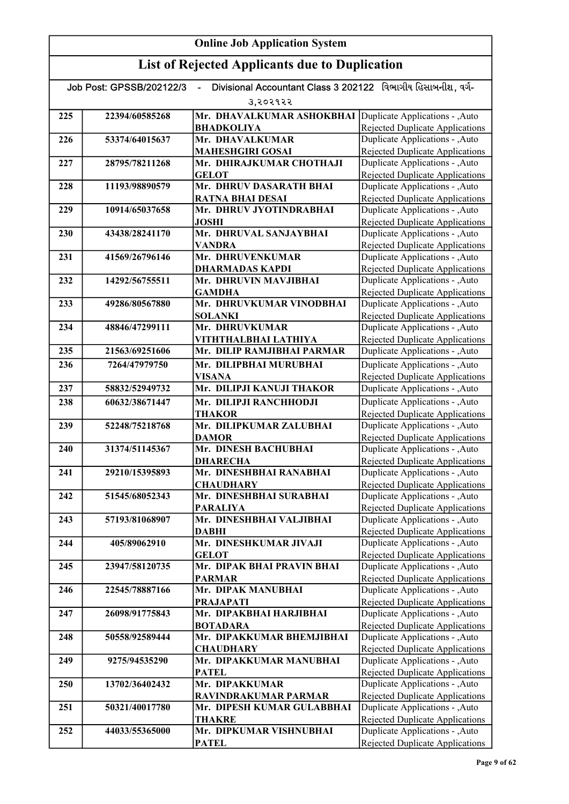#### Online Job Application System List of Rejected Applicants due to Duplication Job Post: GPSSB/202122/3 - Divisional Accountant Class 3 202122 વિભાગીય હિસાબનીશ, વર્ગ-૩,૨૦૨૧૨૨ 225 | 22394/60585268 | Mr. DHAVALKUMAR ASHOKBHAI Duplicate Applications - ,Auto BHADKOLIYA 226 53374/64015637 Mr. DHAVALKUMAR MAHESHGIRI GOSAI 227 28795/78211268 Mr. DHIRAJKUMAR CHOTHAJI GELOT 228 11193/98890579 Mr. DHRUV DASARATH BHAI RATNA BHAI DESAI 229 10914/65037658 Mr. DHRUV JYOTINDRABHAI JOSHI 230 43438/28241170 Mr. DHRUVAL SANJAYBHAI VANDRA 231 41569/26796146 Mr. DHRUVENKUMAR DHARMADAS KAPDI 232 14292/56755511 Mr. DHRUVIN MAVJIBHAI **GAMDHA** 233 49286/80567880 Mr. DHRUVKUMAR VINODBHAI SOLANKI 234 | 48846/47299111 | Mr. DHRUVKUMAR VITHTHALBHAI LATHIYA 235 21563/69251606 Mr. DILIP RAMJIBHAI PARMAR 236 7264/47979750 Mr. DILIPBHAI MURUBHAI VISANA 237 58832/52949732 Mr. DILIPJI KANUJI THAKOR 238 60632/38671447 Mr. DILIPJI RANCHHODJI **THAKOR** 239 52248/75218768 Mr. DILIPKUMAR ZALUBHAI DAMOR 240 31374/51145367 Mr. DINESH BACHUBHAI DHARECHA 241 29210/15395893 Mr. DINESHBHAI RANABHAI **CHAUDHARY** 242 51545/68052343 Mr. DINESHBHAI SURABHAI PARALIYA 243 57193/81068907 Mr. DINESHBHAI VALJIBHAI DABHI 244 405/89062910 Mr. DINESHKUMAR JIVAJI **GELOT** 245 23947/58120735 Mr. DIPAK BHAI PRAVIN BHAI PARMAR 246 22545/78887166 Mr. DIPAK MANUBHAI PRAJAPATI 247 26098/91775843 Mr. DIPAKBHAI HARJIBHAI BOTADARA 248 50558/92589444 Mr. DIPAKKUMAR BHEMJIBHAI **CHAUDHARY** 249 9275/94535290 Mr. DIPAKKUMAR MANUBHAI **PATEL** 250 13702/36402432 Mr. DIPAKKUMAR RAVINDRAKUMAR PARMAR 251 50321/40017780 Mr. DIPESH KUMAR GULABBHAI THAKRE 252 44033/55365000 Mr. DIPKUMAR VISHNUBHAI PATEL Duplicate Applications - ,Auto Rejected Duplicate Applications Duplicate Applications - ,Auto Rejected Duplicate Applications Duplicate Applications - ,Auto Rejected Duplicate Applications Duplicate Applications - ,Auto Rejected Duplicate Applications Duplicate Applications - ,Auto Rejected Duplicate Applications Duplicate Applications - ,Auto Rejected Duplicate Applications Duplicate Applications - ,Auto Rejected Duplicate Applications Duplicate Applications - ,Auto Rejected Duplicate Applications Duplicate Applications - ,Auto Rejected Duplicate Applications Duplicate Applications - ,Auto Rejected Duplicate Applications Duplicate Applications - ,Auto Rejected Duplicate Applications Duplicate Applications - ,Auto Rejected Duplicate Applications Duplicate Applications - ,Auto **Duplicate Applications - ,Auto** Rejected Duplicate Applications Duplicate Applications - ,Auto **Duplicate Applications - ,Auto** Rejected Duplicate Applications Duplicate Applications - ,Auto Rejected Duplicate Applications Duplicate Applications - ,Auto Rejected Duplicate Applications Duplicate Applications - ,Auto Rejected Duplicate Applications Duplicate Applications - ,Auto Rejected Duplicate Applications Duplicate Applications - ,Auto Rejected Duplicate Applications Duplicate Applications - ,Auto Rejected Duplicate Applications Duplicate Applications - ,Auto Rejected Duplicate Applications Duplicate Applications - ,Auto Rejected Duplicate Applications Rejected Duplicate Applications Duplicate Applications - ,Auto Rejected Duplicate Applications Duplicate Applications - ,Auto Rejected Duplicate Applications Duplicate Applications - ,Auto Rejected Duplicate Applications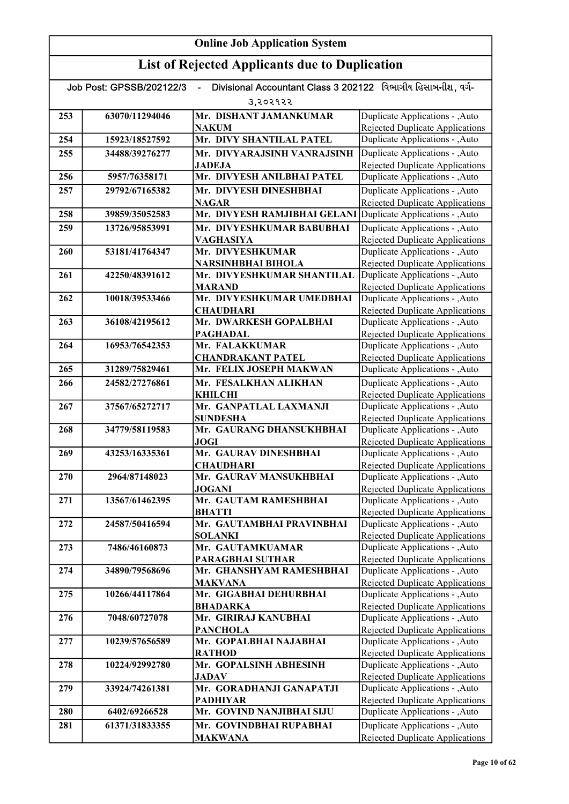| Divisional Accountant Class 3 202122 વિભાગીય હિસાબનીશ, વર્ગ-<br>Job Post: GPSSB/202122/3 |                |                                                         |                                                                    |
|------------------------------------------------------------------------------------------|----------------|---------------------------------------------------------|--------------------------------------------------------------------|
|                                                                                          |                | उ,२०२१२२                                                |                                                                    |
| 253                                                                                      | 63070/11294046 | Mr. DISHANT JAMANKUMAR                                  | Duplicate Applications - , Auto                                    |
|                                                                                          |                | <b>NAKUM</b>                                            | Rejected Duplicate Applications                                    |
| 254                                                                                      | 15923/18527592 | Mr. DIVY SHANTILAL PATEL                                | Duplicate Applications - ,Auto                                     |
| 255                                                                                      | 34488/39276277 | Mr. DIVYARAJSINH VANRAJSINH                             | Duplicate Applications - , Auto                                    |
|                                                                                          |                | <b>JADEJA</b>                                           | <b>Rejected Duplicate Applications</b>                             |
| 256                                                                                      | 5957/76358171  | Mr. DIVYESH ANILBHAI PATEL                              | Duplicate Applications - , Auto                                    |
| 257                                                                                      | 29792/67165382 | Mr. DIVYESH DINESHBHAI                                  | Duplicate Applications - ,Auto                                     |
|                                                                                          |                | <b>NAGAR</b>                                            | <b>Rejected Duplicate Applications</b>                             |
| 258                                                                                      | 39859/35052583 | Mr. DIVYESH RAMJIBHAI GELANI                            | Duplicate Applications - ,Auto                                     |
| 259                                                                                      | 13726/95853991 | Mr. DIVYESHKUMAR BABUBHAI                               | Duplicate Applications - , Auto                                    |
|                                                                                          |                | <b>VAGHASIYA</b>                                        | <b>Rejected Duplicate Applications</b>                             |
| <b>260</b>                                                                               | 53181/41764347 | Mr. DIVYESHKUMAR                                        | Duplicate Applications - , Auto                                    |
| 261                                                                                      | 42250/48391612 | <b>NARSINHBHAI BIHOLA</b><br>Mr. DIVYESHKUMAR SHANTILAL | Rejected Duplicate Applications<br>Duplicate Applications - , Auto |
|                                                                                          |                | <b>MARAND</b>                                           | <b>Rejected Duplicate Applications</b>                             |
| 262                                                                                      | 10018/39533466 | Mr. DIVYESHKUMAR UMEDBHAI                               | Duplicate Applications - , Auto                                    |
|                                                                                          |                | <b>CHAUDHARI</b>                                        | Rejected Duplicate Applications                                    |
| 263                                                                                      | 36108/42195612 | Mr. DWARKESH GOPALBHAI                                  | Duplicate Applications - , Auto                                    |
|                                                                                          |                | <b>PAGHADAL</b>                                         | Rejected Duplicate Applications                                    |
| 264                                                                                      | 16953/76542353 | Mr. FALAKKUMAR                                          | Duplicate Applications - , Auto                                    |
|                                                                                          |                | <b>CHANDRAKANT PATEL</b>                                | <b>Rejected Duplicate Applications</b>                             |
| 265                                                                                      | 31289/75829461 | Mr. FELIX JOSEPH MAKWAN                                 | Duplicate Applications - , Auto                                    |
| 266                                                                                      | 24582/27276861 | Mr. FESALKHAN ALIKHAN                                   | Duplicate Applications - , Auto                                    |
|                                                                                          |                | <b>KHILCHI</b>                                          | Rejected Duplicate Applications                                    |
| 267                                                                                      | 37567/65272717 | Mr. GANPATLAL LAXMANJI                                  | Duplicate Applications - , Auto                                    |
|                                                                                          |                | <b>SUNDESHA</b><br>Mr. GAURANG DHANSUKHBHAI             | <b>Rejected Duplicate Applications</b>                             |
| 268                                                                                      | 34779/58119583 | JOGI                                                    | Duplicate Applications - , Auto<br>Rejected Duplicate Applications |
| 269                                                                                      | 43253/16335361 | Mr. GAURAV DINESHBHAI                                   | Duplicate Applications - , Auto                                    |
|                                                                                          |                | <b>CHAUDHARI</b>                                        | Rejected Duplicate Applications                                    |
| 270                                                                                      | 2964/87148023  | Mr. GAURAV MANSUKHBHAI                                  | Duplicate Applications - , Auto                                    |
|                                                                                          |                | <b>JOGANI</b>                                           | Rejected Duplicate Applications                                    |
| 271                                                                                      | 13567/61462395 | Mr. GAUTAM RAMESHBHAI                                   | Duplicate Applications - , Auto                                    |
|                                                                                          |                | <b>BHATTI</b>                                           | Rejected Duplicate Applications                                    |
| 272                                                                                      | 24587/50416594 | Mr. GAUTAMBHAI PRAVINBHAI                               | Duplicate Applications - , Auto                                    |
|                                                                                          |                | <b>SOLANKI</b>                                          | <b>Rejected Duplicate Applications</b>                             |
| 273                                                                                      | 7486/46160873  | Mr. GAUTAMKUAMAR<br><b>PARAGBHAI SUTHAR</b>             | Duplicate Applications - , Auto<br>Rejected Duplicate Applications |
| 274                                                                                      | 34890/79568696 | Mr. GHANSHYAM RAMESHBHAI                                | Duplicate Applications - , Auto                                    |
|                                                                                          |                | <b>MAKVANA</b>                                          | Rejected Duplicate Applications                                    |
| 275                                                                                      | 10266/44117864 | Mr. GIGABHAI DEHURBHAI                                  | Duplicate Applications - , Auto                                    |
|                                                                                          |                | <b>BHADARKA</b>                                         | <b>Rejected Duplicate Applications</b>                             |
| 276                                                                                      | 7048/60727078  | Mr. GIRIRAJ KANUBHAI                                    | Duplicate Applications - , Auto                                    |
|                                                                                          |                | <b>PANCHOLA</b>                                         | Rejected Duplicate Applications                                    |
| 277                                                                                      | 10239/57656589 | Mr. GOPALBHAI NAJABHAI                                  | Duplicate Applications - , Auto                                    |
|                                                                                          |                | <b>RATHOD</b>                                           | <b>Rejected Duplicate Applications</b>                             |
| 278                                                                                      | 10224/92992780 | Mr. GOPALSINH ABHESINH                                  | Duplicate Applications - , Auto                                    |
|                                                                                          |                | <b>JADAV</b>                                            | Rejected Duplicate Applications                                    |
| 279                                                                                      | 33924/74261381 | Mr. GORADHANJI GANAPATJI<br><b>PADHIYAR</b>             | Duplicate Applications - , Auto<br>Rejected Duplicate Applications |
| 280                                                                                      | 6402/69266528  | Mr. GOVIND NANJIBHAI SIJU                               | Duplicate Applications - , Auto                                    |
| 281                                                                                      | 61371/31833355 | Mr. GOVINDBHAI RUPABHAI                                 | Duplicate Applications - , Auto                                    |
|                                                                                          |                | <b>MAKWANA</b>                                          | Rejected Duplicate Applications                                    |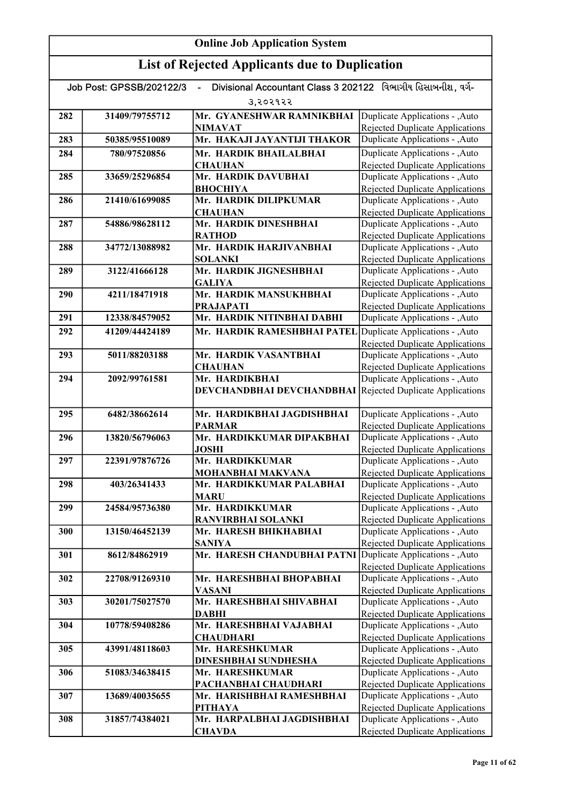|     | Job Post: GPSSB/202122/3 | Divisional Accountant Class 3 202122 વિભાગીય હિસાબનીશ. વર્ગ-     |                                                                           |
|-----|--------------------------|------------------------------------------------------------------|---------------------------------------------------------------------------|
|     |                          | उ,२०२१२२                                                         |                                                                           |
| 282 | 31409/79755712           | Mr. GYANESHWAR RAMNIKBHAI                                        | Duplicate Applications - , Auto                                           |
|     |                          | <b>NIMAVAT</b>                                                   | <b>Rejected Duplicate Applications</b>                                    |
| 283 | 50385/95510089           | Mr. HAKAJI JAYANTIJI THAKOR                                      | Duplicate Applications - , Auto                                           |
| 284 | 780/97520856             | Mr. HARDIK BHAILALBHAI                                           | Duplicate Applications - , Auto                                           |
|     |                          | <b>CHAUHAN</b>                                                   | Rejected Duplicate Applications                                           |
| 285 | 33659/25296854           | Mr. HARDIK DAVUBHAI                                              | Duplicate Applications - , Auto                                           |
|     |                          | <b>ВНОСНІҮА</b>                                                  | <b>Rejected Duplicate Applications</b>                                    |
| 286 | 21410/61699085           | Mr. HARDIK DILIPKUMAR                                            | Duplicate Applications - , Auto                                           |
|     |                          | <b>CHAUHAN</b>                                                   | Rejected Duplicate Applications                                           |
| 287 | 54886/98628112           | Mr. HARDIK DINESHBHAI<br><b>RATHOD</b>                           | Duplicate Applications - , Auto                                           |
| 288 | 34772/13088982           | Mr. HARDIK HARJIVANBHAI                                          | <b>Rejected Duplicate Applications</b><br>Duplicate Applications - , Auto |
|     |                          | <b>SOLANKI</b>                                                   | <b>Rejected Duplicate Applications</b>                                    |
| 289 | 3122/41666128            | Mr. HARDIK JIGNESHBHAI                                           | Duplicate Applications - , Auto                                           |
|     |                          | <b>GALIYA</b>                                                    | <b>Rejected Duplicate Applications</b>                                    |
| 290 | 4211/18471918            | Mr. HARDIK MANSUKHBHAI                                           | Duplicate Applications - , Auto                                           |
|     |                          | <b>PRAJAPATI</b>                                                 | <b>Rejected Duplicate Applications</b>                                    |
| 291 | 12338/84579052           | Mr. HARDIK NITINBHAI DABHI                                       | Duplicate Applications - , Auto                                           |
| 292 | 41209/44424189           | Mr. HARDIK RAMESHBHAI PATEL                                      | Duplicate Applications - , Auto                                           |
|     |                          |                                                                  | Rejected Duplicate Applications                                           |
| 293 | 5011/88203188            | Mr. HARDIK VASANTBHAI                                            | Duplicate Applications - , Auto                                           |
|     |                          | <b>CHAUHAN</b>                                                   | <b>Rejected Duplicate Applications</b>                                    |
| 294 | 2092/99761581            | Mr. HARDIKBHAI                                                   | Duplicate Applications - , Auto                                           |
|     |                          | <b>DEVCHANDBHAI DEVCHANDBHAI</b> Rejected Duplicate Applications |                                                                           |
|     | 6482/38662614            | Mr. HARDIKBHAI JAGDISHBHAI                                       |                                                                           |
| 295 |                          | <b>PARMAR</b>                                                    | Duplicate Applications - , Auto<br><b>Rejected Duplicate Applications</b> |
| 296 | 13820/56796063           | Mr. HARDIKKUMAR DIPAKBHAI                                        | Duplicate Applications - , Auto                                           |
|     |                          | <b>JOSHI</b>                                                     | <b>Rejected Duplicate Applications</b>                                    |
| 297 | 22391/97876726           | Mr. HARDIKKUMAR                                                  | Duplicate Applications - , Auto                                           |
|     |                          | <b>MOHANBHAI MAKVANA</b>                                         | <b>Rejected Duplicate Applications</b>                                    |
| 298 | 403/26341433             | Mr. HARDIKKUMAR PALABHAI                                         | Duplicate Applications - , Auto                                           |
|     |                          | <b>MARU</b>                                                      | <b>Rejected Duplicate Applications</b>                                    |
| 299 | 24584/95736380           | Mr. HARDIKKUMAR                                                  | Duplicate Applications - ,Auto                                            |
|     |                          | <b>RANVIRBHAI SOLANKI</b>                                        | Rejected Duplicate Applications                                           |
| 300 | 13150/46452139           | Mr. HARESH BHIKHABHAI                                            | Duplicate Applications - , Auto                                           |
|     |                          | <b>SANIYA</b><br>Mr. HARESH CHANDUBHAI PATNI                     | Rejected Duplicate Applications                                           |
| 301 | 8612/84862919            |                                                                  | Duplicate Applications - , Auto<br>Rejected Duplicate Applications        |
| 302 | 22708/91269310           | Mr. HARESHBHAI BHOPABHAI                                         | Duplicate Applications - , Auto                                           |
|     |                          | VASANI                                                           | Rejected Duplicate Applications                                           |
| 303 | 30201/75027570           | Mr. HARESHBHAI SHIVABHAI                                         | Duplicate Applications - , Auto                                           |
|     |                          | <b>DABHI</b>                                                     | Rejected Duplicate Applications                                           |
| 304 | 10778/59408286           | Mr. HARESHBHAI VAJABHAI                                          | Duplicate Applications - , Auto                                           |
|     |                          | <b>CHAUDHARI</b>                                                 | <b>Rejected Duplicate Applications</b>                                    |
| 305 | 43991/48118603           | Mr. HARESHKUMAR                                                  | Duplicate Applications - , Auto                                           |
|     |                          | DINESHBHAI SUNDHESHA                                             | <b>Rejected Duplicate Applications</b>                                    |
| 306 | 51083/34638415           | Mr. HARESHKUMAR                                                  | Duplicate Applications - , Auto                                           |
|     |                          | PACHANBHAI CHAUDHARI                                             | <b>Rejected Duplicate Applications</b>                                    |
| 307 | 13689/40035655           | Mr. HARISHBHAI RAMESHBHAI                                        | Duplicate Applications - , Auto                                           |
| 308 | 31857/74384021           | <b>PITHAYA</b><br>Mr. HARPALBHAI JAGDISHBHAI                     | Rejected Duplicate Applications<br>Duplicate Applications - , Auto        |
|     |                          | <b>CHAVDA</b>                                                    | Rejected Duplicate Applications                                           |
|     |                          |                                                                  |                                                                           |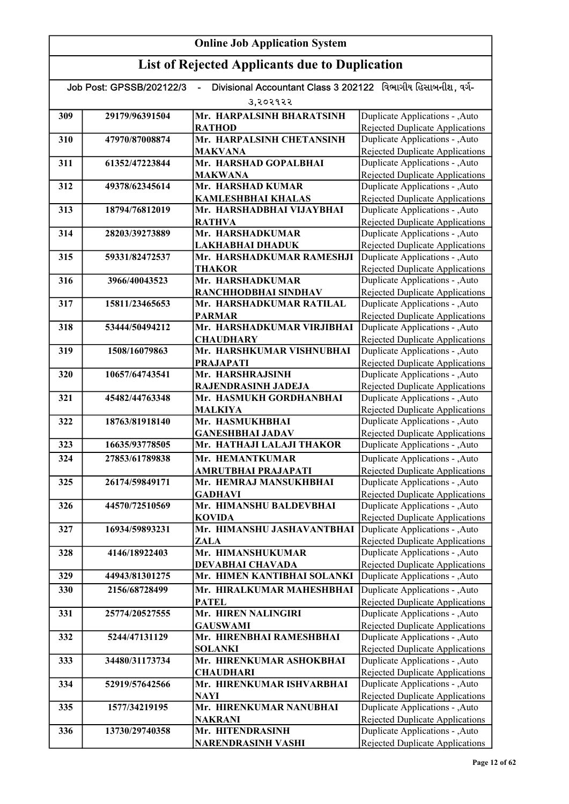| Divisional Accountant Class 3 202122 વિભાગીય હિસાબનીશ. વર્ગ-<br>Job Post: GPSSB/202122/3 |                |                                                  |                                                                           |
|------------------------------------------------------------------------------------------|----------------|--------------------------------------------------|---------------------------------------------------------------------------|
|                                                                                          |                | उ,२०२१२२                                         |                                                                           |
| 309                                                                                      | 29179/96391504 | Mr. HARPALSINH BHARATSINH                        | Duplicate Applications - , Auto                                           |
|                                                                                          |                | <b>RATHOD</b>                                    | Rejected Duplicate Applications                                           |
| 310                                                                                      | 47970/87008874 | Mr. HARPALSINH CHETANSINH                        | Duplicate Applications - , Auto                                           |
|                                                                                          |                | <b>MAKVANA</b>                                   | Rejected Duplicate Applications                                           |
| 311                                                                                      | 61352/47223844 | Mr. HARSHAD GOPALBHAI                            | Duplicate Applications - , Auto                                           |
| 312                                                                                      | 49378/62345614 | <b>MAKWANA</b><br>Mr. HARSHAD KUMAR              | <b>Rejected Duplicate Applications</b><br>Duplicate Applications - , Auto |
|                                                                                          |                | <b>KAMLESHBHAI KHALAS</b>                        | <b>Rejected Duplicate Applications</b>                                    |
| 313                                                                                      | 18794/76812019 | Mr. HARSHADBHAI VIJAYBHAI                        | Duplicate Applications - , Auto                                           |
|                                                                                          |                | <b>RATHVA</b>                                    | Rejected Duplicate Applications                                           |
| 314                                                                                      | 28203/39273889 | Mr. HARSHADKUMAR                                 | Duplicate Applications - , Auto                                           |
|                                                                                          |                | LAKHABHAI DHADUK                                 | <b>Rejected Duplicate Applications</b>                                    |
| 315                                                                                      | 59331/82472537 | Mr. HARSHADKUMAR RAMESHJI                        | Duplicate Applications - , Auto                                           |
|                                                                                          |                | <b>THAKOR</b>                                    | <b>Rejected Duplicate Applications</b>                                    |
| 316                                                                                      | 3966/40043523  | Mr. HARSHADKUMAR                                 | Duplicate Applications - , Auto                                           |
| 317                                                                                      | 15811/23465653 | RANCHHODBHAI SINDHAV<br>Mr. HARSHADKUMAR RATILAL | Rejected Duplicate Applications<br>Duplicate Applications - , Auto        |
|                                                                                          |                | <b>PARMAR</b>                                    | Rejected Duplicate Applications                                           |
| 318                                                                                      | 53444/50494212 | Mr. HARSHADKUMAR VIRJIBHAI                       | Duplicate Applications - , Auto                                           |
|                                                                                          |                | <b>CHAUDHARY</b>                                 | Rejected Duplicate Applications                                           |
| 319                                                                                      | 1508/16079863  | Mr. HARSHKUMAR VISHNUBHAI                        | Duplicate Applications - , Auto                                           |
|                                                                                          |                | <b>PRAJAPATI</b>                                 | <b>Rejected Duplicate Applications</b>                                    |
| 320                                                                                      | 10657/64743541 | Mr. HARSHRAJSINH                                 | Duplicate Applications - , Auto                                           |
|                                                                                          |                | RAJENDRASINH JADEJA                              | <b>Rejected Duplicate Applications</b>                                    |
| 321                                                                                      | 45482/44763348 | Mr. HASMUKH GORDHANBHAI                          | Duplicate Applications - , Auto                                           |
| 322                                                                                      | 18763/81918140 | <b>MALKIYA</b><br>Mr. HASMUKHBHAI                | <b>Rejected Duplicate Applications</b><br>Duplicate Applications - , Auto |
|                                                                                          |                | <b>GANESHBHAI JADAV</b>                          | <b>Rejected Duplicate Applications</b>                                    |
| 323                                                                                      | 16635/93778505 | Mr. HATHAJI LALAJI THAKOR                        | Duplicate Applications - , Auto                                           |
| 324                                                                                      | 27853/61789838 | Mr. HEMANTKUMAR                                  | Duplicate Applications - , Auto                                           |
|                                                                                          |                | AMRUTBHAI PRAJAPATI                              | <b>Rejected Duplicate Applications</b>                                    |
| 325                                                                                      | 26174/59849171 | Mr. HEMRAJ MANSUKHBHAI                           | Duplicate Applications - , Auto                                           |
|                                                                                          |                | <b>GADHAVI</b>                                   | <b>Rejected Duplicate Applications</b>                                    |
| 326                                                                                      | 44570/72510569 | Mr. HIMANSHU BALDEVBHAI                          | Duplicate Applications - , Auto                                           |
|                                                                                          |                | <b>KOVIDA</b><br>Mr. HIMANSHU JASHAVANTBHAI      | <b>Rejected Duplicate Applications</b>                                    |
| 327                                                                                      | 16934/59893231 | ZALA                                             | Duplicate Applications - , Auto<br><b>Rejected Duplicate Applications</b> |
| 328                                                                                      | 4146/18922403  | Mr. HIMANSHUKUMAR                                | Duplicate Applications - , Auto                                           |
|                                                                                          |                | DEVABHAI CHAVADA                                 | <b>Rejected Duplicate Applications</b>                                    |
| 329                                                                                      | 44943/81301275 | Mr. HIMEN KANTIBHAI SOLANKI                      | Duplicate Applications - , Auto                                           |
| 330                                                                                      | 2156/68728499  | Mr. HIRALKUMAR MAHESHBHAI                        | Duplicate Applications - , Auto                                           |
|                                                                                          |                | <b>PATEL</b>                                     | <b>Rejected Duplicate Applications</b>                                    |
| 331                                                                                      | 25774/20527555 | Mr. HIREN NALINGIRI                              | Duplicate Applications - , Auto                                           |
|                                                                                          |                | <b>GAUSWAMI</b>                                  | Rejected Duplicate Applications                                           |
| 332                                                                                      | 5244/47131129  | Mr. HIRENBHAI RAMESHBHAI                         | Duplicate Applications - , Auto                                           |
|                                                                                          |                | <b>SOLANKI</b>                                   | Rejected Duplicate Applications                                           |
| 333                                                                                      | 34480/31173734 | Mr. HIRENKUMAR ASHOKBHAI<br><b>CHAUDHARI</b>     | Duplicate Applications - , Auto<br><b>Rejected Duplicate Applications</b> |
| 334                                                                                      | 52919/57642566 | Mr. HIRENKUMAR ISHVARBHAI                        | Duplicate Applications - , Auto                                           |
|                                                                                          |                | <b>NAYI</b>                                      | <b>Rejected Duplicate Applications</b>                                    |
| 335                                                                                      | 1577/34219195  | Mr. HIRENKUMAR NANUBHAI                          | Duplicate Applications - , Auto                                           |
|                                                                                          |                | <b>NAKRANI</b>                                   | <b>Rejected Duplicate Applications</b>                                    |
| 336                                                                                      | 13730/29740358 | Mr. HITENDRASINH                                 | Duplicate Applications - , Auto                                           |
|                                                                                          |                | <b>NARENDRASINH VASHI</b>                        | Rejected Duplicate Applications                                           |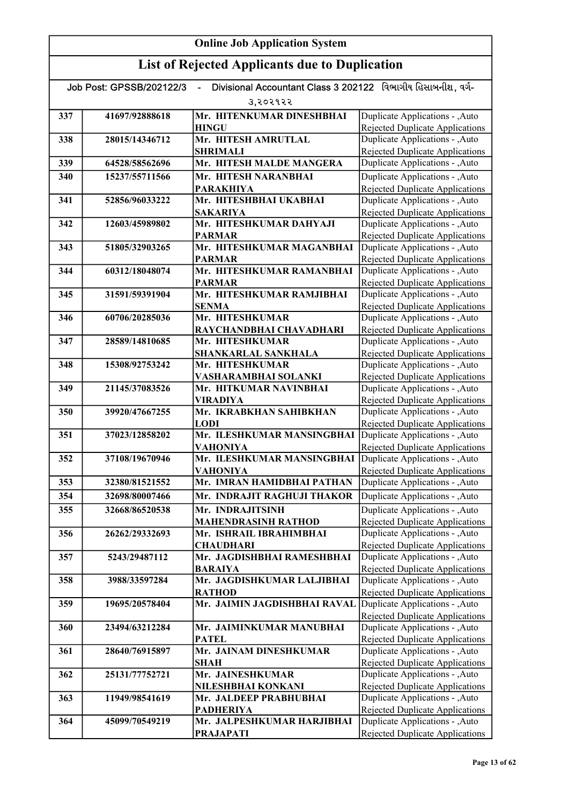|     | Divisional Accountant Class 3 202122 વિભાગીય હિસાબનીશ, વર્ગ-<br>Job Post: GPSSB/202122/3 |                                            |                                                                           |  |
|-----|------------------------------------------------------------------------------------------|--------------------------------------------|---------------------------------------------------------------------------|--|
|     |                                                                                          | उ,२०२१२२                                   |                                                                           |  |
| 337 | 41697/92888618                                                                           | Mr. HITENKUMAR DINESHBHAI                  | Duplicate Applications - , Auto                                           |  |
|     |                                                                                          | <b>HINGU</b>                               | <b>Rejected Duplicate Applications</b>                                    |  |
| 338 | 28015/14346712                                                                           | Mr. HITESH AMRUTLAL                        | Duplicate Applications - , Auto                                           |  |
|     |                                                                                          | <b>SHRIMALI</b>                            | Rejected Duplicate Applications                                           |  |
| 339 | 64528/58562696                                                                           | Mr. HITESH MALDE MANGERA                   | Duplicate Applications - , Auto                                           |  |
| 340 | 15237/55711566                                                                           | Mr. HITESH NARANBHAI                       | Duplicate Applications - , Auto                                           |  |
|     |                                                                                          | <b>PARAKHIYA</b>                           | Rejected Duplicate Applications                                           |  |
| 341 | 52856/96033222                                                                           | Mr. HITESHBHAI UKABHAI                     | Duplicate Applications - , Auto                                           |  |
| 342 | 12603/45989802                                                                           | <b>SAKARIYA</b><br>Mr. HITESHKUMAR DAHYAJI | Rejected Duplicate Applications<br>Duplicate Applications - , Auto        |  |
|     |                                                                                          | <b>PARMAR</b>                              | <b>Rejected Duplicate Applications</b>                                    |  |
| 343 | 51805/32903265                                                                           | Mr. HITESHKUMAR MAGANBHAI                  | Duplicate Applications - , Auto                                           |  |
|     |                                                                                          | <b>PARMAR</b>                              | Rejected Duplicate Applications                                           |  |
| 344 | 60312/18048074                                                                           | Mr. HITESHKUMAR RAMANBHAI                  | Duplicate Applications - , Auto                                           |  |
|     |                                                                                          | <b>PARMAR</b>                              | <b>Rejected Duplicate Applications</b>                                    |  |
| 345 | 31591/59391904                                                                           | Mr. HITESHKUMAR RAMJIBHAI                  | Duplicate Applications - , Auto                                           |  |
|     |                                                                                          | <b>SENMA</b>                               | Rejected Duplicate Applications                                           |  |
| 346 | 60706/20285036                                                                           | Mr. HITESHKUMAR                            | Duplicate Applications - , Auto                                           |  |
|     |                                                                                          | RAYCHANDBHAI CHAVADHARI                    | Rejected Duplicate Applications                                           |  |
| 347 | 28589/14810685                                                                           | Mr. HITESHKUMAR                            | Duplicate Applications - , Auto                                           |  |
|     |                                                                                          | <b>SHANKARLAL SANKHALA</b>                 | Rejected Duplicate Applications                                           |  |
| 348 | 15308/92753242                                                                           | Mr. HITESHKUMAR                            | Duplicate Applications - , Auto                                           |  |
|     |                                                                                          | VASHARAMBHAI SOLANKI                       | <b>Rejected Duplicate Applications</b>                                    |  |
| 349 | 21145/37083526                                                                           | Mr. HITKUMAR NAVINBHAI                     | Duplicate Applications - , Auto                                           |  |
|     | 39920/47667255                                                                           | VIRADIYA                                   | <b>Rejected Duplicate Applications</b>                                    |  |
| 350 |                                                                                          | Mr. IKRABKHAN SAHIBKHAN<br><b>LODI</b>     | Duplicate Applications - , Auto<br>Rejected Duplicate Applications        |  |
| 351 | 37023/12858202                                                                           | Mr. ILESHKUMAR MANSINGBHAI                 | Duplicate Applications - , Auto                                           |  |
|     |                                                                                          | VAHONIYA                                   | <b>Rejected Duplicate Applications</b>                                    |  |
| 352 | 37108/19670946                                                                           | Mr. ILESHKUMAR MANSINGBHAI                 | Duplicate Applications - , Auto                                           |  |
|     |                                                                                          | <b>VAHONIYA</b>                            | Rejected Duplicate Applications                                           |  |
| 353 | 32380/81521552                                                                           | Mr. IMRAN HAMIDBHAI PATHAN                 | Duplicate Applications - , Auto                                           |  |
| 354 | 32698/80007466                                                                           | Mr. INDRAJIT RAGHUJI THAKOR                | Duplicate Applications - , Auto                                           |  |
| 355 | 32668/86520538                                                                           | Mr. INDRAJITSINH                           | Duplicate Applications - , Auto                                           |  |
|     |                                                                                          | <b>MAHENDRASINH RATHOD</b>                 | Rejected Duplicate Applications                                           |  |
| 356 | 26262/29332693                                                                           | Mr. ISHRAIL IBRAHIMBHAI                    | Duplicate Applications - , Auto                                           |  |
|     |                                                                                          | <b>CHAUDHARI</b>                           | Rejected Duplicate Applications                                           |  |
| 357 | 5243/29487112                                                                            | Mr. JAGDISHBHAI RAMESHBHAI                 | Duplicate Applications - , Auto                                           |  |
|     |                                                                                          | <b>BARAIYA</b>                             | Rejected Duplicate Applications                                           |  |
| 358 | 3988/33597284                                                                            | Mr. JAGDISHKUMAR LALJIBHAI                 | Duplicate Applications - , Auto                                           |  |
|     |                                                                                          | <b>RATHOD</b>                              | <b>Rejected Duplicate Applications</b>                                    |  |
| 359 | 19695/20578404                                                                           | Mr. JAIMIN JAGDISHBHAI RAVAL               | Duplicate Applications - , Auto                                           |  |
|     |                                                                                          |                                            | <b>Rejected Duplicate Applications</b>                                    |  |
| 360 | 23494/63212284                                                                           | Mr. JAIMINKUMAR MANUBHAI                   | Duplicate Applications - , Auto                                           |  |
| 361 | 28640/76915897                                                                           | <b>PATEL</b><br>Mr. JAINAM DINESHKUMAR     | <b>Rejected Duplicate Applications</b><br>Duplicate Applications - , Auto |  |
|     |                                                                                          | <b>SHAH</b>                                | Rejected Duplicate Applications                                           |  |
| 362 | 25131/77752721                                                                           | Mr. JAINESHKUMAR                           | Duplicate Applications - , Auto                                           |  |
|     |                                                                                          | NILESHBHAI KONKANI                         | <b>Rejected Duplicate Applications</b>                                    |  |
| 363 | 11949/98541619                                                                           | Mr. JALDEEP PRABHUBHAI                     | Duplicate Applications - , Auto                                           |  |
|     |                                                                                          | <b>PADHERIYA</b>                           | Rejected Duplicate Applications                                           |  |
| 364 | 45099/70549219                                                                           | Mr. JALPESHKUMAR HARJIBHAI                 | Duplicate Applications - , Auto                                           |  |
|     |                                                                                          | <b>PRAJAPATI</b>                           | Rejected Duplicate Applications                                           |  |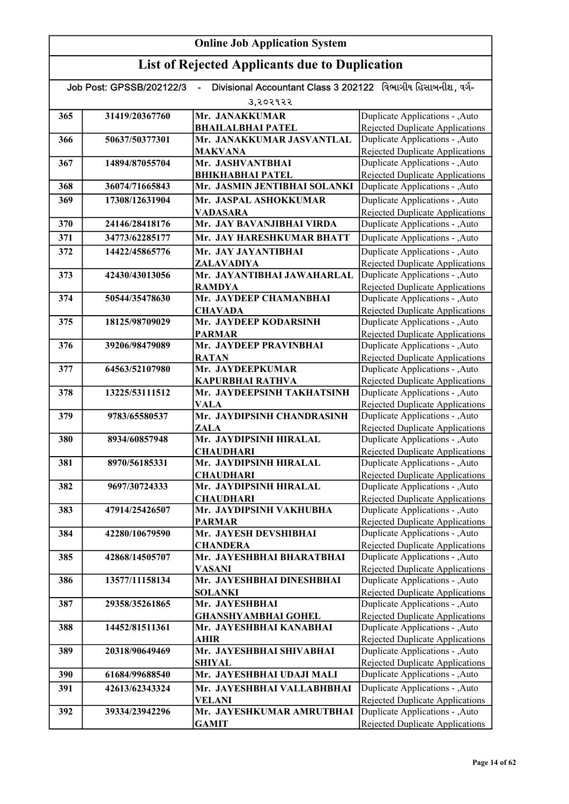|     | Divisional Accountant Class 3 202122 વિભાગીય હિસાબનીશ, વર્ગ-<br>Job Post: GPSSB/202122/3 |                                              |                                                                    |  |
|-----|------------------------------------------------------------------------------------------|----------------------------------------------|--------------------------------------------------------------------|--|
|     |                                                                                          | 3,२०२१२२                                     |                                                                    |  |
| 365 | 31419/20367760                                                                           | Mr. JANAKKUMAR                               | Duplicate Applications - , Auto                                    |  |
|     |                                                                                          | <b>BHAILALBHAI PATEL</b>                     | Rejected Duplicate Applications                                    |  |
| 366 | 50637/50377301                                                                           | Mr. JANAKKUMAR JASVANTLAL                    | Duplicate Applications - , Auto                                    |  |
|     |                                                                                          | <b>MAKVANA</b>                               | Rejected Duplicate Applications                                    |  |
| 367 | 14894/87055704                                                                           | Mr. JASHVANTBHAI                             | Duplicate Applications - , Auto                                    |  |
|     |                                                                                          | <b>BHIKHABHAI PATEL</b>                      | <b>Rejected Duplicate Applications</b>                             |  |
| 368 | 36074/71665843                                                                           | Mr. JASMIN JENTIBHAI SOLANKI                 | Duplicate Applications - ,Auto                                     |  |
| 369 | 17308/12631904                                                                           | Mr. JASPAL ASHOKKUMAR                        | Duplicate Applications - , Auto                                    |  |
|     |                                                                                          | <b>VADASARA</b>                              | <b>Rejected Duplicate Applications</b>                             |  |
| 370 | 24146/28418176                                                                           | Mr. JAY BAVANJIBHAI VIRDA                    | Duplicate Applications - , Auto                                    |  |
| 371 | 34773/62285177                                                                           | Mr. JAY HARESHKUMAR BHATT                    | Duplicate Applications - , Auto                                    |  |
| 372 | 14422/45865776                                                                           | Mr. JAY JAYANTIBHAI                          | Duplicate Applications - , Auto                                    |  |
|     |                                                                                          | ZALAVADIYA                                   | <b>Rejected Duplicate Applications</b>                             |  |
| 373 | 42430/43013056                                                                           | Mr. JAYANTIBHAI JAWAHARLAL                   | Duplicate Applications - , Auto                                    |  |
|     |                                                                                          | <b>RAMDYA</b>                                | <b>Rejected Duplicate Applications</b>                             |  |
| 374 | 50544/35478630                                                                           | Mr. JAYDEEP CHAMANBHAI                       | Duplicate Applications - , Auto                                    |  |
|     |                                                                                          | <b>CHAVADA</b>                               | <b>Rejected Duplicate Applications</b>                             |  |
| 375 | 18125/98709029                                                                           | Mr. JAYDEEP KODARSINH                        | Duplicate Applications - , Auto                                    |  |
|     |                                                                                          | <b>PARMAR</b>                                | <b>Rejected Duplicate Applications</b>                             |  |
| 376 | 39206/98479089                                                                           | Mr. JAYDEEP PRAVINBHAI                       | Duplicate Applications - , Auto                                    |  |
| 377 | 64563/52107980                                                                           | <b>RATAN</b><br>Mr. JAYDEEPKUMAR             | Rejected Duplicate Applications<br>Duplicate Applications - , Auto |  |
|     |                                                                                          | <b>KAPURBHAI RATHVA</b>                      | <b>Rejected Duplicate Applications</b>                             |  |
| 378 | 13225/53111512                                                                           | Mr. JAYDEEPSINH TAKHATSINH                   | Duplicate Applications - , Auto                                    |  |
|     |                                                                                          | <b>VALA</b>                                  | <b>Rejected Duplicate Applications</b>                             |  |
| 379 | 9783/65580537                                                                            | Mr. JAYDIPSINH CHANDRASINH                   | Duplicate Applications - , Auto                                    |  |
|     |                                                                                          | <b>ZALA</b>                                  | <b>Rejected Duplicate Applications</b>                             |  |
| 380 | 8934/60857948                                                                            | Mr. JAYDIPSINH HIRALAL                       | Duplicate Applications - , Auto                                    |  |
|     |                                                                                          | <b>CHAUDHARI</b>                             | Rejected Duplicate Applications                                    |  |
| 381 | 8970/56185331                                                                            | Mr. JAYDIPSINH HIRALAL                       | Duplicate Applications - , Auto                                    |  |
|     |                                                                                          | <b>CHAUDHARI</b>                             | <b>Rejected Duplicate Applications</b>                             |  |
| 382 | 9697/30724333                                                                            | Mr. JAYDIPSINH HIRALAL                       | Duplicate Applications - , Auto                                    |  |
|     |                                                                                          | <b>CHAUDHARI</b>                             | Rejected Duplicate Applications                                    |  |
| 383 | 47914/25426507                                                                           | Mr. JAYDIPSINH VAKHUBHA                      | Duplicate Applications - , Auto                                    |  |
|     |                                                                                          | <b>PARMAR</b>                                | Rejected Duplicate Applications                                    |  |
| 384 | 42280/10679590                                                                           | Mr. JAYESH DEVSHIBHAI                        | Duplicate Applications - , Auto                                    |  |
| 385 | 42868/14505707                                                                           | <b>CHANDERA</b><br>Mr. JAYESHBHAI BHARATBHAI | Rejected Duplicate Applications<br>Duplicate Applications - , Auto |  |
|     |                                                                                          | VASANI                                       | Rejected Duplicate Applications                                    |  |
| 386 | 13577/11158134                                                                           | Mr. JAYESHBHAI DINESHBHAI                    | Duplicate Applications - , Auto                                    |  |
|     |                                                                                          | <b>SOLANKI</b>                               | Rejected Duplicate Applications                                    |  |
| 387 | 29358/35261865                                                                           | Mr. JAYESHBHAI                               | Duplicate Applications - , Auto                                    |  |
|     |                                                                                          | <b>GHANSHYAMBHAI GOHEL</b>                   | <b>Rejected Duplicate Applications</b>                             |  |
| 388 | 14452/81511361                                                                           | Mr. JAYESHBHAI KANABHAI                      | Duplicate Applications - , Auto                                    |  |
|     |                                                                                          | <b>AHIR</b>                                  | <b>Rejected Duplicate Applications</b>                             |  |
| 389 | 20318/90649469                                                                           | Mr. JAYESHBHAI SHIVABHAI                     | Duplicate Applications - , Auto                                    |  |
|     |                                                                                          | <b>SHIYAL</b>                                | <b>Rejected Duplicate Applications</b>                             |  |
| 390 | 61684/99688540                                                                           | Mr. JAYESHBHAI UDAJI MALI                    | Duplicate Applications - , Auto                                    |  |
| 391 | 42613/62343324                                                                           | Mr. JAYESHBHAI VALLABHBHAI                   | Duplicate Applications - , Auto                                    |  |
|     |                                                                                          | VELANI                                       | <b>Rejected Duplicate Applications</b>                             |  |
| 392 | 39334/23942296                                                                           | Mr. JAYESHKUMAR AMRUTBHAI                    | Duplicate Applications - , Auto                                    |  |
|     |                                                                                          | <b>GAMIT</b>                                 | <b>Rejected Duplicate Applications</b>                             |  |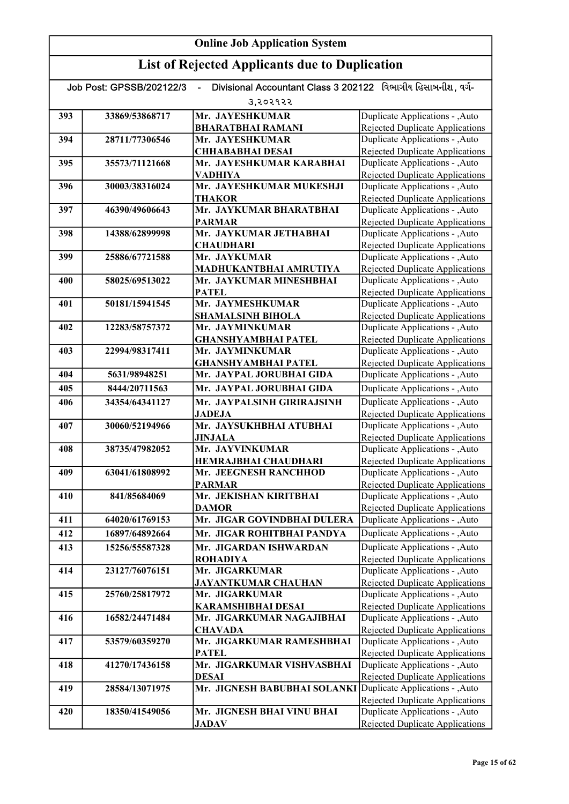| Divisional Accountant Class 3 202122 વિભાગીય હિસાબનીશ. વર્ગ-<br>Job Post: GPSSB/202122/3<br>$\blacksquare$ |                |                                               |                                                                           |
|------------------------------------------------------------------------------------------------------------|----------------|-----------------------------------------------|---------------------------------------------------------------------------|
|                                                                                                            |                | 3,२०२१२२                                      |                                                                           |
| 393                                                                                                        | 33869/53868717 | Mr. JAYESHKUMAR                               | Duplicate Applications - , Auto                                           |
|                                                                                                            |                | <b>BHARATBHAI RAMANI</b>                      | Rejected Duplicate Applications                                           |
| 394                                                                                                        | 28711/77306546 | Mr. JAYESHKUMAR                               | Duplicate Applications - , Auto                                           |
|                                                                                                            |                | <b>CHHABABHAI DESAI</b>                       | Rejected Duplicate Applications                                           |
| 395                                                                                                        | 35573/71121668 | Mr. JAYESHKUMAR KARABHAI                      | Duplicate Applications - , Auto                                           |
|                                                                                                            |                | <b>VADHIYA</b>                                | <b>Rejected Duplicate Applications</b>                                    |
| 396                                                                                                        | 30003/38316024 | Mr. JAYESHKUMAR MUKESHJI                      | Duplicate Applications - , Auto                                           |
|                                                                                                            |                | <b>THAKOR</b>                                 | <b>Rejected Duplicate Applications</b>                                    |
| 397                                                                                                        | 46390/49606643 | Mr. JAYKUMAR BHARATBHAI                       | Duplicate Applications - , Auto                                           |
| 398                                                                                                        | 14388/62899998 | <b>PARMAR</b><br>Mr. JAYKUMAR JETHABHAI       | <b>Rejected Duplicate Applications</b><br>Duplicate Applications - , Auto |
|                                                                                                            |                | <b>CHAUDHARI</b>                              | <b>Rejected Duplicate Applications</b>                                    |
| 399                                                                                                        | 25886/67721588 | Mr. JAYKUMAR                                  | Duplicate Applications - , Auto                                           |
|                                                                                                            |                | MADHUKANTBHAI AMRUTIYA                        | <b>Rejected Duplicate Applications</b>                                    |
| 400                                                                                                        | 58025/69513022 | Mr. JAYKUMAR MINESHBHAI                       | Duplicate Applications - , Auto                                           |
|                                                                                                            |                | <b>PATEL</b>                                  | <b>Rejected Duplicate Applications</b>                                    |
| 401                                                                                                        | 50181/15941545 | Mr. JAYMESHKUMAR                              | Duplicate Applications - , Auto                                           |
|                                                                                                            |                | SHAMALSINH BIHOLA                             | Rejected Duplicate Applications                                           |
| 402                                                                                                        | 12283/58757372 | Mr. JAYMINKUMAR                               | Duplicate Applications - , Auto                                           |
|                                                                                                            |                | <b>GHANSHYAMBHAI PATEL</b>                    | Rejected Duplicate Applications                                           |
| 403                                                                                                        | 22994/98317411 | Mr. JAYMINKUMAR                               | Duplicate Applications - , Auto                                           |
|                                                                                                            |                | <b>GHANSHYAMBHAI PATEL</b>                    | Rejected Duplicate Applications                                           |
| 404                                                                                                        | 5631/98948251  | Mr. JAYPAL JORUBHAI GIDA                      | Duplicate Applications - , Auto                                           |
| 405                                                                                                        | 8444/20711563  | Mr. JAYPAL JORUBHAI GIDA                      | Duplicate Applications - , Auto                                           |
| 406                                                                                                        | 34354/64341127 | Mr. JAYPALSINH GIRIRAJSINH                    | Duplicate Applications - , Auto                                           |
|                                                                                                            |                | <b>JADEJA</b>                                 | <b>Rejected Duplicate Applications</b>                                    |
| 407                                                                                                        | 30060/52194966 | Mr. JAYSUKHBHAI ATUBHAI                       | Duplicate Applications - , Auto                                           |
|                                                                                                            |                | <b>JINJALA</b>                                | Rejected Duplicate Applications                                           |
| 408                                                                                                        | 38735/47982052 | Mr. JAYVINKUMAR                               | Duplicate Applications - , Auto                                           |
| 409                                                                                                        | 63041/61808992 | HEMRAJBHAI CHAUDHARI<br>Mr. JEEGNESH RANCHHOD | <b>Rejected Duplicate Applications</b><br>Duplicate Applications - , Auto |
|                                                                                                            |                | <b>PARMAR</b>                                 | <b>Rejected Duplicate Applications</b>                                    |
| 410                                                                                                        | 841/85684069   | Mr. JEKISHAN KIRITBHAI                        | Duplicate Applications - , Auto                                           |
|                                                                                                            |                | <b>DAMOR</b>                                  | <b>Rejected Duplicate Applications</b>                                    |
| 411                                                                                                        | 64020/61769153 | Mr. JIGAR GOVINDBHAI DULERA                   | Duplicate Applications - , Auto                                           |
| 412                                                                                                        | 16897/64892664 | Mr. JIGAR ROHITBHAI PANDYA                    | Duplicate Applications - , Auto                                           |
| 413                                                                                                        | 15256/55587328 | Mr. JIGARDAN ISHWARDAN                        | Duplicate Applications - , Auto                                           |
|                                                                                                            |                | <b>ROHADIYA</b>                               | Rejected Duplicate Applications                                           |
| 414                                                                                                        | 23127/76076151 | Mr. JIGARKUMAR                                | Duplicate Applications - , Auto                                           |
|                                                                                                            |                | <b>JAYANTKUMAR CHAUHAN</b>                    | <b>Rejected Duplicate Applications</b>                                    |
| 415                                                                                                        | 25760/25817972 | Mr. JIGARKUMAR                                | Duplicate Applications - , Auto                                           |
|                                                                                                            |                | <b>KARAMSHIBHAI DESAI</b>                     | <b>Rejected Duplicate Applications</b>                                    |
| 416                                                                                                        | 16582/24471484 | Mr. JIGARKUMAR NAGAJIBHAI                     | Duplicate Applications - , Auto                                           |
|                                                                                                            |                | <b>CHAVADA</b>                                | <b>Rejected Duplicate Applications</b>                                    |
| 417                                                                                                        | 53579/60359270 | Mr. JIGARKUMAR RAMESHBHAI                     | Duplicate Applications - , Auto                                           |
|                                                                                                            |                | <b>PATEL</b>                                  | <b>Rejected Duplicate Applications</b>                                    |
| 418                                                                                                        | 41270/17436158 | Mr. JIGARKUMAR VISHVASBHAI                    | Duplicate Applications - , Auto                                           |
|                                                                                                            |                | <b>DESAI</b><br>Mr. JIGNESH BABUBHAI SOLANKI  | Rejected Duplicate Applications<br>Duplicate Applications - , Auto        |
| 419                                                                                                        | 28584/13071975 |                                               | Rejected Duplicate Applications                                           |
| 420                                                                                                        | 18350/41549056 | Mr. JIGNESH BHAI VINU BHAI                    | Duplicate Applications - , Auto                                           |
|                                                                                                            |                | <b>JADAV</b>                                  | Rejected Duplicate Applications                                           |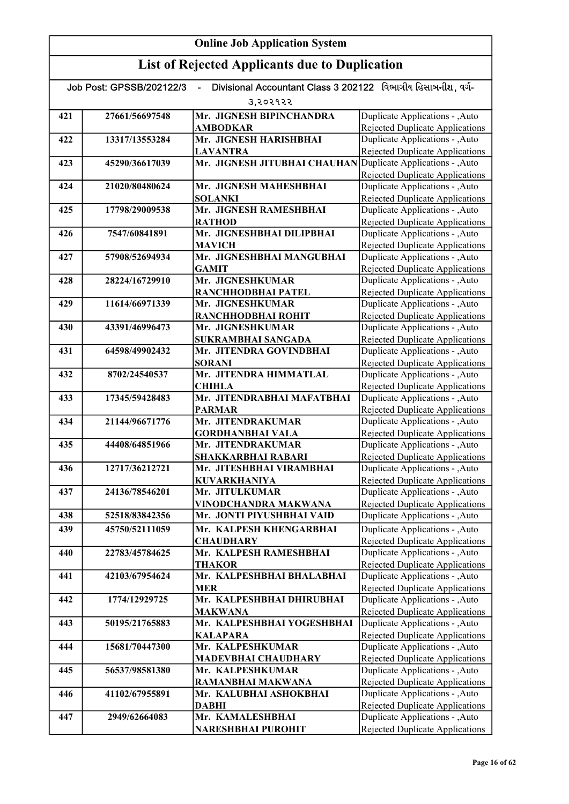|     | Job Post: GPSSB/202122/3 | Divisional Accountant Class 3 202122 વિભાગીય હિસાબનીશ. વર્ગ- |                                                                           |
|-----|--------------------------|--------------------------------------------------------------|---------------------------------------------------------------------------|
|     |                          | उ,२०२१२२                                                     |                                                                           |
| 421 | 27661/56697548           | Mr. JIGNESH BIPINCHANDRA                                     | Duplicate Applications - , Auto                                           |
|     |                          | <b>AMBODKAR</b>                                              | Rejected Duplicate Applications                                           |
| 422 | 13317/13553284           | Mr. JIGNESH HARISHBHAI                                       | Duplicate Applications - , Auto                                           |
|     |                          | <b>LAVANTRA</b>                                              | Rejected Duplicate Applications                                           |
| 423 | 45290/36617039           | Mr. JIGNESH JITUBHAI CHAUHAN                                 | Duplicate Applications - , Auto                                           |
|     |                          |                                                              | Rejected Duplicate Applications                                           |
| 424 | 21020/80480624           | Mr. JIGNESH MAHESHBHAI                                       | Duplicate Applications - , Auto                                           |
|     |                          | <b>SOLANKI</b>                                               | Rejected Duplicate Applications                                           |
| 425 | 17798/29009538           | Mr. JIGNESH RAMESHBHAI                                       | Duplicate Applications - , Auto                                           |
|     |                          | <b>RATHOD</b>                                                | <b>Rejected Duplicate Applications</b>                                    |
| 426 | 7547/60841891            | Mr. JIGNESHBHAI DILIPBHAI                                    | Duplicate Applications - , Auto                                           |
|     |                          | <b>MAVICH</b>                                                | <b>Rejected Duplicate Applications</b>                                    |
| 427 | 57908/52694934           | Mr. JIGNESHBHAI MANGUBHAI                                    | Duplicate Applications - , Auto                                           |
|     |                          | <b>GAMIT</b>                                                 | <b>Rejected Duplicate Applications</b>                                    |
| 428 | 28224/16729910           | Mr. JIGNESHKUMAR                                             | Duplicate Applications - , Auto                                           |
|     |                          | RANCHHODBHAI PATEL                                           | <b>Rejected Duplicate Applications</b>                                    |
| 429 | 11614/66971339           | Mr. JIGNESHKUMAR                                             | Duplicate Applications - , Auto                                           |
|     |                          | RANCHHODBHAI ROHIT                                           | <b>Rejected Duplicate Applications</b>                                    |
| 430 | 43391/46996473           | Mr. JIGNESHKUMAR                                             | Duplicate Applications - , Auto                                           |
|     |                          | SUKRAMBHAI SANGADA<br>Mr. JITENDRA GOVINDBHAI                | <b>Rejected Duplicate Applications</b>                                    |
| 431 | 64598/49902432           |                                                              | Duplicate Applications - , Auto                                           |
| 432 | 8702/24540537            | <b>SORANI</b><br>Mr. JITENDRA HIMMATLAL                      | <b>Rejected Duplicate Applications</b><br>Duplicate Applications - , Auto |
|     |                          | <b>CHIHLA</b>                                                | Rejected Duplicate Applications                                           |
| 433 | 17345/59428483           | Mr. JITENDRABHAI MAFATBHAI                                   | Duplicate Applications - , Auto                                           |
|     |                          | <b>PARMAR</b>                                                | Rejected Duplicate Applications                                           |
| 434 | 21144/96671776           | Mr. JITENDRAKUMAR                                            | Duplicate Applications - , Auto                                           |
|     |                          | <b>GORDHANBHAI VALA</b>                                      | <b>Rejected Duplicate Applications</b>                                    |
| 435 | 44408/64851966           | Mr. JITENDRAKUMAR                                            | Duplicate Applications - , Auto                                           |
|     |                          | <b>SHAKKARBHAI RABARI</b>                                    | Rejected Duplicate Applications                                           |
| 436 | 12717/36212721           | Mr. JITESHBHAI VIRAMBHAI                                     | Duplicate Applications - , Auto                                           |
|     |                          | <b>KUVARKHANIYA</b>                                          | <b>Rejected Duplicate Applications</b>                                    |
| 437 | 24136/78546201           | Mr. JITULKUMAR                                               | Duplicate Applications - , Auto                                           |
|     |                          | VINODCHANDRA MAKWANA                                         | <b>Rejected Duplicate Applications</b>                                    |
| 438 | 52518/83842356           | Mr. JONTI PIYUSHBHAI VAID                                    | Duplicate Applications - , Auto                                           |
| 439 | 45750/52111059           | Mr. KALPESH KHENGARBHAI                                      | Duplicate Applications - , Auto                                           |
|     |                          | <b>CHAUDHARY</b>                                             | Rejected Duplicate Applications                                           |
| 440 | 22783/45784625           | Mr. KALPESH RAMESHBHAI                                       | Duplicate Applications - , Auto                                           |
|     |                          | <b>THAKOR</b>                                                | <b>Rejected Duplicate Applications</b>                                    |
| 441 | 42103/67954624           | Mr. KALPESHBHAI BHALABHAI                                    | Duplicate Applications - ,Auto                                            |
|     |                          | <b>MER</b>                                                   | Rejected Duplicate Applications                                           |
| 442 | 1774/12929725            | Mr. KALPESHBHAI DHIRUBHAI                                    | Duplicate Applications - , Auto                                           |
|     |                          | <b>MAKWANA</b>                                               | <b>Rejected Duplicate Applications</b>                                    |
| 443 | 50195/21765883           | Mr. KALPESHBHAI YOGESHBHAI                                   | Duplicate Applications - , Auto                                           |
|     |                          | <b>KALAPARA</b>                                              | Rejected Duplicate Applications                                           |
| 444 | 15681/70447300           | Mr. KALPESHKUMAR                                             | Duplicate Applications - , Auto                                           |
|     |                          | <b>MADEVBHAI CHAUDHARY</b>                                   | <b>Rejected Duplicate Applications</b>                                    |
| 445 | 56537/98581380           | Mr. KALPESHKUMAR                                             | Duplicate Applications - , Auto                                           |
|     |                          | RAMANBHAI MAKWANA                                            | <b>Rejected Duplicate Applications</b>                                    |
| 446 | 41102/67955891           | Mr. KALUBHAI ASHOKBHAI                                       | Duplicate Applications - , Auto                                           |
| 447 | 2949/62664083            | <b>DABHI</b><br>Mr. KAMALESHBHAI                             | Rejected Duplicate Applications<br>Duplicate Applications - , Auto        |
|     |                          | <b>NARESHBHAI PUROHIT</b>                                    | Rejected Duplicate Applications                                           |
|     |                          |                                                              |                                                                           |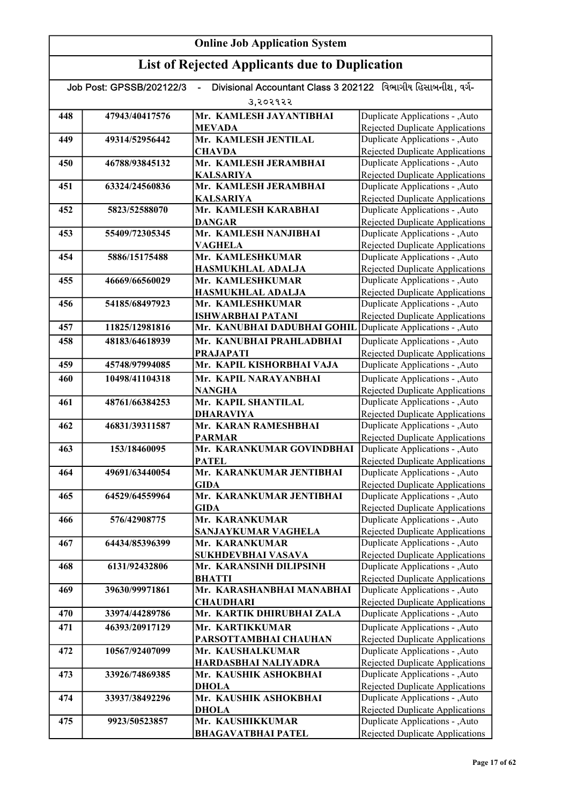| Divisional Accountant Class 3 202122 વિભાગીય હિસાબનીશ. વર્ગ-<br>Job Post: GPSSB/202122/3 |                |                                          |                                                                    |
|------------------------------------------------------------------------------------------|----------------|------------------------------------------|--------------------------------------------------------------------|
|                                                                                          |                | 3,२०२१२२                                 |                                                                    |
| 448                                                                                      | 47943/40417576 | Mr. KAMLESH JAYANTIBHAI                  | Duplicate Applications - , Auto                                    |
|                                                                                          |                | <b>MEVADA</b>                            | <b>Rejected Duplicate Applications</b>                             |
| 449                                                                                      | 49314/52956442 | Mr. KAMLESH JENTILAL                     | Duplicate Applications - , Auto                                    |
|                                                                                          |                | <b>CHAVDA</b>                            | Rejected Duplicate Applications                                    |
| 450                                                                                      | 46788/93845132 | Mr. KAMLESH JERAMBHAI                    | Duplicate Applications - , Auto                                    |
|                                                                                          |                | <b>KALSARIYA</b>                         | Rejected Duplicate Applications                                    |
| 451                                                                                      | 63324/24560836 | Mr. KAMLESH JERAMBHAI                    | Duplicate Applications - , Auto                                    |
|                                                                                          |                | <b>KALSARIYA</b><br>Mr. KAMLESH KARABHAI | Rejected Duplicate Applications                                    |
| 452                                                                                      | 5823/52588070  | <b>DANGAR</b>                            | Duplicate Applications - ,Auto                                     |
| 453                                                                                      | 55409/72305345 | Mr. KAMLESH NANJIBHAI                    | Rejected Duplicate Applications<br>Duplicate Applications - ,Auto  |
|                                                                                          |                | <b>VAGHELA</b>                           | <b>Rejected Duplicate Applications</b>                             |
| 454                                                                                      | 5886/15175488  | Mr. KAMLESHKUMAR                         | Duplicate Applications - , Auto                                    |
|                                                                                          |                | HASMUKHLAL ADALJA                        | <b>Rejected Duplicate Applications</b>                             |
| 455                                                                                      | 46669/66560029 | Mr. KAMLESHKUMAR                         | Duplicate Applications - , Auto                                    |
|                                                                                          |                | <b>HASMUKHLAL ADALJA</b>                 | Rejected Duplicate Applications                                    |
| 456                                                                                      | 54185/68497923 | Mr. KAMLESHKUMAR                         | Duplicate Applications - , Auto                                    |
|                                                                                          |                | <b>ISHWARBHAI PATANI</b>                 | <b>Rejected Duplicate Applications</b>                             |
| 457                                                                                      | 11825/12981816 | Mr. KANUBHAI DADUBHAI GOHIL              | Duplicate Applications - , Auto                                    |
| 458                                                                                      | 48183/64618939 | Mr. KANUBHAI PRAHLADBHAI                 | Duplicate Applications - ,Auto                                     |
|                                                                                          |                | <b>PRAJAPATI</b>                         | Rejected Duplicate Applications                                    |
| 459                                                                                      | 45748/97994085 | Mr. KAPIL KISHORBHAI VAJA                | Duplicate Applications - ,Auto                                     |
| 460                                                                                      | 10498/41104318 | Mr. KAPIL NARAYANBHAI                    | Duplicate Applications - , Auto                                    |
|                                                                                          |                | <b>NANGHA</b>                            | Rejected Duplicate Applications                                    |
| 461                                                                                      | 48761/66384253 | Mr. KAPIL SHANTILAL<br><b>DHARAVIYA</b>  | Duplicate Applications - ,Auto<br>Rejected Duplicate Applications  |
| 462                                                                                      | 46831/39311587 | Mr. KARAN RAMESHBHAI                     | Duplicate Applications - ,Auto                                     |
|                                                                                          |                | <b>PARMAR</b>                            | <b>Rejected Duplicate Applications</b>                             |
| 463                                                                                      | 153/18460095   | Mr. KARANKUMAR GOVINDBHAI                | Duplicate Applications - , Auto                                    |
|                                                                                          |                | <b>PATEL</b>                             | <b>Rejected Duplicate Applications</b>                             |
| 464                                                                                      | 49691/63440054 | Mr. KARANKUMAR JENTIBHAI                 | Duplicate Applications - , Auto                                    |
|                                                                                          |                | <b>GIDA</b>                              | <b>Rejected Duplicate Applications</b>                             |
| 465                                                                                      | 64529/64559964 | Mr. KARANKUMAR JENTIBHAI                 | Duplicate Applications - , Auto                                    |
|                                                                                          |                | <b>GIDA</b>                              | Rejected Duplicate Applications                                    |
| 466                                                                                      | 576/42908775   | Mr. KARANKUMAR<br>SANJAYKUMAR VAGHELA    | Duplicate Applications - , Auto<br>Rejected Duplicate Applications |
| 467                                                                                      | 64434/85396399 | Mr. KARANKUMAR                           | Duplicate Applications - ,Auto                                     |
|                                                                                          |                | SUKHDEVBHAI VASAVA                       | <b>Rejected Duplicate Applications</b>                             |
| 468                                                                                      | 6131/92432806  | Mr. KARANSINH DILIPSINH                  | Duplicate Applications - ,Auto                                     |
|                                                                                          |                | <b>BHATTI</b>                            | Rejected Duplicate Applications                                    |
| 469                                                                                      | 39630/99971861 | Mr. KARASHANBHAI MANABHAI                | Duplicate Applications - , Auto                                    |
|                                                                                          |                | <b>CHAUDHARI</b>                         | Rejected Duplicate Applications                                    |
| 470                                                                                      | 33974/44289786 | Mr. KARTIK DHIRUBHAI ZALA                | Duplicate Applications - , Auto                                    |
| 471                                                                                      | 46393/20917129 | Mr. KARTIKKUMAR                          | Duplicate Applications - ,Auto                                     |
|                                                                                          |                | PARSOTTAMBHAI CHAUHAN                    | <b>Rejected Duplicate Applications</b>                             |
| 472                                                                                      | 10567/92407099 | Mr. KAUSHALKUMAR                         | Duplicate Applications - , Auto                                    |
|                                                                                          |                | HARDASBHAI NALIYADRA                     | <b>Rejected Duplicate Applications</b>                             |
| 473                                                                                      | 33926/74869385 | Mr. KAUSHIK ASHOKBHAI                    | Duplicate Applications - , Auto                                    |
| 474                                                                                      | 33937/38492296 | <b>DHOLA</b><br>Mr. KAUSHIK ASHOKBHAI    | Rejected Duplicate Applications<br>Duplicate Applications - , Auto |
|                                                                                          |                | <b>DHOLA</b>                             | <b>Rejected Duplicate Applications</b>                             |
| 475                                                                                      | 9923/50523857  | Mr. KAUSHIKKUMAR                         | Duplicate Applications - , Auto                                    |
|                                                                                          |                | <b>BHAGAVATBHAI PATEL</b>                | Rejected Duplicate Applications                                    |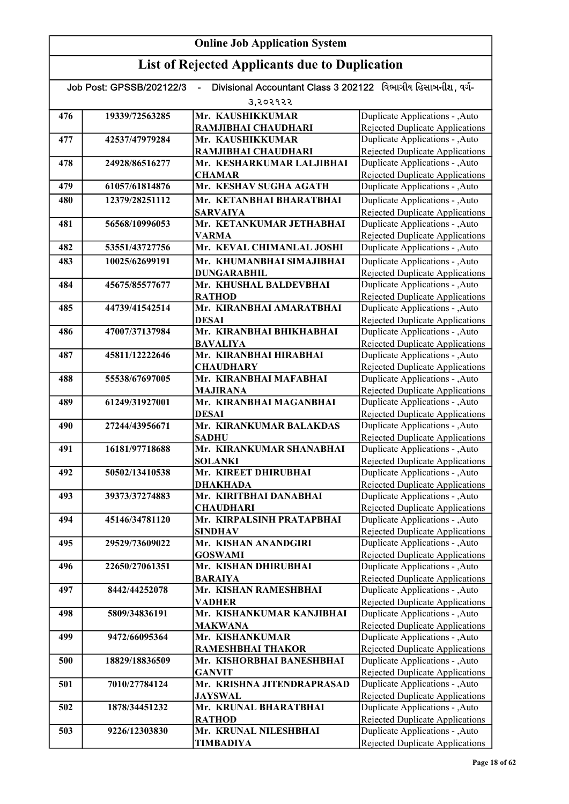| Divisional Accountant Class 3 202122 વિભાગીય હિસાબનીશ, વર્ગ-<br>Job Post: GPSSB/202122/3 |                |                                                 |                                                                           |
|------------------------------------------------------------------------------------------|----------------|-------------------------------------------------|---------------------------------------------------------------------------|
|                                                                                          |                | उ,२०२१२२                                        |                                                                           |
| 476                                                                                      | 19339/72563285 | Mr. KAUSHIKKUMAR                                | Duplicate Applications - , Auto                                           |
|                                                                                          |                | RAMJIBHAI CHAUDHARI                             | Rejected Duplicate Applications                                           |
| 477                                                                                      | 42537/47979284 | Mr. KAUSHIKKUMAR                                | Duplicate Applications - , Auto                                           |
|                                                                                          |                | RAMJIBHAI CHAUDHARI                             | Rejected Duplicate Applications                                           |
| 478                                                                                      | 24928/86516277 | Mr. KESHARKUMAR LALJIBHAI                       | Duplicate Applications - , Auto                                           |
|                                                                                          |                | <b>CHAMAR</b>                                   | <b>Rejected Duplicate Applications</b>                                    |
| 479                                                                                      | 61057/61814876 | Mr. KESHAV SUGHA AGATH                          | Duplicate Applications - , Auto                                           |
| 480                                                                                      | 12379/28251112 | Mr. KETANBHAI BHARATBHAI                        | Duplicate Applications - , Auto                                           |
|                                                                                          |                | <b>SARVAIYA</b>                                 | <b>Rejected Duplicate Applications</b>                                    |
| 481                                                                                      | 56568/10996053 | Mr. KETANKUMAR JETHABHAI                        | Duplicate Applications - , Auto                                           |
| 482                                                                                      | 53551/43727756 | <b>VARMA</b><br>Mr. KEVAL CHIMANLAL JOSHI       | <b>Rejected Duplicate Applications</b><br>Duplicate Applications - , Auto |
|                                                                                          |                |                                                 |                                                                           |
| 483                                                                                      | 10025/62699191 | Mr. KHUMANBHAI SIMAJIBHAI<br><b>DUNGARABHIL</b> | Duplicate Applications - , Auto<br>Rejected Duplicate Applications        |
| 484                                                                                      | 45675/85577677 | Mr. KHUSHAL BALDEVBHAI                          | Duplicate Applications - , Auto                                           |
|                                                                                          |                | <b>RATHOD</b>                                   | <b>Rejected Duplicate Applications</b>                                    |
| 485                                                                                      | 44739/41542514 | Mr. KIRANBHAI AMARATBHAI                        | Duplicate Applications - , Auto                                           |
|                                                                                          |                | <b>DESAI</b>                                    | <b>Rejected Duplicate Applications</b>                                    |
| 486                                                                                      | 47007/37137984 | Mr. KIRANBHAI BHIKHABHAI                        | Duplicate Applications - , Auto                                           |
|                                                                                          |                | <b>BAVALIYA</b>                                 | <b>Rejected Duplicate Applications</b>                                    |
| 487                                                                                      | 45811/12222646 | Mr. KIRANBHAI HIRABHAI                          | Duplicate Applications - , Auto                                           |
|                                                                                          |                | <b>CHAUDHARY</b>                                | <b>Rejected Duplicate Applications</b>                                    |
| 488                                                                                      | 55538/67697005 | Mr. KIRANBHAI MAFABHAI                          | Duplicate Applications - , Auto                                           |
|                                                                                          |                | <b>MAJIRANA</b>                                 | Rejected Duplicate Applications                                           |
| 489                                                                                      | 61249/31927001 | Mr. KIRANBHAI MAGANBHAI                         | Duplicate Applications - , Auto                                           |
| 490                                                                                      | 27244/43956671 | <b>DESAI</b><br>Mr. KIRANKUMAR BALAKDAS         | <b>Rejected Duplicate Applications</b><br>Duplicate Applications - , Auto |
|                                                                                          |                | <b>SADHU</b>                                    | <b>Rejected Duplicate Applications</b>                                    |
| 491                                                                                      | 16181/97718688 | Mr. KIRANKUMAR SHANABHAI                        | Duplicate Applications - , Auto                                           |
|                                                                                          |                | <b>SOLANKI</b>                                  | Rejected Duplicate Applications                                           |
| 492                                                                                      | 50502/13410538 | Mr. KIREET DHIRUBHAI                            | Duplicate Applications - , Auto                                           |
|                                                                                          |                | <b>DHAKHADA</b>                                 | <b>Rejected Duplicate Applications</b>                                    |
| 493                                                                                      | 39373/37274883 | Mr. KIRITBHAI DANABHAI                          | Duplicate Applications - ,Auto                                            |
|                                                                                          |                | <b>CHAUDHARI</b>                                | <b>Rejected Duplicate Applications</b>                                    |
| 494                                                                                      | 45146/34781120 | Mr. KIRPALSINH PRATAPBHAI                       | Duplicate Applications - , Auto                                           |
|                                                                                          |                | <b>SINDHAV</b><br>Mr. KISHAN ANANDGIRI          | <b>Rejected Duplicate Applications</b><br>Duplicate Applications - , Auto |
| 495                                                                                      | 29529/73609022 | <b>GOSWAMI</b>                                  | <b>Rejected Duplicate Applications</b>                                    |
| 496                                                                                      | 22650/27061351 | Mr. KISHAN DHIRUBHAI                            | Duplicate Applications - , Auto                                           |
|                                                                                          |                | <b>BARAIYA</b>                                  | Rejected Duplicate Applications                                           |
| 497                                                                                      | 8442/44252078  | Mr. KISHAN RAMESHBHAI                           | Duplicate Applications - , Auto                                           |
|                                                                                          |                | <b>VADHER</b>                                   | Rejected Duplicate Applications                                           |
| 498                                                                                      | 5809/34836191  | Mr. KISHANKUMAR KANJIBHAI                       | Duplicate Applications - , Auto                                           |
|                                                                                          |                | <b>MAKWANA</b>                                  | Rejected Duplicate Applications                                           |
| 499                                                                                      | 9472/66095364  | Mr. KISHANKUMAR                                 | Duplicate Applications - , Auto                                           |
|                                                                                          |                | RAMESHBHAI THAKOR                               | Rejected Duplicate Applications                                           |
| 500                                                                                      | 18829/18836509 | Mr. KISHORBHAI BANESHBHAI                       | Duplicate Applications - , Auto                                           |
|                                                                                          |                | <b>GANVIT</b><br>Mr. KRISHNA JITENDRAPRASAD     | Rejected Duplicate Applications<br>Duplicate Applications - , Auto        |
| 501                                                                                      | 7010/27784124  | <b>JAYSWAL</b>                                  | Rejected Duplicate Applications                                           |
| 502                                                                                      | 1878/34451232  | Mr. KRUNAL BHARATBHAI                           | Duplicate Applications - , Auto                                           |
|                                                                                          |                | <b>RATHOD</b>                                   | <b>Rejected Duplicate Applications</b>                                    |
| 503                                                                                      | 9226/12303830  | Mr. KRUNAL NILESHBHAI                           | Duplicate Applications - , Auto                                           |
|                                                                                          |                | <b>TIMBADIYA</b>                                | Rejected Duplicate Applications                                           |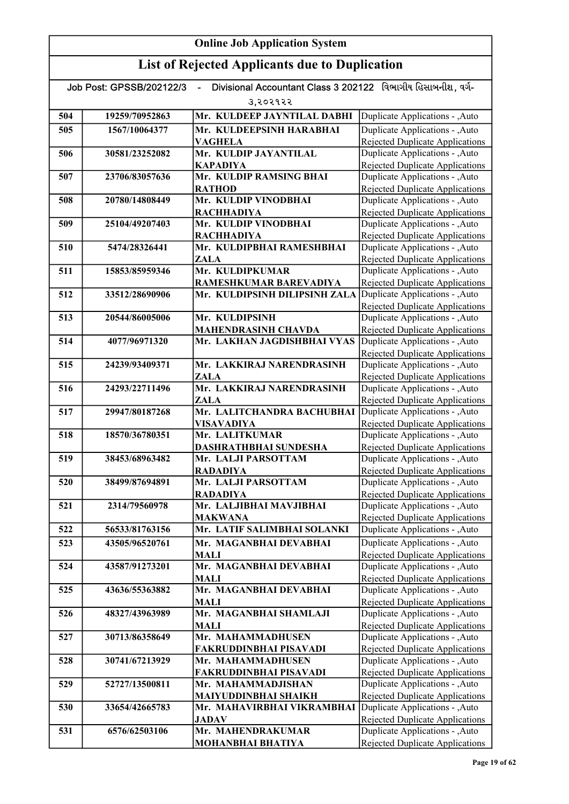| Divisional Accountant Class 3 202122 વિભાગીય હિસાબનીશ. વર્ગ-<br>Job Post: GPSSB/202122/3 |                |                               |                                                                    |  |
|------------------------------------------------------------------------------------------|----------------|-------------------------------|--------------------------------------------------------------------|--|
|                                                                                          |                | 3,२०२१२२                      |                                                                    |  |
| 504                                                                                      | 19259/70952863 | Mr. KULDEEP JAYNTILAL DABHI   | Duplicate Applications - , Auto                                    |  |
| 505                                                                                      | 1567/10064377  | Mr. KULDEEPSINH HARABHAI      | Duplicate Applications - , Auto                                    |  |
|                                                                                          |                | <b>VAGHELA</b>                | <b>Rejected Duplicate Applications</b>                             |  |
| 506                                                                                      | 30581/23252082 | Mr. KULDIP JAYANTILAL         | Duplicate Applications - , Auto                                    |  |
|                                                                                          |                | <b>KAPADIYA</b>               | Rejected Duplicate Applications                                    |  |
| 507                                                                                      | 23706/83057636 | Mr. KULDIP RAMSING BHAI       | Duplicate Applications - , Auto                                    |  |
|                                                                                          |                | <b>RATHOD</b>                 | <b>Rejected Duplicate Applications</b>                             |  |
| 508                                                                                      | 20780/14808449 | Mr. KULDIP VINODBHAI          | Duplicate Applications - , Auto                                    |  |
|                                                                                          |                | <b>RACHHADIYA</b>             | Rejected Duplicate Applications                                    |  |
| 509                                                                                      | 25104/49207403 | Mr. KULDIP VINODBHAI          | Duplicate Applications - , Auto                                    |  |
|                                                                                          |                | <b>RACHHADIYA</b>             | <b>Rejected Duplicate Applications</b>                             |  |
| 510                                                                                      | 5474/28326441  | Mr. KULDIPBHAI RAMESHBHAI     | Duplicate Applications - , Auto                                    |  |
|                                                                                          |                | ZALA                          | Rejected Duplicate Applications                                    |  |
| 511                                                                                      | 15853/85959346 | Mr. KULDIPKUMAR               | Duplicate Applications - , Auto                                    |  |
|                                                                                          |                | RAMESHKUMAR BAREVADIYA        | <b>Rejected Duplicate Applications</b>                             |  |
| 512                                                                                      | 33512/28690906 | Mr. KULDIPSINH DILIPSINH ZALA | Duplicate Applications - , Auto                                    |  |
|                                                                                          |                |                               | <b>Rejected Duplicate Applications</b>                             |  |
| 513                                                                                      | 20544/86005006 | Mr. KULDIPSINH                | Duplicate Applications - , Auto                                    |  |
|                                                                                          |                | <b>MAHENDRASINH CHAVDA</b>    | Rejected Duplicate Applications                                    |  |
| 514                                                                                      | 4077/96971320  | Mr. LAKHAN JAGDISHBHAI VYAS   | Duplicate Applications - , Auto                                    |  |
| 515                                                                                      | 24239/93409371 | Mr. LAKKIRAJ NARENDRASINH     | Rejected Duplicate Applications<br>Duplicate Applications - , Auto |  |
|                                                                                          |                | <b>ZALA</b>                   | <b>Rejected Duplicate Applications</b>                             |  |
| 516                                                                                      | 24293/22711496 | Mr. LAKKIRAJ NARENDRASINH     | Duplicate Applications - , Auto                                    |  |
|                                                                                          |                | ZALA                          | Rejected Duplicate Applications                                    |  |
| 517                                                                                      | 29947/80187268 | Mr. LALITCHANDRA BACHUBHAI    | Duplicate Applications - , Auto                                    |  |
|                                                                                          |                | <b>VISAVADIYA</b>             | <b>Rejected Duplicate Applications</b>                             |  |
| 518                                                                                      | 18570/36780351 | Mr. LALITKUMAR                | Duplicate Applications - , Auto                                    |  |
|                                                                                          |                | DASHRATHBHAI SUNDESHA         | <b>Rejected Duplicate Applications</b>                             |  |
| 519                                                                                      | 38453/68963482 | Mr. LALJI PARSOTTAM           | Duplicate Applications - , Auto                                    |  |
|                                                                                          |                | <b>RADADIYA</b>               | <b>Rejected Duplicate Applications</b>                             |  |
| 520                                                                                      | 38499/87694891 | Mr. LALJI PARSOTTAM           | Duplicate Applications - , Auto                                    |  |
|                                                                                          |                | <b>RADADIYA</b>               | <b>Rejected Duplicate Applications</b>                             |  |
| 521                                                                                      | 2314/79560978  | Mr. LALJIBHAI MAVJIBHAI       | Duplicate Applications - , Auto                                    |  |
|                                                                                          |                | <b>MAKWANA</b>                | Rejected Duplicate Applications                                    |  |
| 522                                                                                      | 56533/81763156 | Mr. LATIF SALIMBHAI SOLANKI   | Duplicate Applications - ,Auto                                     |  |
| 523                                                                                      | 43505/96520761 | Mr. MAGANBHAI DEVABHAI        | Duplicate Applications - , Auto                                    |  |
|                                                                                          |                | MALI                          | <b>Rejected Duplicate Applications</b>                             |  |
| 524                                                                                      | 43587/91273201 | Mr. MAGANBHAI DEVABHAI        | Duplicate Applications - , Auto                                    |  |
|                                                                                          |                | <b>MALI</b>                   | Rejected Duplicate Applications                                    |  |
| 525                                                                                      | 43636/55363882 | Mr. MAGANBHAI DEVABHAI        | Duplicate Applications - , Auto                                    |  |
|                                                                                          |                | <b>MALI</b>                   | Rejected Duplicate Applications                                    |  |
| 526                                                                                      | 48327/43963989 | Mr. MAGANBHAI SHAMLAJI        | Duplicate Applications - , Auto                                    |  |
| 527                                                                                      | 30713/86358649 | MALI<br>Mr. MAHAMMADHUSEN     | Rejected Duplicate Applications<br>Duplicate Applications - , Auto |  |
|                                                                                          |                | FAKRUDDINBHAI PISAVADI        | Rejected Duplicate Applications                                    |  |
| 528                                                                                      | 30741/67213929 | Mr. MAHAMMADHUSEN             | Duplicate Applications - , Auto                                    |  |
|                                                                                          |                | FAKRUDDINBHAI PISAVADI        | Rejected Duplicate Applications                                    |  |
| 529                                                                                      | 52727/13500811 | Mr. MAHAMMADJISHAN            | Duplicate Applications - , Auto                                    |  |
|                                                                                          |                | MAIYUDDINBHAI SHAIKH          | Rejected Duplicate Applications                                    |  |
| 530                                                                                      | 33654/42665783 | Mr. MAHAVIRBHAI VIKRAMBHAI    | Duplicate Applications - , Auto                                    |  |
|                                                                                          |                | <b>JADAV</b>                  | Rejected Duplicate Applications                                    |  |
| 531                                                                                      | 6576/62503106  | Mr. MAHENDRAKUMAR             | Duplicate Applications - , Auto                                    |  |
|                                                                                          |                | MOHANBHAI BHATIYA             | Rejected Duplicate Applications                                    |  |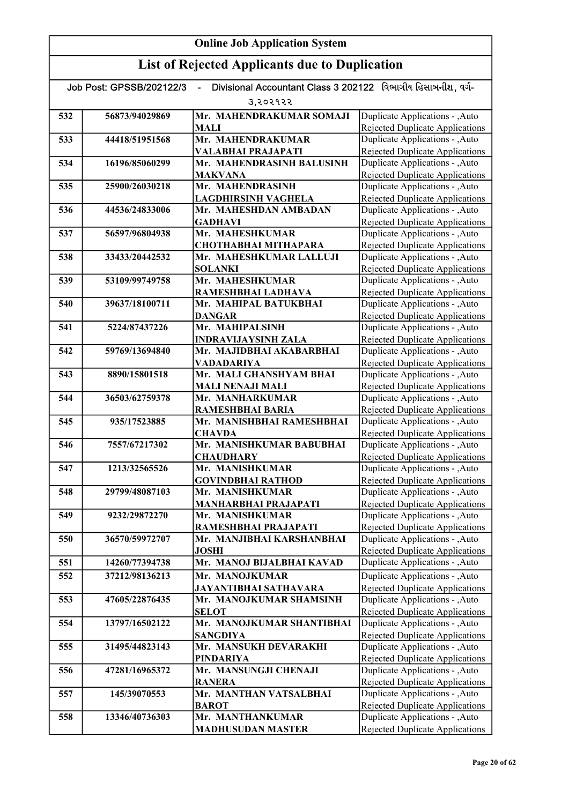| Divisional Accountant Class 3 202122 વિભાગીય હિસાબનીશ, વર્ગ-<br>Job Post: GPSSB/202122/3 |                |                                                   |                                                                           |  |  |
|------------------------------------------------------------------------------------------|----------------|---------------------------------------------------|---------------------------------------------------------------------------|--|--|
|                                                                                          | उ,२०२१२२       |                                                   |                                                                           |  |  |
| 532                                                                                      | 56873/94029869 | Mr. MAHENDRAKUMAR SOMAJI                          | Duplicate Applications - , Auto                                           |  |  |
|                                                                                          |                | <b>MALI</b>                                       | Rejected Duplicate Applications                                           |  |  |
| 533                                                                                      | 44418/51951568 | Mr. MAHENDRAKUMAR                                 | Duplicate Applications - , Auto                                           |  |  |
|                                                                                          |                | VALABHAI PRAJAPATI                                | Rejected Duplicate Applications                                           |  |  |
| 534                                                                                      | 16196/85060299 | Mr. MAHENDRASINH BALUSINH                         | Duplicate Applications - , Auto                                           |  |  |
|                                                                                          |                | <b>MAKVANA</b>                                    | Rejected Duplicate Applications                                           |  |  |
| 535                                                                                      | 25900/26030218 | Mr. MAHENDRASINH                                  | Duplicate Applications - , Auto                                           |  |  |
|                                                                                          |                | <b>LAGDHIRSINH VAGHELA</b>                        | <b>Rejected Duplicate Applications</b>                                    |  |  |
| 536                                                                                      | 44536/24833006 | Mr. MAHESHDAN AMBADAN                             | Duplicate Applications - , Auto                                           |  |  |
|                                                                                          |                | <b>GADHAVI</b>                                    | <b>Rejected Duplicate Applications</b>                                    |  |  |
| 537                                                                                      | 56597/96804938 | Mr. MAHESHKUMAR                                   | Duplicate Applications - , Auto                                           |  |  |
|                                                                                          |                | <b>CHOTHABHAI MITHAPARA</b>                       | <b>Rejected Duplicate Applications</b>                                    |  |  |
| 538                                                                                      | 33433/20442532 | Mr. MAHESHKUMAR LALLUJI                           | Duplicate Applications - , Auto                                           |  |  |
| 539                                                                                      | 53109/99749758 | <b>SOLANKI</b><br>Mr. MAHESHKUMAR                 | Rejected Duplicate Applications<br>Duplicate Applications - , Auto        |  |  |
|                                                                                          |                | RAMESHBHAI LADHAVA                                | <b>Rejected Duplicate Applications</b>                                    |  |  |
| 540                                                                                      | 39637/18100711 | Mr. MAHIPAL BATUKBHAI                             | Duplicate Applications - , Auto                                           |  |  |
|                                                                                          |                | <b>DANGAR</b>                                     | <b>Rejected Duplicate Applications</b>                                    |  |  |
| 541                                                                                      | 5224/87437226  | Mr. MAHIPALSINH                                   | Duplicate Applications - , Auto                                           |  |  |
|                                                                                          |                | <b>INDRAVIJAYSINH ZALA</b>                        | Rejected Duplicate Applications                                           |  |  |
| 542                                                                                      | 59769/13694840 | Mr. MAJIDBHAI AKABARBHAI                          | <b>Duplicate Applications - , Auto</b>                                    |  |  |
|                                                                                          |                | VADADARIYA                                        | <b>Rejected Duplicate Applications</b>                                    |  |  |
| 543                                                                                      | 8890/15801518  | Mr. MALI GHANSHYAM BHAI                           | Duplicate Applications - , Auto                                           |  |  |
|                                                                                          |                | <b>MALI NENAJI MALI</b>                           | Rejected Duplicate Applications                                           |  |  |
| 544                                                                                      | 36503/62759378 | Mr. MANHARKUMAR                                   | Duplicate Applications - , Auto                                           |  |  |
|                                                                                          |                | RAMESHBHAI BARIA                                  | <b>Rejected Duplicate Applications</b>                                    |  |  |
| 545                                                                                      | 935/17523885   | Mr. MANISHBHAI RAMESHBHAI                         | Duplicate Applications - , Auto                                           |  |  |
|                                                                                          |                | <b>CHAVDA</b>                                     | <b>Rejected Duplicate Applications</b>                                    |  |  |
| 546                                                                                      | 7557/67217302  | Mr. MANISHKUMAR BABUBHAI                          | Duplicate Applications - , Auto                                           |  |  |
|                                                                                          |                | <b>CHAUDHARY</b>                                  | <b>Rejected Duplicate Applications</b>                                    |  |  |
| 547                                                                                      | 1213/32565526  | Mr. MANISHKUMAR                                   | Duplicate Applications - , Auto                                           |  |  |
|                                                                                          |                | <b>GOVINDBHAI RATHOD</b>                          | <b>Rejected Duplicate Applications</b>                                    |  |  |
| 548                                                                                      | 29799/48087103 | Mr. MANISHKUMAR                                   | Duplicate Applications - , Auto                                           |  |  |
|                                                                                          |                | <b>MANHARBHAI PRAJAPATI</b>                       | <b>Rejected Duplicate Applications</b>                                    |  |  |
| 549                                                                                      | 9232/29872270  | Mr. MANISHKUMAR                                   | Duplicate Applications - , Auto                                           |  |  |
| 550                                                                                      | 36570/59972707 | RAMESHBHAI PRAJAPATI<br>Mr. MANJIBHAI KARSHANBHAI | Rejected Duplicate Applications<br>Duplicate Applications - , Auto        |  |  |
|                                                                                          |                | <b>JOSHI</b>                                      | Rejected Duplicate Applications                                           |  |  |
| 551                                                                                      | 14260/77394738 | Mr. MANOJ BIJALBHAI KAVAD                         | Duplicate Applications - , Auto                                           |  |  |
|                                                                                          |                |                                                   |                                                                           |  |  |
| 552                                                                                      | 37212/98136213 | Mr. MANOJKUMAR                                    | Duplicate Applications - , Auto<br><b>Rejected Duplicate Applications</b> |  |  |
| 553                                                                                      | 47605/22876435 | JAYANTIBHAI SATHAVARA<br>Mr. MANOJKUMAR SHAMSINH  | Duplicate Applications - , Auto                                           |  |  |
|                                                                                          |                | <b>SELOT</b>                                      | <b>Rejected Duplicate Applications</b>                                    |  |  |
| 554                                                                                      | 13797/16502122 | Mr. MANOJKUMAR SHANTIBHAI                         | Duplicate Applications - , Auto                                           |  |  |
|                                                                                          |                | SANGDIYA                                          | Rejected Duplicate Applications                                           |  |  |
| 555                                                                                      | 31495/44823143 | Mr. MANSUKH DEVARAKHI                             | Duplicate Applications - , Auto                                           |  |  |
|                                                                                          |                | PINDARIYA                                         | Rejected Duplicate Applications                                           |  |  |
| 556                                                                                      | 47281/16965372 | Mr. MANSUNGJI CHENAJI                             | Duplicate Applications - , Auto                                           |  |  |
|                                                                                          |                | <b>RANERA</b>                                     | <b>Rejected Duplicate Applications</b>                                    |  |  |
| 557                                                                                      | 145/39070553   | Mr. MANTHAN VATSALBHAI                            | Duplicate Applications - , Auto                                           |  |  |
|                                                                                          |                | <b>BAROT</b>                                      | Rejected Duplicate Applications                                           |  |  |
| 558                                                                                      | 13346/40736303 | Mr. MANTHANKUMAR                                  | Duplicate Applications - , Auto                                           |  |  |
|                                                                                          |                | <b>MADHUSUDAN MASTER</b>                          | Rejected Duplicate Applications                                           |  |  |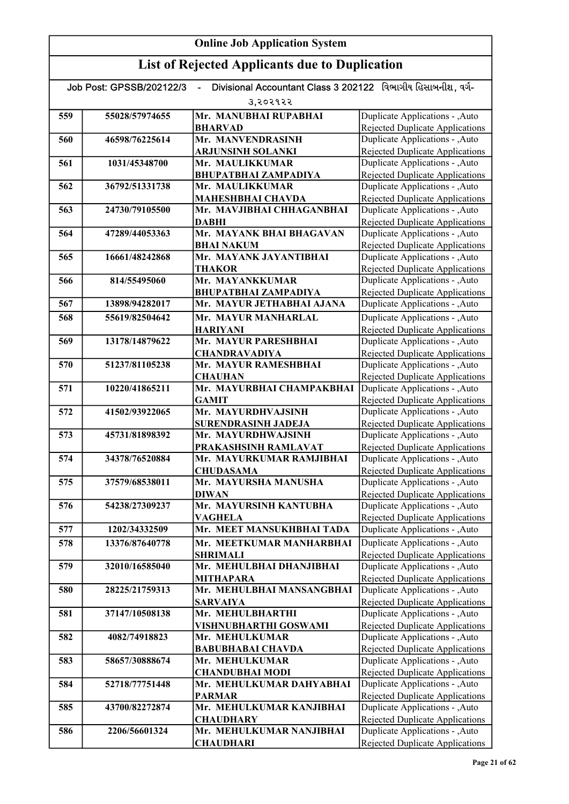#### Online Job Application System List of Rejected Applicants due to Duplication Job Post: GPSSB/202122/3 - Divisional Accountant Class 3 202122 વિભાગીય હિસાબનીશ, વર્ગ-૩,૨૦૨૧૨૨ 559 55028/57974655 Mr. MANUBHAI RUPABHAI BHARVAD 560 46598/76225614 Mr. MANVENDRASINH ARJUNSINH SOLANKI 561 1031/45348700 Mr. MAULIKKUMAR BHUPATBHAI ZAMPADIYA 562 36792/51331738 Mr. MAULIKKUMAR MAHESHBHAI CHAVDA 563 24730/79105500 Mr. MAVJIBHAI CHHAGANBHAI DABHI 564 47289/44053363 Mr. MAYANK BHAI BHAGAVAN BHAI NAKUM 565 16661/48242868 Mr. MAYANK JAYANTIBHAI **THAKOR** 566 814/55495060 Mr. MAYANKKUMAR BHUPATBHAI ZAMPADIYA 567 13898/94282017 Mr. MAYUR JETHABHAI AJANA 568 55619/82504642 Mr. MAYUR MANHARLAL HARIYANI 569 13178/14879622 Mr. MAYUR PARESHBHAI CHANDRAVADIYA 570 51237/81105238 Mr. MAYUR RAMESHBHAI **CHAUHAN** 571 10220/41865211 Mr. MAYURBHAI CHAMPAKBHAI GAMIT 572 41502/93922065 Mr. MAYURDHVAJSINH SURENDRASINH JADEJA 573 45731/81898392 Mr. MAYURDHWAJSINH PRAKASHSINH RAMLAVAT 574 34378/76520884 Mr. MAYURKUMAR RAMJIBHAI CHUDASAMA 575 37579/68538011 Mr. MAYURSHA MANUSHA DIWAN 576 54238/27309237 Mr. MAYURSINH KANTUBHA VAGHELA 577 1202/34332509 Mr. MEET MANSUKHBHAI TADA 578 13376/87640778 Mr. MEETKUMAR MANHARBHAI SHRIMALI 579 32010/16585040 Mr. MEHULBHAI DHANJIBHAI MITHAPARA 580 28225/21759313 Mr. MEHULBHAI MANSANGBHAI SARVAIYA 581 37147/10508138 Mr. MEHULBHARTHI VISHNUBHARTHI GOSWAMI 582 4082/74918823 Mr. MEHULKUMAR BABUBHABAI CHAVDA 583 58657/30888674 Mr. MEHULKUMAR CHANDUBHAI MODI 584 52718/77751448 Mr. MEHULKUMAR DAHYABHAI PARMAR 585 43700/82272874 Mr. MEHULKUMAR KANJIBHAI **CHAUDHARY** 586 2206/56601324 Mr. MEHULKUMAR NANJIBHAI **CHAUDHARI** Duplicate Applications - ,Auto Rejected Duplicate Applications Duplicate Applications - ,Auto Rejected Duplicate Applications Duplicate Applications - ,Auto Rejected Duplicate Applications Duplicate Applications - ,Auto Rejected Duplicate Applications Duplicate Applications - ,Auto **Duplicate Applications - ,Auto** Rejected Duplicate Applications Duplicate Applications - ,Auto Rejected Duplicate Applications Duplicate Applications - ,Auto Rejected Duplicate Applications Duplicate Applications - ,Auto Rejected Duplicate Applications Duplicate Applications - ,Auto Rejected Duplicate Applications Duplicate Applications - ,Auto Rejected Duplicate Applications Duplicate Applications - ,Auto Rejected Duplicate Applications Duplicate Applications - ,Auto Rejected Duplicate Applications Duplicate Applications - ,Auto Rejected Duplicate Applications Duplicate Applications - ,Auto Rejected Duplicate Applications Duplicate Applications - ,Auto Rejected Duplicate Applications Duplicate Applications - ,Auto Rejected Duplicate Applications Duplicate Applications - ,Auto Rejected Duplicate Applications Duplicate Applications - ,Auto **Duplicate Applications - ,Auto** Rejected Duplicate Applications Duplicate Applications - ,Auto Rejected Duplicate Applications Duplicate Applications - ,Auto Rejected Duplicate Applications Duplicate Applications - ,Auto Rejected Duplicate Applications Duplicate Applications - ,Auto Rejected Duplicate Applications Duplicate Applications - ,Auto Rejected Duplicate Applications Duplicate Applications - ,Auto Rejected Duplicate Applications Duplicate Applications - ,Auto Rejected Duplicate Applications Duplicate Applications - ,Auto Rejected Duplicate Applications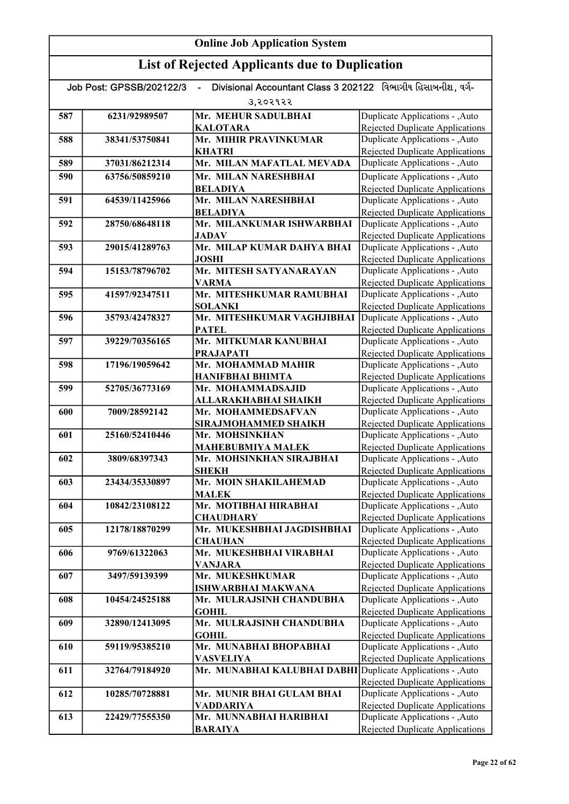| Divisional Accountant Class 3 202122 વિભાગીય હિસાબનીશ, વર્ગ-<br>Job Post: GPSSB/202122/3<br>ä, |                |                                                 |                                                                           |
|------------------------------------------------------------------------------------------------|----------------|-------------------------------------------------|---------------------------------------------------------------------------|
|                                                                                                |                | 3,२०२१२२                                        |                                                                           |
| 587                                                                                            | 6231/92989507  | Mr. MEHUR SADULBHAI                             | Duplicate Applications - ,Auto                                            |
|                                                                                                |                | <b>KALOTARA</b>                                 | Rejected Duplicate Applications                                           |
| 588                                                                                            | 38341/53750841 | Mr. MIHIR PRAVINKUMAR                           | Duplicate Applications - , Auto                                           |
|                                                                                                |                | <b>KHATRI</b>                                   | Rejected Duplicate Applications                                           |
| 589                                                                                            | 37031/86212314 | Mr. MILAN MAFATLAL MEVADA                       | Duplicate Applications - , Auto                                           |
| 590                                                                                            | 63756/50859210 | Mr. MILAN NARESHBHAI                            | Duplicate Applications - , Auto                                           |
|                                                                                                |                | <b>BELADIYA</b>                                 | <b>Rejected Duplicate Applications</b>                                    |
| 591                                                                                            | 64539/11425966 | Mr. MILAN NARESHBHAI<br><b>BELADIYA</b>         | Duplicate Applications - , Auto<br><b>Rejected Duplicate Applications</b> |
| 592                                                                                            | 28750/68648118 | Mr. MILANKUMAR ISHWARBHAI                       | Duplicate Applications - , Auto                                           |
|                                                                                                |                | <b>JADAV</b>                                    | <b>Rejected Duplicate Applications</b>                                    |
| 593                                                                                            | 29015/41289763 | Mr. MILAP KUMAR DAHYA BHAI                      | Duplicate Applications - , Auto                                           |
|                                                                                                |                | <b>JOSHI</b>                                    | Rejected Duplicate Applications                                           |
| 594                                                                                            | 15153/78796702 | Mr. MITESH SATYANARAYAN                         | Duplicate Applications - , Auto                                           |
|                                                                                                |                | <b>VARMA</b>                                    | <b>Rejected Duplicate Applications</b>                                    |
| 595                                                                                            | 41597/92347511 | Mr. MITESHKUMAR RAMUBHAI                        | Duplicate Applications - , Auto                                           |
|                                                                                                | 35793/42478327 | <b>SOLANKI</b><br>Mr. MITESHKUMAR VAGHJIBHAI    | <b>Rejected Duplicate Applications</b>                                    |
| 596                                                                                            |                | <b>PATEL</b>                                    | Duplicate Applications - , Auto<br><b>Rejected Duplicate Applications</b> |
| 597                                                                                            | 39229/70356165 | Mr. MITKUMAR KANUBHAI                           | Duplicate Applications - , Auto                                           |
|                                                                                                |                | <b>PRAJAPATI</b>                                | <b>Rejected Duplicate Applications</b>                                    |
| 598                                                                                            | 17196/19059642 | Mr. MOHAMMAD MAHIR                              | Duplicate Applications - , Auto                                           |
|                                                                                                |                | <b>HANIFBHAI BHIMTA</b>                         | <b>Rejected Duplicate Applications</b>                                    |
| 599                                                                                            | 52705/36773169 | Mr. MOHAMMADSAJID                               | Duplicate Applications - , Auto                                           |
|                                                                                                |                | ALLARAKHABHAI SHAIKH                            | Rejected Duplicate Applications                                           |
| 600                                                                                            | 7009/28592142  | Mr. MOHAMMEDSAFVAN                              | Duplicate Applications - , Auto                                           |
| 601                                                                                            | 25160/52410446 | SIRAJMOHAMMED SHAIKH<br>Mr. MOHSINKHAN          | <b>Rejected Duplicate Applications</b><br>Duplicate Applications - , Auto |
|                                                                                                |                | <b>MAHEBUBMIYA MALEK</b>                        | Rejected Duplicate Applications                                           |
| 602                                                                                            | 3809/68397343  | Mr. MOHSINKHAN SIRAJBHAI                        | Duplicate Applications - , Auto                                           |
|                                                                                                |                | <b>SHEKH</b>                                    | <b>Rejected Duplicate Applications</b>                                    |
| 603                                                                                            | 23434/35330897 | Mr. MOIN SHAKILAHEMAD                           | Duplicate Applications - , Auto                                           |
|                                                                                                |                | <b>MALEK</b>                                    | <b>Rejected Duplicate Applications</b>                                    |
| 604                                                                                            | 10842/23108122 | Mr. MOTIBHAI HIRABHAI                           | Duplicate Applications - , Auto                                           |
|                                                                                                |                | <b>CHAUDHARY</b>                                | Rejected Duplicate Applications                                           |
| 605                                                                                            | 12178/18870299 | Mr. MUKESHBHAI JAGDISHBHAI                      | Duplicate Applications - , Auto                                           |
| 606                                                                                            | 9769/61322063  | <b>CHAUHAN</b><br>Mr. MUKESHBHAI VIRABHAI       | <b>Rejected Duplicate Applications</b><br>Duplicate Applications - , Auto |
|                                                                                                |                | <b>VANJARA</b>                                  | <b>Rejected Duplicate Applications</b>                                    |
| 607                                                                                            | 3497/59139399  | Mr. MUKESHKUMAR                                 | Duplicate Applications - , Auto                                           |
|                                                                                                |                | <b>ISHWARBHAI MAKWANA</b>                       | Rejected Duplicate Applications                                           |
| 608                                                                                            | 10454/24525188 | Mr. MULRAJSINH CHANDUBHA                        | Duplicate Applications - , Auto                                           |
|                                                                                                |                | <b>GOHIL</b>                                    | Rejected Duplicate Applications                                           |
| 609                                                                                            | 32890/12413095 | Mr. MULRAJSINH CHANDUBHA                        | Duplicate Applications - , Auto                                           |
|                                                                                                |                | <b>GOHIL</b>                                    | Rejected Duplicate Applications                                           |
| 610                                                                                            | 59119/95385210 | Mr. MUNABHAI BHOPABHAI                          | Duplicate Applications - , Auto<br>Rejected Duplicate Applications        |
| 611                                                                                            | 32764/79184920 | <b>VASVELIYA</b><br>Mr. MUNABHAI KALUBHAI DABHI | Duplicate Applications - , Auto                                           |
|                                                                                                |                |                                                 | Rejected Duplicate Applications                                           |
| 612                                                                                            | 10285/70728881 | Mr. MUNIR BHAI GULAM BHAI                       | Duplicate Applications - , Auto                                           |
|                                                                                                |                | VADDARIYA                                       | Rejected Duplicate Applications                                           |
| 613                                                                                            | 22429/77555350 | Mr. MUNNABHAI HARIBHAI                          | Duplicate Applications - , Auto                                           |
|                                                                                                |                | <b>BARAIYA</b>                                  | <b>Rejected Duplicate Applications</b>                                    |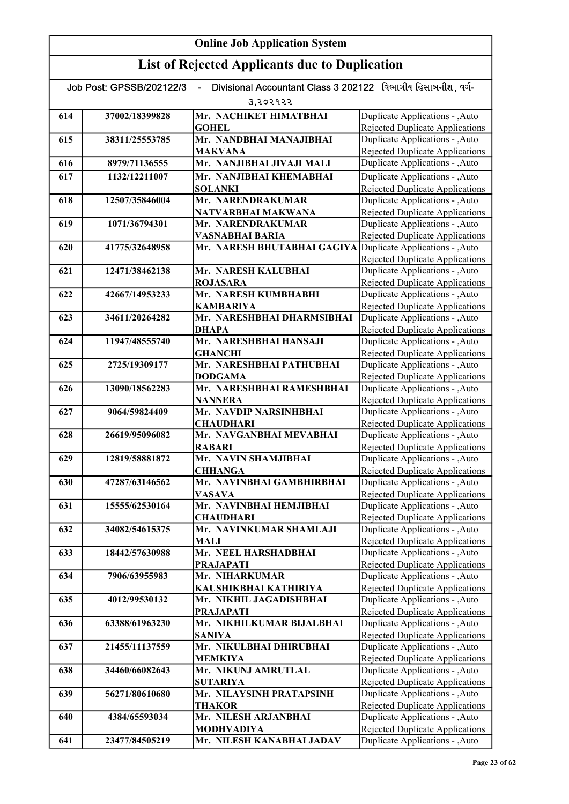# List of Rejected Applicants due to Duplication

| Divisional Accountant Class 3 202122 વિભાગીય હિસાબનીશ, વર્ગ-<br>Job Post: GPSSB/202122/3 |                |                                                |                                                                           |
|------------------------------------------------------------------------------------------|----------------|------------------------------------------------|---------------------------------------------------------------------------|
|                                                                                          |                | उ,२०२१२२                                       |                                                                           |
| 614                                                                                      | 37002/18399828 | Mr. NACHIKET HIMATBHAI                         | Duplicate Applications - , Auto                                           |
|                                                                                          |                | <b>GOHEL</b>                                   | Rejected Duplicate Applications                                           |
| 615                                                                                      | 38311/25553785 | Mr. NANDBHAI MANAJIBHAI                        | Duplicate Applications - , Auto                                           |
|                                                                                          |                | <b>MAKVANA</b>                                 | Rejected Duplicate Applications                                           |
| 616                                                                                      | 8979/71136555  | Mr. NANJIBHAI JIVAJI MALI                      | Duplicate Applications - , Auto                                           |
| 617                                                                                      | 1132/12211007  | Mr. NANJIBHAI KHEMABHAI                        | Duplicate Applications - , Auto                                           |
|                                                                                          |                | <b>SOLANKI</b>                                 | <b>Rejected Duplicate Applications</b>                                    |
| 618                                                                                      | 12507/35846004 | Mr. NARENDRAKUMAR                              | Duplicate Applications - , Auto                                           |
|                                                                                          |                | NATVARBHAI MAKWANA                             | <b>Rejected Duplicate Applications</b>                                    |
| 619                                                                                      | 1071/36794301  | Mr. NARENDRAKUMAR                              | Duplicate Applications - , Auto                                           |
|                                                                                          |                | VASNABHAI BARIA                                | <b>Rejected Duplicate Applications</b>                                    |
| 620                                                                                      | 41775/32648958 | Mr. NARESH BHUTABHAI GAGIYA                    | Duplicate Applications - , Auto                                           |
|                                                                                          |                |                                                | <b>Rejected Duplicate Applications</b>                                    |
| 621                                                                                      | 12471/38462138 | Mr. NARESH KALUBHAI                            | Duplicate Applications - , Auto                                           |
|                                                                                          |                | <b>ROJASARA</b>                                | <b>Rejected Duplicate Applications</b>                                    |
| 622                                                                                      | 42667/14953233 | Mr. NARESH KUMBHABHI                           | Duplicate Applications - , Auto                                           |
| 623                                                                                      | 34611/20264282 | <b>KAMBARIYA</b><br>Mr. NARESHBHAI DHARMSIBHAI | <b>Rejected Duplicate Applications</b><br>Duplicate Applications - , Auto |
|                                                                                          |                | <b>DHAPA</b>                                   | <b>Rejected Duplicate Applications</b>                                    |
| 624                                                                                      | 11947/48555740 | Mr. NARESHBHAI HANSAJI                         | Duplicate Applications - , Auto                                           |
|                                                                                          |                | <b>GHANCHI</b>                                 | Rejected Duplicate Applications                                           |
| 625                                                                                      | 2725/19309177  | Mr. NARESHBHAI PATHUBHAI                       | Duplicate Applications - , Auto                                           |
|                                                                                          |                | <b>DODGAMA</b>                                 | <b>Rejected Duplicate Applications</b>                                    |
| 626                                                                                      | 13090/18562283 | Mr. NARESHBHAI RAMESHBHAI                      | Duplicate Applications - , Auto                                           |
|                                                                                          |                | <b>NANNERA</b>                                 | <b>Rejected Duplicate Applications</b>                                    |
| 627                                                                                      | 9064/59824409  | Mr. NAVDIP NARSINHBHAI                         | Duplicate Applications - , Auto                                           |
|                                                                                          |                | <b>CHAUDHARI</b>                               | <b>Rejected Duplicate Applications</b>                                    |
| 628                                                                                      | 26619/95096082 | Mr. NAVGANBHAI MEVABHAI                        | Duplicate Applications - , Auto                                           |
|                                                                                          |                | <b>RABARI</b>                                  | <b>Rejected Duplicate Applications</b>                                    |
| 629                                                                                      | 12819/58881872 | Mr. NAVIN SHAMJIBHAI                           | Duplicate Applications - , Auto                                           |
|                                                                                          |                | <b>CHHANGA</b>                                 | Rejected Duplicate Applications                                           |
| 630                                                                                      | 47287/63146562 | Mr. NAVINBHAI GAMBHIRBHAI                      | Duplicate Applications - , Auto                                           |
| 631                                                                                      | 15555/62530164 | <b>VASAVA</b><br>Mr. NAVINBHAI HEMJIBHAI       | Rejected Duplicate Applications<br>Duplicate Applications - , Auto        |
|                                                                                          |                | <b>CHAUDHARI</b>                               | Rejected Duplicate Applications                                           |
| 632                                                                                      | 34082/54615375 | Mr. NAVINKUMAR SHAMLAJI                        | Duplicate Applications - ,Auto                                            |
|                                                                                          |                | <b>MALI</b>                                    | Rejected Duplicate Applications                                           |
| 633                                                                                      | 18442/57630988 | Mr. NEEL HARSHADBHAI                           | Duplicate Applications - , Auto                                           |
|                                                                                          |                | <b>PRAJAPATI</b>                               | <b>Rejected Duplicate Applications</b>                                    |
| 634                                                                                      | 7906/63955983  | Mr. NIHARKUMAR                                 | Duplicate Applications - , Auto                                           |
|                                                                                          |                | KAUSHIKBHAI KATHIRIYA                          | <b>Rejected Duplicate Applications</b>                                    |
| 635                                                                                      | 4012/99530132  | Mr. NIKHIL JAGADISHBHAI                        | Duplicate Applications - , Auto                                           |
|                                                                                          |                | <b>PRAJAPATI</b>                               | <b>Rejected Duplicate Applications</b>                                    |
| 636                                                                                      | 63388/61963230 | Mr. NIKHILKUMAR BIJALBHAI                      | Duplicate Applications - , Auto                                           |
|                                                                                          |                | <b>SANIYA</b>                                  | <b>Rejected Duplicate Applications</b>                                    |
| 637                                                                                      | 21455/11137559 | Mr. NIKULBHAI DHIRUBHAI                        | Duplicate Applications - , Auto                                           |
|                                                                                          |                | <b>MEMKIYA</b>                                 | Rejected Duplicate Applications                                           |
| 638                                                                                      | 34460/66082643 | Mr. NIKUNJ AMRUTLAL                            | Duplicate Applications - ,Auto                                            |
| 639                                                                                      | 56271/80610680 | <b>SUTARIYA</b><br>Mr. NILAYSINH PRATAPSINH    | Rejected Duplicate Applications<br>Duplicate Applications - , Auto        |
|                                                                                          |                | <b>THAKOR</b>                                  | Rejected Duplicate Applications                                           |
| 640                                                                                      | 4384/65593034  | Mr. NILESH ARJANBHAI                           | Duplicate Applications - , Auto                                           |
|                                                                                          |                | <b>MODHVADIYA</b>                              | Rejected Duplicate Applications                                           |
| 641                                                                                      | 23477/84505219 | Mr. NILESH KANABHAI JADAV                      | Duplicate Applications - , Auto                                           |

Rejected Duplicate Applications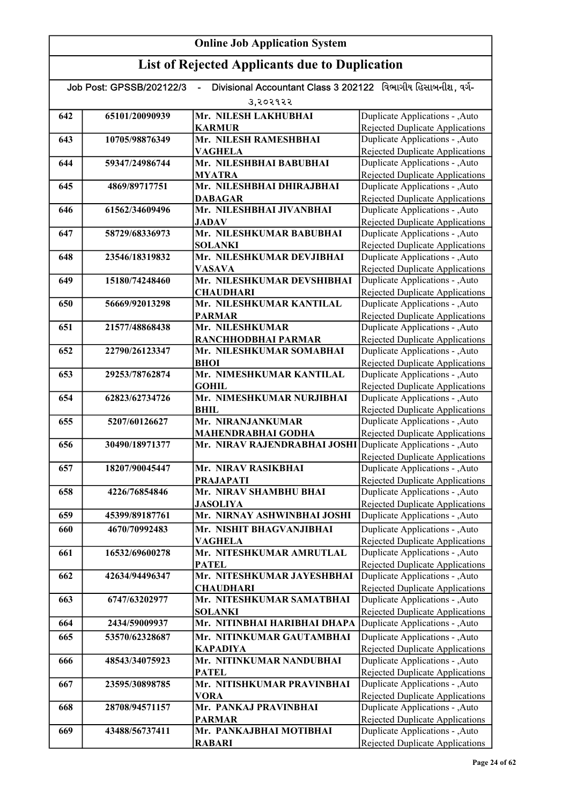| उ,२०२१२२<br>Duplicate Applications - , Auto<br>642<br>65101/20090939<br>Mr. NILESH LAKHUBHAI<br>Rejected Duplicate Applications<br><b>KARMUR</b><br>Duplicate Applications - , Auto<br>Mr. NILESH RAMESHBHAI<br>643<br>10705/98876349<br>Rejected Duplicate Applications<br><b>VAGHELA</b><br>Mr. NILESHBHAI BABUBHAI<br>Duplicate Applications - , Auto<br>644<br>59347/24986744<br><b>Rejected Duplicate Applications</b><br><b>MYATRA</b><br>Duplicate Applications - , Auto<br>Mr. NILESHBHAI DHIRAJBHAI<br>4869/89717751<br>645<br><b>Rejected Duplicate Applications</b><br><b>DABAGAR</b><br>Mr. NILESHBHAI JIVANBHAI<br>Duplicate Applications - , Auto<br>61562/34609496<br>646<br><b>JADAV</b><br>Rejected Duplicate Applications<br>Mr. NILESHKUMAR BABUBHAI<br>58729/68336973<br>Duplicate Applications - , Auto<br>647<br><b>SOLANKI</b><br><b>Rejected Duplicate Applications</b><br>Mr. NILESHKUMAR DEVJIBHAI<br>Duplicate Applications - , Auto<br>648<br>23546/18319832<br><b>VASAVA</b><br><b>Rejected Duplicate Applications</b><br>Mr. NILESHKUMAR DEVSHIBHAI<br>Duplicate Applications - , Auto<br>15180/74248460<br>649<br><b>Rejected Duplicate Applications</b><br><b>CHAUDHARI</b><br>Mr. NILESHKUMAR KANTILAL<br>Duplicate Applications - , Auto<br>650<br>56669/92013298<br><b>Rejected Duplicate Applications</b><br><b>PARMAR</b><br>Duplicate Applications - , Auto<br>Mr. NILESHKUMAR<br>651<br>21577/48868438<br>Rejected Duplicate Applications<br>RANCHHODBHAI PARMAR<br>Duplicate Applications - , Auto<br>652<br>22790/26123347<br>Mr. NILESHKUMAR SOMABHAI<br>Rejected Duplicate Applications<br><b>BHOI</b><br>Mr. NIMESHKUMAR KANTILAL<br>Duplicate Applications - , Auto<br>653<br>29253/78762874<br>Rejected Duplicate Applications<br><b>GOHIL</b><br>Mr. NIMESHKUMAR NURJIBHAI<br>Duplicate Applications - , Auto<br>654<br>62823/62734726<br>Rejected Duplicate Applications<br><b>BHIL</b><br>Mr. NIRANJANKUMAR<br>Duplicate Applications - , Auto<br>5207/60126627<br>655<br><b>Rejected Duplicate Applications</b><br><b>MAHENDRABHAI GODHA</b><br>Mr. NIRAV RAJENDRABHAI JOSHI<br>Duplicate Applications - , Auto<br>30490/18971377<br>656<br>Rejected Duplicate Applications<br>Mr. NIRAV RASIKBHAI<br>18207/90045447<br>Duplicate Applications - , Auto<br>657<br><b>Rejected Duplicate Applications</b><br><b>PRAJAPATI</b><br>Mr. NIRAV SHAMBHU BHAI<br>Duplicate Applications - , Auto<br>4226/76854846<br>658<br><b>Rejected Duplicate Applications</b><br><b>JASOLIYA</b><br>Duplicate Applications - , Auto<br>659<br>Mr. NIRNAY ASHWINBHAI JOSHI<br>45399/89187761<br>Duplicate Applications - , Auto<br>660<br>4670/70992483<br>Mr. NISHIT BHAGVANJIBHAI<br>Rejected Duplicate Applications<br><b>VAGHELA</b><br>Duplicate Applications - , Auto<br>Mr. NITESHKUMAR AMRUTLAL<br>661<br>16532/69600278<br><b>Rejected Duplicate Applications</b><br><b>PATEL</b><br>Duplicate Applications - , Auto<br>Mr. NITESHKUMAR JAYESHBHAI<br>662<br>42634/94496347<br>Rejected Duplicate Applications<br><b>CHAUDHARI</b><br>Mr. NITESHKUMAR SAMATBHAI<br>Duplicate Applications - , Auto<br>6747/63202977<br>663<br><b>Rejected Duplicate Applications</b><br><b>SOLANKI</b><br>Duplicate Applications - , Auto<br>Mr. NITINBHAI HARIBHAI DHAPA<br>2434/59009937<br>664<br>Duplicate Applications - , Auto<br>Mr. NITINKUMAR GAUTAMBHAI<br>665<br>53570/62328687<br>Rejected Duplicate Applications<br><b>KAPADIYA</b><br>Mr. NITINKUMAR NANDUBHAI<br>Duplicate Applications - , Auto<br>48543/34075923<br>666<br><b>PATEL</b><br>Rejected Duplicate Applications<br>Duplicate Applications - , Auto<br>Mr. NITISHKUMAR PRAVINBHAI<br>667<br>23595/30898785<br><b>VORA</b><br><b>Rejected Duplicate Applications</b><br>Mr. PANKAJ PRAVINBHAI<br>Duplicate Applications - , Auto<br>668<br>28708/94571157<br><b>Rejected Duplicate Applications</b><br><b>PARMAR</b><br>Duplicate Applications - , Auto<br>43488/56737411<br>Mr. PANKAJBHAI MOTIBHAI<br>669<br><b>RABARI</b><br>Rejected Duplicate Applications | Divisional Accountant Class 3 202122 વિભાગીય હિસાબનીશ. વર્ગ-<br>Job Post: GPSSB/202122/3<br>$\blacksquare$ |  |  |  |
|-------------------------------------------------------------------------------------------------------------------------------------------------------------------------------------------------------------------------------------------------------------------------------------------------------------------------------------------------------------------------------------------------------------------------------------------------------------------------------------------------------------------------------------------------------------------------------------------------------------------------------------------------------------------------------------------------------------------------------------------------------------------------------------------------------------------------------------------------------------------------------------------------------------------------------------------------------------------------------------------------------------------------------------------------------------------------------------------------------------------------------------------------------------------------------------------------------------------------------------------------------------------------------------------------------------------------------------------------------------------------------------------------------------------------------------------------------------------------------------------------------------------------------------------------------------------------------------------------------------------------------------------------------------------------------------------------------------------------------------------------------------------------------------------------------------------------------------------------------------------------------------------------------------------------------------------------------------------------------------------------------------------------------------------------------------------------------------------------------------------------------------------------------------------------------------------------------------------------------------------------------------------------------------------------------------------------------------------------------------------------------------------------------------------------------------------------------------------------------------------------------------------------------------------------------------------------------------------------------------------------------------------------------------------------------------------------------------------------------------------------------------------------------------------------------------------------------------------------------------------------------------------------------------------------------------------------------------------------------------------------------------------------------------------------------------------------------------------------------------------------------------------------------------------------------------------------------------------------------------------------------------------------------------------------------------------------------------------------------------------------------------------------------------------------------------------------------------------------------------------------------------------------------------------------------------------------------------------------------------------------------------------------------------------------------------------------------------------------------------------------------------------------------------------------------------------------------------------------------------------------------------------------------------------------------------------------------------------------------------------------------------------------------------------------------------------|------------------------------------------------------------------------------------------------------------|--|--|--|
|                                                                                                                                                                                                                                                                                                                                                                                                                                                                                                                                                                                                                                                                                                                                                                                                                                                                                                                                                                                                                                                                                                                                                                                                                                                                                                                                                                                                                                                                                                                                                                                                                                                                                                                                                                                                                                                                                                                                                                                                                                                                                                                                                                                                                                                                                                                                                                                                                                                                                                                                                                                                                                                                                                                                                                                                                                                                                                                                                                                                                                                                                                                                                                                                                                                                                                                                                                                                                                                                                                                                                                                                                                                                                                                                                                                                                                                                                                                                                                                                                                                                   |                                                                                                            |  |  |  |
|                                                                                                                                                                                                                                                                                                                                                                                                                                                                                                                                                                                                                                                                                                                                                                                                                                                                                                                                                                                                                                                                                                                                                                                                                                                                                                                                                                                                                                                                                                                                                                                                                                                                                                                                                                                                                                                                                                                                                                                                                                                                                                                                                                                                                                                                                                                                                                                                                                                                                                                                                                                                                                                                                                                                                                                                                                                                                                                                                                                                                                                                                                                                                                                                                                                                                                                                                                                                                                                                                                                                                                                                                                                                                                                                                                                                                                                                                                                                                                                                                                                                   |                                                                                                            |  |  |  |
|                                                                                                                                                                                                                                                                                                                                                                                                                                                                                                                                                                                                                                                                                                                                                                                                                                                                                                                                                                                                                                                                                                                                                                                                                                                                                                                                                                                                                                                                                                                                                                                                                                                                                                                                                                                                                                                                                                                                                                                                                                                                                                                                                                                                                                                                                                                                                                                                                                                                                                                                                                                                                                                                                                                                                                                                                                                                                                                                                                                                                                                                                                                                                                                                                                                                                                                                                                                                                                                                                                                                                                                                                                                                                                                                                                                                                                                                                                                                                                                                                                                                   |                                                                                                            |  |  |  |
|                                                                                                                                                                                                                                                                                                                                                                                                                                                                                                                                                                                                                                                                                                                                                                                                                                                                                                                                                                                                                                                                                                                                                                                                                                                                                                                                                                                                                                                                                                                                                                                                                                                                                                                                                                                                                                                                                                                                                                                                                                                                                                                                                                                                                                                                                                                                                                                                                                                                                                                                                                                                                                                                                                                                                                                                                                                                                                                                                                                                                                                                                                                                                                                                                                                                                                                                                                                                                                                                                                                                                                                                                                                                                                                                                                                                                                                                                                                                                                                                                                                                   |                                                                                                            |  |  |  |
|                                                                                                                                                                                                                                                                                                                                                                                                                                                                                                                                                                                                                                                                                                                                                                                                                                                                                                                                                                                                                                                                                                                                                                                                                                                                                                                                                                                                                                                                                                                                                                                                                                                                                                                                                                                                                                                                                                                                                                                                                                                                                                                                                                                                                                                                                                                                                                                                                                                                                                                                                                                                                                                                                                                                                                                                                                                                                                                                                                                                                                                                                                                                                                                                                                                                                                                                                                                                                                                                                                                                                                                                                                                                                                                                                                                                                                                                                                                                                                                                                                                                   |                                                                                                            |  |  |  |
|                                                                                                                                                                                                                                                                                                                                                                                                                                                                                                                                                                                                                                                                                                                                                                                                                                                                                                                                                                                                                                                                                                                                                                                                                                                                                                                                                                                                                                                                                                                                                                                                                                                                                                                                                                                                                                                                                                                                                                                                                                                                                                                                                                                                                                                                                                                                                                                                                                                                                                                                                                                                                                                                                                                                                                                                                                                                                                                                                                                                                                                                                                                                                                                                                                                                                                                                                                                                                                                                                                                                                                                                                                                                                                                                                                                                                                                                                                                                                                                                                                                                   |                                                                                                            |  |  |  |
|                                                                                                                                                                                                                                                                                                                                                                                                                                                                                                                                                                                                                                                                                                                                                                                                                                                                                                                                                                                                                                                                                                                                                                                                                                                                                                                                                                                                                                                                                                                                                                                                                                                                                                                                                                                                                                                                                                                                                                                                                                                                                                                                                                                                                                                                                                                                                                                                                                                                                                                                                                                                                                                                                                                                                                                                                                                                                                                                                                                                                                                                                                                                                                                                                                                                                                                                                                                                                                                                                                                                                                                                                                                                                                                                                                                                                                                                                                                                                                                                                                                                   |                                                                                                            |  |  |  |
|                                                                                                                                                                                                                                                                                                                                                                                                                                                                                                                                                                                                                                                                                                                                                                                                                                                                                                                                                                                                                                                                                                                                                                                                                                                                                                                                                                                                                                                                                                                                                                                                                                                                                                                                                                                                                                                                                                                                                                                                                                                                                                                                                                                                                                                                                                                                                                                                                                                                                                                                                                                                                                                                                                                                                                                                                                                                                                                                                                                                                                                                                                                                                                                                                                                                                                                                                                                                                                                                                                                                                                                                                                                                                                                                                                                                                                                                                                                                                                                                                                                                   |                                                                                                            |  |  |  |
|                                                                                                                                                                                                                                                                                                                                                                                                                                                                                                                                                                                                                                                                                                                                                                                                                                                                                                                                                                                                                                                                                                                                                                                                                                                                                                                                                                                                                                                                                                                                                                                                                                                                                                                                                                                                                                                                                                                                                                                                                                                                                                                                                                                                                                                                                                                                                                                                                                                                                                                                                                                                                                                                                                                                                                                                                                                                                                                                                                                                                                                                                                                                                                                                                                                                                                                                                                                                                                                                                                                                                                                                                                                                                                                                                                                                                                                                                                                                                                                                                                                                   |                                                                                                            |  |  |  |
|                                                                                                                                                                                                                                                                                                                                                                                                                                                                                                                                                                                                                                                                                                                                                                                                                                                                                                                                                                                                                                                                                                                                                                                                                                                                                                                                                                                                                                                                                                                                                                                                                                                                                                                                                                                                                                                                                                                                                                                                                                                                                                                                                                                                                                                                                                                                                                                                                                                                                                                                                                                                                                                                                                                                                                                                                                                                                                                                                                                                                                                                                                                                                                                                                                                                                                                                                                                                                                                                                                                                                                                                                                                                                                                                                                                                                                                                                                                                                                                                                                                                   |                                                                                                            |  |  |  |
|                                                                                                                                                                                                                                                                                                                                                                                                                                                                                                                                                                                                                                                                                                                                                                                                                                                                                                                                                                                                                                                                                                                                                                                                                                                                                                                                                                                                                                                                                                                                                                                                                                                                                                                                                                                                                                                                                                                                                                                                                                                                                                                                                                                                                                                                                                                                                                                                                                                                                                                                                                                                                                                                                                                                                                                                                                                                                                                                                                                                                                                                                                                                                                                                                                                                                                                                                                                                                                                                                                                                                                                                                                                                                                                                                                                                                                                                                                                                                                                                                                                                   |                                                                                                            |  |  |  |
|                                                                                                                                                                                                                                                                                                                                                                                                                                                                                                                                                                                                                                                                                                                                                                                                                                                                                                                                                                                                                                                                                                                                                                                                                                                                                                                                                                                                                                                                                                                                                                                                                                                                                                                                                                                                                                                                                                                                                                                                                                                                                                                                                                                                                                                                                                                                                                                                                                                                                                                                                                                                                                                                                                                                                                                                                                                                                                                                                                                                                                                                                                                                                                                                                                                                                                                                                                                                                                                                                                                                                                                                                                                                                                                                                                                                                                                                                                                                                                                                                                                                   |                                                                                                            |  |  |  |
|                                                                                                                                                                                                                                                                                                                                                                                                                                                                                                                                                                                                                                                                                                                                                                                                                                                                                                                                                                                                                                                                                                                                                                                                                                                                                                                                                                                                                                                                                                                                                                                                                                                                                                                                                                                                                                                                                                                                                                                                                                                                                                                                                                                                                                                                                                                                                                                                                                                                                                                                                                                                                                                                                                                                                                                                                                                                                                                                                                                                                                                                                                                                                                                                                                                                                                                                                                                                                                                                                                                                                                                                                                                                                                                                                                                                                                                                                                                                                                                                                                                                   |                                                                                                            |  |  |  |
|                                                                                                                                                                                                                                                                                                                                                                                                                                                                                                                                                                                                                                                                                                                                                                                                                                                                                                                                                                                                                                                                                                                                                                                                                                                                                                                                                                                                                                                                                                                                                                                                                                                                                                                                                                                                                                                                                                                                                                                                                                                                                                                                                                                                                                                                                                                                                                                                                                                                                                                                                                                                                                                                                                                                                                                                                                                                                                                                                                                                                                                                                                                                                                                                                                                                                                                                                                                                                                                                                                                                                                                                                                                                                                                                                                                                                                                                                                                                                                                                                                                                   |                                                                                                            |  |  |  |
|                                                                                                                                                                                                                                                                                                                                                                                                                                                                                                                                                                                                                                                                                                                                                                                                                                                                                                                                                                                                                                                                                                                                                                                                                                                                                                                                                                                                                                                                                                                                                                                                                                                                                                                                                                                                                                                                                                                                                                                                                                                                                                                                                                                                                                                                                                                                                                                                                                                                                                                                                                                                                                                                                                                                                                                                                                                                                                                                                                                                                                                                                                                                                                                                                                                                                                                                                                                                                                                                                                                                                                                                                                                                                                                                                                                                                                                                                                                                                                                                                                                                   |                                                                                                            |  |  |  |
|                                                                                                                                                                                                                                                                                                                                                                                                                                                                                                                                                                                                                                                                                                                                                                                                                                                                                                                                                                                                                                                                                                                                                                                                                                                                                                                                                                                                                                                                                                                                                                                                                                                                                                                                                                                                                                                                                                                                                                                                                                                                                                                                                                                                                                                                                                                                                                                                                                                                                                                                                                                                                                                                                                                                                                                                                                                                                                                                                                                                                                                                                                                                                                                                                                                                                                                                                                                                                                                                                                                                                                                                                                                                                                                                                                                                                                                                                                                                                                                                                                                                   |                                                                                                            |  |  |  |
|                                                                                                                                                                                                                                                                                                                                                                                                                                                                                                                                                                                                                                                                                                                                                                                                                                                                                                                                                                                                                                                                                                                                                                                                                                                                                                                                                                                                                                                                                                                                                                                                                                                                                                                                                                                                                                                                                                                                                                                                                                                                                                                                                                                                                                                                                                                                                                                                                                                                                                                                                                                                                                                                                                                                                                                                                                                                                                                                                                                                                                                                                                                                                                                                                                                                                                                                                                                                                                                                                                                                                                                                                                                                                                                                                                                                                                                                                                                                                                                                                                                                   |                                                                                                            |  |  |  |
|                                                                                                                                                                                                                                                                                                                                                                                                                                                                                                                                                                                                                                                                                                                                                                                                                                                                                                                                                                                                                                                                                                                                                                                                                                                                                                                                                                                                                                                                                                                                                                                                                                                                                                                                                                                                                                                                                                                                                                                                                                                                                                                                                                                                                                                                                                                                                                                                                                                                                                                                                                                                                                                                                                                                                                                                                                                                                                                                                                                                                                                                                                                                                                                                                                                                                                                                                                                                                                                                                                                                                                                                                                                                                                                                                                                                                                                                                                                                                                                                                                                                   |                                                                                                            |  |  |  |
|                                                                                                                                                                                                                                                                                                                                                                                                                                                                                                                                                                                                                                                                                                                                                                                                                                                                                                                                                                                                                                                                                                                                                                                                                                                                                                                                                                                                                                                                                                                                                                                                                                                                                                                                                                                                                                                                                                                                                                                                                                                                                                                                                                                                                                                                                                                                                                                                                                                                                                                                                                                                                                                                                                                                                                                                                                                                                                                                                                                                                                                                                                                                                                                                                                                                                                                                                                                                                                                                                                                                                                                                                                                                                                                                                                                                                                                                                                                                                                                                                                                                   |                                                                                                            |  |  |  |
|                                                                                                                                                                                                                                                                                                                                                                                                                                                                                                                                                                                                                                                                                                                                                                                                                                                                                                                                                                                                                                                                                                                                                                                                                                                                                                                                                                                                                                                                                                                                                                                                                                                                                                                                                                                                                                                                                                                                                                                                                                                                                                                                                                                                                                                                                                                                                                                                                                                                                                                                                                                                                                                                                                                                                                                                                                                                                                                                                                                                                                                                                                                                                                                                                                                                                                                                                                                                                                                                                                                                                                                                                                                                                                                                                                                                                                                                                                                                                                                                                                                                   |                                                                                                            |  |  |  |
|                                                                                                                                                                                                                                                                                                                                                                                                                                                                                                                                                                                                                                                                                                                                                                                                                                                                                                                                                                                                                                                                                                                                                                                                                                                                                                                                                                                                                                                                                                                                                                                                                                                                                                                                                                                                                                                                                                                                                                                                                                                                                                                                                                                                                                                                                                                                                                                                                                                                                                                                                                                                                                                                                                                                                                                                                                                                                                                                                                                                                                                                                                                                                                                                                                                                                                                                                                                                                                                                                                                                                                                                                                                                                                                                                                                                                                                                                                                                                                                                                                                                   |                                                                                                            |  |  |  |
|                                                                                                                                                                                                                                                                                                                                                                                                                                                                                                                                                                                                                                                                                                                                                                                                                                                                                                                                                                                                                                                                                                                                                                                                                                                                                                                                                                                                                                                                                                                                                                                                                                                                                                                                                                                                                                                                                                                                                                                                                                                                                                                                                                                                                                                                                                                                                                                                                                                                                                                                                                                                                                                                                                                                                                                                                                                                                                                                                                                                                                                                                                                                                                                                                                                                                                                                                                                                                                                                                                                                                                                                                                                                                                                                                                                                                                                                                                                                                                                                                                                                   |                                                                                                            |  |  |  |
|                                                                                                                                                                                                                                                                                                                                                                                                                                                                                                                                                                                                                                                                                                                                                                                                                                                                                                                                                                                                                                                                                                                                                                                                                                                                                                                                                                                                                                                                                                                                                                                                                                                                                                                                                                                                                                                                                                                                                                                                                                                                                                                                                                                                                                                                                                                                                                                                                                                                                                                                                                                                                                                                                                                                                                                                                                                                                                                                                                                                                                                                                                                                                                                                                                                                                                                                                                                                                                                                                                                                                                                                                                                                                                                                                                                                                                                                                                                                                                                                                                                                   |                                                                                                            |  |  |  |
|                                                                                                                                                                                                                                                                                                                                                                                                                                                                                                                                                                                                                                                                                                                                                                                                                                                                                                                                                                                                                                                                                                                                                                                                                                                                                                                                                                                                                                                                                                                                                                                                                                                                                                                                                                                                                                                                                                                                                                                                                                                                                                                                                                                                                                                                                                                                                                                                                                                                                                                                                                                                                                                                                                                                                                                                                                                                                                                                                                                                                                                                                                                                                                                                                                                                                                                                                                                                                                                                                                                                                                                                                                                                                                                                                                                                                                                                                                                                                                                                                                                                   |                                                                                                            |  |  |  |
|                                                                                                                                                                                                                                                                                                                                                                                                                                                                                                                                                                                                                                                                                                                                                                                                                                                                                                                                                                                                                                                                                                                                                                                                                                                                                                                                                                                                                                                                                                                                                                                                                                                                                                                                                                                                                                                                                                                                                                                                                                                                                                                                                                                                                                                                                                                                                                                                                                                                                                                                                                                                                                                                                                                                                                                                                                                                                                                                                                                                                                                                                                                                                                                                                                                                                                                                                                                                                                                                                                                                                                                                                                                                                                                                                                                                                                                                                                                                                                                                                                                                   |                                                                                                            |  |  |  |
|                                                                                                                                                                                                                                                                                                                                                                                                                                                                                                                                                                                                                                                                                                                                                                                                                                                                                                                                                                                                                                                                                                                                                                                                                                                                                                                                                                                                                                                                                                                                                                                                                                                                                                                                                                                                                                                                                                                                                                                                                                                                                                                                                                                                                                                                                                                                                                                                                                                                                                                                                                                                                                                                                                                                                                                                                                                                                                                                                                                                                                                                                                                                                                                                                                                                                                                                                                                                                                                                                                                                                                                                                                                                                                                                                                                                                                                                                                                                                                                                                                                                   |                                                                                                            |  |  |  |
|                                                                                                                                                                                                                                                                                                                                                                                                                                                                                                                                                                                                                                                                                                                                                                                                                                                                                                                                                                                                                                                                                                                                                                                                                                                                                                                                                                                                                                                                                                                                                                                                                                                                                                                                                                                                                                                                                                                                                                                                                                                                                                                                                                                                                                                                                                                                                                                                                                                                                                                                                                                                                                                                                                                                                                                                                                                                                                                                                                                                                                                                                                                                                                                                                                                                                                                                                                                                                                                                                                                                                                                                                                                                                                                                                                                                                                                                                                                                                                                                                                                                   |                                                                                                            |  |  |  |
|                                                                                                                                                                                                                                                                                                                                                                                                                                                                                                                                                                                                                                                                                                                                                                                                                                                                                                                                                                                                                                                                                                                                                                                                                                                                                                                                                                                                                                                                                                                                                                                                                                                                                                                                                                                                                                                                                                                                                                                                                                                                                                                                                                                                                                                                                                                                                                                                                                                                                                                                                                                                                                                                                                                                                                                                                                                                                                                                                                                                                                                                                                                                                                                                                                                                                                                                                                                                                                                                                                                                                                                                                                                                                                                                                                                                                                                                                                                                                                                                                                                                   |                                                                                                            |  |  |  |
|                                                                                                                                                                                                                                                                                                                                                                                                                                                                                                                                                                                                                                                                                                                                                                                                                                                                                                                                                                                                                                                                                                                                                                                                                                                                                                                                                                                                                                                                                                                                                                                                                                                                                                                                                                                                                                                                                                                                                                                                                                                                                                                                                                                                                                                                                                                                                                                                                                                                                                                                                                                                                                                                                                                                                                                                                                                                                                                                                                                                                                                                                                                                                                                                                                                                                                                                                                                                                                                                                                                                                                                                                                                                                                                                                                                                                                                                                                                                                                                                                                                                   |                                                                                                            |  |  |  |
|                                                                                                                                                                                                                                                                                                                                                                                                                                                                                                                                                                                                                                                                                                                                                                                                                                                                                                                                                                                                                                                                                                                                                                                                                                                                                                                                                                                                                                                                                                                                                                                                                                                                                                                                                                                                                                                                                                                                                                                                                                                                                                                                                                                                                                                                                                                                                                                                                                                                                                                                                                                                                                                                                                                                                                                                                                                                                                                                                                                                                                                                                                                                                                                                                                                                                                                                                                                                                                                                                                                                                                                                                                                                                                                                                                                                                                                                                                                                                                                                                                                                   |                                                                                                            |  |  |  |
|                                                                                                                                                                                                                                                                                                                                                                                                                                                                                                                                                                                                                                                                                                                                                                                                                                                                                                                                                                                                                                                                                                                                                                                                                                                                                                                                                                                                                                                                                                                                                                                                                                                                                                                                                                                                                                                                                                                                                                                                                                                                                                                                                                                                                                                                                                                                                                                                                                                                                                                                                                                                                                                                                                                                                                                                                                                                                                                                                                                                                                                                                                                                                                                                                                                                                                                                                                                                                                                                                                                                                                                                                                                                                                                                                                                                                                                                                                                                                                                                                                                                   |                                                                                                            |  |  |  |
|                                                                                                                                                                                                                                                                                                                                                                                                                                                                                                                                                                                                                                                                                                                                                                                                                                                                                                                                                                                                                                                                                                                                                                                                                                                                                                                                                                                                                                                                                                                                                                                                                                                                                                                                                                                                                                                                                                                                                                                                                                                                                                                                                                                                                                                                                                                                                                                                                                                                                                                                                                                                                                                                                                                                                                                                                                                                                                                                                                                                                                                                                                                                                                                                                                                                                                                                                                                                                                                                                                                                                                                                                                                                                                                                                                                                                                                                                                                                                                                                                                                                   |                                                                                                            |  |  |  |
|                                                                                                                                                                                                                                                                                                                                                                                                                                                                                                                                                                                                                                                                                                                                                                                                                                                                                                                                                                                                                                                                                                                                                                                                                                                                                                                                                                                                                                                                                                                                                                                                                                                                                                                                                                                                                                                                                                                                                                                                                                                                                                                                                                                                                                                                                                                                                                                                                                                                                                                                                                                                                                                                                                                                                                                                                                                                                                                                                                                                                                                                                                                                                                                                                                                                                                                                                                                                                                                                                                                                                                                                                                                                                                                                                                                                                                                                                                                                                                                                                                                                   |                                                                                                            |  |  |  |
|                                                                                                                                                                                                                                                                                                                                                                                                                                                                                                                                                                                                                                                                                                                                                                                                                                                                                                                                                                                                                                                                                                                                                                                                                                                                                                                                                                                                                                                                                                                                                                                                                                                                                                                                                                                                                                                                                                                                                                                                                                                                                                                                                                                                                                                                                                                                                                                                                                                                                                                                                                                                                                                                                                                                                                                                                                                                                                                                                                                                                                                                                                                                                                                                                                                                                                                                                                                                                                                                                                                                                                                                                                                                                                                                                                                                                                                                                                                                                                                                                                                                   |                                                                                                            |  |  |  |
|                                                                                                                                                                                                                                                                                                                                                                                                                                                                                                                                                                                                                                                                                                                                                                                                                                                                                                                                                                                                                                                                                                                                                                                                                                                                                                                                                                                                                                                                                                                                                                                                                                                                                                                                                                                                                                                                                                                                                                                                                                                                                                                                                                                                                                                                                                                                                                                                                                                                                                                                                                                                                                                                                                                                                                                                                                                                                                                                                                                                                                                                                                                                                                                                                                                                                                                                                                                                                                                                                                                                                                                                                                                                                                                                                                                                                                                                                                                                                                                                                                                                   |                                                                                                            |  |  |  |
|                                                                                                                                                                                                                                                                                                                                                                                                                                                                                                                                                                                                                                                                                                                                                                                                                                                                                                                                                                                                                                                                                                                                                                                                                                                                                                                                                                                                                                                                                                                                                                                                                                                                                                                                                                                                                                                                                                                                                                                                                                                                                                                                                                                                                                                                                                                                                                                                                                                                                                                                                                                                                                                                                                                                                                                                                                                                                                                                                                                                                                                                                                                                                                                                                                                                                                                                                                                                                                                                                                                                                                                                                                                                                                                                                                                                                                                                                                                                                                                                                                                                   |                                                                                                            |  |  |  |
|                                                                                                                                                                                                                                                                                                                                                                                                                                                                                                                                                                                                                                                                                                                                                                                                                                                                                                                                                                                                                                                                                                                                                                                                                                                                                                                                                                                                                                                                                                                                                                                                                                                                                                                                                                                                                                                                                                                                                                                                                                                                                                                                                                                                                                                                                                                                                                                                                                                                                                                                                                                                                                                                                                                                                                                                                                                                                                                                                                                                                                                                                                                                                                                                                                                                                                                                                                                                                                                                                                                                                                                                                                                                                                                                                                                                                                                                                                                                                                                                                                                                   |                                                                                                            |  |  |  |
|                                                                                                                                                                                                                                                                                                                                                                                                                                                                                                                                                                                                                                                                                                                                                                                                                                                                                                                                                                                                                                                                                                                                                                                                                                                                                                                                                                                                                                                                                                                                                                                                                                                                                                                                                                                                                                                                                                                                                                                                                                                                                                                                                                                                                                                                                                                                                                                                                                                                                                                                                                                                                                                                                                                                                                                                                                                                                                                                                                                                                                                                                                                                                                                                                                                                                                                                                                                                                                                                                                                                                                                                                                                                                                                                                                                                                                                                                                                                                                                                                                                                   |                                                                                                            |  |  |  |
|                                                                                                                                                                                                                                                                                                                                                                                                                                                                                                                                                                                                                                                                                                                                                                                                                                                                                                                                                                                                                                                                                                                                                                                                                                                                                                                                                                                                                                                                                                                                                                                                                                                                                                                                                                                                                                                                                                                                                                                                                                                                                                                                                                                                                                                                                                                                                                                                                                                                                                                                                                                                                                                                                                                                                                                                                                                                                                                                                                                                                                                                                                                                                                                                                                                                                                                                                                                                                                                                                                                                                                                                                                                                                                                                                                                                                                                                                                                                                                                                                                                                   |                                                                                                            |  |  |  |
|                                                                                                                                                                                                                                                                                                                                                                                                                                                                                                                                                                                                                                                                                                                                                                                                                                                                                                                                                                                                                                                                                                                                                                                                                                                                                                                                                                                                                                                                                                                                                                                                                                                                                                                                                                                                                                                                                                                                                                                                                                                                                                                                                                                                                                                                                                                                                                                                                                                                                                                                                                                                                                                                                                                                                                                                                                                                                                                                                                                                                                                                                                                                                                                                                                                                                                                                                                                                                                                                                                                                                                                                                                                                                                                                                                                                                                                                                                                                                                                                                                                                   |                                                                                                            |  |  |  |
|                                                                                                                                                                                                                                                                                                                                                                                                                                                                                                                                                                                                                                                                                                                                                                                                                                                                                                                                                                                                                                                                                                                                                                                                                                                                                                                                                                                                                                                                                                                                                                                                                                                                                                                                                                                                                                                                                                                                                                                                                                                                                                                                                                                                                                                                                                                                                                                                                                                                                                                                                                                                                                                                                                                                                                                                                                                                                                                                                                                                                                                                                                                                                                                                                                                                                                                                                                                                                                                                                                                                                                                                                                                                                                                                                                                                                                                                                                                                                                                                                                                                   |                                                                                                            |  |  |  |
|                                                                                                                                                                                                                                                                                                                                                                                                                                                                                                                                                                                                                                                                                                                                                                                                                                                                                                                                                                                                                                                                                                                                                                                                                                                                                                                                                                                                                                                                                                                                                                                                                                                                                                                                                                                                                                                                                                                                                                                                                                                                                                                                                                                                                                                                                                                                                                                                                                                                                                                                                                                                                                                                                                                                                                                                                                                                                                                                                                                                                                                                                                                                                                                                                                                                                                                                                                                                                                                                                                                                                                                                                                                                                                                                                                                                                                                                                                                                                                                                                                                                   |                                                                                                            |  |  |  |
|                                                                                                                                                                                                                                                                                                                                                                                                                                                                                                                                                                                                                                                                                                                                                                                                                                                                                                                                                                                                                                                                                                                                                                                                                                                                                                                                                                                                                                                                                                                                                                                                                                                                                                                                                                                                                                                                                                                                                                                                                                                                                                                                                                                                                                                                                                                                                                                                                                                                                                                                                                                                                                                                                                                                                                                                                                                                                                                                                                                                                                                                                                                                                                                                                                                                                                                                                                                                                                                                                                                                                                                                                                                                                                                                                                                                                                                                                                                                                                                                                                                                   |                                                                                                            |  |  |  |
|                                                                                                                                                                                                                                                                                                                                                                                                                                                                                                                                                                                                                                                                                                                                                                                                                                                                                                                                                                                                                                                                                                                                                                                                                                                                                                                                                                                                                                                                                                                                                                                                                                                                                                                                                                                                                                                                                                                                                                                                                                                                                                                                                                                                                                                                                                                                                                                                                                                                                                                                                                                                                                                                                                                                                                                                                                                                                                                                                                                                                                                                                                                                                                                                                                                                                                                                                                                                                                                                                                                                                                                                                                                                                                                                                                                                                                                                                                                                                                                                                                                                   |                                                                                                            |  |  |  |
|                                                                                                                                                                                                                                                                                                                                                                                                                                                                                                                                                                                                                                                                                                                                                                                                                                                                                                                                                                                                                                                                                                                                                                                                                                                                                                                                                                                                                                                                                                                                                                                                                                                                                                                                                                                                                                                                                                                                                                                                                                                                                                                                                                                                                                                                                                                                                                                                                                                                                                                                                                                                                                                                                                                                                                                                                                                                                                                                                                                                                                                                                                                                                                                                                                                                                                                                                                                                                                                                                                                                                                                                                                                                                                                                                                                                                                                                                                                                                                                                                                                                   |                                                                                                            |  |  |  |
|                                                                                                                                                                                                                                                                                                                                                                                                                                                                                                                                                                                                                                                                                                                                                                                                                                                                                                                                                                                                                                                                                                                                                                                                                                                                                                                                                                                                                                                                                                                                                                                                                                                                                                                                                                                                                                                                                                                                                                                                                                                                                                                                                                                                                                                                                                                                                                                                                                                                                                                                                                                                                                                                                                                                                                                                                                                                                                                                                                                                                                                                                                                                                                                                                                                                                                                                                                                                                                                                                                                                                                                                                                                                                                                                                                                                                                                                                                                                                                                                                                                                   |                                                                                                            |  |  |  |
|                                                                                                                                                                                                                                                                                                                                                                                                                                                                                                                                                                                                                                                                                                                                                                                                                                                                                                                                                                                                                                                                                                                                                                                                                                                                                                                                                                                                                                                                                                                                                                                                                                                                                                                                                                                                                                                                                                                                                                                                                                                                                                                                                                                                                                                                                                                                                                                                                                                                                                                                                                                                                                                                                                                                                                                                                                                                                                                                                                                                                                                                                                                                                                                                                                                                                                                                                                                                                                                                                                                                                                                                                                                                                                                                                                                                                                                                                                                                                                                                                                                                   |                                                                                                            |  |  |  |
|                                                                                                                                                                                                                                                                                                                                                                                                                                                                                                                                                                                                                                                                                                                                                                                                                                                                                                                                                                                                                                                                                                                                                                                                                                                                                                                                                                                                                                                                                                                                                                                                                                                                                                                                                                                                                                                                                                                                                                                                                                                                                                                                                                                                                                                                                                                                                                                                                                                                                                                                                                                                                                                                                                                                                                                                                                                                                                                                                                                                                                                                                                                                                                                                                                                                                                                                                                                                                                                                                                                                                                                                                                                                                                                                                                                                                                                                                                                                                                                                                                                                   |                                                                                                            |  |  |  |
|                                                                                                                                                                                                                                                                                                                                                                                                                                                                                                                                                                                                                                                                                                                                                                                                                                                                                                                                                                                                                                                                                                                                                                                                                                                                                                                                                                                                                                                                                                                                                                                                                                                                                                                                                                                                                                                                                                                                                                                                                                                                                                                                                                                                                                                                                                                                                                                                                                                                                                                                                                                                                                                                                                                                                                                                                                                                                                                                                                                                                                                                                                                                                                                                                                                                                                                                                                                                                                                                                                                                                                                                                                                                                                                                                                                                                                                                                                                                                                                                                                                                   |                                                                                                            |  |  |  |
|                                                                                                                                                                                                                                                                                                                                                                                                                                                                                                                                                                                                                                                                                                                                                                                                                                                                                                                                                                                                                                                                                                                                                                                                                                                                                                                                                                                                                                                                                                                                                                                                                                                                                                                                                                                                                                                                                                                                                                                                                                                                                                                                                                                                                                                                                                                                                                                                                                                                                                                                                                                                                                                                                                                                                                                                                                                                                                                                                                                                                                                                                                                                                                                                                                                                                                                                                                                                                                                                                                                                                                                                                                                                                                                                                                                                                                                                                                                                                                                                                                                                   |                                                                                                            |  |  |  |
|                                                                                                                                                                                                                                                                                                                                                                                                                                                                                                                                                                                                                                                                                                                                                                                                                                                                                                                                                                                                                                                                                                                                                                                                                                                                                                                                                                                                                                                                                                                                                                                                                                                                                                                                                                                                                                                                                                                                                                                                                                                                                                                                                                                                                                                                                                                                                                                                                                                                                                                                                                                                                                                                                                                                                                                                                                                                                                                                                                                                                                                                                                                                                                                                                                                                                                                                                                                                                                                                                                                                                                                                                                                                                                                                                                                                                                                                                                                                                                                                                                                                   |                                                                                                            |  |  |  |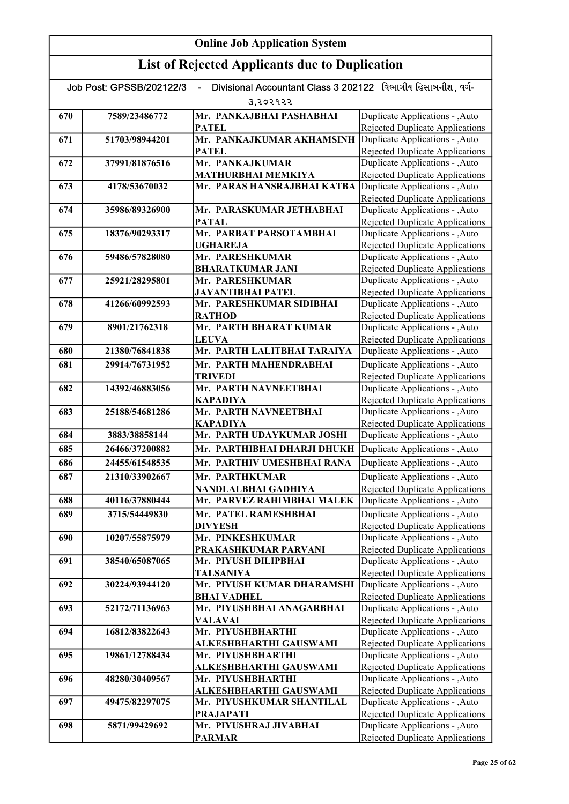| Divisional Accountant Class 3 202122 વિભાગીય હિસાબનીશ, વર્ગ-<br>Job Post: GPSSB/202122/3<br>ä, |                |                                                 |                                                                           |
|------------------------------------------------------------------------------------------------|----------------|-------------------------------------------------|---------------------------------------------------------------------------|
|                                                                                                |                | उ,२०२१२२                                        |                                                                           |
| 670                                                                                            | 7589/23486772  | Mr. PANKAJBHAI PASHABHAI                        | Duplicate Applications - , Auto                                           |
|                                                                                                |                | <b>PATEL</b>                                    | Rejected Duplicate Applications                                           |
| 671                                                                                            | 51703/98944201 | Mr. PANKAJKUMAR AKHAMSINH                       | Duplicate Applications - , Auto                                           |
|                                                                                                |                | <b>PATEL</b>                                    | <b>Rejected Duplicate Applications</b>                                    |
| 672                                                                                            | 37991/81876516 | Mr. PANKAJKUMAR                                 | Duplicate Applications - , Auto                                           |
|                                                                                                |                | MATHURBHAI MEMKIYA                              | <b>Rejected Duplicate Applications</b>                                    |
| 673                                                                                            | 4178/53670032  | Mr. PARAS HANSRAJBHAI KATBA                     | Duplicate Applications - , Auto                                           |
| 674                                                                                            | 35986/89326900 | Mr. PARASKUMAR JETHABHAI                        | <b>Rejected Duplicate Applications</b><br>Duplicate Applications - , Auto |
|                                                                                                |                | <b>PATAL</b>                                    | <b>Rejected Duplicate Applications</b>                                    |
| 675                                                                                            | 18376/90293317 | Mr. PARBAT PARSOTAMBHAI                         | Duplicate Applications - , Auto                                           |
|                                                                                                |                | <b>UGHAREJA</b>                                 | <b>Rejected Duplicate Applications</b>                                    |
| 676                                                                                            | 59486/57828080 | Mr. PARESHKUMAR                                 | Duplicate Applications - , Auto                                           |
|                                                                                                |                | <b>BHARATKUMAR JANI</b>                         | Rejected Duplicate Applications                                           |
| 677                                                                                            | 25921/28295801 | Mr. PARESHKUMAR                                 | Duplicate Applications - , Auto                                           |
|                                                                                                |                | <b>JAYANTIBHAI PATEL</b>                        | <b>Rejected Duplicate Applications</b>                                    |
| 678                                                                                            | 41266/60992593 | Mr. PARESHKUMAR SIDIBHAI                        | Duplicate Applications - , Auto                                           |
|                                                                                                |                | <b>RATHOD</b>                                   | <b>Rejected Duplicate Applications</b>                                    |
| 679                                                                                            | 8901/21762318  | Mr. PARTH BHARAT KUMAR                          | Duplicate Applications - , Auto                                           |
|                                                                                                |                | <b>LEUVA</b>                                    | Rejected Duplicate Applications                                           |
| 680                                                                                            | 21380/76841838 | Mr. PARTH LALITBHAI TARAIYA                     | Duplicate Applications - , Auto                                           |
| 681                                                                                            | 29914/76731952 | Mr. PARTH MAHENDRABHAI                          | Duplicate Applications - , Auto                                           |
|                                                                                                |                | TRIVEDI                                         | <b>Rejected Duplicate Applications</b><br>Duplicate Applications - , Auto |
| 682                                                                                            | 14392/46883056 | Mr. PARTH NAVNEETBHAI<br><b>KAPADIYA</b>        | Rejected Duplicate Applications                                           |
| 683                                                                                            | 25188/54681286 | Mr. PARTH NAVNEETBHAI                           | Duplicate Applications - , Auto                                           |
|                                                                                                |                | <b>KAPADIYA</b>                                 | <b>Rejected Duplicate Applications</b>                                    |
| 684                                                                                            | 3883/38858144  | Mr. PARTH UDAYKUMAR JOSHI                       | Duplicate Applications - ,Auto                                            |
| 685                                                                                            | 26466/37200882 | Mr. PARTHIBHAI DHARJI DHUKH                     | Duplicate Applications - , Auto                                           |
| 686                                                                                            | 24455/61548535 | Mr. PARTHIV UMESHBHAI RANA                      | Duplicate Applications - , Auto                                           |
| 687                                                                                            | 21310/33902667 | Mr. PARTHKUMAR                                  | Duplicate Applications - , Auto                                           |
|                                                                                                |                | NANDLALBHAI GADHIYA                             | <b>Rejected Duplicate Applications</b>                                    |
| 688                                                                                            | 40116/37880444 | Mr. PARVEZ RAHIMBHAI MALEK                      | Duplicate Applications - ,Auto                                            |
| 689                                                                                            | 3715/54449830  | Mr. PATEL RAMESHBHAI                            | Duplicate Applications - , Auto                                           |
|                                                                                                |                | <b>DIVYESH</b>                                  | Rejected Duplicate Applications                                           |
| 690                                                                                            | 10207/55875979 | Mr. PINKESHKUMAR                                | Duplicate Applications - , Auto                                           |
|                                                                                                |                | PRAKASHKUMAR PARVANI                            | <b>Rejected Duplicate Applications</b>                                    |
| 691                                                                                            | 38540/65087065 | Mr. PIYUSH DILIPBHAI                            | Duplicate Applications - , Auto                                           |
|                                                                                                |                | <b>TALSANIYA</b>                                | <b>Rejected Duplicate Applications</b>                                    |
| 692                                                                                            | 30224/93944120 | Mr. PIYUSH KUMAR DHARAMSHI                      | Duplicate Applications - , Auto                                           |
|                                                                                                | 52172/71136963 | <b>BHAI VADHEL</b><br>Mr. PIYUSHBHAI ANAGARBHAI | <b>Rejected Duplicate Applications</b>                                    |
| 693                                                                                            |                | <b>VALAVAI</b>                                  | Duplicate Applications - , Auto<br><b>Rejected Duplicate Applications</b> |
| 694                                                                                            | 16812/83822643 | Mr. PIYUSHBHARTHI                               | Duplicate Applications - , Auto                                           |
|                                                                                                |                | ALKESHBHARTHI GAUSWAMI                          | <b>Rejected Duplicate Applications</b>                                    |
| 695                                                                                            | 19861/12788434 | Mr. PIYUSHBHARTHI                               | Duplicate Applications - , Auto                                           |
|                                                                                                |                | ALKESHBHARTHI GAUSWAMI                          | <b>Rejected Duplicate Applications</b>                                    |
| 696                                                                                            | 48280/30409567 | Mr. PIYUSHBHARTHI                               | Duplicate Applications - , Auto                                           |
|                                                                                                |                | ALKESHBHARTHI GAUSWAMI                          | <b>Rejected Duplicate Applications</b>                                    |
| 697                                                                                            | 49475/82297075 | Mr. PIYUSHKUMAR SHANTILAL                       | Duplicate Applications - , Auto                                           |
|                                                                                                |                | <b>PRAJAPATI</b>                                | <b>Rejected Duplicate Applications</b>                                    |
| 698                                                                                            | 5871/99429692  | Mr. PIYUSHRAJ JIVABHAI                          | Duplicate Applications - , Auto                                           |
|                                                                                                |                | <b>PARMAR</b>                                   | <b>Rejected Duplicate Applications</b>                                    |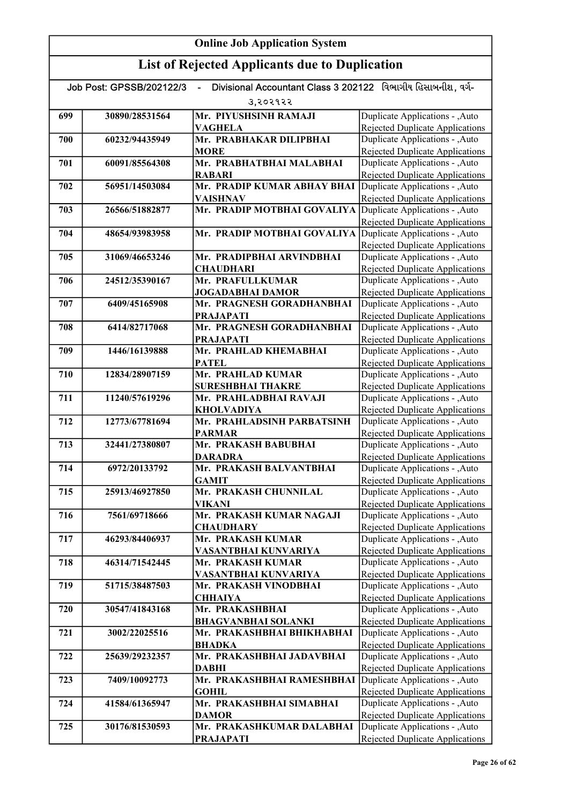|     | Job Post: GPSSB/202122/3 | Divisional Accountant Class 3 202122 વિભાગીય હિસાબનીશ. વર્ગ- |                                                                           |
|-----|--------------------------|--------------------------------------------------------------|---------------------------------------------------------------------------|
|     |                          | 3,२०२१२२                                                     |                                                                           |
| 699 | 30890/28531564           | Mr. PIYUSHSINH RAMAJI                                        | Duplicate Applications - , Auto                                           |
|     |                          | <b>VAGHELA</b>                                               | Rejected Duplicate Applications                                           |
| 700 | 60232/94435949           | Mr. PRABHAKAR DILIPBHAI                                      | Duplicate Applications - , Auto                                           |
|     |                          | <b>MORE</b>                                                  | Rejected Duplicate Applications                                           |
| 701 | 60091/85564308           | Mr. PRABHATBHAI MALABHAI                                     | Duplicate Applications - , Auto                                           |
|     |                          | <b>RABARI</b>                                                | Rejected Duplicate Applications                                           |
| 702 | 56951/14503084           | Mr. PRADIP KUMAR ABHAY BHAI                                  | Duplicate Applications - , Auto                                           |
|     |                          | <b>VAISHNAV</b>                                              | Rejected Duplicate Applications                                           |
| 703 | 26566/51882877           | Mr. PRADIP MOTBHAI GOVALIYA                                  | Duplicate Applications - , Auto                                           |
|     |                          |                                                              | Rejected Duplicate Applications                                           |
| 704 | 48654/93983958           | Mr. PRADIP MOTBHAI GOVALIYA                                  | Duplicate Applications - , Auto<br><b>Rejected Duplicate Applications</b> |
| 705 | 31069/46653246           | Mr. PRADIPBHAI ARVINDBHAI                                    | Duplicate Applications - , Auto                                           |
|     |                          | <b>CHAUDHARI</b>                                             | Rejected Duplicate Applications                                           |
| 706 | 24512/35390167           | Mr. PRAFULLKUMAR                                             | Duplicate Applications - , Auto                                           |
|     |                          | <b>JOGADABHAI DAMOR</b>                                      | Rejected Duplicate Applications                                           |
| 707 | 6409/45165908            | Mr. PRAGNESH GORADHANBHAI                                    | Duplicate Applications - , Auto                                           |
|     |                          | <b>PRAJAPATI</b>                                             | Rejected Duplicate Applications                                           |
| 708 | 6414/82717068            | Mr. PRAGNESH GORADHANBHAI                                    | Duplicate Applications - , Auto                                           |
|     |                          | <b>PRAJAPATI</b>                                             | Rejected Duplicate Applications                                           |
| 709 | 1446/16139888            | Mr. PRAHLAD KHEMABHAI                                        | Duplicate Applications - , Auto                                           |
|     |                          | <b>PATEL</b>                                                 | Rejected Duplicate Applications                                           |
| 710 | 12834/28907159           | Mr. PRAHLAD KUMAR                                            | Duplicate Applications - ,Auto                                            |
|     |                          | <b>SURESHBHAI THAKRE</b>                                     | Rejected Duplicate Applications                                           |
| 711 | 11240/57619296           | Mr. PRAHLADBHAI RAVAJI                                       | Duplicate Applications - ,Auto                                            |
|     |                          | <b>KHOLVADIYA</b>                                            | Rejected Duplicate Applications                                           |
| 712 | 12773/67781694           | Mr. PRAHLADSINH PARBATSINH                                   | Duplicate Applications - , Auto                                           |
|     |                          | <b>PARMAR</b>                                                | Rejected Duplicate Applications                                           |
| 713 | 32441/27380807           | Mr. PRAKASH BABUBHAI                                         | Duplicate Applications - , Auto                                           |
|     |                          | <b>DARADRA</b>                                               | Rejected Duplicate Applications                                           |
| 714 | 6972/20133792            | Mr. PRAKASH BALVANTBHAI                                      | Duplicate Applications - , Auto                                           |
|     |                          | <b>GAMIT</b>                                                 | Rejected Duplicate Applications                                           |
| 715 | 25913/46927850           | Mr. PRAKASH CHUNNILAL                                        | Duplicate Applications - , Auto                                           |
|     |                          | <b>VIKANI</b>                                                | Rejected Duplicate Applications                                           |
| 716 | 7561/69718666            | Mr. PRAKASH KUMAR NAGAJI                                     | Duplicate Applications - , Auto                                           |
|     |                          | <b>CHAUDHARY</b>                                             | <b>Rejected Duplicate Applications</b>                                    |
| 717 | 46293/84406937           | Mr. PRAKASH KUMAR                                            | Duplicate Applications - , Auto                                           |
|     |                          | VASANTBHAI KUNVARIYA                                         | <b>Rejected Duplicate Applications</b>                                    |
| 718 | 46314/71542445           | Mr. PRAKASH KUMAR                                            | Duplicate Applications - , Auto                                           |
|     |                          | VASANTBHAI KUNVARIYA                                         | Rejected Duplicate Applications                                           |
| 719 | 51715/38487503           | Mr. PRAKASH VINODBHAI<br><b>CHHAIYA</b>                      | Duplicate Applications - ,Auto                                            |
| 720 | 30547/41843168           | Mr. PRAKASHBHAI                                              | <b>Rejected Duplicate Applications</b><br>Duplicate Applications - ,Auto  |
|     |                          | <b>BHAGVANBHAI SOLANKI</b>                                   | <b>Rejected Duplicate Applications</b>                                    |
| 721 | 3002/22025516            | Mr. PRAKASHBHAI BHIKHABHAI                                   | Duplicate Applications - , Auto                                           |
|     |                          | <b>BHADKA</b>                                                | Rejected Duplicate Applications                                           |
| 722 | 25639/29232357           | Mr. PRAKASHBHAI JADAVBHAI                                    | Duplicate Applications - , Auto                                           |
|     |                          | <b>DABHI</b>                                                 | Rejected Duplicate Applications                                           |
| 723 | 7409/10092773            | Mr. PRAKASHBHAI RAMESHBHAI                                   | Duplicate Applications - , Auto                                           |
|     |                          | <b>GOHIL</b>                                                 | Rejected Duplicate Applications                                           |
| 724 | 41584/61365947           | Mr. PRAKASHBHAI SIMABHAI                                     | Duplicate Applications - , Auto                                           |
|     |                          | <b>DAMOR</b>                                                 | Rejected Duplicate Applications                                           |
| 725 | 30176/81530593           | Mr. PRAKASHKUMAR DALABHAI                                    | Duplicate Applications - , Auto                                           |
|     |                          | <b>PRAJAPATI</b>                                             | Rejected Duplicate Applications                                           |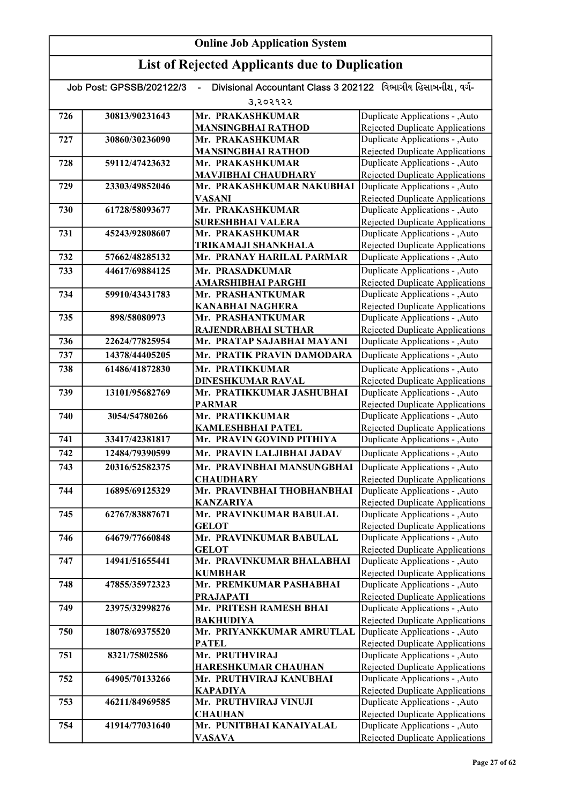#### Online Job Application System List of Rejected Applicants due to Duplication Job Post: GPSSB/202122/3 - Divisional Accountant Class 3 202122 વિભાગીય હિસાબનીશ, વર્ગ-૩,૨૦૨૧૨૨ 726 30813/90231643 Mr. PRAKASHKUMAR MANSINGBHAI RATHOD 727 30860/30236090 Mr. PRAKASHKUMAR MANSINGBHAI RATHOD 728 59112/47423632 Mr. PRAKASHKUMAR MAVJIBHAI CHAUDHARY 729 23303/49852046 Mr. PRAKASHKUMAR NAKUBHAI VASANI 730 61728/58093677 Mr. PRAKASHKUMAR SURESHBHAI VALERA 731 45243/92808607 Mr. PRAKASHKUMAR TRIKAMAJI SHANKHALA 732 57662/48285132 Mr. PRANAY HARILAL PARMAR 733 44617/69884125 Mr. PRASADKUMAR AMARSHIBHAI PARGHI 734 59910/43431783 Mr. PRASHANTKUMAR KANABHAI NAGHERA 735 898/58080973 Mr. PRASHANTKUMAR RAJENDRABHAI SUTHAR 736 22624/77825954 Mr. PRATAP SAJABHAI MAYANI 737 14378/44405205 Mr. PRATIK PRAVIN DAMODARA 738 61486/41872830 Mr. PRATIKKUMAR DINESHKUMAR RAVAL 739 13101/95682769 Mr. PRATIKKUMAR JASHUBHAI PARMAR 740 3054/54780266 Mr. PRATIKKUMAR KAMLESHBHAI PATEL 741 33417/42381817 Mr. PRAVIN GOVIND PITHIYA 742 12484/79390599 Mr. PRAVIN LALJIBHAI JADAV 743 20316/52582375 Mr. PRAVINBHAI MANSUNGBHAI **CHAUDHARY** 744 16895/69125329 Mr. PRAVINBHAI THOBHANBHAI KANZARIYA 745 62767/83887671 Mr. PRAVINKUMAR BABULAL **GELOT** 746 64679/77660848 Mr. PRAVINKUMAR BABULAL **GELOT** 747 14941/51655441 Mr. PRAVINKUMAR BHALABHAI KUMBHAR 748 47855/35972323 Mr. PREMKUMAR PASHABHAI PRAJAPATI 749 23975/32998276 Mr. PRITESH RAMESH BHAI BAKHUDIYA 750 18078/69375520 Mr. PRIYANKKUMAR AMRUTLAL PATEL 751 8321/75802586 Mr. PRUTHVIRAJ HARESHKUMAR CHAUHAN 752 64905/70133266 Mr. PRUTHVIRAJ KANUBHAI KAPADIYA 753 46211/84969585 Mr. PRUTHVIRAJ VINUJI **CHAUHAN** 754 41914/77031640 Mr. PUNITBHAI KANAIYALAL VASAVA Duplicate Applications - ,Auto Rejected Duplicate Applications Duplicate Applications - ,Auto Rejected Duplicate Applications Duplicate Applications - ,Auto Rejected Duplicate Applications Duplicate Applications - ,Auto Rejected Duplicate Applications Duplicate Applications - ,Auto Rejected Duplicate Applications Duplicate Applications - ,Auto Rejected Duplicate Applications Duplicate Applications - ,Auto Rejected Duplicate Applications Duplicate Applications - ,Auto Rejected Duplicate Applications Duplicate Applications - ,Auto Rejected Duplicate Applications Duplicate Applications - ,Auto Rejected Duplicate Applications Duplicate Applications - ,Auto Rejected Duplicate Applications Duplicate Applications - ,Auto Rejected Duplicate Applications Duplicate Applications - ,Auto **Duplicate Applications - ,Auto Duplicate Applications - ,Auto** Rejected Duplicate Applications Duplicate Applications - ,Auto Rejected Duplicate Applications Duplicate Applications - , Auto Rejected Duplicate Applications Duplicate Applications - ,Auto Rejected Duplicate Applications Duplicate Applications - ,Auto Rejected Duplicate Applications Duplicate Applications - ,Auto **Duplicate Applications - ,Auto Duplicate Applications - ,Auto** Rejected Duplicate Applications Duplicate Applications - ,Auto Rejected Duplicate Applications Duplicate Applications - ,Auto Rejected Duplicate Applications Duplicate Applications - ,Auto Rejected Duplicate Applications Duplicate Applications - ,Auto Rejected Duplicate Applications Duplicate Applications - ,Auto Rejected Duplicate Applications Duplicate Applications - ,Auto Duplicate Applications - ,Auto Rejected Duplicate Applications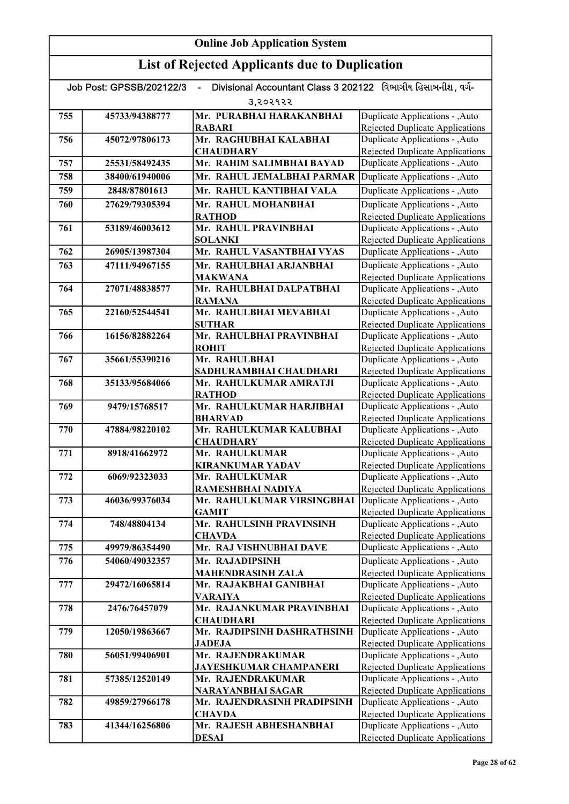|     | Job Post: GPSSB/202122/3 | Divisional Accountant Class 3 202122 વિભાગીય હિસાબનીશ, વર્ગ- |                                                                           |
|-----|--------------------------|--------------------------------------------------------------|---------------------------------------------------------------------------|
|     |                          | उ,२०२१२२                                                     |                                                                           |
| 755 | 45733/94388777           | Mr. PURABHAI HARAKANBHAI<br><b>RABARI</b>                    | Duplicate Applications - , Auto<br><b>Rejected Duplicate Applications</b> |
| 756 | 45072/97806173           | Mr. RAGHUBHAI KALABHAI<br><b>CHAUDHARY</b>                   | Duplicate Applications - , Auto<br><b>Rejected Duplicate Applications</b> |
| 757 | 25531/58492435           | Mr. RAHIM SALIMBHAI BAYAD                                    | Duplicate Applications - ,Auto                                            |
| 758 | 38400/61940006           | Mr. RAHUL JEMALBHAI PARMAR                                   | Duplicate Applications - , Auto                                           |
| 759 | 2848/87801613            | Mr. RAHUL KANTIBHAI VALA                                     | Duplicate Applications - , Auto                                           |
| 760 | 27629/79305394           | Mr. RAHUL MOHANBHAI                                          | Duplicate Applications - , Auto                                           |
|     |                          | <b>RATHOD</b>                                                | Rejected Duplicate Applications                                           |
| 761 | 53189/46003612           | Mr. RAHUL PRAVINBHAI                                         | Duplicate Applications - , Auto                                           |
|     |                          | <b>SOLANKI</b>                                               | Rejected Duplicate Applications                                           |
| 762 | 26905/13987304           | Mr. RAHUL VASANTBHAI VYAS                                    | Duplicate Applications - , Auto                                           |
| 763 | 47111/94967155           | Mr. RAHULBHAI ARJANBHAI                                      | Duplicate Applications - , Auto                                           |
| 764 | 27071/48838577           | <b>MAKWANA</b><br>Mr. RAHULBHAI DALPATBHAI                   | <b>Rejected Duplicate Applications</b><br>Duplicate Applications - , Auto |
|     |                          | <b>RAMANA</b>                                                | <b>Rejected Duplicate Applications</b>                                    |
| 765 | 22160/52544541           | Mr. RAHULBHAI MEVABHAI                                       | Duplicate Applications - , Auto                                           |
|     |                          | <b>SUTHAR</b>                                                | Rejected Duplicate Applications                                           |
| 766 | 16156/82882264           | Mr. RAHULBHAI PRAVINBHAI                                     | Duplicate Applications - ,Auto                                            |
|     |                          | <b>ROHIT</b>                                                 | <b>Rejected Duplicate Applications</b>                                    |
| 767 | 35661/55390216           | Mr. RAHULBHAI                                                | Duplicate Applications - , Auto                                           |
| 768 | 35133/95684066           | SADHURAMBHAI CHAUDHARI<br>Mr. RAHULKUMAR AMRATJI             | <b>Rejected Duplicate Applications</b><br>Duplicate Applications - , Auto |
|     |                          | <b>RATHOD</b>                                                | <b>Rejected Duplicate Applications</b>                                    |
| 769 | 9479/15768517            | Mr. RAHULKUMAR HARJIBHAI                                     | Duplicate Applications - , Auto                                           |
|     |                          | <b>BHARVAD</b>                                               | Rejected Duplicate Applications                                           |
| 770 | 47884/98220102           | Mr. RAHULKUMAR KALUBHAI                                      | Duplicate Applications - , Auto                                           |
|     |                          | <b>CHAUDHARY</b>                                             | Rejected Duplicate Applications                                           |
| 771 | 8918/41662972            | Mr. RAHULKUMAR                                               | Duplicate Applications - , Auto                                           |
| 772 | 6069/92323033            | <b>KIRANKUMAR YADAV</b><br>Mr. RAHULKUMAR                    | <b>Rejected Duplicate Applications</b><br>Duplicate Applications - , Auto |
|     |                          | RAMESHBHAI NADIYA                                            | <b>Rejected Duplicate Applications</b>                                    |
| 773 | 46036/99376034           | Mr. RAHULKUMAR VIRSINGBHAI                                   | Duplicate Applications - ,Auto                                            |
|     |                          | <b>GAMIT</b>                                                 | <b>Rejected Duplicate Applications</b>                                    |
| 774 | 748/48804134             | Mr. RAHULSINH PRAVINSINH                                     | Duplicate Applications - , Auto                                           |
|     |                          | <b>CHAVDA</b>                                                | <b>Rejected Duplicate Applications</b>                                    |
| 775 | 49979/86354490           | Mr. RAJ VISHNUBHAI DAVE                                      | Duplicate Applications - , Auto                                           |
| 776 | 54060/49032357           | Mr. RAJADIPSINH<br><b>MAHENDRASINH ZALA</b>                  | Duplicate Applications - , Auto<br>Rejected Duplicate Applications        |
| 777 | 29472/16065814           | Mr. RAJAKBHAI GANIBHAI                                       | Duplicate Applications - , Auto                                           |
|     |                          | <b>VARAIYA</b>                                               | Rejected Duplicate Applications                                           |
| 778 | 2476/76457079            | Mr. RAJANKUMAR PRAVINBHAI                                    | Duplicate Applications - , Auto                                           |
|     |                          | <b>CHAUDHARI</b>                                             | Rejected Duplicate Applications                                           |
| 779 | 12050/19863667           | Mr. RAJDIPSINH DASHRATHSINH                                  | Duplicate Applications - , Auto                                           |
|     |                          | <b>JADEJA</b><br>Mr. RAJENDRAKUMAR                           | <b>Rejected Duplicate Applications</b>                                    |
| 780 | 56051/99406901           | <b>JAYESHKUMAR CHAMPANERI</b>                                | Duplicate Applications - , Auto<br><b>Rejected Duplicate Applications</b> |
| 781 | 57385/12520149           | Mr. RAJENDRAKUMAR                                            | Duplicate Applications - , Auto                                           |
|     |                          | NARAYANBHAI SAGAR                                            | <b>Rejected Duplicate Applications</b>                                    |
| 782 | 49859/27966178           | Mr. RAJENDRASINH PRADIPSINH                                  | Duplicate Applications - , Auto                                           |
|     |                          | <b>CHAVDA</b>                                                | Rejected Duplicate Applications                                           |
| 783 | 41344/16256806           | Mr. RAJESH ABHESHANBHAI                                      | Duplicate Applications - , Auto                                           |
|     |                          | <b>DESAI</b>                                                 | <b>Rejected Duplicate Applications</b>                                    |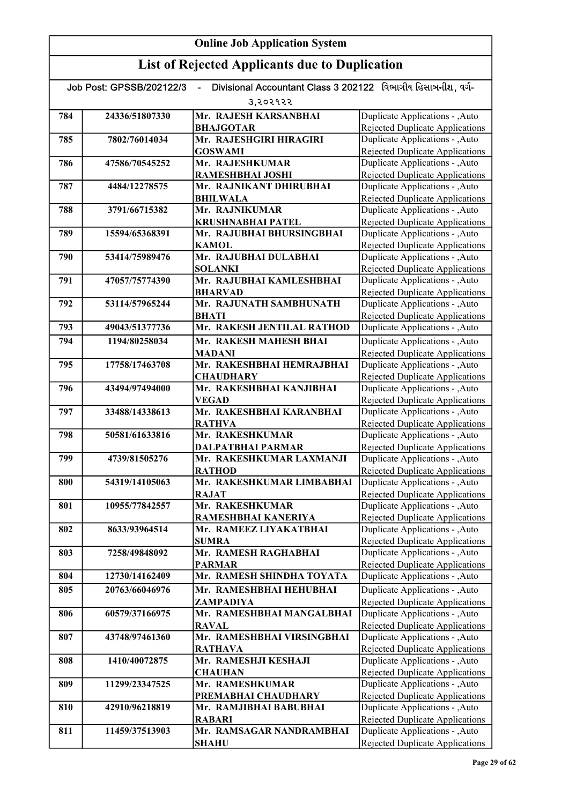| Divisional Accountant Class 3 202122 વિભાગીય હિસાબનીશ. વર્ગ-<br>Job Post: GPSSB/202122/3<br>ä, |                |                                                       |                                                                           |
|------------------------------------------------------------------------------------------------|----------------|-------------------------------------------------------|---------------------------------------------------------------------------|
|                                                                                                |                | उ,२०२१२२                                              |                                                                           |
| 784                                                                                            | 24336/51807330 | Mr. RAJESH KARSANBHAI                                 | Duplicate Applications - ,Auto                                            |
|                                                                                                |                | <b>BHAJGOTAR</b>                                      | <b>Rejected Duplicate Applications</b>                                    |
| 785                                                                                            | 7802/76014034  | Mr. RAJESHGIRI HIRAGIRI                               | Duplicate Applications - ,Auto                                            |
|                                                                                                |                | <b>GOSWAMI</b>                                        | <b>Rejected Duplicate Applications</b>                                    |
| 786                                                                                            | 47586/70545252 | Mr. RAJESHKUMAR                                       | Duplicate Applications - , Auto                                           |
|                                                                                                |                | <b>RAMESHBHAI JOSHI</b>                               | Rejected Duplicate Applications                                           |
| 787                                                                                            | 4484/12278575  | Mr. RAJNIKANT DHIRUBHAI                               | Duplicate Applications - ,Auto                                            |
|                                                                                                |                | <b>BHILWALA</b><br>Mr. RAJNIKUMAR                     | Rejected Duplicate Applications                                           |
| 788                                                                                            | 3791/66715382  |                                                       | Duplicate Applications - , Auto                                           |
| 789                                                                                            | 15594/65368391 | <b>KRUSHNABHAI PATEL</b><br>Mr. RAJUBHAI BHURSINGBHAI | Rejected Duplicate Applications<br>Duplicate Applications - , Auto        |
|                                                                                                |                | <b>KAMOL</b>                                          | <b>Rejected Duplicate Applications</b>                                    |
| 790                                                                                            | 53414/75989476 | Mr. RAJUBHAI DULABHAI                                 | Duplicate Applications - , Auto                                           |
|                                                                                                |                | <b>SOLANKI</b>                                        | Rejected Duplicate Applications                                           |
| 791                                                                                            | 47057/75774390 | Mr. RAJUBHAI KAMLESHBHAI                              | Duplicate Applications - , Auto                                           |
|                                                                                                |                | <b>BHARVAD</b>                                        | Rejected Duplicate Applications                                           |
| 792                                                                                            | 53114/57965244 | Mr. RAJUNATH SAMBHUNATH                               | Duplicate Applications - , Auto                                           |
|                                                                                                |                | <b>BHATI</b>                                          | <b>Rejected Duplicate Applications</b>                                    |
| 793                                                                                            | 49043/51377736 | Mr. RAKESH JENTILAL RATHOD                            | Duplicate Applications - ,Auto                                            |
| 794                                                                                            | 1194/80258034  | Mr. RAKESH MAHESH BHAI                                | Duplicate Applications - , Auto                                           |
|                                                                                                |                | <b>MADANI</b>                                         | Rejected Duplicate Applications                                           |
| 795                                                                                            | 17758/17463708 | Mr. RAKESHBHAI HEMRAJBHAI                             | Duplicate Applications - , Auto                                           |
|                                                                                                |                | <b>CHAUDHARY</b>                                      | <b>Rejected Duplicate Applications</b>                                    |
| 796                                                                                            | 43494/97494000 | Mr. RAKESHBHAI KANJIBHAI                              | Duplicate Applications - , Auto                                           |
|                                                                                                |                | <b>VEGAD</b>                                          | Rejected Duplicate Applications                                           |
| 797                                                                                            | 33488/14338613 | Mr. RAKESHBHAI KARANBHAI                              | Duplicate Applications - , Auto                                           |
|                                                                                                |                | <b>RATHVA</b>                                         | <b>Rejected Duplicate Applications</b>                                    |
| 798                                                                                            | 50581/61633816 | Mr. RAKESHKUMAR                                       | Duplicate Applications - , Auto                                           |
|                                                                                                |                | DALPATBHAI PARMAR                                     | Rejected Duplicate Applications                                           |
| 799                                                                                            | 4739/81505276  | Mr. RAKESHKUMAR LAXMANJI<br><b>RATHOD</b>             | Duplicate Applications - , Auto<br>Rejected Duplicate Applications        |
| 800                                                                                            | 54319/14105063 | Mr. RAKESHKUMAR LIMBABHAI                             | Duplicate Applications - , Auto                                           |
|                                                                                                |                | <b>RAJAT</b>                                          | <b>Rejected Duplicate Applications</b>                                    |
| 801                                                                                            | 10955/77842557 | Mr. RAKESHKUMAR                                       | Duplicate Applications - , Auto                                           |
|                                                                                                |                | RAMESHBHAI KANERIYA                                   | Rejected Duplicate Applications                                           |
| 802                                                                                            | 8633/93964514  | Mr. RAMEEZ LIYAKATBHAI                                | Duplicate Applications - , Auto                                           |
|                                                                                                |                | <b>SUMRA</b>                                          | <b>Rejected Duplicate Applications</b>                                    |
| 803                                                                                            | 7258/49848092  | Mr. RAMESH RAGHABHAI                                  | Duplicate Applications - , Auto                                           |
|                                                                                                |                | <b>PARMAR</b>                                         | <b>Rejected Duplicate Applications</b>                                    |
| 804                                                                                            | 12730/14162409 | Mr. RAMESH SHINDHA TOYATA                             | Duplicate Applications - ,Auto                                            |
| 805                                                                                            | 20763/66046976 | Mr. RAMESHBHAI HEHUBHAI                               | Duplicate Applications - , Auto                                           |
|                                                                                                |                | ZAMPADIYA                                             | Rejected Duplicate Applications                                           |
| 806                                                                                            | 60579/37166975 | Mr. RAMESHBHAI MANGALBHAI                             | Duplicate Applications - , Auto                                           |
|                                                                                                |                | <b>RAVAL</b>                                          | <b>Rejected Duplicate Applications</b>                                    |
| 807                                                                                            | 43748/97461360 | Mr. RAMESHBHAI VIRSINGBHAI                            | Duplicate Applications - ,Auto                                            |
|                                                                                                |                | <b>RATHAVA</b>                                        | <b>Rejected Duplicate Applications</b>                                    |
| 808                                                                                            | 1410/40072875  | Mr. RAMESHJI KESHAJI                                  | Duplicate Applications - , Auto                                           |
| 809                                                                                            | 11299/23347525 | <b>CHAUHAN</b><br>Mr. RAMESHKUMAR                     | <b>Rejected Duplicate Applications</b><br>Duplicate Applications - , Auto |
|                                                                                                |                | PREMABHAI CHAUDHARY                                   | <b>Rejected Duplicate Applications</b>                                    |
| 810                                                                                            | 42910/96218819 | Mr. RAMJIBHAI BABUBHAI                                | Duplicate Applications - , Auto                                           |
|                                                                                                |                | <b>RABARI</b>                                         | Rejected Duplicate Applications                                           |
| 811                                                                                            | 11459/37513903 | Mr. RAMSAGAR NANDRAMBHAI                              | Duplicate Applications - , Auto                                           |
|                                                                                                |                | <b>SHAHU</b>                                          | Rejected Duplicate Applications                                           |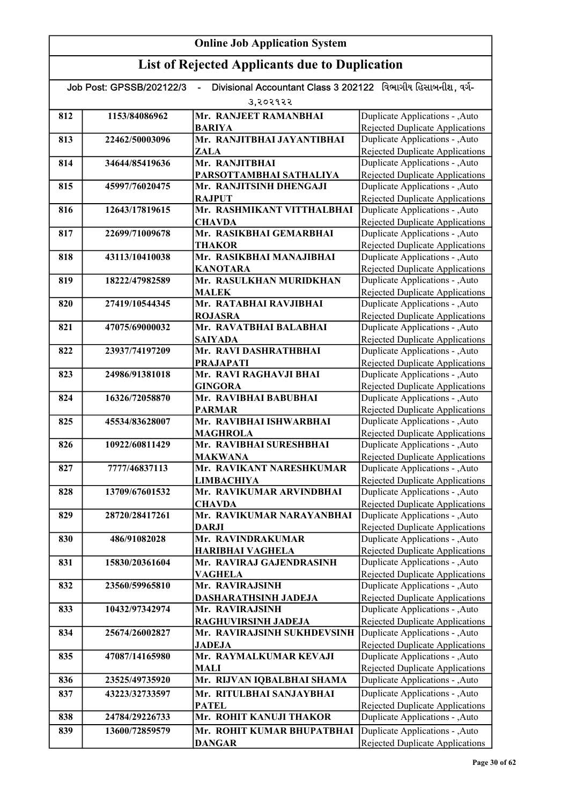| Divisional Accountant Class 3 202122 વિભાગીય હિસાબનીશ, વર્ગ-<br>Job Post: GPSSB/202122/3<br>$\blacksquare$ |                |                                             |                                                                           |
|------------------------------------------------------------------------------------------------------------|----------------|---------------------------------------------|---------------------------------------------------------------------------|
|                                                                                                            |                | उ,२०२१२२                                    |                                                                           |
| 812                                                                                                        | 1153/84086962  | Mr. RANJEET RAMANBHAI                       | Duplicate Applications - , Auto                                           |
|                                                                                                            |                | <b>BARIYA</b>                               | Rejected Duplicate Applications                                           |
| 813                                                                                                        | 22462/50003096 | Mr. RANJITBHAI JAYANTIBHAI                  | Duplicate Applications - , Auto                                           |
|                                                                                                            |                | ZALA                                        | Rejected Duplicate Applications                                           |
| 814                                                                                                        | 34644/85419636 | Mr. RANJITBHAI                              | Duplicate Applications - , Auto                                           |
|                                                                                                            |                | PARSOTTAMBHAI SATHALIYA                     | <b>Rejected Duplicate Applications</b>                                    |
| 815                                                                                                        | 45997/76020475 | Mr. RANJITSINH DHENGAJI                     | Duplicate Applications - , Auto                                           |
|                                                                                                            | 12643/17819615 | <b>RAJPUT</b>                               | <b>Rejected Duplicate Applications</b>                                    |
| 816                                                                                                        |                | Mr. RASHMIKANT VITTHALBHAI<br><b>CHAVDA</b> | Duplicate Applications - , Auto                                           |
| 817                                                                                                        | 22699/71009678 | Mr. RASIKBHAI GEMARBHAI                     | <b>Rejected Duplicate Applications</b><br>Duplicate Applications - , Auto |
|                                                                                                            |                | <b>THAKOR</b>                               | <b>Rejected Duplicate Applications</b>                                    |
| 818                                                                                                        | 43113/10410038 | Mr. RASIKBHAI MANAJIBHAI                    | Duplicate Applications - , Auto                                           |
|                                                                                                            |                | <b>KANOTARA</b>                             | Rejected Duplicate Applications                                           |
| 819                                                                                                        | 18222/47982589 | Mr. RASULKHAN MURIDKHAN                     | Duplicate Applications - , Auto                                           |
|                                                                                                            |                | <b>MALEK</b>                                | <b>Rejected Duplicate Applications</b>                                    |
| 820                                                                                                        | 27419/10544345 | Mr. RATABHAI RAVJIBHAI                      | Duplicate Applications - , Auto                                           |
|                                                                                                            |                | <b>ROJASRA</b>                              | Rejected Duplicate Applications                                           |
| 821                                                                                                        | 47075/69000032 | Mr. RAVATBHAI BALABHAI                      | Duplicate Applications - , Auto                                           |
|                                                                                                            |                | <b>SAIYADA</b>                              | Rejected Duplicate Applications                                           |
| 822                                                                                                        | 23937/74197209 | Mr. RAVI DASHRATHBHAI                       | <b>Duplicate Applications - , Auto</b>                                    |
|                                                                                                            |                | <b>PRAJAPATI</b><br>Mr. RAVI RAGHAVJI BHAI  | <b>Rejected Duplicate Applications</b>                                    |
| 823                                                                                                        | 24986/91381018 | <b>GINGORA</b>                              | Duplicate Applications - , Auto<br>Rejected Duplicate Applications        |
| 824                                                                                                        | 16326/72058870 | Mr. RAVIBHAI BABUBHAI                       | Duplicate Applications - , Auto                                           |
|                                                                                                            |                | <b>PARMAR</b>                               | <b>Rejected Duplicate Applications</b>                                    |
| 825                                                                                                        | 45534/83628007 | Mr. RAVIBHAI ISHWARBHAI                     | Duplicate Applications - , Auto                                           |
|                                                                                                            |                | <b>MAGHROLA</b>                             | <b>Rejected Duplicate Applications</b>                                    |
| 826                                                                                                        | 10922/60811429 | Mr. RAVIBHAI SURESHBHAI                     | Duplicate Applications - , Auto                                           |
|                                                                                                            |                | <b>MAKWANA</b>                              | <b>Rejected Duplicate Applications</b>                                    |
| 827                                                                                                        | 7777/46837113  | Mr. RAVIKANT NARESHKUMAR                    | Duplicate Applications - , Auto                                           |
|                                                                                                            |                | <b>LIMBACHIYA</b>                           | Rejected Duplicate Applications                                           |
| 828                                                                                                        | 13709/67601532 | Mr. RAVIKUMAR ARVINDBHAI                    | Duplicate Applications - , Auto                                           |
|                                                                                                            | 28720/28417261 | <b>CHAVDA</b>                               | <b>Rejected Duplicate Applications</b>                                    |
| 829                                                                                                        |                | Mr. RAVIKUMAR NARAYANBHAI<br><b>DARJI</b>   | Duplicate Applications - , Auto<br>Rejected Duplicate Applications        |
| 830                                                                                                        | 486/91082028   | Mr. RAVINDRAKUMAR                           | Duplicate Applications - , Auto                                           |
|                                                                                                            |                | <b>HARIBHAI VAGHELA</b>                     | Rejected Duplicate Applications                                           |
| 831                                                                                                        | 15830/20361604 | Mr. RAVIRAJ GAJENDRASINH                    | Duplicate Applications - , Auto                                           |
|                                                                                                            |                | <b>VAGHELA</b>                              | Rejected Duplicate Applications                                           |
| 832                                                                                                        | 23560/59965810 | Mr. RAVIRAJSINH                             | Duplicate Applications - , Auto                                           |
|                                                                                                            |                | DASHARATHSINH JADEJA                        | Rejected Duplicate Applications                                           |
| 833                                                                                                        | 10432/97342974 | Mr. RAVIRAJSINH                             | Duplicate Applications - , Auto                                           |
|                                                                                                            |                | RAGHUVIRSINH JADEJA                         | <b>Rejected Duplicate Applications</b>                                    |
| 834                                                                                                        | 25674/26002827 | Mr. RAVIRAJSINH SUKHDEVSINH                 | Duplicate Applications - , Auto                                           |
|                                                                                                            |                | <b>JADEJA</b>                               | <b>Rejected Duplicate Applications</b>                                    |
| 835                                                                                                        | 47087/14165980 | Mr. RAYMALKUMAR KEVAJI                      | Duplicate Applications - , Auto                                           |
| 836                                                                                                        | 23525/49735920 | MALI<br>Mr. RIJVAN IQBALBHAI SHAMA          | Rejected Duplicate Applications<br>Duplicate Applications - , Auto        |
|                                                                                                            |                |                                             |                                                                           |
| 837                                                                                                        | 43223/32733597 | Mr. RITULBHAI SANJAYBHAI<br><b>PATEL</b>    | Duplicate Applications - , Auto<br>Rejected Duplicate Applications        |
| 838                                                                                                        | 24784/29226733 | Mr. ROHIT KANUJI THAKOR                     | Duplicate Applications - , Auto                                           |
| 839                                                                                                        | 13600/72859579 | Mr. ROHIT KUMAR BHUPATBHAI                  | Duplicate Applications - , Auto                                           |
|                                                                                                            |                | <b>DANGAR</b>                               | <b>Rejected Duplicate Applications</b>                                    |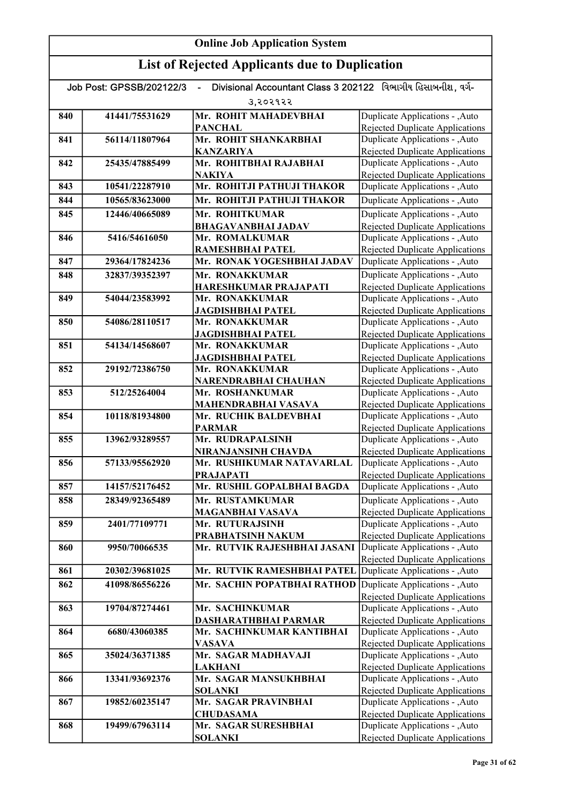| Divisional Accountant Class 3 202122 વિભાગીય હિસાબનીશ. વર્ગ-<br>Job Post: GPSSB/202122/3 |                |                                                             |                                                                           |  |
|------------------------------------------------------------------------------------------|----------------|-------------------------------------------------------------|---------------------------------------------------------------------------|--|
|                                                                                          | 3,२०२१२२       |                                                             |                                                                           |  |
| 840                                                                                      | 41441/75531629 | Mr. ROHIT MAHADEVBHAI                                       | Duplicate Applications - ,Auto                                            |  |
|                                                                                          |                | <b>PANCHAL</b>                                              | <b>Rejected Duplicate Applications</b>                                    |  |
| 841                                                                                      | 56114/11807964 | Mr. ROHIT SHANKARBHAI                                       | Duplicate Applications - , Auto                                           |  |
|                                                                                          |                | <b>KANZARIYA</b>                                            | <b>Rejected Duplicate Applications</b>                                    |  |
| 842                                                                                      | 25435/47885499 | Mr. ROHITBHAI RAJABHAI                                      | Duplicate Applications - , Auto                                           |  |
|                                                                                          |                | <b>NAKIYA</b>                                               | <b>Rejected Duplicate Applications</b>                                    |  |
| 843                                                                                      | 10541/22287910 | Mr. ROHITJI PATHUJI THAKOR                                  | Duplicate Applications - , Auto                                           |  |
| 844                                                                                      | 10565/83623000 | Mr. ROHITJI PATHUJI THAKOR                                  | Duplicate Applications - , Auto                                           |  |
| 845                                                                                      | 12446/40665089 | Mr. ROHITKUMAR                                              | Duplicate Applications - , Auto                                           |  |
|                                                                                          |                | <b>BHAGAVANBHAI JADAV</b>                                   | <b>Rejected Duplicate Applications</b>                                    |  |
| 846                                                                                      | 5416/54616050  | Mr. ROMALKUMAR                                              | Duplicate Applications - , Auto                                           |  |
|                                                                                          |                | RAMESHBHAI PATEL                                            | <b>Rejected Duplicate Applications</b>                                    |  |
| 847                                                                                      | 29364/17824236 | Mr. RONAK YOGESHBHAI JADAV                                  | Duplicate Applications - ,Auto                                            |  |
| 848                                                                                      | 32837/39352397 | Mr. RONAKKUMAR                                              | Duplicate Applications - , Auto                                           |  |
|                                                                                          |                | HARESHKUMAR PRAJAPATI                                       | Rejected Duplicate Applications                                           |  |
| 849                                                                                      | 54044/23583992 | Mr. RONAKKUMAR                                              | Duplicate Applications - ,Auto                                            |  |
|                                                                                          |                | <b>JAGDISHBHAI PATEL</b>                                    | <b>Rejected Duplicate Applications</b>                                    |  |
| 850                                                                                      | 54086/28110517 | Mr. RONAKKUMAR                                              | Duplicate Applications - , Auto                                           |  |
|                                                                                          |                | <b>JAGDISHBHAI PATEL</b>                                    | <b>Rejected Duplicate Applications</b>                                    |  |
| 851                                                                                      | 54134/14568607 | Mr. RONAKKUMAR                                              | Duplicate Applications - , Auto                                           |  |
|                                                                                          |                | <b>JAGDISHBHAI PATEL</b>                                    | <b>Rejected Duplicate Applications</b>                                    |  |
| 852                                                                                      | 29192/72386750 | Mr. RONAKKUMAR                                              | Duplicate Applications - , Auto                                           |  |
| 853                                                                                      | 512/25264004   | NARENDRABHAI CHAUHAN                                        | <b>Rejected Duplicate Applications</b>                                    |  |
|                                                                                          |                | Mr. ROSHANKUMAR                                             | Duplicate Applications - , Auto<br><b>Rejected Duplicate Applications</b> |  |
| 854                                                                                      | 10118/81934800 | MAHENDRABHAI VASAVA<br>Mr. RUCHIK BALDEVBHAI                | Duplicate Applications - , Auto                                           |  |
|                                                                                          |                | <b>PARMAR</b>                                               | <b>Rejected Duplicate Applications</b>                                    |  |
| 855                                                                                      | 13962/93289557 | Mr. RUDRAPALSINH                                            | Duplicate Applications - , Auto                                           |  |
|                                                                                          |                | NIRANJANSINH CHAVDA                                         | Rejected Duplicate Applications                                           |  |
| 856                                                                                      | 57133/95562920 | Mr. RUSHIKUMAR NATAVARLAL                                   | Duplicate Applications - , Auto                                           |  |
|                                                                                          |                | <b>PRAJAPATI</b>                                            | Rejected Duplicate Applications                                           |  |
| 857                                                                                      | 14157/52176452 | Mr. RUSHIL GOPALBHAI BAGDA                                  | Duplicate Applications - ,Auto                                            |  |
| 858                                                                                      | 28349/92365489 | Mr. RUSTAMKUMAR                                             | Duplicate Applications - , Auto                                           |  |
|                                                                                          |                | <b>MAGANBHAI VASAVA</b>                                     | Rejected Duplicate Applications                                           |  |
| 859                                                                                      | 2401/77109771  | Mr. RUTURAJSINH                                             | Duplicate Applications - , Auto                                           |  |
|                                                                                          |                | PRABHATSINH NAKUM                                           | Rejected Duplicate Applications                                           |  |
| 860                                                                                      | 9950/70066535  | Mr. RUTVIK RAJESHBHAI JASANI                                | Duplicate Applications - , Auto                                           |  |
|                                                                                          |                |                                                             | <b>Rejected Duplicate Applications</b>                                    |  |
| 861                                                                                      | 20302/39681025 | Mr. RUTVIK RAMESHBHAI PATEL Duplicate Applications - , Auto |                                                                           |  |
| 862                                                                                      | 41098/86556226 | Mr. SACHIN POPATBHAI RATHOD                                 | Duplicate Applications - , Auto                                           |  |
|                                                                                          |                |                                                             | Rejected Duplicate Applications                                           |  |
| 863                                                                                      | 19704/87274461 | Mr. SACHINKUMAR                                             | Duplicate Applications - , Auto                                           |  |
|                                                                                          |                | DASHARATHBHAI PARMAR                                        | <b>Rejected Duplicate Applications</b>                                    |  |
| 864                                                                                      | 6680/43060385  | Mr. SACHINKUMAR KANTIBHAI                                   | Duplicate Applications - , Auto                                           |  |
|                                                                                          |                | <b>VASAVA</b>                                               | <b>Rejected Duplicate Applications</b>                                    |  |
| 865                                                                                      | 35024/36371385 | Mr. SAGAR MADHAVAJI                                         | Duplicate Applications - , Auto                                           |  |
|                                                                                          |                | <b>LAKHANI</b>                                              | <b>Rejected Duplicate Applications</b>                                    |  |
| 866                                                                                      | 13341/93692376 | Mr. SAGAR MANSUKHBHAI                                       | Duplicate Applications - , Auto                                           |  |
|                                                                                          |                | <b>SOLANKI</b>                                              | <b>Rejected Duplicate Applications</b>                                    |  |
| 867                                                                                      | 19852/60235147 | Mr. SAGAR PRAVINBHAI                                        | Duplicate Applications - , Auto                                           |  |
|                                                                                          |                | <b>CHUDASAMA</b>                                            | Rejected Duplicate Applications                                           |  |
| 868                                                                                      | 19499/67963114 | Mr. SAGAR SURESHBHAI                                        | Duplicate Applications - , Auto                                           |  |
|                                                                                          |                | <b>SOLANKI</b>                                              | <b>Rejected Duplicate Applications</b>                                    |  |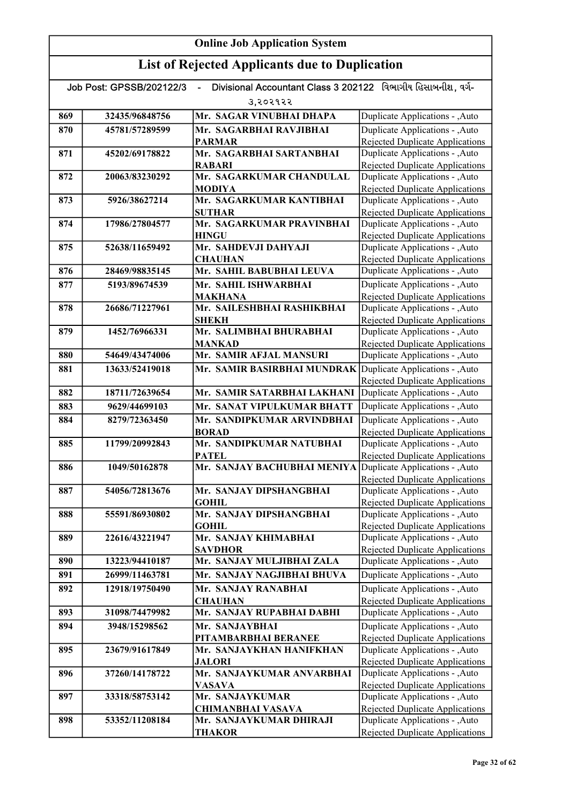| Divisional Accountant Class 3 202122 વિભાગીય હિસાબનીશ. વર્ગ-<br>Job Post: GPSSB/202122/3 |                |                                            |                                                                           |
|------------------------------------------------------------------------------------------|----------------|--------------------------------------------|---------------------------------------------------------------------------|
|                                                                                          |                | उ,२०२१२२                                   |                                                                           |
| 869                                                                                      | 32435/96848756 | Mr. SAGAR VINUBHAI DHAPA                   | Duplicate Applications - , Auto                                           |
| 870                                                                                      | 45781/57289599 | Mr. SAGARBHAI RAVJIBHAI                    | Duplicate Applications - , Auto                                           |
|                                                                                          |                | <b>PARMAR</b>                              | <b>Rejected Duplicate Applications</b>                                    |
| 871                                                                                      | 45202/69178822 | Mr. SAGARBHAI SARTANBHAI                   | Duplicate Applications - , Auto                                           |
|                                                                                          |                | <b>RABARI</b>                              | Rejected Duplicate Applications                                           |
| 872                                                                                      | 20063/83230292 | Mr. SAGARKUMAR CHANDULAL                   | Duplicate Applications - , Auto                                           |
|                                                                                          |                | <b>MODIYA</b>                              | <b>Rejected Duplicate Applications</b>                                    |
| 873                                                                                      | 5926/38627214  | Mr. SAGARKUMAR KANTIBHAI                   | Duplicate Applications - , Auto                                           |
|                                                                                          |                | <b>SUTHAR</b><br>Mr. SAGARKUMAR PRAVINBHAI | <b>Rejected Duplicate Applications</b>                                    |
| 874                                                                                      | 17986/27804577 | <b>HINGU</b>                               | Duplicate Applications - , Auto<br><b>Rejected Duplicate Applications</b> |
| 875                                                                                      | 52638/11659492 | Mr. SAHDEVJI DAHYAJI                       | Duplicate Applications - , Auto                                           |
|                                                                                          |                | <b>CHAUHAN</b>                             | Rejected Duplicate Applications                                           |
| 876                                                                                      | 28469/98835145 | Mr. SAHIL BABUBHAI LEUVA                   | Duplicate Applications - , Auto                                           |
| 877                                                                                      | 5193/89674539  | Mr. SAHIL ISHWARBHAI                       | Duplicate Applications - , Auto                                           |
|                                                                                          |                | <b>MAKHANA</b>                             | <b>Rejected Duplicate Applications</b>                                    |
| 878                                                                                      | 26686/71227961 | Mr. SAILESHBHAI RASHIKBHAI                 | Duplicate Applications - , Auto                                           |
|                                                                                          |                | SHEKH                                      | Rejected Duplicate Applications                                           |
| 879                                                                                      | 1452/76966331  | Mr. SALIMBHAI BHURABHAI                    | Duplicate Applications - , Auto                                           |
|                                                                                          |                | <b>MANKAD</b>                              | Rejected Duplicate Applications                                           |
| 880                                                                                      | 54649/43474006 | Mr. SAMIR AFJAL MANSURI                    | Duplicate Applications - , Auto                                           |
| 881                                                                                      | 13633/52419018 | Mr. SAMIR BASIRBHAI MUNDRAK                | Duplicate Applications - , Auto                                           |
| 882                                                                                      | 18711/72639654 | Mr. SAMIR SATARBHAI LAKHANI                | <b>Rejected Duplicate Applications</b>                                    |
|                                                                                          |                |                                            | Duplicate Applications - , Auto                                           |
| 883                                                                                      | 9629/44699103  | Mr. SANAT VIPULKUMAR BHATT                 | Duplicate Applications - , Auto                                           |
| 884                                                                                      | 8279/72363450  | Mr. SANDIPKUMAR ARVINDBHAI<br><b>BORAD</b> | Duplicate Applications - , Auto<br><b>Rejected Duplicate Applications</b> |
| 885                                                                                      | 11799/20992843 | Mr. SANDIPKUMAR NATUBHAI                   | Duplicate Applications - , Auto                                           |
|                                                                                          |                | <b>PATEL</b>                               | <b>Rejected Duplicate Applications</b>                                    |
| 886                                                                                      | 1049/50162878  | Mr. SANJAY BACHUBHAI MENIYA                | Duplicate Applications - , Auto                                           |
|                                                                                          |                |                                            | <b>Rejected Duplicate Applications</b>                                    |
| 887                                                                                      | 54056/72813676 | Mr. SANJAY DIPSHANGBHAI                    | Duplicate Applications - , Auto                                           |
|                                                                                          |                | <b>GOHIL</b>                               | Rejected Duplicate Applications                                           |
| 888                                                                                      | 55591/86930802 | Mr. SANJAY DIPSHANGBHAI                    | Duplicate Applications - , Auto                                           |
|                                                                                          |                | <b>GOHIL</b><br>Mr. SANJAY KHIMABHAI       | <b>Rejected Duplicate Applications</b>                                    |
| 889                                                                                      | 22616/43221947 | <b>SAVDHOR</b>                             | Duplicate Applications - , Auto<br><b>Rejected Duplicate Applications</b> |
| 890                                                                                      | 13223/94410187 | Mr. SANJAY MULJIBHAI ZALA                  | Duplicate Applications - , Auto                                           |
| 891                                                                                      | 26999/11463781 | Mr. SANJAY NAGJIBHAI BHUVA                 | Duplicate Applications - , Auto                                           |
| 892                                                                                      | 12918/19750490 | Mr. SANJAY RANABHAI                        | Duplicate Applications - , Auto                                           |
|                                                                                          |                | <b>CHAUHAN</b>                             | <b>Rejected Duplicate Applications</b>                                    |
| 893                                                                                      | 31098/74479982 | Mr. SANJAY RUPABHAI DABHI                  | Duplicate Applications - , Auto                                           |
| 894                                                                                      | 3948/15298562  | Mr. SANJAYBHAI                             | Duplicate Applications - , Auto                                           |
|                                                                                          |                | PITAMBARBHAI BERANEE                       | Rejected Duplicate Applications                                           |
| 895                                                                                      | 23679/91617849 | Mr. SANJAYKHAN HANIFKHAN                   | Duplicate Applications - , Auto                                           |
|                                                                                          |                | <b>JALORI</b>                              | <b>Rejected Duplicate Applications</b>                                    |
| 896                                                                                      | 37260/14178722 | Mr. SANJAYKUMAR ANVARBHAI                  | Duplicate Applications - , Auto                                           |
|                                                                                          |                | <b>VASAVA</b>                              | <b>Rejected Duplicate Applications</b>                                    |
| 897                                                                                      | 33318/58753142 | Mr. SANJAYKUMAR                            | Duplicate Applications - , Auto                                           |
|                                                                                          |                | <b>CHIMANBHAI VASAVA</b>                   | Rejected Duplicate Applications                                           |
| 898                                                                                      | 53352/11208184 | Mr. SANJAYKUMAR DHIRAJI<br><b>THAKOR</b>   | Duplicate Applications - , Auto<br><b>Rejected Duplicate Applications</b> |
|                                                                                          |                |                                            |                                                                           |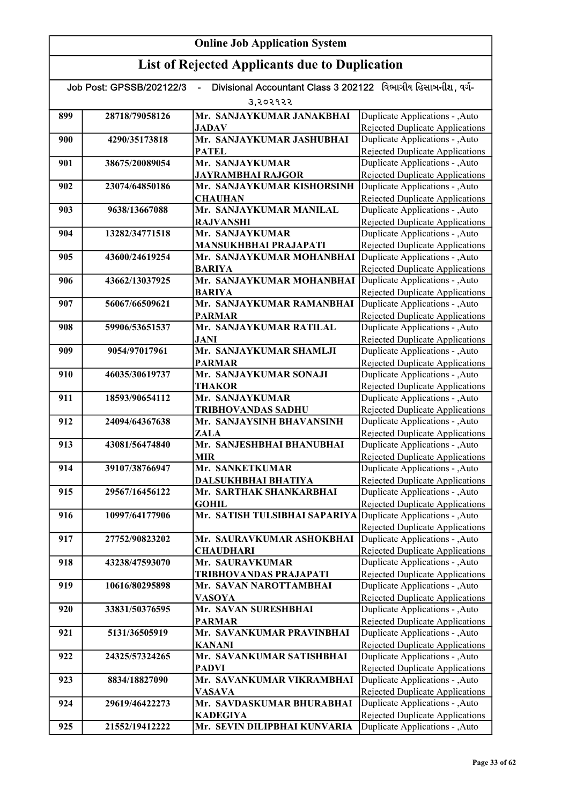# List of Rejected Applicants due to Duplication

| Divisional Accountant Class 3 202122 વિભાગીય હિસાબનીશ. વર્ગ-<br>Job Post: GPSSB/202122/3 |                |                                                               |                                                                           |  |
|------------------------------------------------------------------------------------------|----------------|---------------------------------------------------------------|---------------------------------------------------------------------------|--|
|                                                                                          | 3,२०२१२२       |                                                               |                                                                           |  |
| 899                                                                                      | 28718/79058126 | Mr. SANJAYKUMAR JANAKBHAI                                     | Duplicate Applications - , Auto                                           |  |
|                                                                                          |                | <b>JADAV</b>                                                  | Rejected Duplicate Applications                                           |  |
| 900                                                                                      | 4290/35173818  | Mr. SANJAYKUMAR JASHUBHAI                                     | Duplicate Applications - , Auto                                           |  |
|                                                                                          |                | <b>PATEL</b>                                                  | Rejected Duplicate Applications                                           |  |
| 901                                                                                      | 38675/20089054 | Mr. SANJAYKUMAR                                               | Duplicate Applications - , Auto                                           |  |
|                                                                                          |                | <b>JAYRAMBHAI RAJGOR</b>                                      | Rejected Duplicate Applications                                           |  |
| 902                                                                                      | 23074/64850186 | Mr. SANJAYKUMAR KISHORSINH                                    | Duplicate Applications - , Auto                                           |  |
|                                                                                          |                | <b>CHAUHAN</b>                                                | <b>Rejected Duplicate Applications</b>                                    |  |
| 903                                                                                      | 9638/13667088  | Mr. SANJAYKUMAR MANILAL                                       | Duplicate Applications - , Auto                                           |  |
| 904                                                                                      | 13282/34771518 | <b>RAJVANSHI</b><br>Mr. SANJAYKUMAR                           | <b>Rejected Duplicate Applications</b><br>Duplicate Applications - , Auto |  |
|                                                                                          |                | <b>MANSUKHBHAI PRAJAPATI</b>                                  | <b>Rejected Duplicate Applications</b>                                    |  |
| 905                                                                                      | 43600/24619254 | Mr. SANJAYKUMAR MOHANBHAI                                     | Duplicate Applications - , Auto                                           |  |
|                                                                                          |                | <b>BARIYA</b>                                                 | <b>Rejected Duplicate Applications</b>                                    |  |
| 906                                                                                      | 43662/13037925 | Mr. SANJAYKUMAR MOHANBHAI                                     | Duplicate Applications - , Auto                                           |  |
|                                                                                          |                | <b>BARIYA</b>                                                 | Rejected Duplicate Applications                                           |  |
| 907                                                                                      | 56067/66509621 | Mr. SANJAYKUMAR RAMANBHAI                                     | Duplicate Applications - , Auto                                           |  |
|                                                                                          |                | <b>PARMAR</b>                                                 | <b>Rejected Duplicate Applications</b>                                    |  |
| 908                                                                                      | 59906/53651537 | Mr. SANJAYKUMAR RATILAL                                       | Duplicate Applications - , Auto                                           |  |
|                                                                                          |                | <b>JANI</b>                                                   | <b>Rejected Duplicate Applications</b>                                    |  |
| 909                                                                                      | 9054/97017961  | Mr. SANJAYKUMAR SHAMLJI                                       | Duplicate Applications - , Auto                                           |  |
|                                                                                          |                | <b>PARMAR</b>                                                 | <b>Rejected Duplicate Applications</b>                                    |  |
| 910                                                                                      | 46035/30619737 | Mr. SANJAYKUMAR SONAJI                                        | Duplicate Applications - , Auto                                           |  |
|                                                                                          |                | THAKOR                                                        | Rejected Duplicate Applications                                           |  |
| 911                                                                                      | 18593/90654112 | Mr. SANJAYKUMAR                                               | Duplicate Applications - , Auto                                           |  |
| 912                                                                                      | 24094/64367638 | <b>TRIBHOVANDAS SADHU</b><br>Mr. SANJAYSINH BHAVANSINH        | Rejected Duplicate Applications<br>Duplicate Applications - , Auto        |  |
|                                                                                          |                | ZALA                                                          | <b>Rejected Duplicate Applications</b>                                    |  |
| 913                                                                                      | 43081/56474840 | Mr. SANJESHBHAI BHANUBHAI                                     | Duplicate Applications - , Auto                                           |  |
|                                                                                          |                | <b>MIR</b>                                                    | <b>Rejected Duplicate Applications</b>                                    |  |
| 914                                                                                      | 39107/38766947 | Mr. SANKETKUMAR                                               | Duplicate Applications - , Auto                                           |  |
|                                                                                          |                | DALSUKHBHAI BHATIYA                                           | <b>Rejected Duplicate Applications</b>                                    |  |
| 915                                                                                      | 29567/16456122 | Mr. SARTHAK SHANKARBHAI                                       | Duplicate Applications - , Auto                                           |  |
|                                                                                          |                | <b>GOHIL</b>                                                  | <b>Rejected Duplicate Applications</b>                                    |  |
| 916                                                                                      | 10997/64177906 | Mr. SATISH TULSIBHAI SAPARIYA Duplicate Applications - , Auto |                                                                           |  |
|                                                                                          |                |                                                               | <b>Rejected Duplicate Applications</b>                                    |  |
| 917                                                                                      | 27752/90823202 | Mr. SAURAVKUMAR ASHOKBHAI                                     | Duplicate Applications - , Auto                                           |  |
|                                                                                          |                | <b>CHAUDHARI</b>                                              | <b>Rejected Duplicate Applications</b>                                    |  |
| 918                                                                                      | 43238/47593070 | Mr. SAURAVKUMAR<br>TRIBHOVANDAS PRAJAPATI                     | Duplicate Applications - , Auto<br>Rejected Duplicate Applications        |  |
| 919                                                                                      | 10616/80295898 | Mr. SAVAN NAROTTAMBHAI                                        | Duplicate Applications - , Auto                                           |  |
|                                                                                          |                | <b>VASOYA</b>                                                 | <b>Rejected Duplicate Applications</b>                                    |  |
| 920                                                                                      | 33831/50376595 | Mr. SAVAN SURESHBHAI                                          | Duplicate Applications - , Auto                                           |  |
|                                                                                          |                | <b>PARMAR</b>                                                 | Rejected Duplicate Applications                                           |  |
| 921                                                                                      | 5131/36505919  | Mr. SAVANKUMAR PRAVINBHAI                                     | Duplicate Applications - ,Auto                                            |  |
|                                                                                          |                | <b>KANANI</b>                                                 | Rejected Duplicate Applications                                           |  |
| 922                                                                                      | 24325/57324265 | Mr. SAVANKUMAR SATISHBHAI                                     | Duplicate Applications - , Auto                                           |  |
|                                                                                          |                | <b>PADVI</b>                                                  | Rejected Duplicate Applications                                           |  |
| 923                                                                                      | 8834/18827090  | Mr. SAVANKUMAR VIKRAMBHAI                                     | Duplicate Applications - , Auto                                           |  |
|                                                                                          |                | <b>VASAVA</b>                                                 | <b>Rejected Duplicate Applications</b>                                    |  |
| 924                                                                                      | 29619/46422273 | Mr. SAVDASKUMAR BHURABHAI                                     | Duplicate Applications - , Auto                                           |  |
|                                                                                          |                | <b>KADEGIYA</b>                                               | <b>Rejected Duplicate Applications</b>                                    |  |
| 925                                                                                      | 21552/19412222 | Mr. SEVIN DILIPBHAI KUNVARIA                                  | Duplicate Applications - , Auto                                           |  |

Rejected Duplicate Applications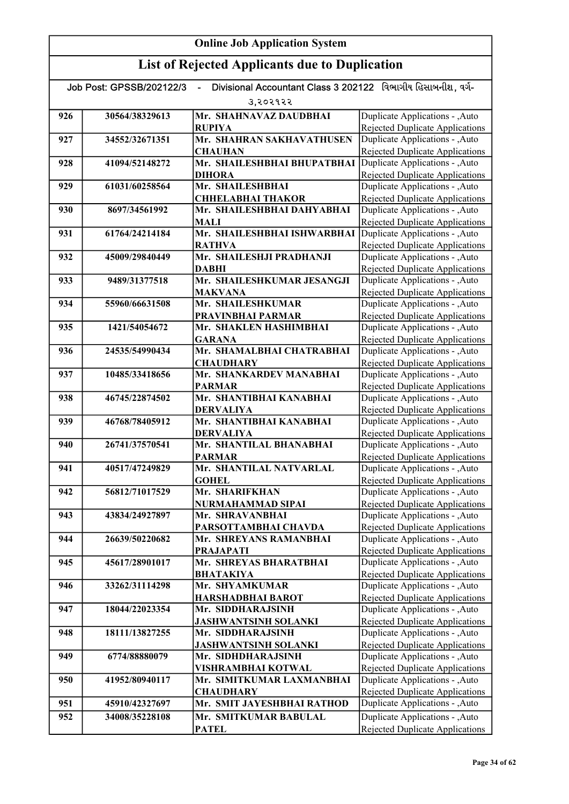| Divisional Accountant Class 3 202122 વિભાગીય હિસાબનીશ. વર્ગ-<br>Job Post: GPSSB/202122/3<br>$\blacksquare$ |                |                                                 |                                                                           |  |
|------------------------------------------------------------------------------------------------------------|----------------|-------------------------------------------------|---------------------------------------------------------------------------|--|
|                                                                                                            | उ,२०२१२२       |                                                 |                                                                           |  |
| 926                                                                                                        | 30564/38329613 | Mr. SHAHNAVAZ DAUDBHAI                          | Duplicate Applications - , Auto                                           |  |
|                                                                                                            |                | <b>RUPIYA</b>                                   | Rejected Duplicate Applications                                           |  |
| 927                                                                                                        | 34552/32671351 | Mr. SHAHRAN SAKHAVATHUSEN                       | Duplicate Applications - , Auto                                           |  |
|                                                                                                            |                | <b>CHAUHAN</b>                                  | Rejected Duplicate Applications                                           |  |
| 928                                                                                                        | 41094/52148272 | Mr. SHAILESHBHAI BHUPATBHAI                     | Duplicate Applications - , Auto                                           |  |
|                                                                                                            |                | <b>DIHORA</b>                                   | <b>Rejected Duplicate Applications</b>                                    |  |
| 929                                                                                                        | 61031/60258564 | Mr. SHAILESHBHAI                                | Duplicate Applications - , Auto                                           |  |
|                                                                                                            |                | <b>CHHELABHAI THAKOR</b>                        | <b>Rejected Duplicate Applications</b>                                    |  |
| 930                                                                                                        | 8697/34561992  | Mr. SHAILESHBHAI DAHYABHAI                      | Duplicate Applications - , Auto                                           |  |
|                                                                                                            |                | <b>MALI</b>                                     | Rejected Duplicate Applications                                           |  |
| 931                                                                                                        | 61764/24214184 | Mr. SHAILESHBHAI ISHWARBHAI                     | Duplicate Applications - , Auto                                           |  |
| 932                                                                                                        | 45009/29840449 | <b>RATHVA</b><br>Mr. SHAILESHJI PRADHANJI       | <b>Rejected Duplicate Applications</b><br>Duplicate Applications - , Auto |  |
|                                                                                                            |                | <b>DABHI</b>                                    | <b>Rejected Duplicate Applications</b>                                    |  |
| 933                                                                                                        | 9489/31377518  | Mr. SHAILESHKUMAR JESANGJI                      | Duplicate Applications - , Auto                                           |  |
|                                                                                                            |                | <b>MAKVANA</b>                                  | <b>Rejected Duplicate Applications</b>                                    |  |
| 934                                                                                                        | 55960/66631508 | Mr. SHAILESHKUMAR                               | Duplicate Applications - , Auto                                           |  |
|                                                                                                            |                | PRAVINBHAI PARMAR                               | Rejected Duplicate Applications                                           |  |
| 935                                                                                                        | 1421/54054672  | Mr. SHAKLEN HASHIMBHAI                          | Duplicate Applications - , Auto                                           |  |
|                                                                                                            |                | <b>GARANA</b>                                   | Rejected Duplicate Applications                                           |  |
| 936                                                                                                        | 24535/54990434 | Mr. SHAMALBHAI CHATRABHAI                       | Duplicate Applications - , Auto                                           |  |
|                                                                                                            |                | <b>CHAUDHARY</b>                                | Rejected Duplicate Applications                                           |  |
| 937                                                                                                        | 10485/33418656 | Mr. SHANKARDEV MANABHAI                         | Duplicate Applications - , Auto                                           |  |
|                                                                                                            |                | <b>PARMAR</b>                                   | Rejected Duplicate Applications                                           |  |
| 938                                                                                                        | 46745/22874502 | Mr. SHANTIBHAI KANABHAI                         | Duplicate Applications - , Auto                                           |  |
|                                                                                                            |                | <b>DERVALIYA</b>                                | Rejected Duplicate Applications                                           |  |
| 939                                                                                                        | 46768/78405912 | Mr. SHANTIBHAI KANABHAI                         | Duplicate Applications - , Auto                                           |  |
|                                                                                                            |                | <b>DERVALIYA</b>                                | <b>Rejected Duplicate Applications</b>                                    |  |
| 940                                                                                                        | 26741/37570541 | Mr. SHANTILAL BHANABHAI                         | Duplicate Applications - , Auto                                           |  |
| 941                                                                                                        | 40517/47249829 | <b>PARMAR</b><br>Mr. SHANTILAL NATVARLAL        | Rejected Duplicate Applications                                           |  |
|                                                                                                            |                | <b>GOHEL</b>                                    | Duplicate Applications - , Auto<br><b>Rejected Duplicate Applications</b> |  |
| 942                                                                                                        | 56812/71017529 | Mr. SHARIFKHAN                                  | Duplicate Applications - , Auto                                           |  |
|                                                                                                            |                | NURMAHAMMAD SIPAI                               | <b>Rejected Duplicate Applications</b>                                    |  |
| 943                                                                                                        | 43834/24927897 | Mr. SHRAVANBHAI                                 | Duplicate Applications - , Auto                                           |  |
|                                                                                                            |                | PARSOTTAMBHAI CHAVDA                            | <b>Rejected Duplicate Applications</b>                                    |  |
| 944                                                                                                        | 26639/50220682 | Mr. SHREYANS RAMANBHAI                          | Duplicate Applications - , Auto                                           |  |
|                                                                                                            |                | <b>PRAJAPATI</b>                                | Rejected Duplicate Applications                                           |  |
| 945                                                                                                        | 45617/28901017 | Mr. SHREYAS BHARATBHAI                          | Duplicate Applications - , Auto                                           |  |
|                                                                                                            |                | <b>BHATAKIYA</b>                                | <b>Rejected Duplicate Applications</b>                                    |  |
| 946                                                                                                        | 33262/31114298 | Mr. SHYAMKUMAR                                  | Duplicate Applications - , Auto                                           |  |
|                                                                                                            |                | <b>HARSHADBHAI BAROT</b>                        | <b>Rejected Duplicate Applications</b>                                    |  |
| 947                                                                                                        | 18044/22023354 | Mr. SIDDHARAJSINH                               | Duplicate Applications - , Auto                                           |  |
|                                                                                                            |                | <b>JASHWANTSINH SOLANKI</b>                     | <b>Rejected Duplicate Applications</b>                                    |  |
| 948                                                                                                        | 18111/13827255 | Mr. SIDDHARAJSINH                               | Duplicate Applications - , Auto                                           |  |
|                                                                                                            |                | <b>JASHWANTSINH SOLANKI</b>                     | Rejected Duplicate Applications                                           |  |
| 949                                                                                                        | 6774/88880079  | Mr. SIDHDHARAJSINH                              | Duplicate Applications - , Auto                                           |  |
| 950                                                                                                        | 41952/80940117 | VISHRAMBHAI KOTWAL<br>Mr. SIMITKUMAR LAXMANBHAI | Rejected Duplicate Applications<br>Duplicate Applications - , Auto        |  |
|                                                                                                            |                | <b>CHAUDHARY</b>                                | <b>Rejected Duplicate Applications</b>                                    |  |
| 951                                                                                                        | 45910/42327697 | Mr. SMIT JAYESHBHAI RATHOD                      | Duplicate Applications - ,Auto                                            |  |
| 952                                                                                                        | 34008/35228108 | Mr. SMITKUMAR BABULAL                           | Duplicate Applications - , Auto                                           |  |
|                                                                                                            |                | <b>PATEL</b>                                    | Rejected Duplicate Applications                                           |  |
|                                                                                                            |                |                                                 |                                                                           |  |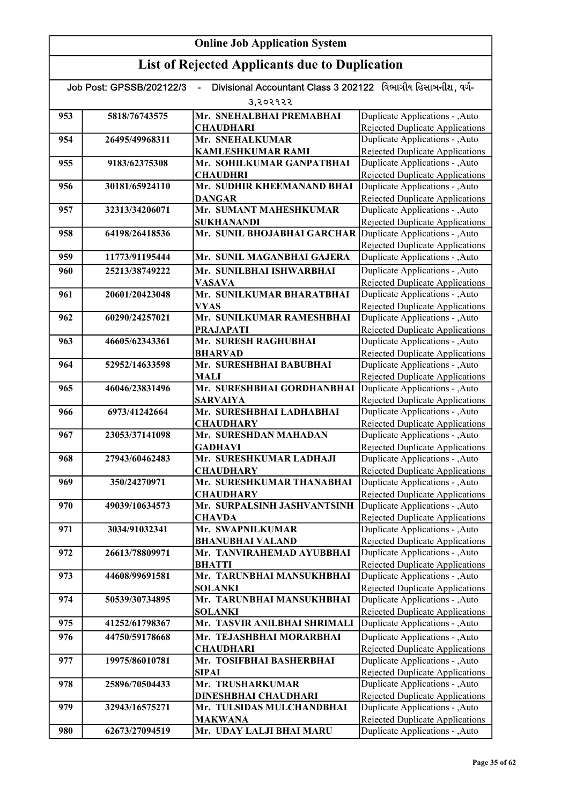| Divisional Accountant Class 3 202122 વિભાગીય હિસાબનીશ, વર્ગ-<br>Job Post: GPSSB/202122/3<br>$\blacksquare$ |                |                                                             |                                                                           |
|------------------------------------------------------------------------------------------------------------|----------------|-------------------------------------------------------------|---------------------------------------------------------------------------|
|                                                                                                            |                | 3,२०२१२२                                                    |                                                                           |
| 953                                                                                                        | 5818/76743575  | Mr. SNEHALBHAI PREMABHAI                                    | Duplicate Applications - , Auto                                           |
|                                                                                                            |                | <b>CHAUDHARI</b>                                            | <b>Rejected Duplicate Applications</b>                                    |
| 954                                                                                                        | 26495/49968311 | Mr. SNEHALKUMAR                                             | Duplicate Applications - , Auto                                           |
|                                                                                                            |                | <b>KAMLESHKUMAR RAMI</b>                                    | Rejected Duplicate Applications                                           |
| 955                                                                                                        | 9183/62375308  | Mr. SOHILKUMAR GANPATBHAI                                   | Duplicate Applications - , Auto                                           |
|                                                                                                            |                | <b>CHAUDHRI</b>                                             | <b>Rejected Duplicate Applications</b><br>Duplicate Applications - , Auto |
| 956                                                                                                        | 30181/65924110 | Mr. SUDHIR KHEEMANAND BHAI<br><b>DANGAR</b>                 | <b>Rejected Duplicate Applications</b>                                    |
| 957                                                                                                        | 32313/34206071 | Mr. SUMANT MAHESHKUMAR                                      | Duplicate Applications - , Auto                                           |
|                                                                                                            |                | <b>SUKHANANDI</b>                                           | Rejected Duplicate Applications                                           |
| 958                                                                                                        | 64198/26418536 | Mr. SUNIL BHOJABHAI GARCHAR Duplicate Applications - , Auto |                                                                           |
|                                                                                                            |                |                                                             | <b>Rejected Duplicate Applications</b>                                    |
| 959                                                                                                        | 11773/91195444 | Mr. SUNIL MAGANBHAI GAJERA                                  | Duplicate Applications - , Auto                                           |
| 960                                                                                                        | 25213/38749222 | Mr. SUNILBHAI ISHWARBHAI                                    | Duplicate Applications - , Auto                                           |
|                                                                                                            |                | <b>VASAVA</b>                                               | Rejected Duplicate Applications                                           |
| 961                                                                                                        | 20601/20423048 | Mr. SUNILKUMAR BHARATBHAI                                   | Duplicate Applications - , Auto                                           |
|                                                                                                            |                | <b>VYAS</b>                                                 | <b>Rejected Duplicate Applications</b>                                    |
| 962                                                                                                        | 60290/24257021 | Mr. SUNILKUMAR RAMESHBHAI                                   | Duplicate Applications - , Auto                                           |
|                                                                                                            |                | <b>PRAJAPATI</b>                                            | <b>Rejected Duplicate Applications</b>                                    |
| 963                                                                                                        | 46605/62343361 | Mr. SURESH RAGHUBHAI<br><b>BHARVAD</b>                      | Duplicate Applications - , Auto<br><b>Rejected Duplicate Applications</b> |
| 964                                                                                                        | 52952/14633598 | Mr. SURESHBHAI BABUBHAI                                     | Duplicate Applications - , Auto                                           |
|                                                                                                            |                | <b>MALI</b>                                                 | <b>Rejected Duplicate Applications</b>                                    |
| 965                                                                                                        | 46046/23831496 | Mr. SURESHBHAI GORDHANBHAI                                  | Duplicate Applications - , Auto                                           |
|                                                                                                            |                | <b>SARVAIYA</b>                                             | Rejected Duplicate Applications                                           |
| 966                                                                                                        | 6973/41242664  | Mr. SURESHBHAI LADHABHAI                                    | Duplicate Applications - , Auto                                           |
|                                                                                                            |                | <b>CHAUDHARY</b>                                            | Rejected Duplicate Applications                                           |
| 967                                                                                                        | 23053/37141098 | Mr. SURESHDAN MAHADAN                                       | Duplicate Applications - , Auto                                           |
|                                                                                                            |                | <b>GADHAVI</b>                                              | Rejected Duplicate Applications                                           |
| 968                                                                                                        | 27943/60462483 | Mr. SURESHKUMAR LADHAJI                                     | Duplicate Applications - , Auto                                           |
| 969                                                                                                        | 350/24270971   | <b>CHAUDHARY</b><br>Mr. SURESHKUMAR THANABHAI               | Rejected Duplicate Applications                                           |
|                                                                                                            |                | <b>CHAUDHARY</b>                                            | Duplicate Applications - , Auto<br><b>Rejected Duplicate Applications</b> |
| 970                                                                                                        | 49039/10634573 | Mr. SURPALSINH JASHVANTSINH                                 | Duplicate Applications - , Auto                                           |
|                                                                                                            |                | <b>CHAVDA</b>                                               | Rejected Duplicate Applications                                           |
| 971                                                                                                        | 3034/91032341  | Mr. SWAPNILKUMAR                                            | Duplicate Applications - , Auto                                           |
|                                                                                                            |                | <b>BHANUBHAI VALAND</b>                                     | <b>Rejected Duplicate Applications</b>                                    |
| 972                                                                                                        | 26613/78809971 | Mr. TANVIRAHEMAD AYUBBHAI                                   | Duplicate Applications - , Auto                                           |
|                                                                                                            |                | <b>BHATTI</b>                                               | <b>Rejected Duplicate Applications</b>                                    |
| 973                                                                                                        | 44608/99691581 | Mr. TARUNBHAI MANSUKHBHAI                                   | Duplicate Applications - , Auto                                           |
|                                                                                                            |                | <b>SOLANKI</b>                                              | Rejected Duplicate Applications                                           |
| 974                                                                                                        | 50539/30734895 | Mr. TARUNBHAI MANSUKHBHAI                                   | Duplicate Applications - , Auto                                           |
|                                                                                                            | 41252/61798367 | <b>SOLANKI</b><br>Mr. TASVIR ANILBHAI SHRIMALI              | Rejected Duplicate Applications<br>Duplicate Applications - , Auto        |
| 975                                                                                                        |                |                                                             |                                                                           |
| 976                                                                                                        | 44750/59178668 | Mr. TEJASHBHAI MORARBHAI<br><b>CHAUDHARI</b>                | Duplicate Applications - , Auto<br>Rejected Duplicate Applications        |
| 977                                                                                                        | 19975/86010781 | Mr. TOSIFBHAI BASHERBHAI                                    | Duplicate Applications - , Auto                                           |
|                                                                                                            |                | <b>SIPAI</b>                                                | <b>Rejected Duplicate Applications</b>                                    |
| 978                                                                                                        | 25896/70504433 | Mr. TRUSHARKUMAR                                            | Duplicate Applications - , Auto                                           |
|                                                                                                            |                | DINESHBHAI CHAUDHARI                                        | <b>Rejected Duplicate Applications</b>                                    |
| 979                                                                                                        | 32943/16575271 | Mr. TULSIDAS MULCHANDBHAI                                   | Duplicate Applications - , Auto                                           |
|                                                                                                            |                | <b>MAKWANA</b>                                              | <b>Rejected Duplicate Applications</b>                                    |
| 980                                                                                                        | 62673/27094519 | Mr. UDAY LALJI BHAI MARU                                    | Duplicate Applications - , Auto                                           |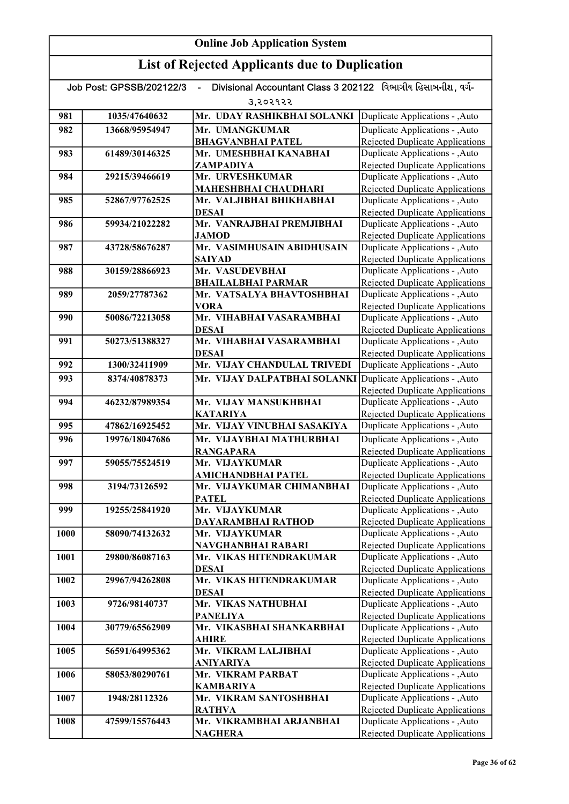| Divisional Accountant Class 3 202122 વિભાગીય હિસાબનીશ. વર્ગ-<br>Job Post: GPSSB/202122/3 |                |                                                 |                                                                           |
|------------------------------------------------------------------------------------------|----------------|-------------------------------------------------|---------------------------------------------------------------------------|
|                                                                                          |                | उ,२०२१२२                                        |                                                                           |
| 981                                                                                      | 1035/47640632  | Mr. UDAY RASHIKBHAI SOLANKI                     | Duplicate Applications - , Auto                                           |
| 982                                                                                      | 13668/95954947 | Mr. UMANGKUMAR                                  | Duplicate Applications - , Auto                                           |
|                                                                                          |                | <b>BHAGVANBHAI PATEL</b>                        | <b>Rejected Duplicate Applications</b>                                    |
| 983                                                                                      | 61489/30146325 | Mr. UMESHBHAI KANABHAI                          | Duplicate Applications - , Auto                                           |
|                                                                                          |                | ZAMPADIYA                                       | <b>Rejected Duplicate Applications</b>                                    |
| 984                                                                                      | 29215/39466619 | Mr. URVESHKUMAR                                 | Duplicate Applications - , Auto                                           |
|                                                                                          |                | <b>MAHESHBHAI CHAUDHARI</b>                     | <b>Rejected Duplicate Applications</b>                                    |
| 985                                                                                      | 52867/97762525 | Mr. VALJIBHAI BHIKHABHAI                        | Duplicate Applications - , Auto                                           |
| 986                                                                                      | 59934/21022282 | <b>DESAI</b><br>Mr. VANRAJBHAI PREMJIBHAI       | <b>Rejected Duplicate Applications</b><br>Duplicate Applications - , Auto |
|                                                                                          |                | <b>JAMOD</b>                                    | <b>Rejected Duplicate Applications</b>                                    |
| 987                                                                                      | 43728/58676287 | Mr. VASIMHUSAIN ABIDHUSAIN                      | Duplicate Applications - , Auto                                           |
|                                                                                          |                | <b>SAIYAD</b>                                   | <b>Rejected Duplicate Applications</b>                                    |
| 988                                                                                      | 30159/28866923 | Mr. VASUDEVBHAI                                 | Duplicate Applications - , Auto                                           |
|                                                                                          |                | <b>BHAILALBHAI PARMAR</b>                       | <b>Rejected Duplicate Applications</b>                                    |
| 989                                                                                      | 2059/27787362  | Mr. VATSALYA BHAVTOSHBHAI                       | Duplicate Applications - , Auto                                           |
|                                                                                          |                | <b>VORA</b>                                     | <b>Rejected Duplicate Applications</b>                                    |
| 990                                                                                      | 50086/72213058 | Mr. VIHABHAI VASARAMBHAI                        | Duplicate Applications - , Auto                                           |
|                                                                                          |                | <b>DESAI</b>                                    | Rejected Duplicate Applications                                           |
| 991                                                                                      | 50273/51388327 | Mr. VIHABHAI VASARAMBHAI                        | Duplicate Applications - , Auto                                           |
|                                                                                          |                | <b>DESAI</b>                                    | <b>Rejected Duplicate Applications</b>                                    |
| 992                                                                                      | 1300/32411909  | Mr. VIJAY CHANDULAL TRIVEDI                     | Duplicate Applications - , Auto                                           |
| 993                                                                                      | 8374/40878373  | Mr. VIJAY DALPATBHAI SOLANKI                    | Duplicate Applications - , Auto                                           |
|                                                                                          |                |                                                 | <b>Rejected Duplicate Applications</b>                                    |
| 994                                                                                      | 46232/87989354 | Mr. VIJAY MANSUKHBHAI                           | Duplicate Applications - , Auto                                           |
|                                                                                          |                | <b>KATARIYA</b>                                 | <b>Rejected Duplicate Applications</b>                                    |
| 995                                                                                      | 47862/16925452 | Mr. VIJAY VINUBHAI SASAKIYA                     | Duplicate Applications - , Auto                                           |
| 996                                                                                      | 19976/18047686 | Mr. VIJAYBHAI MATHURBHAI                        | Duplicate Applications - , Auto                                           |
|                                                                                          |                | <b>RANGAPARA</b>                                | <b>Rejected Duplicate Applications</b>                                    |
| 997                                                                                      | 59055/75524519 | Mr. VIJAYKUMAR                                  | Duplicate Applications - , Auto                                           |
| 998                                                                                      | 3194/73126592  | AMICHANDBHAI PATEL<br>Mr. VIJAYKUMAR CHIMANBHAI | Rejected Duplicate Applications<br>Duplicate Applications - , Auto        |
|                                                                                          |                | <b>PATEL</b>                                    | <b>Rejected Duplicate Applications</b>                                    |
| 999                                                                                      | 19255/25841920 | Mr. VIJAYKUMAR                                  | Duplicate Applications - , Auto                                           |
|                                                                                          |                | DAYARAMBHAI RATHOD                              | Rejected Duplicate Applications                                           |
| 1000                                                                                     | 58090/74132632 | Mr. VIJAYKUMAR                                  | Duplicate Applications - , Auto                                           |
|                                                                                          |                | NAVGHANBHAI RABARI                              | <b>Rejected Duplicate Applications</b>                                    |
| 1001                                                                                     | 29800/86087163 | Mr. VIKAS HITENDRAKUMAR                         | Duplicate Applications - , Auto                                           |
|                                                                                          |                | <b>DESAI</b>                                    | <b>Rejected Duplicate Applications</b>                                    |
| 1002                                                                                     | 29967/94262808 | Mr. VIKAS HITENDRAKUMAR                         | Duplicate Applications - , Auto                                           |
|                                                                                          |                | <b>DESAI</b>                                    | <b>Rejected Duplicate Applications</b>                                    |
| 1003                                                                                     | 9726/98140737  | Mr. VIKAS NATHUBHAI                             | Duplicate Applications - , Auto                                           |
|                                                                                          |                | <b>PANELIYA</b>                                 | <b>Rejected Duplicate Applications</b>                                    |
| 1004                                                                                     | 30779/65562909 | Mr. VIKASBHAI SHANKARBHAI                       | Duplicate Applications - , Auto                                           |
| 1005                                                                                     | 56591/64995362 | <b>AHIRE</b><br>Mr. VIKRAM LALJIBHAI            | <b>Rejected Duplicate Applications</b>                                    |
|                                                                                          |                | <b>ANIYARIYA</b>                                | Duplicate Applications - , Auto<br><b>Rejected Duplicate Applications</b> |
| 1006                                                                                     | 58053/80290761 | Mr. VIKRAM PARBAT                               | Duplicate Applications - , Auto                                           |
|                                                                                          |                | <b>KAMBARIYA</b>                                | Rejected Duplicate Applications                                           |
| 1007                                                                                     | 1948/28112326  | Mr. VIKRAM SANTOSHBHAI                          | Duplicate Applications - , Auto                                           |
|                                                                                          |                | <b>RATHVA</b>                                   | Rejected Duplicate Applications                                           |
| 1008                                                                                     | 47599/15576443 | Mr. VIKRAMBHAI ARJANBHAI                        | Duplicate Applications - , Auto                                           |
|                                                                                          |                | <b>NAGHERA</b>                                  | Rejected Duplicate Applications                                           |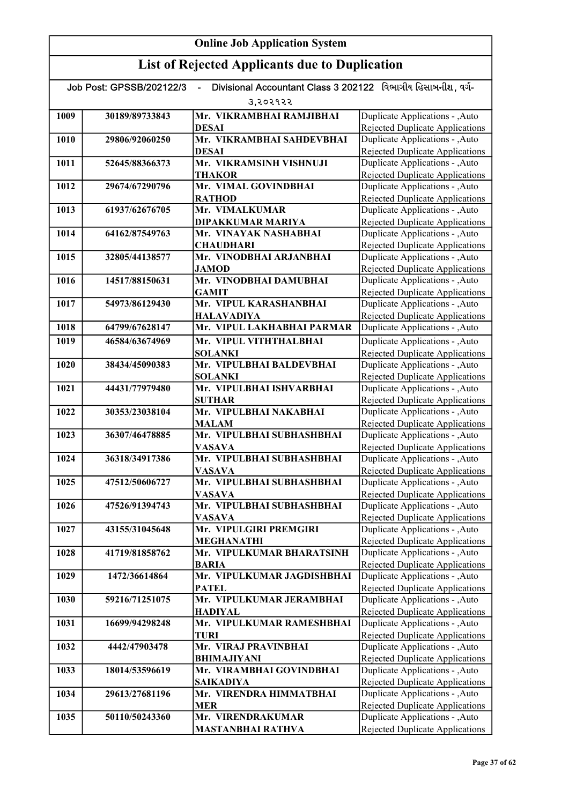| Divisional Accountant Class 3 202122 વિભાગીય હિસાબનીશ, વર્ગ-<br>Job Post: GPSSB/202122/3 |                |                                                   |                                                                           |  |
|------------------------------------------------------------------------------------------|----------------|---------------------------------------------------|---------------------------------------------------------------------------|--|
|                                                                                          | उ,२०२१२२       |                                                   |                                                                           |  |
| 1009                                                                                     | 30189/89733843 | Mr. VIKRAMBHAI RAMJIBHAI                          | Duplicate Applications - , Auto                                           |  |
|                                                                                          |                | <b>DESAI</b>                                      | Rejected Duplicate Applications                                           |  |
| 1010                                                                                     | 29806/92060250 | Mr. VIKRAMBHAI SAHDEVBHAI                         | Duplicate Applications - , Auto                                           |  |
|                                                                                          |                | <b>DESAI</b>                                      | Rejected Duplicate Applications                                           |  |
| 1011                                                                                     | 52645/88366373 | Mr. VIKRAMSINH VISHNUJI                           | Duplicate Applications - , Auto                                           |  |
|                                                                                          |                | <b>THAKOR</b>                                     | <b>Rejected Duplicate Applications</b>                                    |  |
| 1012                                                                                     | 29674/67290796 | Mr. VIMAL GOVINDBHAI                              | Duplicate Applications - , Auto                                           |  |
|                                                                                          |                | <b>RATHOD</b>                                     | Rejected Duplicate Applications                                           |  |
| 1013                                                                                     | 61937/62676705 | Mr. VIMALKUMAR                                    | Duplicate Applications - , Auto                                           |  |
| 1014                                                                                     | 64162/87549763 | <b>DIPAKKUMAR MARIYA</b><br>Mr. VINAYAK NASHABHAI | <b>Rejected Duplicate Applications</b><br>Duplicate Applications - , Auto |  |
|                                                                                          |                | <b>CHAUDHARI</b>                                  | <b>Rejected Duplicate Applications</b>                                    |  |
| 1015                                                                                     | 32805/44138577 | Mr. VINODBHAI ARJANBHAI                           | Duplicate Applications - , Auto                                           |  |
|                                                                                          |                | <b>JAMOD</b>                                      | <b>Rejected Duplicate Applications</b>                                    |  |
| 1016                                                                                     | 14517/88150631 | Mr. VINODBHAI DAMUBHAI                            | Duplicate Applications - , Auto                                           |  |
|                                                                                          |                | <b>GAMIT</b>                                      | Rejected Duplicate Applications                                           |  |
| 1017                                                                                     | 54973/86129430 | Mr. VIPUL KARASHANBHAI                            | Duplicate Applications - , Auto                                           |  |
|                                                                                          |                | <b>HALAVADIYA</b>                                 | Rejected Duplicate Applications                                           |  |
| 1018                                                                                     | 64799/67628147 | Mr. VIPUL LAKHABHAI PARMAR                        | Duplicate Applications - , Auto                                           |  |
| 1019                                                                                     | 46584/63674969 | Mr. VIPUL VITHTHALBHAI                            | Duplicate Applications - , Auto                                           |  |
|                                                                                          |                | <b>SOLANKI</b>                                    | Rejected Duplicate Applications                                           |  |
| 1020                                                                                     | 38434/45090383 | Mr. VIPULBHAI BALDEVBHAI                          | Duplicate Applications - , Auto                                           |  |
|                                                                                          |                | <b>SOLANKI</b>                                    | <b>Rejected Duplicate Applications</b>                                    |  |
| 1021                                                                                     | 44431/77979480 | Mr. VIPULBHAI ISHVARBHAI                          | Duplicate Applications - , Auto                                           |  |
|                                                                                          |                | <b>SUTHAR</b>                                     | <b>Rejected Duplicate Applications</b>                                    |  |
| 1022                                                                                     | 30353/23038104 | Mr. VIPULBHAI NAKABHAI                            | Duplicate Applications - , Auto                                           |  |
| 1023                                                                                     | 36307/46478885 | <b>MALAM</b><br>Mr. VIPULBHAI SUBHASHBHAI         | <b>Rejected Duplicate Applications</b><br>Duplicate Applications - , Auto |  |
|                                                                                          |                | <b>VASAVA</b>                                     | <b>Rejected Duplicate Applications</b>                                    |  |
| 1024                                                                                     | 36318/34917386 | Mr. VIPULBHAI SUBHASHBHAI                         | Duplicate Applications - , Auto                                           |  |
|                                                                                          |                | <b>VASAVA</b>                                     | <b>Rejected Duplicate Applications</b>                                    |  |
| 1025                                                                                     | 47512/50606727 | Mr. VIPULBHAI SUBHASHBHAI                         | Duplicate Applications - , Auto                                           |  |
|                                                                                          |                | <b>VASAVA</b>                                     | <b>Rejected Duplicate Applications</b>                                    |  |
| 1026                                                                                     | 47526/91394743 | Mr. VIPULBHAI SUBHASHBHAI                         | Duplicate Applications - , Auto                                           |  |
|                                                                                          |                | <b>VASAVA</b>                                     | Rejected Duplicate Applications                                           |  |
| 1027                                                                                     | 43155/31045648 | Mr. VIPULGIRI PREMGIRI                            | Duplicate Applications - ,Auto                                            |  |
|                                                                                          |                | <b>MEGHANATHI</b>                                 | Rejected Duplicate Applications                                           |  |
| 1028                                                                                     | 41719/81858762 | Mr. VIPULKUMAR BHARATSINH                         | Duplicate Applications - , Auto                                           |  |
| 1029                                                                                     | 1472/36614864  | <b>BARIA</b><br>Mr. VIPULKUMAR JAGDISHBHAI        | <b>Rejected Duplicate Applications</b><br>Duplicate Applications - , Auto |  |
|                                                                                          |                | <b>PATEL</b>                                      | <b>Rejected Duplicate Applications</b>                                    |  |
| 1030                                                                                     | 59216/71251075 | Mr. VIPULKUMAR JERAMBHAI                          | Duplicate Applications - , Auto                                           |  |
|                                                                                          |                | <b>HADIYAL</b>                                    | <b>Rejected Duplicate Applications</b>                                    |  |
| 1031                                                                                     | 16699/94298248 | Mr. VIPULKUMAR RAMESHBHAI                         | Duplicate Applications - , Auto                                           |  |
|                                                                                          |                | TURI                                              | <b>Rejected Duplicate Applications</b>                                    |  |
| 1032                                                                                     | 4442/47903478  | Mr. VIRAJ PRAVINBHAI                              | Duplicate Applications - , Auto                                           |  |
|                                                                                          |                | <b>BHIMAJIYANI</b>                                | <b>Rejected Duplicate Applications</b>                                    |  |
| 1033                                                                                     | 18014/53596619 | Mr. VIRAMBHAI GOVINDBHAI                          | Duplicate Applications - , Auto                                           |  |
|                                                                                          |                | <b>SAIKADIYA</b>                                  | Rejected Duplicate Applications                                           |  |
| 1034                                                                                     | 29613/27681196 | Mr. VIRENDRA HIMMATBHAI                           | Duplicate Applications - , Auto                                           |  |
|                                                                                          |                | <b>MER</b>                                        | Rejected Duplicate Applications                                           |  |
| 1035                                                                                     | 50110/50243360 | Mr. VIRENDRAKUMAR                                 | Duplicate Applications - , Auto<br>Rejected Duplicate Applications        |  |
|                                                                                          |                | <b>MASTANBHAI RATHVA</b>                          |                                                                           |  |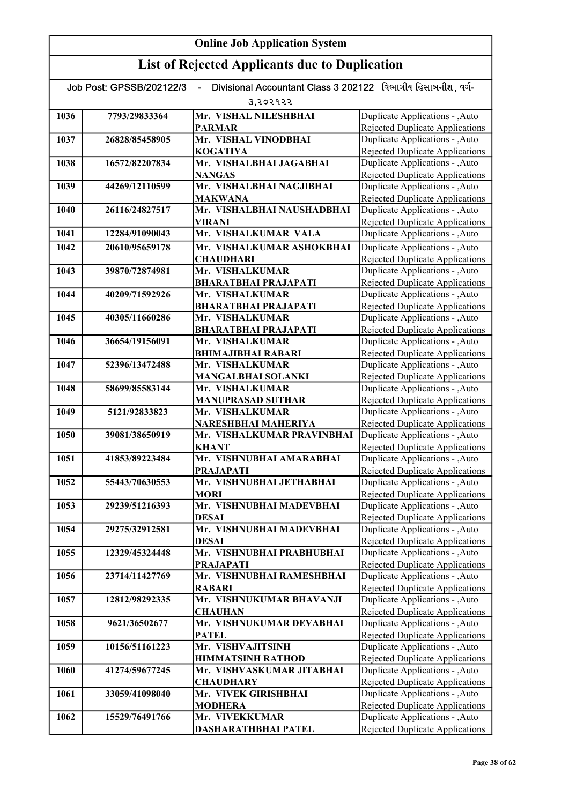| Divisional Accountant Class 3 202122 વિભાગીય હિસાબનીશ. વર્ગ-<br>Job Post: GPSSB/202122/3<br>$\blacksquare$ |                |                                            |                                                                           |
|------------------------------------------------------------------------------------------------------------|----------------|--------------------------------------------|---------------------------------------------------------------------------|
| 3,२०२१२२                                                                                                   |                |                                            |                                                                           |
| 1036                                                                                                       | 7793/29833364  | Mr. VISHAL NILESHBHAI                      | Duplicate Applications - , Auto                                           |
|                                                                                                            |                | <b>PARMAR</b>                              | Rejected Duplicate Applications                                           |
| 1037                                                                                                       | 26828/85458905 | Mr. VISHAL VINODBHAI                       | Duplicate Applications - , Auto                                           |
|                                                                                                            |                | <b>KOGATIYA</b>                            | Rejected Duplicate Applications                                           |
| 1038                                                                                                       | 16572/82207834 | Mr. VISHALBHAI JAGABHAI                    | Duplicate Applications - , Auto                                           |
|                                                                                                            |                | <b>NANGAS</b>                              | <b>Rejected Duplicate Applications</b>                                    |
| 1039                                                                                                       | 44269/12110599 | Mr. VISHALBHAI NAGJIBHAI                   | Duplicate Applications - , Auto                                           |
|                                                                                                            | 26116/24827517 | <b>MAKWANA</b>                             | <b>Rejected Duplicate Applications</b>                                    |
| 1040                                                                                                       |                | Mr. VISHALBHAI NAUSHADBHAI                 | Duplicate Applications - , Auto                                           |
| 1041                                                                                                       | 12284/91090043 | <b>VIRANI</b><br>Mr. VISHALKUMAR VALA      | <b>Rejected Duplicate Applications</b><br>Duplicate Applications - , Auto |
|                                                                                                            |                |                                            |                                                                           |
| 1042                                                                                                       | 20610/95659178 | Mr. VISHALKUMAR ASHOKBHAI                  | Duplicate Applications - , Auto                                           |
| 1043                                                                                                       | 39870/72874981 | <b>CHAUDHARI</b><br>Mr. VISHALKUMAR        | <b>Rejected Duplicate Applications</b><br>Duplicate Applications - , Auto |
|                                                                                                            |                | <b>BHARATBHAI PRAJAPATI</b>                | <b>Rejected Duplicate Applications</b>                                    |
| 1044                                                                                                       | 40209/71592926 | Mr. VISHALKUMAR                            | Duplicate Applications - , Auto                                           |
|                                                                                                            |                | <b>BHARATBHAI PRAJAPATI</b>                | <b>Rejected Duplicate Applications</b>                                    |
| 1045                                                                                                       | 40305/11660286 | Mr. VISHALKUMAR                            | Duplicate Applications - , Auto                                           |
|                                                                                                            |                | <b>BHARATBHAI PRAJAPATI</b>                | <b>Rejected Duplicate Applications</b>                                    |
| 1046                                                                                                       | 36654/19156091 | Mr. VISHALKUMAR                            | Duplicate Applications - , Auto                                           |
|                                                                                                            |                | <b>BHIMAJIBHAI RABARI</b>                  | <b>Rejected Duplicate Applications</b>                                    |
| 1047                                                                                                       | 52396/13472488 | Mr. VISHALKUMAR                            | Duplicate Applications - , Auto                                           |
|                                                                                                            |                | <b>MANGALBHAI SOLANKI</b>                  | <b>Rejected Duplicate Applications</b>                                    |
| 1048                                                                                                       | 58699/85583144 | Mr. VISHALKUMAR                            | Duplicate Applications - , Auto                                           |
|                                                                                                            |                | <b>MANUPRASAD SUTHAR</b>                   | Rejected Duplicate Applications                                           |
| 1049                                                                                                       | 5121/92833823  | Mr. VISHALKUMAR                            | Duplicate Applications - , Auto                                           |
|                                                                                                            |                | NARESHBHAI MAHERIYA                        | <b>Rejected Duplicate Applications</b>                                    |
| 1050                                                                                                       | 39081/38650919 | Mr. VISHALKUMAR PRAVINBHAI                 | Duplicate Applications - , Auto                                           |
| 1051                                                                                                       | 41853/89223484 | <b>KHANT</b><br>Mr. VISHNUBHAI AMARABHAI   | Rejected Duplicate Applications<br>Duplicate Applications - , Auto        |
|                                                                                                            |                | <b>PRAJAPATI</b>                           | Rejected Duplicate Applications                                           |
| 1052                                                                                                       | 55443/70630553 | Mr. VISHNUBHAI JETHABHAI                   | Duplicate Applications - , Auto                                           |
|                                                                                                            |                | <b>MORI</b>                                | <b>Rejected Duplicate Applications</b>                                    |
| 1053                                                                                                       | 29239/51216393 | Mr. VISHNUBHAI MADEVBHAI                   | Duplicate Applications - , Auto                                           |
|                                                                                                            |                | <b>DESAI</b>                               | <b>Rejected Duplicate Applications</b>                                    |
| 1054                                                                                                       | 29275/32912581 | Mr. VISHNUBHAI MADEVBHAI                   | Duplicate Applications - , Auto                                           |
|                                                                                                            |                | <b>DESAI</b>                               | <b>Rejected Duplicate Applications</b>                                    |
| 1055                                                                                                       | 12329/45324448 | Mr. VISHNUBHAI PRABHUBHAI                  | Duplicate Applications - , Auto                                           |
|                                                                                                            |                | <b>PRAJAPATI</b>                           | <b>Rejected Duplicate Applications</b>                                    |
| 1056                                                                                                       | 23714/11427769 | Mr. VISHNUBHAI RAMESHBHAI                  | Duplicate Applications - , Auto                                           |
|                                                                                                            |                | <b>RABARI</b>                              | <b>Rejected Duplicate Applications</b>                                    |
| 1057                                                                                                       | 12812/98292335 | Mr. VISHNUKUMAR BHAVANJI                   | Duplicate Applications - , Auto                                           |
| 1058                                                                                                       | 9621/36502677  | <b>CHAUHAN</b><br>Mr. VISHNUKUMAR DEVABHAI | <b>Rejected Duplicate Applications</b><br>Duplicate Applications - , Auto |
|                                                                                                            |                | <b>PATEL</b>                               | Rejected Duplicate Applications                                           |
| 1059                                                                                                       | 10156/51161223 | Mr. VISHVAJITSINH                          | Duplicate Applications - , Auto                                           |
|                                                                                                            |                | <b>HIMMATSINH RATHOD</b>                   | Rejected Duplicate Applications                                           |
| 1060                                                                                                       | 41274/59677245 | Mr. VISHVASKUMAR JITABHAI                  | Duplicate Applications - , Auto                                           |
|                                                                                                            |                | <b>CHAUDHARY</b>                           | Rejected Duplicate Applications                                           |
| 1061                                                                                                       | 33059/41098040 | Mr. VIVEK GIRISHBHAI                       | Duplicate Applications - , Auto                                           |
|                                                                                                            |                | <b>MODHERA</b>                             | Rejected Duplicate Applications                                           |
| 1062                                                                                                       | 15529/76491766 | Mr. VIVEKKUMAR                             | Duplicate Applications - , Auto                                           |
|                                                                                                            |                | DASHARATHBHAI PATEL                        | Rejected Duplicate Applications                                           |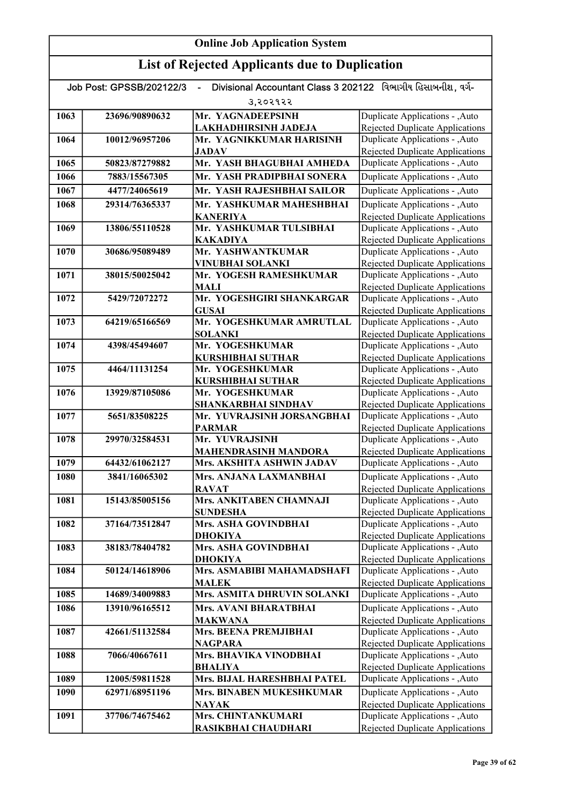| Divisional Accountant Class 3 202122 વિભાગીય હિસાબનીશ. વર્ગ-<br>Job Post: GPSSB/202122/3 |                |                                            |                                                                           |  |
|------------------------------------------------------------------------------------------|----------------|--------------------------------------------|---------------------------------------------------------------------------|--|
|                                                                                          | उ,२०२१२२       |                                            |                                                                           |  |
| 1063                                                                                     | 23696/90890632 | Mr. YAGNADEEPSINH                          | Duplicate Applications - , Auto                                           |  |
|                                                                                          |                | LAKHADHIRSINH JADEJA                       | Rejected Duplicate Applications                                           |  |
| 1064                                                                                     | 10012/96957206 | Mr. YAGNIKKUMAR HARISINH                   | Duplicate Applications - , Auto                                           |  |
|                                                                                          |                | <b>JADAV</b>                               | Rejected Duplicate Applications                                           |  |
| 1065                                                                                     | 50823/87279882 | Mr. YASH BHAGUBHAI AMHEDA                  | Duplicate Applications - , Auto                                           |  |
| 1066                                                                                     | 7883/15567305  | Mr. YASH PRADIPBHAI SONERA                 | Duplicate Applications - , Auto                                           |  |
| 1067                                                                                     | 4477/24065619  | Mr. YASH RAJESHBHAI SAILOR                 | Duplicate Applications - , Auto                                           |  |
| 1068                                                                                     | 29314/76365337 | Mr. YASHKUMAR MAHESHBHAI                   | Duplicate Applications - , Auto                                           |  |
|                                                                                          |                | <b>KANERIYA</b>                            | <b>Rejected Duplicate Applications</b>                                    |  |
| 1069                                                                                     | 13806/55110528 | Mr. YASHKUMAR TULSIBHAI                    | Duplicate Applications - ,Auto                                            |  |
|                                                                                          |                | <b>KAKADIYA</b>                            | <b>Rejected Duplicate Applications</b>                                    |  |
| 1070                                                                                     | 30686/95089489 | Mr. YASHWANTKUMAR                          | Duplicate Applications - , Auto                                           |  |
| 1071                                                                                     | 38015/50025042 | VINUBHAI SOLANKI<br>Mr. YOGESH RAMESHKUMAR | Rejected Duplicate Applications<br>Duplicate Applications - , Auto        |  |
|                                                                                          |                | MALI                                       | <b>Rejected Duplicate Applications</b>                                    |  |
| 1072                                                                                     | 5429/72072272  | Mr. YOGESHGIRI SHANKARGAR                  | Duplicate Applications - , Auto                                           |  |
|                                                                                          |                | <b>GUSAI</b>                               | <b>Rejected Duplicate Applications</b>                                    |  |
| 1073                                                                                     | 64219/65166569 | Mr. YOGESHKUMAR AMRUTLAL                   | Duplicate Applications - , Auto                                           |  |
|                                                                                          |                | <b>SOLANKI</b>                             | Rejected Duplicate Applications                                           |  |
| 1074                                                                                     | 4398/45494607  | Mr. YOGESHKUMAR                            | Duplicate Applications - , Auto                                           |  |
|                                                                                          |                | KURSHIBHAI SUTHAR                          | <b>Rejected Duplicate Applications</b>                                    |  |
| 1075                                                                                     | 4464/11131254  | Mr. YOGESHKUMAR                            | Duplicate Applications - , Auto                                           |  |
|                                                                                          |                | KURSHIBHAI SUTHAR                          | <b>Rejected Duplicate Applications</b>                                    |  |
| 1076                                                                                     | 13929/87105086 | Mr. YOGESHKUMAR                            | Duplicate Applications - , Auto                                           |  |
|                                                                                          |                | SHANKARBHAI SINDHAV                        | <b>Rejected Duplicate Applications</b>                                    |  |
| 1077                                                                                     | 5651/83508225  | Mr. YUVRAJSINH JORSANGBHAI                 | Duplicate Applications - , Auto                                           |  |
|                                                                                          |                | <b>PARMAR</b><br>Mr. YUVRAJSINH            | <b>Rejected Duplicate Applications</b>                                    |  |
| 1078                                                                                     | 29970/32584531 | <b>MAHENDRASINH MANDORA</b>                | Duplicate Applications - , Auto<br><b>Rejected Duplicate Applications</b> |  |
| 1079                                                                                     | 64432/61062127 | Mrs. AKSHITA ASHWIN JADAV                  | Duplicate Applications - , Auto                                           |  |
| 1080                                                                                     | 3841/16065302  | Mrs. ANJANA LAXMANBHAI                     | Duplicate Applications - , Auto                                           |  |
|                                                                                          |                | <b>RAVAT</b>                               | Rejected Duplicate Applications                                           |  |
| 1081                                                                                     | 15143/85005156 | Mrs. ANKITABEN CHAMNAJI                    | Duplicate Applications - , Auto                                           |  |
|                                                                                          |                | <b>SUNDESHA</b>                            | Rejected Duplicate Applications                                           |  |
| 1082                                                                                     | 37164/73512847 | Mrs. ASHA GOVINDBHAI                       | Duplicate Applications - , Auto                                           |  |
|                                                                                          |                | <b>DHOKIYA</b>                             | <b>Rejected Duplicate Applications</b>                                    |  |
| 1083                                                                                     | 38183/78404782 | Mrs. ASHA GOVINDBHAI                       | Duplicate Applications - , Auto                                           |  |
|                                                                                          |                | <b>DHOKIYA</b>                             | <b>Rejected Duplicate Applications</b>                                    |  |
| 1084                                                                                     | 50124/14618906 | Mrs. ASMABIBI MAHAMADSHAFI                 | Duplicate Applications - , Auto                                           |  |
|                                                                                          |                | <b>MALEK</b>                               | <b>Rejected Duplicate Applications</b>                                    |  |
| 1085                                                                                     | 14689/34009883 | Mrs. ASMITA DHRUVIN SOLANKI                | Duplicate Applications - , Auto                                           |  |
| 1086                                                                                     | 13910/96165512 | Mrs. AVANI BHARATBHAI                      | Duplicate Applications - , Auto                                           |  |
|                                                                                          |                | <b>MAKWANA</b>                             | <b>Rejected Duplicate Applications</b>                                    |  |
| 1087                                                                                     | 42661/51132584 | Mrs. BEENA PREMJIBHAI                      | Duplicate Applications - , Auto                                           |  |
| 1088                                                                                     | 7066/40667611  | <b>NAGPARA</b><br>Mrs. BHAVIKA VINODBHAI   | <b>Rejected Duplicate Applications</b><br>Duplicate Applications - , Auto |  |
|                                                                                          |                | <b>BHALIYA</b>                             | <b>Rejected Duplicate Applications</b>                                    |  |
| 1089                                                                                     | 12005/59811528 | Mrs. BIJAL HARESHBHAI PATEL                | Duplicate Applications - , Auto                                           |  |
| 1090                                                                                     | 62971/68951196 | <b>Mrs. BINABEN MUKESHKUMAR</b>            | Duplicate Applications - , Auto                                           |  |
|                                                                                          |                | NAYAK                                      | Rejected Duplicate Applications                                           |  |
| 1091                                                                                     | 37706/74675462 | <b>Mrs. CHINTANKUMARI</b>                  | Duplicate Applications - , Auto                                           |  |
|                                                                                          |                | RASIK <u>BHAI CHAUDHARI</u>                | <b>Rejected Duplicate Applications</b>                                    |  |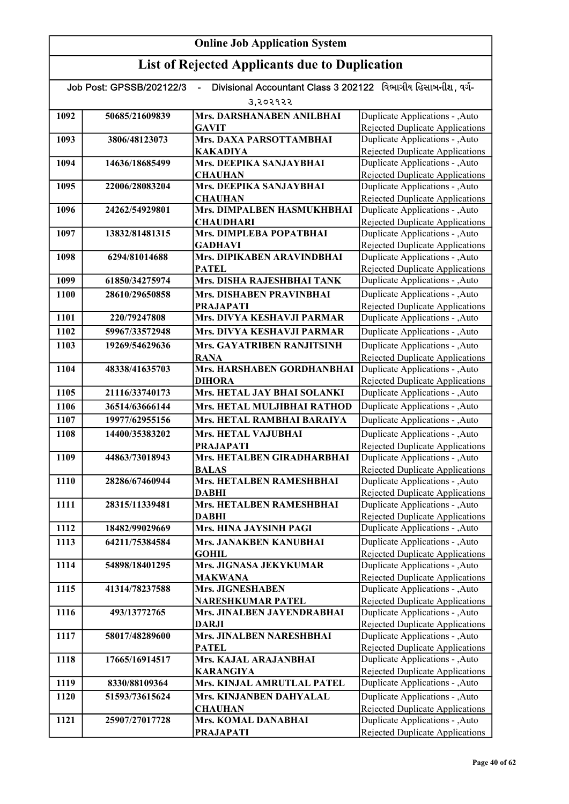| Divisional Accountant Class 3 202122 વિભાગીય હિસાબનીશ. વર્ગ-<br>Job Post: GPSSB/202122/3 |                |                                             |                                                                    |
|------------------------------------------------------------------------------------------|----------------|---------------------------------------------|--------------------------------------------------------------------|
|                                                                                          |                | उ,२०२१२२                                    |                                                                    |
| 1092                                                                                     | 50685/21609839 | Mrs. DARSHANABEN ANILBHAI                   | Duplicate Applications - , Auto                                    |
|                                                                                          |                | <b>GAVIT</b>                                | Rejected Duplicate Applications                                    |
| 1093                                                                                     | 3806/48123073  | Mrs. DAXA PARSOTTAMBHAI                     | Duplicate Applications - , Auto                                    |
|                                                                                          |                | <b>KAKADIYA</b>                             | Rejected Duplicate Applications                                    |
| 1094                                                                                     | 14636/18685499 | Mrs. DEEPIKA SANJAYBHAI                     | Duplicate Applications - , Auto                                    |
|                                                                                          |                | <b>CHAUHAN</b>                              | <b>Rejected Duplicate Applications</b>                             |
| 1095                                                                                     | 22006/28083204 | Mrs. DEEPIKA SANJAYBHAI                     | Duplicate Applications - , Auto                                    |
|                                                                                          |                | <b>CHAUHAN</b>                              | Rejected Duplicate Applications                                    |
| 1096                                                                                     | 24262/54929801 | Mrs. DIMPALBEN HASMUKHBHAI                  | Duplicate Applications - , Auto                                    |
| 1097                                                                                     | 13832/81481315 | <b>CHAUDHARI</b><br>Mrs. DIMPLEBA POPATBHAI | Rejected Duplicate Applications<br>Duplicate Applications - , Auto |
|                                                                                          |                | <b>GADHAVI</b>                              | <b>Rejected Duplicate Applications</b>                             |
| 1098                                                                                     | 6294/81014688  | Mrs. DIPIKABEN ARAVINDBHAI                  | Duplicate Applications - , Auto                                    |
|                                                                                          |                | <b>PATEL</b>                                | <b>Rejected Duplicate Applications</b>                             |
| 1099                                                                                     | 61850/34275974 | Mrs. DISHA RAJESHBHAI TANK                  | Duplicate Applications - , Auto                                    |
| 1100                                                                                     | 28610/29650858 | <b>Mrs. DISHABEN PRAVINBHAI</b>             | Duplicate Applications - , Auto                                    |
|                                                                                          |                | <b>PRAJAPATI</b>                            | Rejected Duplicate Applications                                    |
| 1101                                                                                     | 220/79247808   | Mrs. DIVYA KESHAVJI PARMAR                  | Duplicate Applications - , Auto                                    |
| 1102                                                                                     | 59967/33572948 | Mrs. DIVYA KESHAVJI PARMAR                  | Duplicate Applications - , Auto                                    |
| 1103                                                                                     | 19269/54629636 | Mrs. GAYATRIBEN RANJITSINH                  | Duplicate Applications - , Auto                                    |
|                                                                                          |                | <b>RANA</b>                                 | Rejected Duplicate Applications                                    |
| 1104                                                                                     | 48338/41635703 | Mrs. HARSHABEN GORDHANBHAI                  | Duplicate Applications - , Auto                                    |
|                                                                                          |                | <b>DIHORA</b>                               | Rejected Duplicate Applications                                    |
| 1105                                                                                     | 21116/33740173 | Mrs. HETAL JAY BHAI SOLANKI                 | Duplicate Applications - , Auto                                    |
| 1106                                                                                     | 36514/63666144 | Mrs. HETAL MULJIBHAI RATHOD                 | Duplicate Applications - , Auto                                    |
| 1107                                                                                     | 19977/62955156 | Mrs. HETAL RAMBHAI BARAIYA                  | Duplicate Applications - , Auto                                    |
| 1108                                                                                     | 14400/35383202 | Mrs. HETAL VAJUBHAI                         | Duplicate Applications - , Auto                                    |
|                                                                                          |                | <b>PRAJAPATI</b>                            | Rejected Duplicate Applications                                    |
| 1109                                                                                     | 44863/73018943 | Mrs. HETALBEN GIRADHARBHAI                  | Duplicate Applications - , Auto                                    |
|                                                                                          |                | <b>BALAS</b>                                | <b>Rejected Duplicate Applications</b>                             |
| 1110                                                                                     | 28286/67460944 | <b>Mrs. HETALBEN RAMESHBHAI</b>             | Duplicate Applications - , Auto                                    |
|                                                                                          |                | <b>DABHI</b>                                | Rejected Duplicate Applications                                    |
| 1111                                                                                     | 28315/11339481 | Mrs. HETALBEN RAMESHBHAI                    | Duplicate Applications - , Auto                                    |
| 1112                                                                                     | 18482/99029669 | <b>DABHI</b><br>Mrs. HINA JAYSINH PAGI      | Rejected Duplicate Applications<br>Duplicate Applications - , Auto |
|                                                                                          |                |                                             |                                                                    |
| 1113                                                                                     | 64211/75384584 | Mrs. JANAKBEN KANUBHAI<br><b>GOHIL</b>      | Duplicate Applications - , Auto<br>Rejected Duplicate Applications |
| 1114                                                                                     | 54898/18401295 | Mrs. JIGNASA JEKYKUMAR                      | Duplicate Applications - , Auto                                    |
|                                                                                          |                | <b>MAKWANA</b>                              | Rejected Duplicate Applications                                    |
| 1115                                                                                     | 41314/78237588 | Mrs. JIGNESHABEN                            | Duplicate Applications - , Auto                                    |
|                                                                                          |                | <b>NARESHKUMAR PATEL</b>                    | <b>Rejected Duplicate Applications</b>                             |
| 1116                                                                                     | 493/13772765   | Mrs. JINALBEN JAYENDRABHAI                  | Duplicate Applications - , Auto                                    |
|                                                                                          |                | <b>DARJI</b>                                | Rejected Duplicate Applications                                    |
| 1117                                                                                     | 58017/48289600 | Mrs. JINALBEN NARESHBHAI                    | Duplicate Applications - , Auto                                    |
|                                                                                          |                | <b>PATEL</b>                                | Rejected Duplicate Applications                                    |
| 1118                                                                                     | 17665/16914517 | Mrs. KAJAL ARAJANBHAI                       | Duplicate Applications - , Auto                                    |
|                                                                                          |                | <b>KARANGIYA</b>                            | <b>Rejected Duplicate Applications</b>                             |
| 1119                                                                                     | 8330/88109364  | <b>Mrs. KINJAL AMRUTLAL PATEL</b>           | Duplicate Applications - , Auto                                    |
| 1120                                                                                     | 51593/73615624 | Mrs. KINJANBEN DAHYALAL                     | Duplicate Applications - , Auto                                    |
|                                                                                          |                | <b>CHAUHAN</b>                              | Rejected Duplicate Applications                                    |
| 1121                                                                                     | 25907/27017728 | Mrs. KOMAL DANABHAI                         | Duplicate Applications - , Auto                                    |
|                                                                                          |                | <b>PRAJAPATI</b>                            | Rejected Duplicate Applications                                    |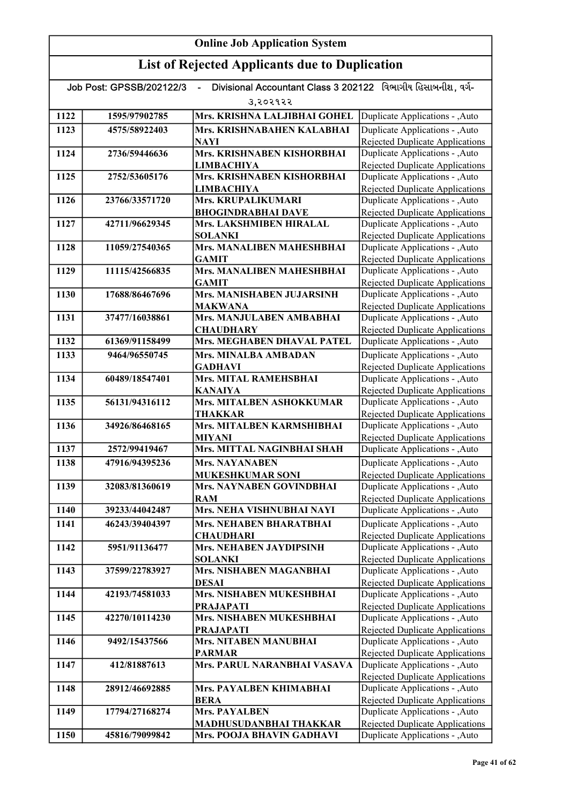| Divisional Accountant Class 3 202122 વિભાગીય હિસાબનીશ, વર્ગ-<br>Job Post: GPSSB/202122/3 |                |                                                     |                                                                           |
|------------------------------------------------------------------------------------------|----------------|-----------------------------------------------------|---------------------------------------------------------------------------|
|                                                                                          |                | उ,२०२१२२                                            |                                                                           |
| 1122                                                                                     | 1595/97902785  | Mrs. KRISHNA LALJIBHAI GOHEL                        | Duplicate Applications - , Auto                                           |
| 1123                                                                                     | 4575/58922403  | Mrs. KRISHNABAHEN KALABHAI                          | Duplicate Applications - , Auto                                           |
|                                                                                          |                | <b>NAYI</b>                                         | Rejected Duplicate Applications                                           |
| 1124                                                                                     | 2736/59446636  | Mrs. KRISHNABEN KISHORBHAI                          | Duplicate Applications - , Auto                                           |
|                                                                                          |                | <b>LIMBACHIYA</b>                                   | Rejected Duplicate Applications                                           |
| 1125                                                                                     | 2752/53605176  | Mrs. KRISHNABEN KISHORBHAI                          | Duplicate Applications - , Auto                                           |
|                                                                                          |                | <b>LIMBACHIYA</b>                                   | <b>Rejected Duplicate Applications</b>                                    |
| 1126                                                                                     | 23766/33571720 | Mrs. KRUPALIKUMARI                                  | Duplicate Applications - , Auto                                           |
|                                                                                          |                | <b>BHOGINDRABHAI DAVE</b>                           | Rejected Duplicate Applications                                           |
| 1127                                                                                     | 42711/96629345 | Mrs. LAKSHMIBEN HIRALAL                             | Duplicate Applications - , Auto                                           |
| 1128                                                                                     | 11059/27540365 | <b>SOLANKI</b><br>Mrs. MANALIBEN MAHESHBHAI         | <b>Rejected Duplicate Applications</b><br>Duplicate Applications - , Auto |
|                                                                                          |                | <b>GAMIT</b>                                        | <b>Rejected Duplicate Applications</b>                                    |
| 1129                                                                                     | 11115/42566835 | Mrs. MANALIBEN MAHESHBHAI                           | Duplicate Applications - , Auto                                           |
|                                                                                          |                | <b>GAMIT</b>                                        | Rejected Duplicate Applications                                           |
| 1130                                                                                     | 17688/86467696 | Mrs. MANISHABEN JUJARSINH                           | Duplicate Applications - , Auto                                           |
|                                                                                          |                | <b>MAKWANA</b>                                      | Rejected Duplicate Applications                                           |
| 1131                                                                                     | 37477/16038861 | Mrs. MANJULABEN AMBABHAI                            | Duplicate Applications - , Auto                                           |
|                                                                                          |                | <b>CHAUDHARY</b>                                    | <b>Rejected Duplicate Applications</b>                                    |
| 1132                                                                                     | 61369/91158499 | Mrs. MEGHABEN DHAVAL PATEL                          | Duplicate Applications - , Auto                                           |
| 1133                                                                                     | 9464/96550745  | Mrs. MINALBA AMBADAN                                | Duplicate Applications - , Auto                                           |
|                                                                                          |                | <b>GADHAVI</b>                                      | <b>Rejected Duplicate Applications</b>                                    |
| 1134                                                                                     | 60489/18547401 | Mrs. MITAL RAMEHSBHAI                               | Duplicate Applications - , Auto                                           |
|                                                                                          |                | <b>KANAIYA</b>                                      | <b>Rejected Duplicate Applications</b>                                    |
| 1135                                                                                     | 56131/94316112 | Mrs. MITALBEN ASHOKKUMAR                            | Duplicate Applications - , Auto                                           |
|                                                                                          |                | THAKKAR                                             | Rejected Duplicate Applications                                           |
| 1136                                                                                     | 34926/86468165 | Mrs. MITALBEN KARMSHIBHAI                           | Duplicate Applications - , Auto                                           |
| 1137                                                                                     |                | <b>MIYANI</b><br>Mrs. MITTAL NAGINBHAI SHAH         | <b>Rejected Duplicate Applications</b>                                    |
|                                                                                          | 2572/99419467  |                                                     | Duplicate Applications - , Auto                                           |
| 1138                                                                                     | 47916/94395236 | <b>Mrs. NAYANABEN</b><br><b>MUKESHKUMAR SONI</b>    | Duplicate Applications - , Auto                                           |
| 1139                                                                                     | 32083/81360619 | Mrs. NAYNABEN GOVINDBHAI                            | Rejected Duplicate Applications<br>Duplicate Applications - , Auto        |
|                                                                                          |                | RAM                                                 | Rejected Duplicate Applications                                           |
| 1140                                                                                     | 39233/44042487 | Mrs. NEHA VISHNUBHAI NAYI                           | Duplicate Applications - , Auto                                           |
| 1141                                                                                     | 46243/39404397 | <b>Mrs. NEHABEN BHARATBHAI</b>                      | Duplicate Applications - , Auto                                           |
|                                                                                          |                | <b>CHAUDHARI</b>                                    | <b>Rejected Duplicate Applications</b>                                    |
| 1142                                                                                     | 5951/91136477  | Mrs. NEHABEN JAYDIPSINH                             | Duplicate Applications - , Auto                                           |
|                                                                                          |                | <b>SOLANKI</b>                                      | <b>Rejected Duplicate Applications</b>                                    |
| 1143                                                                                     | 37599/22783927 | <b>Mrs. NISHABEN MAGANBHAI</b>                      | Duplicate Applications - , Auto                                           |
|                                                                                          |                | <b>DESAI</b>                                        | Rejected Duplicate Applications                                           |
| 1144                                                                                     | 42193/74581033 | Mrs. NISHABEN MUKESHBHAI                            | Duplicate Applications - , Auto                                           |
|                                                                                          |                | <b>PRAJAPATI</b>                                    | <b>Rejected Duplicate Applications</b>                                    |
| 1145                                                                                     | 42270/10114230 | Mrs. NISHABEN MUKESHBHAI                            | Duplicate Applications - , Auto                                           |
|                                                                                          |                | <b>PRAJAPATI</b>                                    | <b>Rejected Duplicate Applications</b>                                    |
| 1146                                                                                     | 9492/15437566  | <b>Mrs. NITABEN MANUBHAI</b>                        | Duplicate Applications - , Auto                                           |
| 1147                                                                                     | 412/81887613   | <b>PARMAR</b><br><b>Mrs. PARUL NARANBHAI VASAVA</b> | <b>Rejected Duplicate Applications</b><br>Duplicate Applications - , Auto |
|                                                                                          |                |                                                     | Rejected Duplicate Applications                                           |
| 1148                                                                                     | 28912/46692885 | Mrs. PAYALBEN KHIMABHAI                             | Duplicate Applications - , Auto                                           |
|                                                                                          |                | <b>BERA</b>                                         | Rejected Duplicate Applications                                           |
| 1149                                                                                     | 17794/27168274 | <b>Mrs. PAYALBEN</b>                                | Duplicate Applications - , Auto                                           |
|                                                                                          |                | MADHUSUDANBHAI THAKKAR                              | Rejected Duplicate Applications                                           |
| 1150                                                                                     | 45816/79099842 | Mrs. POOJA BHAVIN GADHAVI                           | Duplicate Applications - , Auto                                           |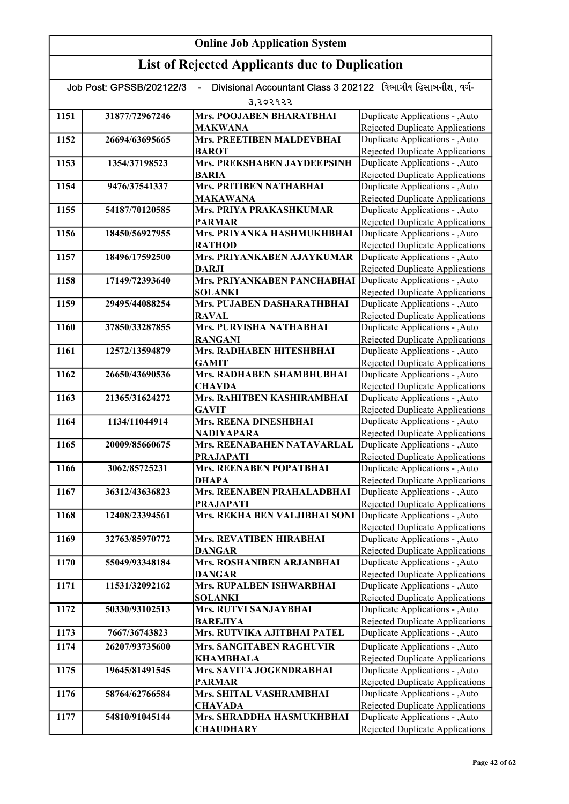| Divisional Accountant Class 3 202122 વિભાગીય હિસાબનીશ. વર્ગ-<br>Job Post: GPSSB/202122/3 |                |                                                               |                                                                    |  |
|------------------------------------------------------------------------------------------|----------------|---------------------------------------------------------------|--------------------------------------------------------------------|--|
|                                                                                          | उ,२०२१२२       |                                                               |                                                                    |  |
| 1151                                                                                     | 31877/72967246 | <b>Mrs. POOJABEN BHARATBHAI</b>                               | Duplicate Applications - , Auto                                    |  |
|                                                                                          |                | <b>MAKWANA</b>                                                | <b>Rejected Duplicate Applications</b>                             |  |
| 1152                                                                                     | 26694/63695665 | Mrs. PREETIBEN MALDEVBHAI                                     | Duplicate Applications - , Auto                                    |  |
|                                                                                          |                | <b>BAROT</b>                                                  | Rejected Duplicate Applications                                    |  |
| 1153                                                                                     | 1354/37198523  | Mrs. PREKSHABEN JAYDEEPSINH                                   | Duplicate Applications - , Auto                                    |  |
|                                                                                          |                | <b>BARIA</b>                                                  | Rejected Duplicate Applications                                    |  |
| 1154                                                                                     | 9476/37541337  | <b>Mrs. PRITIBEN NATHABHAI</b>                                | Duplicate Applications - , Auto                                    |  |
|                                                                                          |                | <b>MAKAWANA</b>                                               | Rejected Duplicate Applications                                    |  |
| 1155                                                                                     | 54187/70120585 | <b>Mrs. PRIYA PRAKASHKUMAR</b>                                | Duplicate Applications - , Auto                                    |  |
| 1156                                                                                     | 18450/56927955 | <b>PARMAR</b><br>Mrs. PRIYANKA HASHMUKHBHAI                   | Rejected Duplicate Applications<br>Duplicate Applications - , Auto |  |
|                                                                                          |                | <b>RATHOD</b>                                                 | <b>Rejected Duplicate Applications</b>                             |  |
| 1157                                                                                     | 18496/17592500 | Mrs. PRIYANKABEN AJAYKUMAR                                    | Duplicate Applications - , Auto                                    |  |
|                                                                                          |                | <b>DARJI</b>                                                  | <b>Rejected Duplicate Applications</b>                             |  |
| 1158                                                                                     | 17149/72393640 | Mrs. PRIYANKABEN PANCHABHAI                                   | Duplicate Applications - , Auto                                    |  |
|                                                                                          |                | <b>SOLANKI</b>                                                | <b>Rejected Duplicate Applications</b>                             |  |
| 1159                                                                                     | 29495/44088254 | Mrs. PUJABEN DASHARATHBHAI                                    | Duplicate Applications - , Auto                                    |  |
|                                                                                          |                | <b>RAVAL</b>                                                  | <b>Rejected Duplicate Applications</b>                             |  |
| 1160                                                                                     | 37850/33287855 | <b>Mrs. PURVISHA NATHABHAI</b>                                | Duplicate Applications - , Auto                                    |  |
|                                                                                          |                | <b>RANGANI</b>                                                | Rejected Duplicate Applications                                    |  |
| 1161                                                                                     | 12572/13594879 | Mrs. RADHABEN HITESHBHAI                                      | Duplicate Applications - , Auto                                    |  |
|                                                                                          |                | <b>GAMIT</b>                                                  | Rejected Duplicate Applications                                    |  |
| 1162                                                                                     | 26650/43690536 | Mrs. RADHABEN SHAMBHUBHAI                                     | Duplicate Applications - , Auto                                    |  |
|                                                                                          |                | <b>CHAVDA</b>                                                 | Rejected Duplicate Applications                                    |  |
| 1163                                                                                     | 21365/31624272 | Mrs. RAHITBEN KASHIRAMBHAI                                    | Duplicate Applications - , Auto                                    |  |
| 1164                                                                                     | 1134/11044914  | <b>GAVIT</b><br><b>Mrs. REENA DINESHBHAI</b>                  | Rejected Duplicate Applications<br>Duplicate Applications - , Auto |  |
|                                                                                          |                | <b>NADIYAPARA</b>                                             | <b>Rejected Duplicate Applications</b>                             |  |
| 1165                                                                                     | 20009/85660675 | Mrs. REENABAHEN NATAVARLAL                                    | Duplicate Applications - , Auto                                    |  |
|                                                                                          |                | <b>PRAJAPATI</b>                                              | Rejected Duplicate Applications                                    |  |
| 1166                                                                                     | 3062/85725231  | Mrs. REENABEN POPATBHAI                                       | Duplicate Applications - , Auto                                    |  |
|                                                                                          |                | <b>DHAPA</b>                                                  | <b>Rejected Duplicate Applications</b>                             |  |
| 1167                                                                                     | 36312/43636823 | Mrs. REENABEN PRAHALADBHAI                                    | Duplicate Applications - , Auto                                    |  |
|                                                                                          |                | <b>PRAJAPATI</b>                                              | Rejected Duplicate Applications                                    |  |
| 1168                                                                                     | 12408/23394561 | Mrs. REKHA BEN VALJIBHAI SONI Duplicate Applications - , Auto |                                                                    |  |
|                                                                                          |                |                                                               | Rejected Duplicate Applications                                    |  |
| 1169                                                                                     | 32763/85970772 | Mrs. REVATIBEN HIRABHAI                                       | Duplicate Applications - , Auto                                    |  |
|                                                                                          |                | <b>DANGAR</b><br><b>Mrs. ROSHANIBEN ARJANBHAI</b>             | Rejected Duplicate Applications                                    |  |
| 1170                                                                                     | 55049/93348184 | <b>DANGAR</b>                                                 | Duplicate Applications - , Auto<br>Rejected Duplicate Applications |  |
| 1171                                                                                     | 11531/32092162 | Mrs. RUPALBEN ISHWARBHAI                                      | Duplicate Applications - , Auto                                    |  |
|                                                                                          |                | <b>SOLANKI</b>                                                | <b>Rejected Duplicate Applications</b>                             |  |
| 1172                                                                                     | 50330/93102513 | Mrs. RUTVI SANJAYBHAI                                         | Duplicate Applications - , Auto                                    |  |
|                                                                                          |                | <b>BAREJIYA</b>                                               | <b>Rejected Duplicate Applications</b>                             |  |
| 1173                                                                                     | 7667/36743823  | Mrs. RUTVIKA AJITBHAI PATEL                                   | Duplicate Applications - , Auto                                    |  |
| 1174                                                                                     | 26207/93735600 | <b>Mrs. SANGITABEN RAGHUVIR</b>                               | Duplicate Applications - , Auto                                    |  |
|                                                                                          |                | <b>KHAMBHALA</b>                                              | Rejected Duplicate Applications                                    |  |
| 1175                                                                                     | 19645/81491545 | Mrs. SAVITA JOGENDRABHAI                                      | Duplicate Applications - , Auto                                    |  |
|                                                                                          |                | <b>PARMAR</b>                                                 | Rejected Duplicate Applications                                    |  |
| 1176                                                                                     | 58764/62766584 | Mrs. SHITAL VASHRAMBHAI                                       | Duplicate Applications - , Auto                                    |  |
|                                                                                          |                | <b>CHAVADA</b>                                                | Rejected Duplicate Applications                                    |  |
| 1177                                                                                     | 54810/91045144 | Mrs. SHRADDHA HASMUKHBHAI                                     | Duplicate Applications - , Auto                                    |  |
|                                                                                          |                | <b>CHAUDHARY</b>                                              | Rejected Duplicate Applications                                    |  |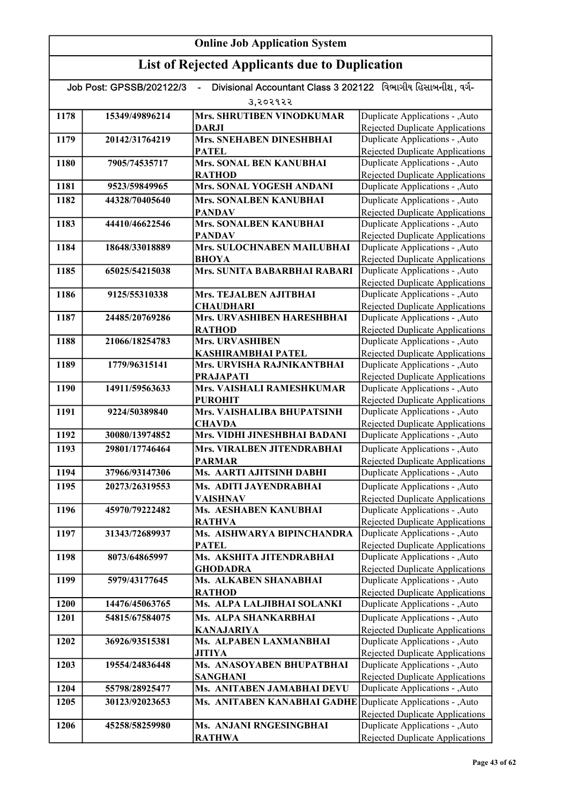| Divisional Accountant Class 3 202122 વિભાગીય હિસાબનીશ. વર્ગ-<br>Job Post: GPSSB/202122/3 |                |                                             |                                                                    |  |  |
|------------------------------------------------------------------------------------------|----------------|---------------------------------------------|--------------------------------------------------------------------|--|--|
|                                                                                          | उ,२०२१२२       |                                             |                                                                    |  |  |
| 1178                                                                                     | 15349/49896214 | <b>Mrs. SHRUTIBEN VINODKUMAR</b>            | Duplicate Applications - , Auto                                    |  |  |
|                                                                                          |                | <b>DARJI</b>                                | <b>Rejected Duplicate Applications</b>                             |  |  |
| 1179                                                                                     | 20142/31764219 | <b>Mrs. SNEHABEN DINESHBHAI</b>             | Duplicate Applications - , Auto                                    |  |  |
|                                                                                          |                | <b>PATEL</b>                                | Rejected Duplicate Applications                                    |  |  |
| 1180                                                                                     | 7905/74535717  | Mrs. SONAL BEN KANUBHAI                     | Duplicate Applications - , Auto                                    |  |  |
|                                                                                          |                | <b>RATHOD</b>                               | Rejected Duplicate Applications                                    |  |  |
| 1181                                                                                     | 9523/59849965  | <b>Mrs. SONAL YOGESH ANDANI</b>             | Duplicate Applications - , Auto                                    |  |  |
| 1182                                                                                     | 44328/70405640 | Mrs. SONALBEN KANUBHAI                      | Duplicate Applications - , Auto                                    |  |  |
|                                                                                          |                | <b>PANDAV</b>                               | <b>Rejected Duplicate Applications</b>                             |  |  |
| 1183                                                                                     | 44410/46622546 | Mrs. SONALBEN KANUBHAI                      | Duplicate Applications - , Auto                                    |  |  |
|                                                                                          |                | <b>PANDAV</b>                               | <b>Rejected Duplicate Applications</b>                             |  |  |
| 1184                                                                                     | 18648/33018889 | Mrs. SULOCHNABEN MAILUBHAI                  | Duplicate Applications - , Auto                                    |  |  |
|                                                                                          |                | <b>BHOYA</b>                                | Rejected Duplicate Applications                                    |  |  |
| 1185                                                                                     | 65025/54215038 | Mrs. SUNITA BABARBHAI RABARI                | Duplicate Applications - , Auto                                    |  |  |
| 1186                                                                                     | 9125/55310338  | Mrs. TEJALBEN AJITBHAI                      | Rejected Duplicate Applications                                    |  |  |
|                                                                                          |                | <b>CHAUDHARI</b>                            | Duplicate Applications - , Auto<br>Rejected Duplicate Applications |  |  |
| 1187                                                                                     | 24485/20769286 | Mrs. URVASHIBEN HARESHBHAI                  | Duplicate Applications - , Auto                                    |  |  |
|                                                                                          |                | <b>RATHOD</b>                               | Rejected Duplicate Applications                                    |  |  |
| 1188                                                                                     | 21066/18254783 | <b>Mrs. URVASHIBEN</b>                      | Duplicate Applications - , Auto                                    |  |  |
|                                                                                          |                | KASHIRAMBHAI PATEL                          | <b>Rejected Duplicate Applications</b>                             |  |  |
| 1189                                                                                     | 1779/96315141  | Mrs. URVISHA RAJNIKANTBHAI                  | Duplicate Applications - , Auto                                    |  |  |
|                                                                                          |                | <b>PRAJAPATI</b>                            | <b>Rejected Duplicate Applications</b>                             |  |  |
| 1190                                                                                     | 14911/59563633 | Mrs. VAISHALI RAMESHKUMAR                   | Duplicate Applications - , Auto                                    |  |  |
|                                                                                          |                | <b>PUROHIT</b>                              | Rejected Duplicate Applications                                    |  |  |
| 1191                                                                                     | 9224/50389840  | Mrs. VAISHALIBA BHUPATSINH                  | Duplicate Applications - , Auto                                    |  |  |
|                                                                                          |                | <b>CHAVDA</b>                               | Rejected Duplicate Applications                                    |  |  |
| 1192                                                                                     | 30080/13974852 | Mrs. VIDHI JINESHBHAI BADANI                | Duplicate Applications - , Auto                                    |  |  |
| 1193                                                                                     | 29801/17746464 | Mrs. VIRALBEN JITENDRABHAI                  | Duplicate Applications - , Auto                                    |  |  |
|                                                                                          |                | <b>PARMAR</b>                               | <b>Rejected Duplicate Applications</b>                             |  |  |
| 1194                                                                                     | 37966/93147306 | Ms. AARTI AJITSINH DABHI                    | Duplicate Applications - , Auto                                    |  |  |
| 1195                                                                                     | 20273/26319553 | Ms. ADITI JAYENDRABHAI                      | Duplicate Applications - , Auto                                    |  |  |
|                                                                                          |                | <b>VAISHNAV</b>                             | <b>Rejected Duplicate Applications</b>                             |  |  |
| 1196                                                                                     | 45970/79222482 | Ms. AESHABEN KANUBHAI                       | Duplicate Applications - ,Auto                                     |  |  |
|                                                                                          |                | <b>RATHVA</b>                               | Rejected Duplicate Applications                                    |  |  |
| 1197                                                                                     | 31343/72689937 | Ms. AISHWARYA BIPINCHANDRA                  | Duplicate Applications - , Auto                                    |  |  |
|                                                                                          |                | PATEL                                       | Rejected Duplicate Applications                                    |  |  |
| 1198                                                                                     | 8073/64865997  | Ms. AKSHITA JITENDRABHAI<br><b>GHODADRA</b> | Duplicate Applications - , Auto<br>Rejected Duplicate Applications |  |  |
| 1199                                                                                     | 5979/43177645  | Ms. ALKABEN SHANABHAI                       | Duplicate Applications - , Auto                                    |  |  |
|                                                                                          |                | <b>RATHOD</b>                               | Rejected Duplicate Applications                                    |  |  |
| 1200                                                                                     | 14476/45063765 | Ms. ALPA LALJIBHAI SOLANKI                  | Duplicate Applications - , Auto                                    |  |  |
| 1201                                                                                     | 54815/67584075 | Ms. ALPA SHANKARBHAI                        | Duplicate Applications - , Auto                                    |  |  |
|                                                                                          |                | <b>KANAJARIYA</b>                           | <b>Rejected Duplicate Applications</b>                             |  |  |
| 1202                                                                                     | 36926/93515381 | Ms. ALPABEN LAXMANBHAI                      | Duplicate Applications - , Auto                                    |  |  |
|                                                                                          |                | <b>JITIYA</b>                               | <b>Rejected Duplicate Applications</b>                             |  |  |
| 1203                                                                                     | 19554/24836448 | Ms. ANASOYABEN BHUPATBHAI                   | Duplicate Applications - , Auto                                    |  |  |
|                                                                                          |                | <b>SANGHANI</b>                             | <b>Rejected Duplicate Applications</b>                             |  |  |
| 1204                                                                                     | 55798/28925477 | Ms. ANITABEN JAMABHAI DEVU                  | Duplicate Applications - , Auto                                    |  |  |
| 1205                                                                                     | 30123/92023653 | Ms. ANITABEN KANABHAI GADHE                 | Duplicate Applications - , Auto                                    |  |  |
|                                                                                          |                |                                             | <b>Rejected Duplicate Applications</b>                             |  |  |
| 1206                                                                                     | 45258/58259980 | Ms. ANJANI RNGESINGBHAI                     | Duplicate Applications - , Auto                                    |  |  |
|                                                                                          |                | <b>RATHWA</b>                               | Rejected Duplicate Applications                                    |  |  |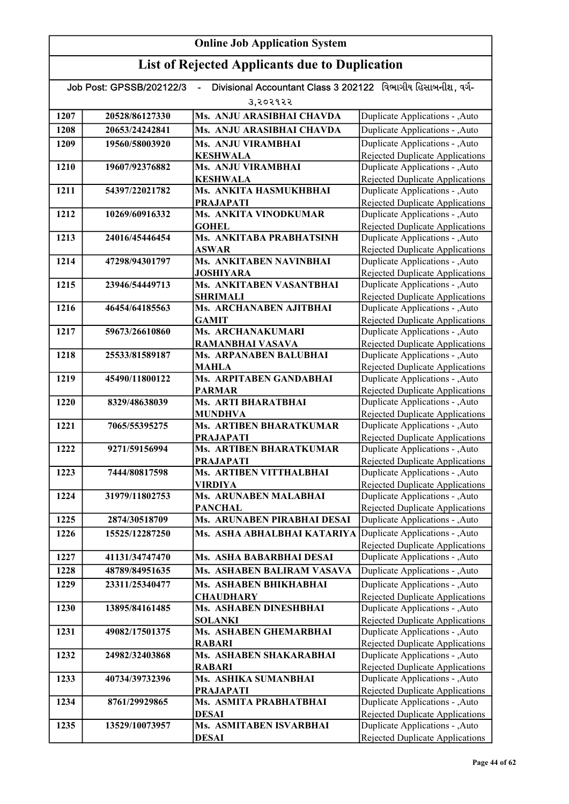| Divisional Accountant Class 3 202122 વિભાગીય હિસાબનીશ, વર્ગ-<br>Job Post: GPSSB/202122/3 |                |                                            |                                                                    |  |  |
|------------------------------------------------------------------------------------------|----------------|--------------------------------------------|--------------------------------------------------------------------|--|--|
|                                                                                          | उ.२०२१२२       |                                            |                                                                    |  |  |
| 1207                                                                                     | 20528/86127330 | Ms. ANJU ARASIBHAI CHAVDA                  | Duplicate Applications - , Auto                                    |  |  |
| 1208                                                                                     | 20653/24242841 | Ms. ANJU ARASIBHAI CHAVDA                  | Duplicate Applications - , Auto                                    |  |  |
| 1209                                                                                     | 19560/58003920 | Ms. ANJU VIRAMBHAI                         | Duplicate Applications - , Auto                                    |  |  |
|                                                                                          |                | <b>KESHWALA</b>                            | Rejected Duplicate Applications                                    |  |  |
| 1210                                                                                     | 19607/92376882 | Ms. ANJU VIRAMBHAI                         | Duplicate Applications - , Auto                                    |  |  |
|                                                                                          |                | <b>KESHWALA</b>                            | <b>Rejected Duplicate Applications</b>                             |  |  |
| 1211                                                                                     | 54397/22021782 | Ms. ANKITA HASMUKHBHAI                     | Duplicate Applications - , Auto                                    |  |  |
|                                                                                          |                | <b>PRAJAPATI</b>                           | Rejected Duplicate Applications                                    |  |  |
| 1212                                                                                     | 10269/60916332 | Ms. ANKITA VINODKUMAR                      | Duplicate Applications - , Auto                                    |  |  |
|                                                                                          |                | <b>GOHEL</b>                               | <b>Rejected Duplicate Applications</b>                             |  |  |
| 1213                                                                                     | 24016/45446454 | Ms. ANKITABA PRABHATSINH                   | Duplicate Applications - , Auto                                    |  |  |
| 1214                                                                                     | 47298/94301797 | <b>ASWAR</b><br>Ms. ANKITABEN NAVINBHAI    | Rejected Duplicate Applications<br>Duplicate Applications - , Auto |  |  |
|                                                                                          |                | <b>JOSHIYARA</b>                           | Rejected Duplicate Applications                                    |  |  |
| 1215                                                                                     | 23946/54449713 | <b>Ms. ANKITABEN VASANTBHAI</b>            | Duplicate Applications - , Auto                                    |  |  |
|                                                                                          |                | <b>SHRIMALI</b>                            | <b>Rejected Duplicate Applications</b>                             |  |  |
| 1216                                                                                     | 46454/64185563 | Ms. ARCHANABEN AJITBHAI                    | Duplicate Applications - , Auto                                    |  |  |
|                                                                                          |                | <b>GAMIT</b>                               | Rejected Duplicate Applications                                    |  |  |
| 1217                                                                                     | 59673/26610860 | Ms. ARCHANAKUMARI                          | Duplicate Applications - , Auto                                    |  |  |
|                                                                                          |                | <b>RAMANBHAI VASAVA</b>                    | <b>Rejected Duplicate Applications</b>                             |  |  |
| 1218                                                                                     | 25533/81589187 | <b>Ms. ARPANABEN BALUBHAI</b>              | Duplicate Applications - , Auto                                    |  |  |
|                                                                                          |                | <b>MAHLA</b>                               | <b>Rejected Duplicate Applications</b>                             |  |  |
| 1219                                                                                     | 45490/11800122 | Ms. ARPITABEN GANDABHAI                    | Duplicate Applications - , Auto                                    |  |  |
| 1220                                                                                     | 8329/48638039  | <b>PARMAR</b><br>Ms. ARTI BHARATBHAI       | Rejected Duplicate Applications<br>Duplicate Applications - , Auto |  |  |
|                                                                                          |                | <b>MUNDHVA</b>                             | <b>Rejected Duplicate Applications</b>                             |  |  |
| 1221                                                                                     | 7065/55395275  | Ms. ARTIBEN BHARATKUMAR                    | Duplicate Applications - , Auto                                    |  |  |
|                                                                                          |                | <b>PRAJAPATI</b>                           | <b>Rejected Duplicate Applications</b>                             |  |  |
| 1222                                                                                     | 9271/59156994  | Ms. ARTIBEN BHARATKUMAR                    | Duplicate Applications - , Auto                                    |  |  |
|                                                                                          |                | <b>PRAJAPATI</b>                           | Rejected Duplicate Applications                                    |  |  |
| 1223                                                                                     | 7444/80817598  | Ms. ARTIBEN VITTHALBHAI                    | Duplicate Applications - , Auto                                    |  |  |
|                                                                                          |                | <b>VIRDIYA</b>                             | Rejected Duplicate Applications                                    |  |  |
| 1224                                                                                     | 31979/11802753 | <b>Ms. ARUNABEN MALABHAI</b>               | Duplicate Applications - , Auto                                    |  |  |
| 1225                                                                                     | 2874/30518709  | PANCHAL<br>Ms. ARUNABEN PIRABHAI DESAI     | Rejected Duplicate Applications<br>Duplicate Applications - , Auto |  |  |
|                                                                                          |                |                                            |                                                                    |  |  |
| 1226                                                                                     | 15525/12287250 | Ms. ASHA ABHALBHAI KATARIYA                | Duplicate Applications - , Auto<br>Rejected Duplicate Applications |  |  |
| 1227                                                                                     | 41131/34747470 | Ms. ASHA BABARBHAI DESAI                   | Duplicate Applications - , Auto                                    |  |  |
| 1228                                                                                     | 48789/84951635 | Ms. ASHABEN BALIRAM VASAVA                 | Duplicate Applications - , Auto                                    |  |  |
| 1229                                                                                     | 23311/25340477 | Ms. ASHABEN BHIKHABHAI                     | Duplicate Applications - , Auto                                    |  |  |
|                                                                                          |                | <b>CHAUDHARY</b>                           | Rejected Duplicate Applications                                    |  |  |
| 1230                                                                                     | 13895/84161485 | Ms. ASHABEN DINESHBHAI                     | Duplicate Applications - , Auto                                    |  |  |
|                                                                                          |                | <b>SOLANKI</b>                             | Rejected Duplicate Applications                                    |  |  |
| 1231                                                                                     | 49082/17501375 | Ms. ASHABEN GHEMARBHAI                     | Duplicate Applications - , Auto                                    |  |  |
|                                                                                          |                | <b>RABARI</b>                              | <b>Rejected Duplicate Applications</b>                             |  |  |
| 1232                                                                                     | 24982/32403868 | Ms. ASHABEN SHAKARABHAI                    | Duplicate Applications - , Auto                                    |  |  |
|                                                                                          |                | RABARI                                     | <b>Rejected Duplicate Applications</b>                             |  |  |
| 1233                                                                                     | 40734/39732396 | Ms. ASHIKA SUMANBHAI                       | Duplicate Applications - , Auto                                    |  |  |
| 1234                                                                                     | 8761/29929865  | <b>PRAJAPATI</b><br>Ms. ASMITA PRABHATBHAI | Rejected Duplicate Applications                                    |  |  |
|                                                                                          |                | <b>DESAI</b>                               | Duplicate Applications - , Auto<br>Rejected Duplicate Applications |  |  |
| 1235                                                                                     | 13529/10073957 | Ms. ASMITABEN ISVARBHAI                    | Duplicate Applications - , Auto                                    |  |  |
|                                                                                          |                | <b>DESAI</b>                               | Rejected Duplicate Applications                                    |  |  |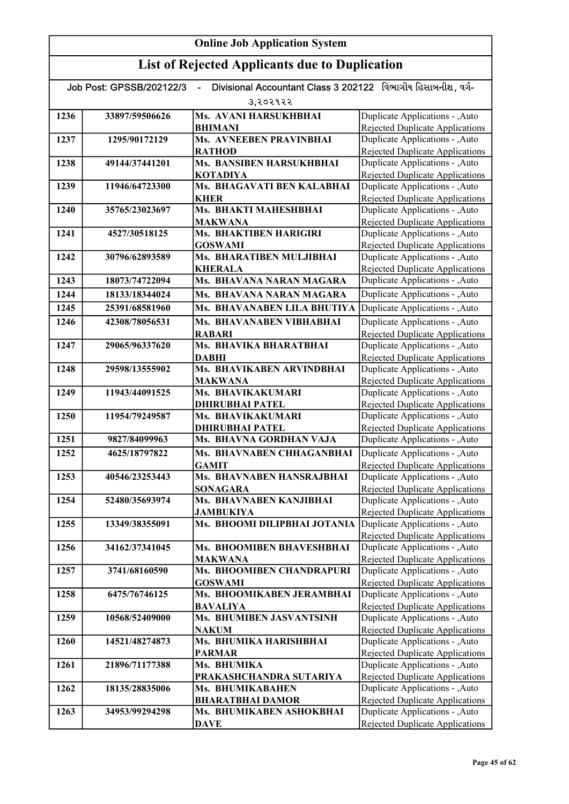| Divisional Accountant Class 3 202122 વિભાગીય હિસાબનીશ. વર્ગ-<br>Job Post: GPSSB/202122/3 |                |                                             |                                                                           |
|------------------------------------------------------------------------------------------|----------------|---------------------------------------------|---------------------------------------------------------------------------|
|                                                                                          |                | उ,२०२१२२                                    |                                                                           |
| 1236                                                                                     | 33897/59506626 | Ms. AVANI HARSUKHBHAI                       | Duplicate Applications - , Auto                                           |
|                                                                                          |                | <b>BHIMANI</b>                              | <b>Rejected Duplicate Applications</b>                                    |
| 1237                                                                                     | 1295/90172129  | <b>Ms. AVNEEBEN PRAVINBHAI</b>              | Duplicate Applications - , Auto                                           |
|                                                                                          |                | <b>RATHOD</b>                               | Rejected Duplicate Applications                                           |
| 1238                                                                                     | 49144/37441201 | Ms. BANSIBEN HARSUKHBHAI                    | Duplicate Applications - , Auto                                           |
|                                                                                          |                | <b>KOTADIYA</b>                             | Rejected Duplicate Applications                                           |
| 1239                                                                                     | 11946/64723300 | Ms. BHAGAVATI BEN KALABHAI                  | Duplicate Applications - , Auto                                           |
| 1240                                                                                     | 35765/23023697 | <b>KHER</b><br>Ms. BHAKTI MAHESHBHAI        | <b>Rejected Duplicate Applications</b>                                    |
|                                                                                          |                | <b>MAKWANA</b>                              | Duplicate Applications - , Auto<br><b>Rejected Duplicate Applications</b> |
| 1241                                                                                     | 4527/30518125  | Ms. BHAKTIBEN HARIGIRI                      | Duplicate Applications - , Auto                                           |
|                                                                                          |                | <b>GOSWAMI</b>                              | Rejected Duplicate Applications                                           |
| 1242                                                                                     | 30796/62893589 | Ms. BHARATIBEN MULJIBHAI                    | Duplicate Applications - , Auto                                           |
|                                                                                          |                | <b>KHERALA</b>                              | Rejected Duplicate Applications                                           |
| 1243                                                                                     | 18073/74722094 | Ms. BHAVANA NARAN MAGARA                    | Duplicate Applications - , Auto                                           |
| 1244                                                                                     | 18133/18344024 | Ms. BHAVANA NARAN MAGARA                    | Duplicate Applications - , Auto                                           |
| 1245                                                                                     | 25391/68581960 | Ms. BHAVANABEN LILA BHUTIYA                 | Duplicate Applications - , Auto                                           |
| 1246                                                                                     | 42308/78056531 | Ms. BHAVANABEN VIBHABHAI                    | Duplicate Applications - , Auto                                           |
|                                                                                          |                | <b>RABARI</b>                               | Rejected Duplicate Applications                                           |
| 1247                                                                                     | 29065/96337620 | Ms. BHAVIKA BHARATBHAI                      | Duplicate Applications - , Auto                                           |
|                                                                                          |                | <b>DABHI</b>                                | <b>Rejected Duplicate Applications</b>                                    |
| 1248                                                                                     | 29598/13555902 | Ms. BHAVIKABEN ARVINDBHAI                   | Duplicate Applications - , Auto                                           |
|                                                                                          |                | <b>MAKWANA</b>                              | Rejected Duplicate Applications                                           |
| 1249                                                                                     | 11943/44091525 | Ms. BHAVIKAKUMARI                           | Duplicate Applications - , Auto                                           |
|                                                                                          |                | <b>DHIRUBHAI PATEL</b>                      | Rejected Duplicate Applications                                           |
| 1250                                                                                     | 11954/79249587 | Ms. BHAVIKAKUMARI                           | Duplicate Applications - , Auto                                           |
|                                                                                          |                | <b>DHIRUBHAI PATEL</b>                      | Rejected Duplicate Applications                                           |
| 1251                                                                                     | 9827/84099963  | Ms. BHAVNA GORDHAN VAJA                     | Duplicate Applications - , Auto                                           |
| 1252                                                                                     | 4625/18797822  | Ms. BHAVNABEN CHHAGANBHAI                   | Duplicate Applications - , Auto                                           |
|                                                                                          |                | <b>GAMIT</b>                                | Rejected Duplicate Applications                                           |
| 1253                                                                                     | 40546/23253443 | Ms. BHAVNABEN HANSRAJBHAI                   | Duplicate Applications - , Auto                                           |
| 1254                                                                                     | 52480/35693974 | <b>SONAGARA</b><br>Ms. BHAVNABEN KANJIBHAI  | <b>Rejected Duplicate Applications</b><br>Duplicate Applications - ,Auto  |
|                                                                                          |                | <b>JAMBUKIYA</b>                            | <b>Rejected Duplicate Applications</b>                                    |
| 1255                                                                                     | 13349/38355091 | Ms. BHOOMI DILIPBHAI JOTANIA                | Duplicate Applications - , Auto                                           |
|                                                                                          |                |                                             | Rejected Duplicate Applications                                           |
| 1256                                                                                     | 34162/37341045 | Ms. BHOOMIBEN BHAVESHBHAI                   | Duplicate Applications - , Auto                                           |
|                                                                                          |                | <b>MAKWANA</b>                              | <b>Rejected Duplicate Applications</b>                                    |
| 1257                                                                                     | 3741/68160590  | Ms. BHOOMIBEN CHANDRAPURI                   | Duplicate Applications - , Auto                                           |
|                                                                                          |                | <b>GOSWAMI</b>                              | Rejected Duplicate Applications                                           |
| 1258                                                                                     | 6475/76746125  | Ms. BHOOMIKABEN JERAMBHAI                   | Duplicate Applications - , Auto                                           |
|                                                                                          |                | <b>BAVALIYA</b>                             | Rejected Duplicate Applications                                           |
| 1259                                                                                     | 10568/52409000 | Ms. BHUMIBEN JASVANTSINH                    | Duplicate Applications - , Auto                                           |
|                                                                                          |                | <b>NAKUM</b>                                | Rejected Duplicate Applications                                           |
| 1260                                                                                     | 14521/48274873 | Ms. BHUMIKA HARISHBHAI                      | Duplicate Applications - , Auto                                           |
|                                                                                          |                | <b>PARMAR</b>                               | Rejected Duplicate Applications                                           |
| 1261                                                                                     | 21896/71177388 | Ms. BHUMIKA                                 | Duplicate Applications - , Auto                                           |
| 1262                                                                                     | 18135/28835006 | PRAKASHCHANDRA SUTARIYA<br>Ms. BHUMIKABAHEN | <b>Rejected Duplicate Applications</b><br>Duplicate Applications - , Auto |
|                                                                                          |                | <b>BHARATBHAI DAMOR</b>                     | Rejected Duplicate Applications                                           |
| 1263                                                                                     | 34953/99294298 | Ms. BHUMIKABEN ASHOKBHAI                    | Duplicate Applications - , Auto                                           |
|                                                                                          |                | <b>DAVE</b>                                 | Rejected Duplicate Applications                                           |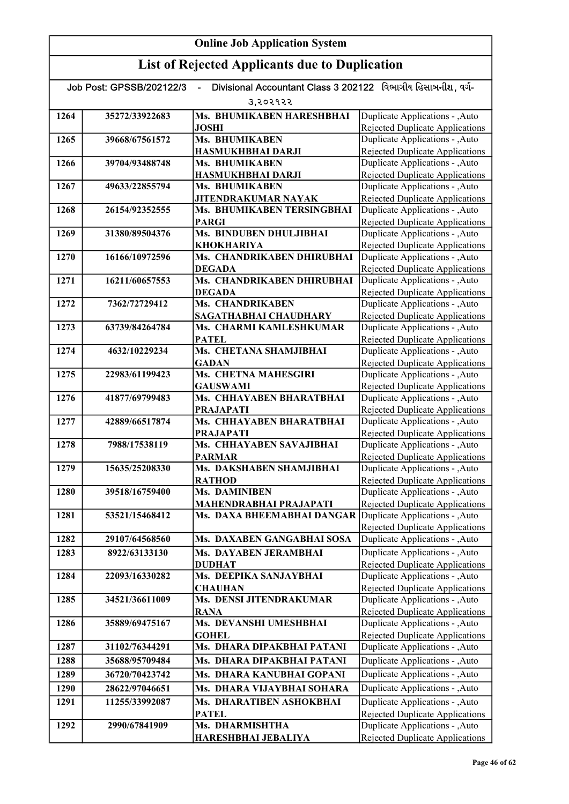| <b>Online Job Application System</b> |                          |                                                                                |                                                                           |
|--------------------------------------|--------------------------|--------------------------------------------------------------------------------|---------------------------------------------------------------------------|
|                                      |                          | <b>List of Rejected Applicants due to Duplication</b>                          |                                                                           |
|                                      | Job Post: GPSSB/202122/3 | Divisional Accountant Class 3 202122 વિભાગીય હિસાબનીશ. વર્ગ-<br>$\blacksquare$ |                                                                           |
|                                      |                          | उ,२०२१२२                                                                       |                                                                           |
| 1264                                 | 35272/33922683           | Ms. BHUMIKABEN HARESHBHAI                                                      | Duplicate Applications - , Auto                                           |
|                                      |                          | <b>JOSHI</b>                                                                   | <b>Rejected Duplicate Applications</b>                                    |
| 1265                                 | 39668/67561572           | Ms. BHUMIKABEN                                                                 | Duplicate Applications - , Auto                                           |
| 1266                                 | 39704/93488748           | <b>HASMUKHBHAI DARJI</b><br>Ms. BHUMIKABEN                                     | <b>Rejected Duplicate Applications</b>                                    |
|                                      |                          | HASMUKHBHAI DARJI                                                              | Duplicate Applications - , Auto<br><b>Rejected Duplicate Applications</b> |
| 1267                                 | 49633/22855794           | Ms. BHUMIKABEN                                                                 | Duplicate Applications - , Auto                                           |
|                                      |                          | <b>JITENDRAKUMAR NAYAK</b>                                                     | Rejected Duplicate Applications                                           |
| 1268                                 | 26154/92352555           | Ms. BHUMIKABEN TERSINGBHAI                                                     | Duplicate Applications - , Auto                                           |
|                                      |                          | <b>PARGI</b>                                                                   | Rejected Duplicate Applications                                           |
| 1269                                 | 31380/89504376           | Ms. BINDUBEN DHULJIBHAI                                                        | Duplicate Applications - , Auto                                           |
|                                      |                          | <b>KHOKHARIYA</b>                                                              | Rejected Duplicate Applications                                           |
| 1270                                 | 16166/10972596           | Ms. CHANDRIKABEN DHIRUBHAI<br><b>DEGADA</b>                                    | Duplicate Applications - , Auto<br>Rejected Duplicate Applications        |
| 1271                                 | 16211/60657553           | Ms. CHANDRIKABEN DHIRUBHAI                                                     | Duplicate Applications - , Auto                                           |
|                                      |                          | <b>DEGADA</b>                                                                  | <b>Rejected Duplicate Applications</b>                                    |
| 1272                                 | 7362/72729412            | Ms. CHANDRIKABEN                                                               | Duplicate Applications - , Auto                                           |
|                                      |                          | SAGATHABHAI CHAUDHARY                                                          | <b>Rejected Duplicate Applications</b>                                    |
| 1273                                 | 63739/84264784           | Ms. CHARMI KAMLESHKUMAR                                                        | Duplicate Applications - , Auto                                           |
|                                      |                          | <b>PATEL</b>                                                                   | Rejected Duplicate Applications                                           |
| 1274                                 | 4632/10229234            | Ms. CHETANA SHAMJIBHAI<br><b>GADAN</b>                                         | Duplicate Applications - , Auto                                           |
| 1275                                 | 22983/61199423           | Ms. CHETNA MAHESGIRI                                                           | <b>Rejected Duplicate Applications</b><br>Duplicate Applications - , Auto |
|                                      |                          | <b>GAUSWAMI</b>                                                                | <b>Rejected Duplicate Applications</b>                                    |
| 1276                                 | 41877/69799483           | Ms. CHHAYABEN BHARATBHAI                                                       | Duplicate Applications - , Auto                                           |
|                                      |                          | <b>PRAJAPATI</b>                                                               | <b>Rejected Duplicate Applications</b>                                    |
| 1277                                 | 42889/66517874           | Ms. CHHAYABEN BHARATBHAI                                                       | Duplicate Applications - , Auto                                           |
|                                      |                          | <b>PRAJAPATI</b>                                                               | Rejected Duplicate Applications                                           |
| 1278                                 | 7988/17538119            | Ms. CHHAYABEN SAVAJIBHAI<br><b>PARMAR</b>                                      | Duplicate Applications - , Auto<br>Rejected Duplicate Applications        |
| 1279                                 | 15635/25208330           | Ms. DAKSHABEN SHAMJIBHAI                                                       | Duplicate Applications - , Auto                                           |
|                                      |                          | <b>RATHOD</b>                                                                  | <b>Rejected Duplicate Applications</b>                                    |
| 1280                                 | 39518/16759400           | <b>Ms. DAMINIBEN</b>                                                           | Duplicate Applications - , Auto                                           |
|                                      |                          | MAHENDRABHAI PRAJAPATI                                                         | Rejected Duplicate Applications                                           |
| 1281                                 | 53521/15468412           | Ms. DAXA BHEEMABHAI DANGAR                                                     | Duplicate Applications - , Auto<br><b>Rejected Duplicate Applications</b> |
| 1282                                 | 29107/64568560           | Ms. DAXABEN GANGABHAI SOSA                                                     | Duplicate Applications - , Auto                                           |
| 1283                                 | 8922/63133130            | Ms. DAYABEN JERAMBHAI                                                          | Duplicate Applications - , Auto                                           |
|                                      |                          | <b>DUDHAT</b>                                                                  | Rejected Duplicate Applications                                           |
| 1284                                 | 22093/16330282           | Ms. DEEPIKA SANJAYBHAI                                                         | Duplicate Applications - , Auto                                           |
| 1285                                 | 34521/36611009           | <b>CHAUHAN</b><br>Ms. DENSI JITENDRAKUMAR                                      | Rejected Duplicate Applications<br>Duplicate Applications - , Auto        |
|                                      |                          | <b>RANA</b>                                                                    | Rejected Duplicate Applications                                           |
| 1286                                 | 35889/69475167           | Ms. DEVANSHI UMESHBHAI                                                         | Duplicate Applications - , Auto                                           |
|                                      |                          | <b>GOHEL</b>                                                                   | Rejected Duplicate Applications                                           |
| 1287                                 | 31102/76344291           | Ms. DHARA DIPAKBHAI PATANI                                                     | Duplicate Applications - , Auto                                           |
| 1288                                 | 35688/95709484           | Ms. DHARA DIPAKBHAI PATANI                                                     | Duplicate Applications - , Auto                                           |
| 1289                                 | 36720/70423742           | Ms. DHARA KANUBHAI GOPANI                                                      | Duplicate Applications - , Auto                                           |
| 1290                                 | 28622/97046651           | Ms. DHARA VIJAYBHAI SOHARA                                                     | Duplicate Applications - , Auto                                           |
| 1291                                 | 11255/33992087           | Ms. DHARATIBEN ASHOKBHAI                                                       | Duplicate Applications - , Auto                                           |
|                                      |                          | <b>PATEL</b>                                                                   | <b>Rejected Duplicate Applications</b>                                    |
| 1292                                 | 2990/67841909            | Ms. DHARMISHTHA                                                                | Duplicate Applications - , Auto                                           |
|                                      |                          | HARESHBHAI JEBALIYA                                                            | <b>Rejected Duplicate Applications</b>                                    |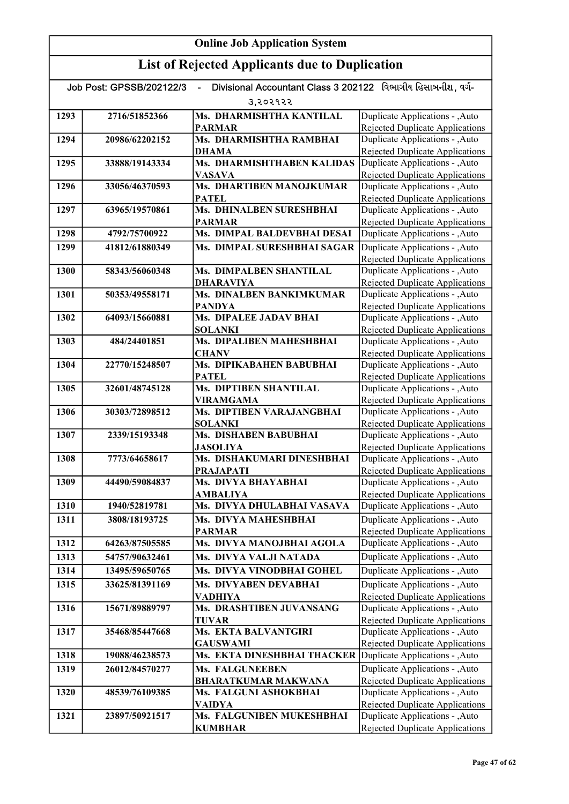| Divisional Accountant Class 3 202122 વિભાગીય હિસાબનીશ. વર્ગ-<br>Job Post: GPSSB/202122/3<br>$\blacksquare$ |                |                                                |                                                                           |
|------------------------------------------------------------------------------------------------------------|----------------|------------------------------------------------|---------------------------------------------------------------------------|
|                                                                                                            |                | उ,२०२१२२                                       |                                                                           |
| 1293                                                                                                       | 2716/51852366  | Ms. DHARMISHTHA KANTILAL                       | Duplicate Applications - , Auto                                           |
|                                                                                                            |                | <b>PARMAR</b>                                  | Rejected Duplicate Applications                                           |
| 1294                                                                                                       | 20986/62202152 | Ms. DHARMISHTHA RAMBHAI                        | Duplicate Applications - , Auto                                           |
|                                                                                                            |                | DHAMA                                          | Rejected Duplicate Applications                                           |
| 1295                                                                                                       | 33888/19143334 | Ms. DHARMISHTHABEN KALIDAS                     | Duplicate Applications - , Auto                                           |
|                                                                                                            |                | <b>VASAVA</b>                                  | <b>Rejected Duplicate Applications</b>                                    |
| 1296                                                                                                       | 33056/46370593 | Ms. DHARTIBEN MANOJKUMAR<br><b>PATEL</b>       | Duplicate Applications - , Auto<br>Rejected Duplicate Applications        |
| 1297                                                                                                       | 63965/19570861 | Ms. DHINALBEN SURESHBHAI                       | Duplicate Applications - , Auto                                           |
|                                                                                                            |                | <b>PARMAR</b>                                  | Rejected Duplicate Applications                                           |
| 1298                                                                                                       | 4792/75700922  | Ms. DIMPAL BALDEVBHAI DESAI                    | Duplicate Applications - , Auto                                           |
| 1299                                                                                                       | 41812/61880349 | Ms. DIMPAL SURESHBHAI SAGAR                    | Duplicate Applications - , Auto                                           |
|                                                                                                            |                |                                                | <b>Rejected Duplicate Applications</b>                                    |
| 1300                                                                                                       | 58343/56060348 | Ms. DIMPALBEN SHANTILAL                        | Duplicate Applications - , Auto                                           |
|                                                                                                            |                | <b>DHARAVIYA</b>                               | <b>Rejected Duplicate Applications</b>                                    |
| 1301                                                                                                       | 50353/49558171 | Ms. DINALBEN BANKIMKUMAR                       | Duplicate Applications - , Auto                                           |
|                                                                                                            |                | PANDYA                                         | Rejected Duplicate Applications                                           |
| 1302                                                                                                       | 64093/15660881 | Ms. DIPALEE JADAV BHAI                         | Duplicate Applications - , Auto                                           |
| 1303                                                                                                       |                | <b>SOLANKI</b><br>Ms. DIPALIBEN MAHESHBHAI     | Rejected Duplicate Applications<br>Duplicate Applications - , Auto        |
|                                                                                                            | 484/24401851   | <b>CHANV</b>                                   | <b>Rejected Duplicate Applications</b>                                    |
| 1304                                                                                                       | 22770/15248507 | Ms. DIPIKABAHEN BABUBHAI                       | Duplicate Applications - , Auto                                           |
|                                                                                                            |                | <b>PATEL</b>                                   | <b>Rejected Duplicate Applications</b>                                    |
| 1305                                                                                                       | 32601/48745128 | Ms. DIPTIBEN SHANTILAL                         | Duplicate Applications - , Auto                                           |
|                                                                                                            |                | <b>VIRAMGAMA</b>                               | Rejected Duplicate Applications                                           |
| 1306                                                                                                       | 30303/72898512 | Ms. DIPTIBEN VARAJANGBHAI                      | Duplicate Applications - , Auto                                           |
|                                                                                                            |                | <b>SOLANKI</b>                                 | <b>Rejected Duplicate Applications</b>                                    |
| 1307                                                                                                       | 2339/15193348  | Ms. DISHABEN BABUBHAI                          | Duplicate Applications - , Auto                                           |
| 1308                                                                                                       | 7773/64658617  | <b>JASOLIYA</b><br>Ms. DISHAKUMARI DINESHBHAI  | Rejected Duplicate Applications<br>Duplicate Applications - , Auto        |
|                                                                                                            |                | <b>PRAJAPATI</b>                               | <b>Rejected Duplicate Applications</b>                                    |
| 1309                                                                                                       | 44490/59084837 | Ms. DIVYA BHAYABHAI                            | Duplicate Applications - , Auto                                           |
|                                                                                                            |                | AMBALIYA                                       | <b>Rejected Duplicate Applications</b>                                    |
| 1310                                                                                                       | 1940/52819781  | Ms. DIVYA DHULABHAI VASAVA                     | Duplicate Applications - , Auto                                           |
| 1311                                                                                                       | 3808/18193725  | Ms. DIVYA MAHESHBHAI                           | Duplicate Applications - , Auto                                           |
|                                                                                                            |                | <b>PARMAR</b>                                  | <b>Rejected Duplicate Applications</b>                                    |
| 1312                                                                                                       | 64263/87505585 | Ms. DIVYA MANOJBHAI AGOLA                      | Duplicate Applications - , Auto                                           |
| 1313                                                                                                       | 54757/90632461 | Ms. DIVYA VALJI NATADA                         | Duplicate Applications - , Auto                                           |
| 1314                                                                                                       | 13495/59650765 | Ms. DIVYA VINODBHAI GOHEL                      | Duplicate Applications - , Auto                                           |
| 1315                                                                                                       | 33625/81391169 | Ms. DIVYABEN DEVABHAI                          | Duplicate Applications - , Auto                                           |
|                                                                                                            |                | VADHIYA                                        | <b>Rejected Duplicate Applications</b>                                    |
| 1316                                                                                                       | 15671/89889797 | Ms. DRASHTIBEN JUVANSANG                       | Duplicate Applications - , Auto                                           |
|                                                                                                            |                | <b>TUVAR</b>                                   | <b>Rejected Duplicate Applications</b>                                    |
| 1317                                                                                                       | 35468/85447668 | Ms. EKTA BALVANTGIRI                           | Duplicate Applications - , Auto                                           |
| 1318                                                                                                       | 19088/46238573 | <b>GAUSWAMI</b><br>Ms. EKTA DINESHBHAI THACKER | Rejected Duplicate Applications<br>Duplicate Applications - ,Auto         |
|                                                                                                            |                |                                                |                                                                           |
| 1319                                                                                                       | 26012/84570277 | Ms. FALGUNEEBEN<br><b>BHARATKUMAR MAKWANA</b>  | Duplicate Applications - , Auto<br><b>Rejected Duplicate Applications</b> |
| 1320                                                                                                       | 48539/76109385 | Ms. FALGUNI ASHOKBHAI                          | Duplicate Applications - , Auto                                           |
|                                                                                                            |                | VAIDYA                                         | <b>Rejected Duplicate Applications</b>                                    |
| 1321                                                                                                       | 23897/50921517 | Ms. FALGUNIBEN MUKESHBHAI                      | Duplicate Applications - , Auto                                           |
|                                                                                                            |                | <b>KUMBHAR</b>                                 | Rejected Duplicate Applications                                           |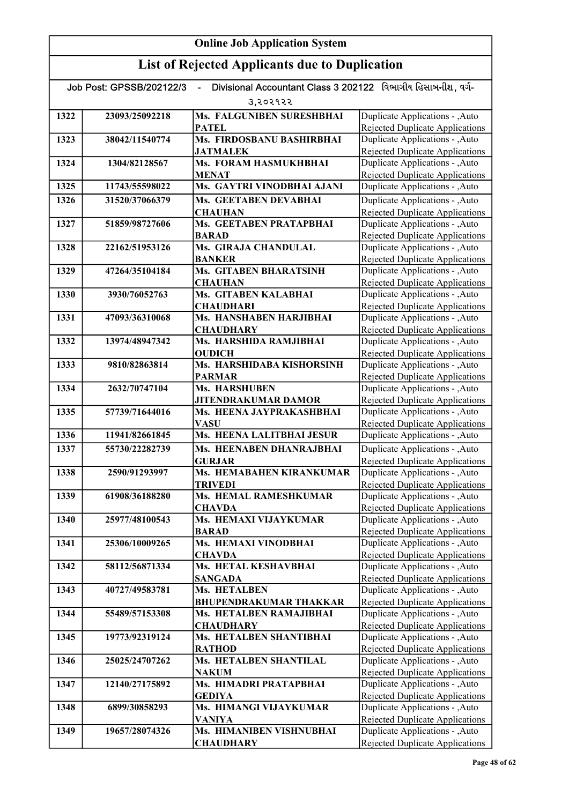| Divisional Accountant Class 3 202122 વિભાગીય હિસાબનીશ. વર્ગ-<br>Job Post: GPSSB/202122/3<br>÷, |                |                                            |                                                                           |  |
|------------------------------------------------------------------------------------------------|----------------|--------------------------------------------|---------------------------------------------------------------------------|--|
|                                                                                                | 3,२०२१२२       |                                            |                                                                           |  |
| 1322                                                                                           | 23093/25092218 | Ms. FALGUNIBEN SURESHBHAI                  | Duplicate Applications - , Auto                                           |  |
|                                                                                                |                | <b>PATEL</b>                               | Rejected Duplicate Applications                                           |  |
| 1323                                                                                           | 38042/11540774 | Ms. FIRDOSBANU BASHIRBHAI                  | Duplicate Applications - , Auto                                           |  |
|                                                                                                |                | <b>JATMALEK</b>                            | Rejected Duplicate Applications                                           |  |
| 1324                                                                                           | 1304/82128567  | Ms. FORAM HASMUKHBHAI                      | Duplicate Applications - , Auto                                           |  |
|                                                                                                |                | <b>MENAT</b>                               | <b>Rejected Duplicate Applications</b>                                    |  |
| 1325                                                                                           | 11743/55598022 | Ms. GAYTRI VINODBHAI AJANI                 | Duplicate Applications - , Auto                                           |  |
| 1326                                                                                           | 31520/37066379 | Ms. GEETABEN DEVABHAI<br><b>CHAUHAN</b>    | Duplicate Applications - , Auto<br>Rejected Duplicate Applications        |  |
| 1327                                                                                           | 51859/98727606 | Ms. GEETABEN PRATAPBHAI                    | Duplicate Applications - , Auto                                           |  |
|                                                                                                |                | <b>BARAD</b>                               | <b>Rejected Duplicate Applications</b>                                    |  |
| 1328                                                                                           | 22162/51953126 | Ms. GIRAJA CHANDULAL                       | Duplicate Applications - , Auto                                           |  |
|                                                                                                |                | <b>BANKER</b>                              | Rejected Duplicate Applications                                           |  |
| 1329                                                                                           | 47264/35104184 | <b>Ms. GITABEN BHARATSINH</b>              | Duplicate Applications - , Auto                                           |  |
|                                                                                                |                | <b>CHAUHAN</b>                             | <b>Rejected Duplicate Applications</b>                                    |  |
| 1330                                                                                           | 3930/76052763  | <b>Ms. GITABEN KALABHAI</b>                | Duplicate Applications - , Auto                                           |  |
|                                                                                                |                | <b>CHAUDHARI</b>                           | <b>Rejected Duplicate Applications</b>                                    |  |
| 1331                                                                                           | 47093/36310068 | Ms. HANSHABEN HARJIBHAI                    | Duplicate Applications - , Auto<br>Rejected Duplicate Applications        |  |
| 1332                                                                                           | 13974/48947342 | <b>CHAUDHARY</b><br>Ms. HARSHIDA RAMJIBHAI | Duplicate Applications - , Auto                                           |  |
|                                                                                                |                | <b>OUDICH</b>                              | <b>Rejected Duplicate Applications</b>                                    |  |
| 1333                                                                                           | 9810/82863814  | Ms. HARSHIDABA KISHORSINH                  | Duplicate Applications - , Auto                                           |  |
|                                                                                                |                | <b>PARMAR</b>                              | <b>Rejected Duplicate Applications</b>                                    |  |
| 1334                                                                                           | 2632/70747104  | <b>Ms. HARSHUBEN</b>                       | Duplicate Applications - , Auto                                           |  |
|                                                                                                |                | <b>JITENDRAKUMAR DAMOR</b>                 | Rejected Duplicate Applications                                           |  |
| 1335                                                                                           | 57739/71644016 | Ms. HEENA JAYPRAKASHBHAI                   | Duplicate Applications - , Auto                                           |  |
|                                                                                                |                | <b>VASU</b>                                | Rejected Duplicate Applications                                           |  |
| 1336                                                                                           | 11941/82661845 | Ms. HEENA LALITBHAI JESUR                  | Duplicate Applications - , Auto                                           |  |
| 1337                                                                                           | 55730/22282739 | Ms. HEENABEN DHANRAJBHAI                   | Duplicate Applications - , Auto                                           |  |
| 1338                                                                                           | 2590/91293997  | <b>GURJAR</b><br>Ms. HEMABAHEN KIRANKUMAR  | <b>Rejected Duplicate Applications</b><br>Duplicate Applications - , Auto |  |
|                                                                                                |                | <b>TRIVEDI</b>                             | <b>Rejected Duplicate Applications</b>                                    |  |
| 1339                                                                                           | 61908/36188280 | <b>Ms. HEMAL RAMESHKUMAR</b>               | Duplicate Applications - , Auto                                           |  |
|                                                                                                |                | <b>CHAVDA</b>                              | Rejected Duplicate Applications                                           |  |
| 1340                                                                                           | 25977/48100543 | Ms. HEMAXI VIJAYKUMAR                      | Duplicate Applications - , Auto                                           |  |
|                                                                                                |                | <b>BARAD</b>                               | <b>Rejected Duplicate Applications</b>                                    |  |
| 1341                                                                                           | 25306/10009265 | Ms. HEMAXI VINODBHAI                       | Duplicate Applications - , Auto                                           |  |
|                                                                                                |                | <b>CHAVDA</b>                              | <b>Rejected Duplicate Applications</b>                                    |  |
| 1342                                                                                           | 58112/56871334 | Ms. HETAL KESHAVBHAI                       | Duplicate Applications - , Auto                                           |  |
| 1343                                                                                           |                | <b>SANGADA</b><br>Ms. HETALBEN             | Rejected Duplicate Applications<br>Duplicate Applications - , Auto        |  |
|                                                                                                | 40727/49583781 | <b>BHUPENDRAKUMAR THAKKAR</b>              | Rejected Duplicate Applications                                           |  |
| 1344                                                                                           | 55489/57153308 | Ms. HETALBEN RAMAJIBHAI                    | Duplicate Applications - , Auto                                           |  |
|                                                                                                |                | <b>CHAUDHARY</b>                           | Rejected Duplicate Applications                                           |  |
| 1345                                                                                           | 19773/92319124 | Ms. HETALBEN SHANTIBHAI                    | Duplicate Applications - , Auto                                           |  |
|                                                                                                |                | <b>RATHOD</b>                              | Rejected Duplicate Applications                                           |  |
| 1346                                                                                           | 25025/24707262 | Ms. HETALBEN SHANTILAL                     | Duplicate Applications - , Auto                                           |  |
|                                                                                                |                | <b>NAKUM</b>                               | Rejected Duplicate Applications                                           |  |
| 1347                                                                                           | 12140/27175892 | Ms. HIMADRI PRATAPBHAI                     | Duplicate Applications - , Auto                                           |  |
|                                                                                                |                | <b>GEDIYA</b>                              | Rejected Duplicate Applications                                           |  |
| 1348                                                                                           | 6899/30858293  | Ms. HIMANGI VIJAYKUMAR                     | Duplicate Applications - , Auto                                           |  |
| 1349                                                                                           | 19657/28074326 | <b>VANIYA</b><br>Ms. HIMANIBEN VISHNUBHAI  | <b>Rejected Duplicate Applications</b><br>Duplicate Applications - , Auto |  |
|                                                                                                |                | <b>CHAUDHARY</b>                           | Rejected Duplicate Applications                                           |  |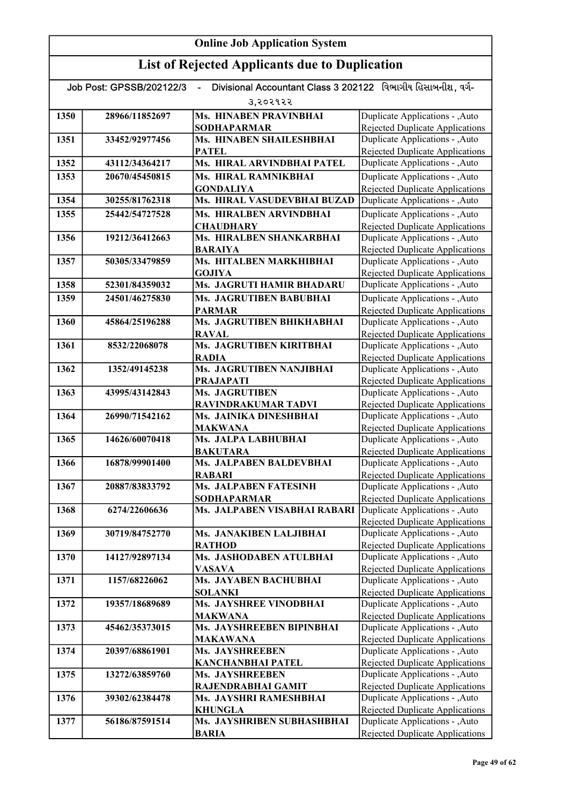| Divisional Accountant Class 3 202122 વિભાગીય હિસાબનીશ, વર્ગ-<br>Job Post: GPSSB/202122/3 |                |                                          |                                                                           |
|------------------------------------------------------------------------------------------|----------------|------------------------------------------|---------------------------------------------------------------------------|
|                                                                                          |                | उ,२०२१२२                                 |                                                                           |
| 1350                                                                                     | 28966/11852697 | Ms. HINABEN PRAVINBHAI                   | Duplicate Applications - ,Auto                                            |
|                                                                                          |                | <b>SODHAPARMAR</b>                       | <b>Rejected Duplicate Applications</b>                                    |
| 1351                                                                                     | 33452/92977456 | Ms. HINABEN SHAILESHBHAI                 | Duplicate Applications - ,Auto                                            |
|                                                                                          |                | <b>PATEL</b>                             | <b>Rejected Duplicate Applications</b>                                    |
| 1352                                                                                     | 43112/34364217 | Ms. HIRAL ARVINDBHAI PATEL               | Duplicate Applications - ,Auto                                            |
| 1353                                                                                     | 20670/45450815 | Ms. HIRAL RAMNIKBHAI                     | Duplicate Applications - , Auto                                           |
|                                                                                          |                | <b>GONDALIYA</b>                         | <b>Rejected Duplicate Applications</b>                                    |
| 1354                                                                                     | 30255/81762318 | Ms. HIRAL VASUDEVBHAI BUZAD              | Duplicate Applications - , Auto                                           |
| 1355                                                                                     | 25442/54727528 | Ms. HIRALBEN ARVINDBHAI                  | Duplicate Applications - ,Auto                                            |
|                                                                                          |                | <b>CHAUDHARY</b>                         | Rejected Duplicate Applications                                           |
| 1356                                                                                     | 19212/36412663 | Ms. HIRALBEN SHANKARBHAI                 | Duplicate Applications - ,Auto                                            |
|                                                                                          |                | <b>BARAIYA</b>                           | <b>Rejected Duplicate Applications</b>                                    |
| 1357                                                                                     | 50305/33479859 | Ms. HITALBEN MARKHIBHAI                  | Duplicate Applications - ,Auto                                            |
|                                                                                          |                | <b>GOJIYA</b>                            | <b>Rejected Duplicate Applications</b>                                    |
| 1358                                                                                     | 52301/84359032 | Ms. JAGRUTI HAMIR BHADARU                | Duplicate Applications - , Auto                                           |
| 1359                                                                                     | 24501/46275830 | Ms. JAGRUTIBEN BABUBHAI                  | Duplicate Applications - ,Auto                                            |
|                                                                                          |                | <b>PARMAR</b>                            | <b>Rejected Duplicate Applications</b>                                    |
| 1360                                                                                     | 45864/25196288 | Ms. JAGRUTIBEN BHIKHABHAI                | Duplicate Applications - ,Auto                                            |
|                                                                                          | 8532/22068078  | <b>RAVAL</b>                             | Rejected Duplicate Applications                                           |
| 1361                                                                                     |                | Ms. JAGRUTIBEN KIRITBHAI                 | Duplicate Applications - , Auto                                           |
| 1362                                                                                     | 1352/49145238  | <b>RADIA</b><br>Ms. JAGRUTIBEN NANJIBHAI | <b>Rejected Duplicate Applications</b><br>Duplicate Applications - , Auto |
|                                                                                          |                | <b>PRAJAPATI</b>                         | Rejected Duplicate Applications                                           |
| 1363                                                                                     | 43995/43142843 | <b>Ms. JAGRUTIBEN</b>                    | Duplicate Applications - , Auto                                           |
|                                                                                          |                | RAVINDRAKUMAR TADVI                      | Rejected Duplicate Applications                                           |
| 1364                                                                                     | 26990/71542162 | Ms. JAINIKA DINESHBHAI                   | Duplicate Applications - ,Auto                                            |
|                                                                                          |                | <b>MAKWANA</b>                           | <b>Rejected Duplicate Applications</b>                                    |
| 1365                                                                                     | 14626/60070418 | Ms. JALPA LABHUBHAI                      | Duplicate Applications - , Auto                                           |
|                                                                                          |                | <b>BAKUTARA</b>                          | Rejected Duplicate Applications                                           |
| 1366                                                                                     | 16878/99901400 | <b>Ms. JALPABEN BALDEVBHAI</b>           | Duplicate Applications - ,Auto                                            |
|                                                                                          |                | <b>RABARI</b>                            | Rejected Duplicate Applications                                           |
| 1367                                                                                     | 20887/83833792 | Ms. JALPABEN FATESINH                    | Duplicate Applications - ,Auto                                            |
|                                                                                          |                | <b>SODHAPARMAR</b>                       | Rejected Duplicate Applications                                           |
| 1368                                                                                     | 6274/22606636  | Ms. JALPABEN VISABHAI RABARI             | Duplicate Applications - , Auto                                           |
| 1369                                                                                     |                | Ms. JANAKIBEN LALJIBHAI                  | Rejected Duplicate Applications                                           |
|                                                                                          | 30719/84752770 | <b>RATHOD</b>                            | Duplicate Applications - , Auto<br>Rejected Duplicate Applications        |
| 1370                                                                                     | 14127/92897134 | Ms. JASHODABEN ATULBHAI                  | Duplicate Applications - , Auto                                           |
|                                                                                          |                | <b>VASAVA</b>                            | Rejected Duplicate Applications                                           |
| 1371                                                                                     | 1157/68226062  | Ms. JAYABEN BACHUBHAI                    | Duplicate Applications - , Auto                                           |
|                                                                                          |                | <b>SOLANKI</b>                           | Rejected Duplicate Applications                                           |
| 1372                                                                                     | 19357/18689689 | Ms. JAYSHREE VINODBHAI                   | Duplicate Applications - , Auto                                           |
|                                                                                          |                | <b>MAKWANA</b>                           | Rejected Duplicate Applications                                           |
| 1373                                                                                     | 45462/35373015 | Ms. JAYSHREEBEN BIPINBHAI                | Duplicate Applications - , Auto                                           |
|                                                                                          |                | <b>MAKAWANA</b>                          | <b>Rejected Duplicate Applications</b>                                    |
| 1374                                                                                     | 20397/68861901 | <b>Ms. JAYSHREEBEN</b>                   | Duplicate Applications - , Auto                                           |
|                                                                                          |                | <b>KANCHANBHAI PATEL</b>                 | <b>Rejected Duplicate Applications</b>                                    |
| 1375                                                                                     | 13272/63859760 | <b>Ms. JAYSHREEBEN</b>                   | Duplicate Applications - , Auto                                           |
|                                                                                          |                | RAJENDRABHAI GAMIT                       | <b>Rejected Duplicate Applications</b>                                    |
| 1376                                                                                     | 39302/62384478 | Ms. JAYSHRI RAMESHBHAI                   | Duplicate Applications - , Auto                                           |
|                                                                                          |                | <b>KHUNGLA</b>                           | Rejected Duplicate Applications                                           |
| 1377                                                                                     | 56186/87591514 | Ms. JAYSHRIBEN SUBHASHBHAI               | Duplicate Applications - , Auto                                           |
|                                                                                          |                | <b>BARIA</b>                             | Rejected Duplicate Applications                                           |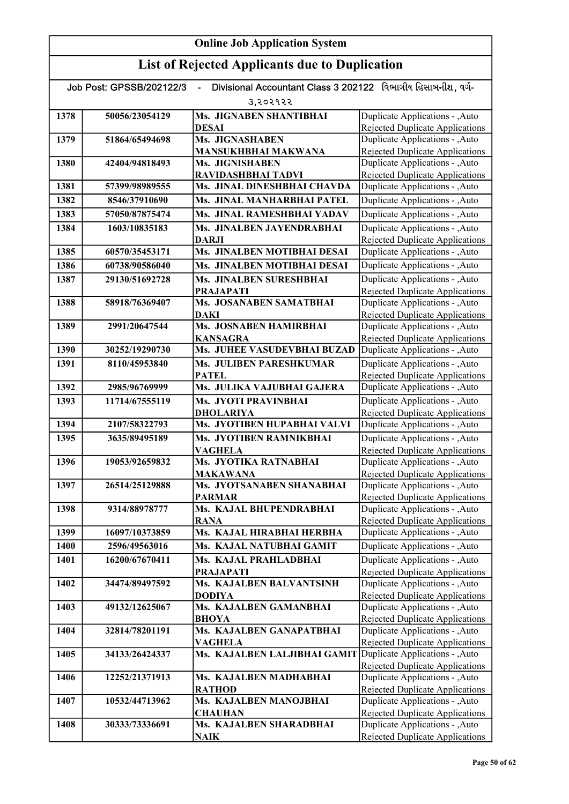| Divisional Accountant Class 3 202122 વિભાગીય હિસાબનીશ, વર્ગ-<br>Job Post: GPSSB/202122/3 |                |                                             |                                                                           |  |
|------------------------------------------------------------------------------------------|----------------|---------------------------------------------|---------------------------------------------------------------------------|--|
|                                                                                          |                | उ,२०२१२२                                    |                                                                           |  |
| 1378                                                                                     | 50056/23054129 | Ms. JIGNABEN SHANTIBHAI                     | Duplicate Applications - , Auto                                           |  |
|                                                                                          |                | DESAI                                       | Rejected Duplicate Applications                                           |  |
| 1379                                                                                     | 51864/65494698 | Ms. JIGNASHABEN                             | Duplicate Applications - , Auto                                           |  |
|                                                                                          |                | <b>MANSUKHBHAI MAKWANA</b>                  | Rejected Duplicate Applications                                           |  |
| 1380                                                                                     | 42404/94818493 | Ms. JIGNISHABEN                             | Duplicate Applications - , Auto                                           |  |
|                                                                                          |                | RAVIDASHBHAI TADVI                          | <b>Rejected Duplicate Applications</b>                                    |  |
| 1381                                                                                     | 57399/98989555 | Ms. JINAL DINESHBHAI CHAVDA                 | Duplicate Applications - , Auto                                           |  |
| 1382                                                                                     | 8546/37910690  | Ms. JINAL MANHARBHAI PATEL                  | Duplicate Applications - , Auto                                           |  |
| 1383                                                                                     | 57050/87875474 | Ms. JINAL RAMESHBHAI YADAV                  | Duplicate Applications - , Auto                                           |  |
| 1384                                                                                     | 1603/10835183  | Ms. JINALBEN JAYENDRABHAI                   | Duplicate Applications - , Auto                                           |  |
|                                                                                          |                | DARJI                                       | <b>Rejected Duplicate Applications</b>                                    |  |
| 1385                                                                                     | 60570/35453171 | Ms. JINALBEN MOTIBHAI DESAI                 | Duplicate Applications - , Auto                                           |  |
| 1386                                                                                     | 60738/90586040 | Ms. JINALBEN MOTIBHAI DESAI                 | Duplicate Applications - , Auto                                           |  |
| 1387                                                                                     | 29130/51692728 | Ms. JINALBEN SURESHBHAI                     | Duplicate Applications - , Auto                                           |  |
| 1388                                                                                     | 58918/76369407 | <b>PRAJAPATI</b><br>Ms. JOSANABEN SAMATBHAI | <b>Rejected Duplicate Applications</b><br>Duplicate Applications - , Auto |  |
|                                                                                          |                | <b>DAKI</b>                                 | Rejected Duplicate Applications                                           |  |
| 1389                                                                                     | 2991/20647544  | Ms. JOSNABEN HAMIRBHAI                      | Duplicate Applications - , Auto                                           |  |
|                                                                                          |                | <b>KANSAGRA</b>                             | Rejected Duplicate Applications                                           |  |
| 1390                                                                                     | 30252/19290730 | Ms. JUHEE VASUDEVBHAI BUZAD                 | Duplicate Applications - , Auto                                           |  |
| 1391                                                                                     | 8110/45953840  | Ms. JULIBEN PARESHKUMAR                     | Duplicate Applications - , Auto                                           |  |
|                                                                                          |                | <b>PATEL</b>                                | <b>Rejected Duplicate Applications</b>                                    |  |
| 1392                                                                                     | 2985/96769999  | Ms. JULIKA VAJUBHAI GAJERA                  | Duplicate Applications - , Auto                                           |  |
| 1393                                                                                     | 11714/67555119 | <b>Ms. JYOTI PRAVINBHAI</b>                 | Duplicate Applications - , Auto                                           |  |
|                                                                                          |                | DHOLARIYA                                   | <b>Rejected Duplicate Applications</b>                                    |  |
| 1394                                                                                     | 2107/58322793  | Ms. JYOTIBEN HUPABHAI VALVI                 | Duplicate Applications - , Auto                                           |  |
| 1395                                                                                     | 3635/89495189  | Ms. JYOTIBEN RAMNIKBHAI                     | Duplicate Applications - , Auto                                           |  |
|                                                                                          |                | <b>VAGHELA</b>                              | <b>Rejected Duplicate Applications</b>                                    |  |
| 1396                                                                                     | 19053/92659832 | Ms. JYOTIKA RATNABHAI<br><b>MAKAWANA</b>    | Duplicate Applications - , Auto<br><b>Rejected Duplicate Applications</b> |  |
| 1397                                                                                     | 26514/25129888 | Ms. JYOTSANABEN SHANABHAI                   | Duplicate Applications - , Auto                                           |  |
|                                                                                          |                | <b>PARMAR</b>                               | <b>Rejected Duplicate Applications</b>                                    |  |
| 1398                                                                                     | 9314/88978777  | Ms. KAJAL BHUPENDRABHAI                     | Duplicate Applications - ,Auto                                            |  |
|                                                                                          |                | <b>RANA</b>                                 | Rejected Duplicate Applications                                           |  |
| 1399                                                                                     | 16097/10373859 | Ms. KAJAL HIRABHAI HERBHA                   | Duplicate Applications - , Auto                                           |  |
| 1400                                                                                     | 2596/49563016  | Ms. KAJAL NATUBHAI GAMIT                    | Duplicate Applications - , Auto                                           |  |
| 1401                                                                                     | 16200/67670411 | Ms. KAJAL PRAHLADBHAI                       | Duplicate Applications - , Auto                                           |  |
|                                                                                          |                | <b>PRAJAPATI</b>                            | <b>Rejected Duplicate Applications</b>                                    |  |
| 1402                                                                                     | 34474/89497592 | <b>Ms. KAJALBEN BALVANTSINH</b>             | Duplicate Applications - , Auto                                           |  |
| 1403                                                                                     | 49132/12625067 | <b>DODIYA</b><br>Ms. KAJALBEN GAMANBHAI     | <b>Rejected Duplicate Applications</b><br>Duplicate Applications - , Auto |  |
|                                                                                          |                | <b>BHOYA</b>                                | <b>Rejected Duplicate Applications</b>                                    |  |
| 1404                                                                                     | 32814/78201191 | Ms. KAJALBEN GANAPATBHAI                    | Duplicate Applications - , Auto                                           |  |
|                                                                                          |                | <b>VAGHELA</b>                              | <b>Rejected Duplicate Applications</b>                                    |  |
| 1405                                                                                     | 34133/26424337 | Ms. KAJALBEN LALJIBHAI GAMIT                | Duplicate Applications - , Auto                                           |  |
|                                                                                          |                |                                             | <b>Rejected Duplicate Applications</b>                                    |  |
| 1406                                                                                     | 12252/21371913 | Ms. KAJALBEN MADHABHAI                      | Duplicate Applications - , Auto                                           |  |
|                                                                                          |                | <b>RATHOD</b>                               | Rejected Duplicate Applications                                           |  |
| 1407                                                                                     | 10532/44713962 | Ms. KAJALBEN MANOJBHAI                      | Duplicate Applications - , Auto                                           |  |
| 1408                                                                                     | 30333/73336691 | <b>CHAUHAN</b><br>Ms. KAJALBEN SHARADBHAI   | Rejected Duplicate Applications<br>Duplicate Applications - , Auto        |  |
|                                                                                          |                | <b>NAIK</b>                                 | Rejected Duplicate Applications                                           |  |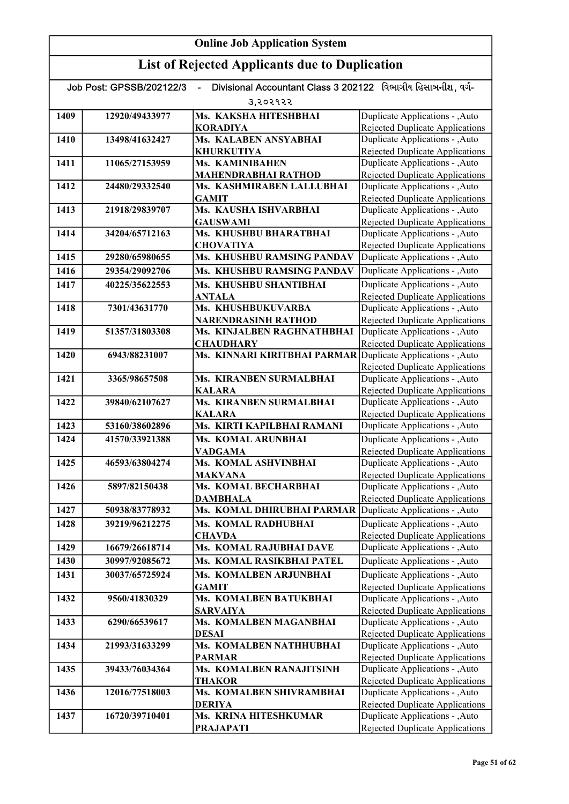#### Online Job Application System List of Rejected Applicants due to Duplication Job Post: GPSSB/202122/3 - Divisional Accountant Class 3 202122 વિભાગીય હિસાબનીશ, વર્ગ-૩,૨૦૨૧૨૨ 1409 12920/49433977 Ms. KAKSHA HITESHBHAI KORADIYA 1410 13498/41632427 Ms. KALABEN ANSYABHAI KHURKUTIYA 1411 11065/27153959 Ms. KAMINIBAHEN MAHENDRABHAI RATHOD 1412 24480/29332540 Ms. KASHMIRABEN LALLUBHAI GAMIT 1413 21918/29839707 Ms. KAUSHA ISHVARBHAI GAUSWAMI 1414 34204/65712163 Ms. KHUSHBU BHARATBHAI **CHOVATIYA** 1415 29280/65980655 Ms. KHUSHBU RAMSING PANDAV 1416 29354/29092706 Ms. KHUSHBU RAMSING PANDAV 1417 40225/35622553 Ms. KHUSHBU SHANTIBHAI ANTALA 1418 7301/43631770 Ms. KHUSHBUKUVARBA NARENDRASINH RATHOD 1419 51357/31803308 Ms. KINJALBEN RAGHNATHBHAI **CHAUDHARY** 1420 6943/88231007 Ms. KINNARI KIRITBHAI PARMAR 1421 3365/98657508 Ms. KIRANBEN SURMALBHAI KALARA 1422 39840/62107627 Ms. KIRANBEN SURMALBHAI KALARA 1423 53160/38602896 Ms. KIRTI KAPILBHAI RAMANI 1424 41570/33921388 Ms. KOMAL ARUNBHAI VADGAMA 1425 46593/63804274 Ms. KOMAL ASHVINBHAI MAKVANA 1426 5897/82150438 Ms. KOMAL BECHARBHAI DAMBHALA 1427 50938/83778932 Ms. KOMAL DHIRUBHAI PARMAR 1428 39219/96212275 Ms. KOMAL RADHUBHAI **CHAVDA** 1429 16679/26618714 Ms. KOMAL RAJUBHAI DAVE 1430 30997/92085672 Ms. KOMAL RASIKBHAI PATEL 1431 30037/65725924 Ms. KOMALBEN ARJUNBHAI GAMIT 1432 9560/41830329 Ms. KOMALBEN BATUKBHAI SARVAIYA 1433 6290/66539617 Ms. KOMALBEN MAGANBHAI DESAI 1434 21993/31633299 Ms. KOMALBEN NATHHUBHAI PARMAR 1435 39433/76034364 Ms. KOMALBEN RANAJITSINH THAKOR 1436 | 12016/77518003 | Ms. KOMALBEN SHIVRAMBHAI DERIYA 1437 16720/39710401 Ms. KRINA HITESHKUMAR PRAJAPATI Duplicate Applications - ,Auto Rejected Duplicate Applications Duplicate Applications - ,Auto Rejected Duplicate Applications Duplicate Applications - ,Auto Rejected Duplicate Applications Duplicate Applications - ,Auto **Duplicate Applications - ,Auto Duplicate Applications - ,Auto** Rejected Duplicate Applications Duplicate Applications - ,Auto Rejected Duplicate Applications Duplicate Applications - ,Auto Rejected Duplicate Applications Duplicate Applications - ,Auto Rejected Duplicate Applications Duplicate Applications - ,Auto **Duplicate Applications - ,Auto** Rejected Duplicate Applications Duplicate Applications - ,Auto Rejected Duplicate Applications Duplicate Applications - ,Auto Rejected Duplicate Applications Duplicate Applications - ,Auto **Duplicate Applications - ,Auto** Rejected Duplicate Applications Duplicate Applications - , Auto Rejected Duplicate Applications Duplicate Applications - ,Auto Rejected Duplicate Applications Duplicate Applications - ,Auto Rejected Duplicate Applications Duplicate Applications - ,Auto Rejected Duplicate Applications Duplicate Applications - ,Auto Rejected Duplicate Applications Duplicate Applications - ,Auto Rejected Duplicate Applications Duplicate Applications - ,Auto Rejected Duplicate Applications Duplicate Applications - ,Auto Rejected Duplicate Applications Duplicate Applications - ,Auto Rejected Duplicate Applications Duplicate Applications - ,Auto Rejected Duplicate Applications Duplicate Applications - ,Auto **Duplicate Applications - ,Auto** Duplicate Applications - ,Auto Rejected Duplicate Applications Duplicate Applications - ,Auto Rejected Duplicate Applications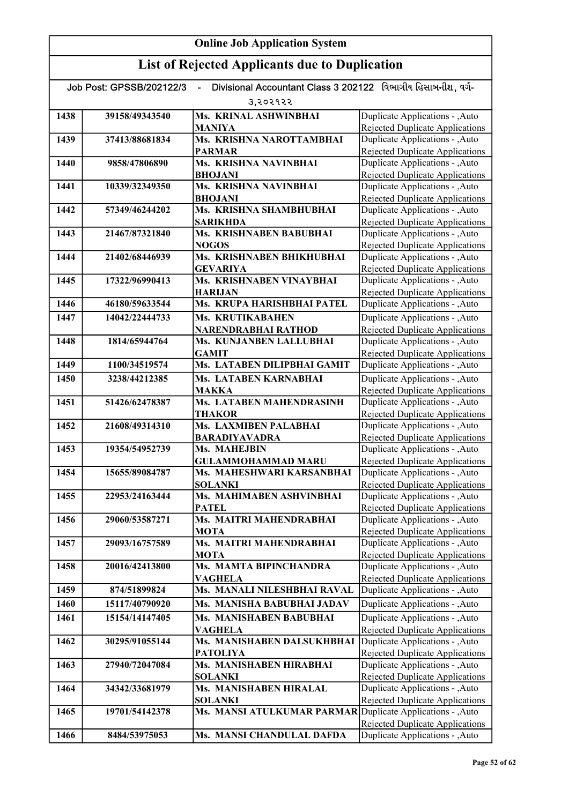| Divisional Accountant Class 3 202122 વિભાગીય હિસાબનીશ. વર્ગ-<br>Job Post: GPSSB/202122/3 |                |                                                            |                                                                           |  |
|------------------------------------------------------------------------------------------|----------------|------------------------------------------------------------|---------------------------------------------------------------------------|--|
|                                                                                          | 3.२०२१२२       |                                                            |                                                                           |  |
| 1438                                                                                     | 39158/49343540 | Ms. KRINAL ASHWINBHAI                                      | Duplicate Applications - , Auto                                           |  |
|                                                                                          |                | <b>MANIYA</b>                                              | Rejected Duplicate Applications                                           |  |
| 1439                                                                                     | 37413/88681834 | Ms. KRISHNA NAROTTAMBHAI                                   | Duplicate Applications - , Auto                                           |  |
|                                                                                          |                | <b>PARMAR</b>                                              | Rejected Duplicate Applications                                           |  |
| 1440                                                                                     | 9858/47806890  | Ms. KRISHNA NAVINBHAI                                      | Duplicate Applications - , Auto                                           |  |
|                                                                                          |                | <b>BHOJANI</b>                                             | <b>Rejected Duplicate Applications</b>                                    |  |
| 1441                                                                                     | 10339/32349350 | Ms. KRISHNA NAVINBHAI                                      | Duplicate Applications - , Auto                                           |  |
|                                                                                          |                | <b>BHOJANI</b>                                             | Rejected Duplicate Applications                                           |  |
| 1442                                                                                     | 57349/46244202 | Ms. KRISHNA SHAMBHUBHAI                                    | Duplicate Applications - , Auto                                           |  |
|                                                                                          |                | <b>SARIKHDA</b>                                            | <b>Rejected Duplicate Applications</b>                                    |  |
| 1443                                                                                     | 21467/87321840 | <b>Ms. KRISHNABEN BABUBHAI</b>                             | Duplicate Applications - , Auto                                           |  |
|                                                                                          |                | <b>NOGOS</b>                                               | <b>Rejected Duplicate Applications</b>                                    |  |
| 1444                                                                                     | 21402/68446939 | Ms. KRISHNABEN BHIKHUBHAI                                  | Duplicate Applications - , Auto                                           |  |
|                                                                                          |                | <b>GEVARIYA</b>                                            | <b>Rejected Duplicate Applications</b>                                    |  |
| 1445                                                                                     | 17322/96990413 | Ms. KRISHNABEN VINAYBHAI                                   | Duplicate Applications - , Auto                                           |  |
|                                                                                          |                | <b>HARIJAN</b>                                             | <b>Rejected Duplicate Applications</b>                                    |  |
| 1446                                                                                     | 46180/59633544 | Ms. KRUPA HARISHBHAI PATEL                                 | Duplicate Applications - , Auto                                           |  |
| 1447                                                                                     | 14042/22444733 | Ms. KRUTIKABAHEN                                           | Duplicate Applications - , Auto                                           |  |
|                                                                                          |                | NARENDRABHAI RATHOD                                        | <b>Rejected Duplicate Applications</b>                                    |  |
| 1448                                                                                     | 1814/65944764  | Ms. KUNJANBEN LALLUBHAI                                    | Duplicate Applications - , Auto                                           |  |
| 1449                                                                                     | 1100/34519574  | <b>GAMIT</b><br>Ms. LATABEN DILIPBHAI GAMIT                | Rejected Duplicate Applications                                           |  |
|                                                                                          |                |                                                            | Duplicate Applications - , Auto                                           |  |
| 1450                                                                                     | 3238/44212385  | Ms. LATABEN KARNABHAI                                      | Duplicate Applications - , Auto                                           |  |
| 1451                                                                                     | 51426/62478387 | <b>MAKKA</b><br>Ms. LATABEN MAHENDRASINH                   | <b>Rejected Duplicate Applications</b><br>Duplicate Applications - , Auto |  |
|                                                                                          |                | <b>THAKOR</b>                                              | <b>Rejected Duplicate Applications</b>                                    |  |
| 1452                                                                                     | 21608/49314310 | Ms. LAXMIBEN PALABHAI                                      | Duplicate Applications - , Auto                                           |  |
|                                                                                          |                | <b>BARADIYAVADRA</b>                                       | <b>Rejected Duplicate Applications</b>                                    |  |
| 1453                                                                                     | 19354/54952739 | Ms. MAHEJBIN                                               | Duplicate Applications - , Auto                                           |  |
|                                                                                          |                | <b>GULAMMOHAMMAD MARU</b>                                  | Rejected Duplicate Applications                                           |  |
| 1454                                                                                     | 15655/89084787 | Ms. MAHESHWARI KARSANBHAI                                  | Duplicate Applications - , Auto                                           |  |
|                                                                                          |                | <b>SOLANKI</b>                                             | Rejected Duplicate Applications                                           |  |
| 1455                                                                                     | 22953/24163444 | Ms. MAHIMABEN ASHVINBHAI                                   | Duplicate Applications - , Auto                                           |  |
|                                                                                          |                | PATEL                                                      | Rejected Duplicate Applications                                           |  |
| 1456                                                                                     | 29060/53587271 | Ms. MAITRI MAHENDRABHAI                                    | Duplicate Applications - , Auto                                           |  |
|                                                                                          |                | <b>MOTA</b>                                                | <b>Rejected Duplicate Applications</b>                                    |  |
| 1457                                                                                     | 29093/16757589 | Ms. MAITRI MAHENDRABHAI                                    | Duplicate Applications - , Auto                                           |  |
|                                                                                          |                | MOTA                                                       | <b>Rejected Duplicate Applications</b>                                    |  |
| 1458                                                                                     | 20016/42413800 | Ms. MAMTA BIPINCHANDRA                                     | Duplicate Applications - , Auto                                           |  |
|                                                                                          |                | VAGHELA                                                    | <b>Rejected Duplicate Applications</b>                                    |  |
| 1459                                                                                     | 874/51899824   | Ms. MANALI NILESHBHAI RAVAL                                | Duplicate Applications - , Auto                                           |  |
| 1460                                                                                     | 15117/40790920 | Ms. MANISHA BABUBHAI JADAV                                 | Duplicate Applications - , Auto                                           |  |
| 1461                                                                                     | 15154/14147405 | Ms. MANISHABEN BABUBHAI                                    | Duplicate Applications - , Auto                                           |  |
|                                                                                          |                | <b>VAGHELA</b>                                             | <b>Rejected Duplicate Applications</b>                                    |  |
| 1462                                                                                     | 30295/91055144 | Ms. MANISHABEN DALSUKHBHAI                                 | Duplicate Applications - , Auto                                           |  |
| 1463                                                                                     | 27940/72047084 | <b>PATOLIYA</b><br>Ms. MANISHABEN HIRABHAI                 | <b>Rejected Duplicate Applications</b><br>Duplicate Applications - , Auto |  |
|                                                                                          |                | <b>SOLANKI</b>                                             | <b>Rejected Duplicate Applications</b>                                    |  |
| 1464                                                                                     | 34342/33681979 | Ms. MANISHABEN HIRALAL                                     | Duplicate Applications - , Auto                                           |  |
|                                                                                          |                | <b>SOLANKI</b>                                             | Rejected Duplicate Applications                                           |  |
| 1465                                                                                     | 19701/54142378 | Ms. MANSI ATULKUMAR PARMAR Duplicate Applications - , Auto |                                                                           |  |
|                                                                                          |                |                                                            | Rejected Duplicate Applications                                           |  |
| 1466                                                                                     | 8484/53975053  | Ms. MANSI CHANDULAL DAFDA                                  | Duplicate Applications - , Auto                                           |  |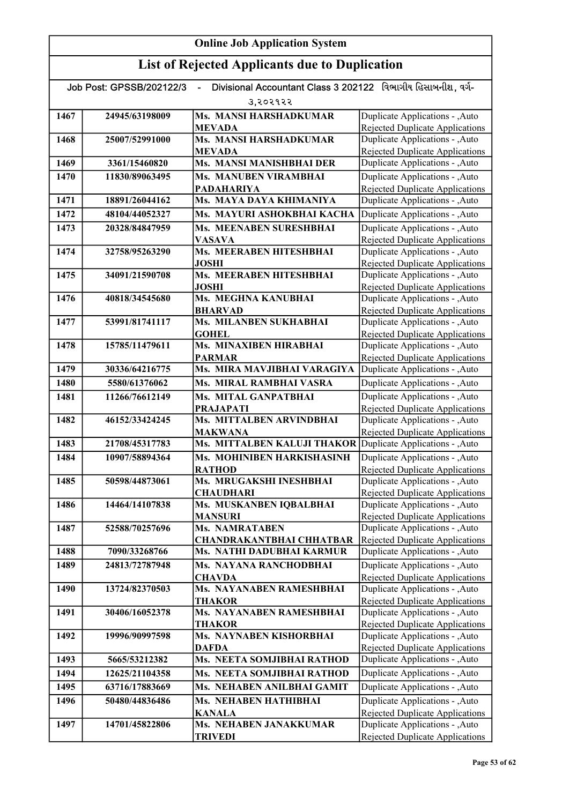| Divisional Accountant Class 3 202122 વિભાગીય હિસાબનીશ. વર્ગ-<br>Job Post: GPSSB/202122/3<br>$\blacksquare$ |                |                                             |                                                                           |
|------------------------------------------------------------------------------------------------------------|----------------|---------------------------------------------|---------------------------------------------------------------------------|
|                                                                                                            |                | उ,२०२१२२                                    |                                                                           |
| 1467                                                                                                       | 24945/63198009 | Ms. MANSI HARSHADKUMAR                      | Duplicate Applications - , Auto                                           |
|                                                                                                            |                | <b>MEVADA</b>                               | Rejected Duplicate Applications                                           |
| 1468                                                                                                       | 25007/52991000 | Ms. MANSI HARSHADKUMAR                      | Duplicate Applications - , Auto                                           |
|                                                                                                            |                | <b>MEVADA</b>                               | Rejected Duplicate Applications                                           |
| 1469                                                                                                       | 3361/15460820  | Ms. MANSI MANISHBHAI DER                    | Duplicate Applications - , Auto                                           |
| 1470                                                                                                       | 11830/89063495 | Ms. MANUBEN VIRAMBHAI                       | Duplicate Applications - , Auto                                           |
|                                                                                                            |                | <b>PADAHARIYA</b>                           | <b>Rejected Duplicate Applications</b>                                    |
| 1471                                                                                                       | 18891/26044162 | Ms. MAYA DAYA KHIMANIYA                     | Duplicate Applications - , Auto                                           |
| 1472                                                                                                       | 48104/44052327 | Ms. MAYURI ASHOKBHAI KACHA                  | Duplicate Applications - , Auto                                           |
| 1473                                                                                                       | 20328/84847959 | Ms. MEENABEN SURESHBHAI                     | Duplicate Applications - , Auto                                           |
|                                                                                                            |                | <b>VASAVA</b>                               | <b>Rejected Duplicate Applications</b>                                    |
| 1474                                                                                                       | 32758/95263290 | Ms. MEERABEN HITESHBHAI                     | Duplicate Applications - , Auto                                           |
|                                                                                                            |                | <b>JOSHI</b>                                | Rejected Duplicate Applications                                           |
| 1475                                                                                                       | 34091/21590708 | Ms. MEERABEN HITESHBHAI<br><b>JOSHI</b>     | Duplicate Applications - , Auto                                           |
| 1476                                                                                                       | 40818/34545680 | Ms. MEGHNA KANUBHAI                         | <b>Rejected Duplicate Applications</b><br>Duplicate Applications - , Auto |
|                                                                                                            |                | <b>BHARVAD</b>                              | Rejected Duplicate Applications                                           |
| 1477                                                                                                       | 53991/81741117 | Ms. MILANBEN SUKHABHAI                      | Duplicate Applications - , Auto                                           |
|                                                                                                            |                | <b>GOHEL</b>                                | Rejected Duplicate Applications                                           |
| 1478                                                                                                       | 15785/11479611 | Ms. MINAXIBEN HIRABHAI                      | Duplicate Applications - , Auto                                           |
|                                                                                                            |                | <b>PARMAR</b>                               | Rejected Duplicate Applications                                           |
| 1479                                                                                                       | 30336/64216775 | Ms. MIRA MAVJIBHAI VARAGIYA                 | Duplicate Applications - ,Auto                                            |
| 1480                                                                                                       | 5580/61376062  | Ms. MIRAL RAMBHAI VASRA                     | Duplicate Applications - , Auto                                           |
| 1481                                                                                                       | 11266/76612149 | Ms. MITAL GANPATBHAI                        | Duplicate Applications - , Auto                                           |
|                                                                                                            |                | <b>PRAJAPATI</b>                            | <b>Rejected Duplicate Applications</b>                                    |
| 1482                                                                                                       | 46152/33424245 | Ms. MITTALBEN ARVINDBHAI                    | Duplicate Applications - , Auto                                           |
|                                                                                                            |                | <b>MAKWANA</b>                              | Rejected Duplicate Applications                                           |
| 1483                                                                                                       | 21708/45317783 | Ms. MITTALBEN KALUJI THAKOR                 | Duplicate Applications - , Auto                                           |
| 1484                                                                                                       | 10907/58894364 | <b>Ms. MOHINIBEN HARKISHASINH</b>           | Duplicate Applications - , Auto                                           |
|                                                                                                            |                | <b>RATHOD</b>                               | <b>Rejected Duplicate Applications</b>                                    |
| 1485                                                                                                       | 50598/44873061 | Ms. MRUGAKSHI INESHBHAI                     | Duplicate Applications - , Auto                                           |
| 1486                                                                                                       | 14464/14107838 | <b>CHAUDHARI</b><br>Ms. MUSKANBEN IOBALBHAI | Rejected Duplicate Applications<br>Duplicate Applications - , Auto        |
|                                                                                                            |                | <b>MANSURI</b>                              | Rejected Duplicate Applications                                           |
| 1487                                                                                                       | 52588/70257696 | Ms. NAMRATABEN                              | Duplicate Applications - , Auto                                           |
|                                                                                                            |                | <b>CHANDRAKANTBHAI CHHATBAR</b>             | Rejected Duplicate Applications                                           |
| 1488                                                                                                       | 7090/33268766  | Ms. NATHI DADUBHAI KARMUR                   | Duplicate Applications - , Auto                                           |
| 1489                                                                                                       | 24813/72787948 | Ms. NAYANA RANCHODBHAI                      | Duplicate Applications - ,Auto                                            |
|                                                                                                            |                | <b>CHAVDA</b>                               | <b>Rejected Duplicate Applications</b>                                    |
| 1490                                                                                                       | 13724/82370503 | Ms. NAYANABEN RAMESHBHAI                    | Duplicate Applications - , Auto                                           |
|                                                                                                            |                | <b>THAKOR</b>                               | <b>Rejected Duplicate Applications</b>                                    |
| 1491                                                                                                       | 30406/16052378 | Ms. NAYANABEN RAMESHBHAI                    | Duplicate Applications - , Auto                                           |
|                                                                                                            |                | THAKOR                                      | Rejected Duplicate Applications                                           |
| 1492                                                                                                       | 19996/90997598 | Ms. NAYNABEN KISHORBHAI                     | Duplicate Applications - , Auto                                           |
|                                                                                                            | 5665/53212382  | <b>DAFDA</b><br>Ms. NEETA SOMJIBHAI RATHOD  | Rejected Duplicate Applications<br>Duplicate Applications - , Auto        |
| 1493                                                                                                       |                |                                             |                                                                           |
| 1494                                                                                                       | 12625/21104358 | Ms. NEETA SOMJIBHAI RATHOD                  | Duplicate Applications - , Auto                                           |
| 1495                                                                                                       | 63716/17883669 | Ms. NEHABEN ANILBHAI GAMIT                  | Duplicate Applications - , Auto                                           |
| 1496                                                                                                       | 50480/44836486 | Ms. NEHABEN HATHIBHAI                       | Duplicate Applications - , Auto                                           |
|                                                                                                            |                | <b>KANALA</b>                               | <b>Rejected Duplicate Applications</b>                                    |
| 1497                                                                                                       | 14701/45822806 | Ms. NEHABEN JANAKKUMAR<br><b>TRIVEDI</b>    | Duplicate Applications - , Auto<br><b>Rejected Duplicate Applications</b> |
|                                                                                                            |                |                                             |                                                                           |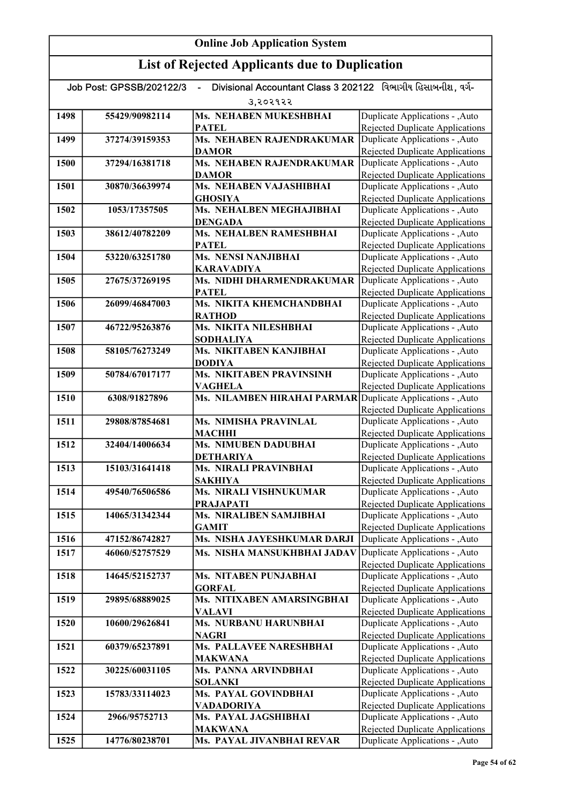# List of Rejected Applicants due to Duplication

|      | Job Post: GPSSB/202122/3 | Divisional Accountant Class 3 202122 વિભાગીય હિસાબનીશ. વર્ગ- |                                                                           |
|------|--------------------------|--------------------------------------------------------------|---------------------------------------------------------------------------|
|      |                          | 3,२०२१२२                                                     |                                                                           |
| 1498 | 55429/90982114           | Ms. NEHABEN MUKESHBHAI                                       | Duplicate Applications - ,Auto                                            |
|      |                          | <b>PATEL</b>                                                 | Rejected Duplicate Applications                                           |
| 1499 | 37274/39159353           | Ms. NEHABEN RAJENDRAKUMAR                                    | Duplicate Applications - , Auto                                           |
|      |                          | <b>DAMOR</b>                                                 | Rejected Duplicate Applications                                           |
| 1500 | 37294/16381718           | Ms. NEHABEN RAJENDRAKUMAR                                    | Duplicate Applications - , Auto                                           |
|      |                          | <b>DAMOR</b>                                                 | Rejected Duplicate Applications                                           |
| 1501 | 30870/36639974           | Ms. NEHABEN VAJASHIBHAI                                      | Duplicate Applications - , Auto                                           |
|      |                          | <b>GHOSIYA</b>                                               | Rejected Duplicate Applications                                           |
| 1502 | 1053/17357505            | Ms. NEHALBEN MEGHAJIBHAI                                     | Duplicate Applications - ,Auto                                            |
|      |                          | <b>DENGADA</b>                                               | Rejected Duplicate Applications                                           |
| 1503 | 38612/40782209           | Ms. NEHALBEN RAMESHBHAI                                      | Duplicate Applications - ,Auto                                            |
|      |                          | <b>PATEL</b>                                                 | <b>Rejected Duplicate Applications</b>                                    |
| 1504 | 53220/63251780           | <b>Ms. NENSI NANJIBHAI</b>                                   | Duplicate Applications - , Auto                                           |
|      |                          | <b>KARAVADIYA</b>                                            | Rejected Duplicate Applications                                           |
| 1505 | 27675/37269195           | Ms. NIDHI DHARMENDRAKUMAR                                    | Duplicate Applications - , Auto                                           |
|      |                          | <b>PATEL</b>                                                 | Rejected Duplicate Applications                                           |
| 1506 | 26099/46847003           | Ms. NIKITA KHEMCHANDBHAI                                     | Duplicate Applications - , Auto                                           |
|      |                          | <b>RATHOD</b>                                                | <b>Rejected Duplicate Applications</b>                                    |
| 1507 | 46722/95263876           | Ms. NIKITA NILESHBHAI                                        | Duplicate Applications - ,Auto                                            |
|      |                          | <b>SODHALIYA</b>                                             | Rejected Duplicate Applications                                           |
| 1508 | 58105/76273249           | Ms. NIKITABEN KANJIBHAI                                      | Duplicate Applications - , Auto                                           |
|      |                          | <b>DODIYA</b>                                                | Rejected Duplicate Applications                                           |
| 1509 | 50784/67017177           | Ms. NIKITABEN PRAVINSINH                                     | Duplicate Applications - , Auto                                           |
| 1510 | 6308/91827896            | <b>VAGHELA</b><br>Ms. NILAMBEN HIRAHAI PARMAR                | <b>Rejected Duplicate Applications</b><br>Duplicate Applications - , Auto |
|      |                          |                                                              | Rejected Duplicate Applications                                           |
| 1511 | 29808/87854681           | Ms. NIMISHA PRAVINLAL                                        | Duplicate Applications - , Auto                                           |
|      |                          | <b>MACHHI</b>                                                | <b>Rejected Duplicate Applications</b>                                    |
| 1512 | 32404/14006634           | <b>Ms. NIMUBEN DADUBHAI</b>                                  | Duplicate Applications - ,Auto                                            |
|      |                          | <b>DETHARIYA</b>                                             | Rejected Duplicate Applications                                           |
| 1513 | 15103/31641418           | <b>Ms. NIRALI PRAVINBHAI</b>                                 | Duplicate Applications - ,Auto                                            |
|      |                          | <b>SAKHIYA</b>                                               | Rejected Duplicate Applications                                           |
| 1514 | 49540/76506586           | Ms. NIRALI VISHNUKUMAR                                       | Duplicate Applications - , Auto                                           |
|      |                          | <b>PRAJAPATI</b>                                             | Rejected Duplicate Applications                                           |
| 1515 | 14065/31342344           | Ms. NIRALIBEN SAMJIBHAI                                      | Duplicate Applications - , Auto                                           |
|      |                          | <b>GAMIT</b>                                                 | Rejected Duplicate Applications                                           |
| 1516 | 47152/86742827           | Ms. NISHA JAYESHKUMAR DARJI                                  | Duplicate Applications - , Auto                                           |
| 1517 | 46060/52757529           | Ms. NISHA MANSUKHBHAI JADAV                                  | Duplicate Applications - , Auto                                           |
|      |                          |                                                              | <b>Rejected Duplicate Applications</b>                                    |
| 1518 | 14645/52152737           | Ms. NITABEN PUNJABHAI                                        | Duplicate Applications - , Auto                                           |
|      |                          | <b>GORFAL</b>                                                | Rejected Duplicate Applications                                           |
| 1519 | 29895/68889025           | Ms. NITIXABEN AMARSINGBHAI                                   | Duplicate Applications - , Auto                                           |
|      |                          | <b>VALAVI</b>                                                | Rejected Duplicate Applications                                           |
| 1520 | 10600/29626841           | Ms. NURBANU HARUNBHAI                                        | Duplicate Applications - , Auto                                           |
|      |                          | <b>NAGRI</b>                                                 | Rejected Duplicate Applications                                           |
| 1521 | 60379/65237891           | Ms. PALLAVEE NARESHBHAI                                      | Duplicate Applications - , Auto                                           |
|      |                          | <b>MAKWANA</b>                                               | Rejected Duplicate Applications                                           |
| 1522 | 30225/60031105           | Ms. PANNA ARVINDBHAI                                         | Duplicate Applications - , Auto                                           |
| 1523 | 15783/33114023           | <b>SOLANKI</b><br>Ms. PAYAL GOVINDBHAI                       | Rejected Duplicate Applications<br>Duplicate Applications - , Auto        |
|      |                          | <b>VADADORIYA</b>                                            | <b>Rejected Duplicate Applications</b>                                    |
| 1524 | 2966/95752713            | Ms. PAYAL JAGSHIBHAI                                         | Duplicate Applications - , Auto                                           |
|      |                          | <b>MAKWANA</b>                                               | Rejected Duplicate Applications                                           |
| 1525 | 14776/80238701           | Ms. PAYAL JIVANBHAI REVAR                                    | Duplicate Applications - ,Auto                                            |
|      |                          |                                                              |                                                                           |

Rejected Duplicate Applications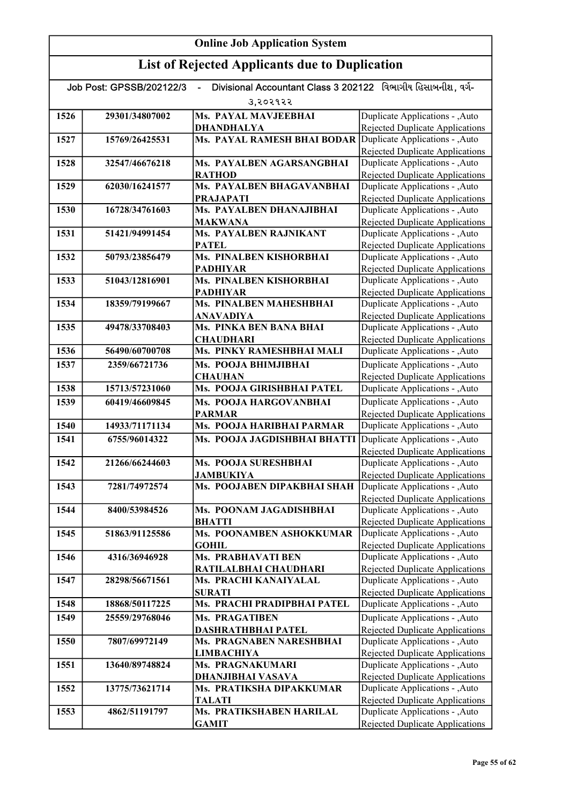| Divisional Accountant Class 3 202122 વિભાગીય હિસાબનીશ. વર્ગ-<br>Job Post: GPSSB/202122/3 |                |                                              |                                                                           |
|------------------------------------------------------------------------------------------|----------------|----------------------------------------------|---------------------------------------------------------------------------|
|                                                                                          |                | उ,२०२१२२                                     |                                                                           |
| 1526                                                                                     | 29301/34807002 | Ms. PAYAL MAVJEEBHAI                         | Duplicate Applications - , Auto                                           |
|                                                                                          |                | <b>DHANDHALYA</b>                            | Rejected Duplicate Applications                                           |
| 1527                                                                                     | 15769/26425531 | Ms. PAYAL RAMESH BHAI BODAR                  | Duplicate Applications - , Auto                                           |
|                                                                                          |                |                                              | Rejected Duplicate Applications                                           |
| 1528                                                                                     | 32547/46676218 | Ms. PAYALBEN AGARSANGBHAI                    | Duplicate Applications - , Auto                                           |
|                                                                                          |                | <b>RATHOD</b>                                | Rejected Duplicate Applications                                           |
| 1529                                                                                     | 62030/16241577 | Ms. PAYALBEN BHAGAVANBHAI                    | Duplicate Applications - , Auto                                           |
| 1530                                                                                     | 16728/34761603 | <b>PRAJAPATI</b><br>Ms. PAYALBEN DHANAJIBHAI | <b>Rejected Duplicate Applications</b><br>Duplicate Applications - , Auto |
|                                                                                          |                | <b>MAKWANA</b>                               | Rejected Duplicate Applications                                           |
| 1531                                                                                     | 51421/94991454 | Ms. PAYALBEN RAJNIKANT                       | Duplicate Applications - , Auto                                           |
|                                                                                          |                | <b>PATEL</b>                                 | <b>Rejected Duplicate Applications</b>                                    |
| 1532                                                                                     | 50793/23856479 | Ms. PINALBEN KISHORBHAI                      | Duplicate Applications - , Auto                                           |
|                                                                                          |                | <b>PADHIYAR</b>                              | Rejected Duplicate Applications                                           |
| 1533                                                                                     | 51043/12816901 | Ms. PINALBEN KISHORBHAI                      | Duplicate Applications - , Auto                                           |
|                                                                                          |                | <b>PADHIYAR</b>                              | Rejected Duplicate Applications                                           |
| 1534                                                                                     | 18359/79199667 | <b>Ms. PINALBEN MAHESHBHAI</b>               | Duplicate Applications - , Auto                                           |
|                                                                                          |                | ANAVADIYA                                    | <b>Rejected Duplicate Applications</b>                                    |
| 1535                                                                                     | 49478/33708403 | Ms. PINKA BEN BANA BHAI                      | Duplicate Applications - , Auto                                           |
|                                                                                          |                | <b>CHAUDHARI</b>                             | Rejected Duplicate Applications                                           |
| 1536                                                                                     | 56490/60700708 | Ms. PINKY RAMESHBHAI MALI                    | Duplicate Applications - , Auto                                           |
| 1537                                                                                     | 2359/66721736  | Ms. POOJA BHIMJIBHAI                         | Duplicate Applications - , Auto                                           |
|                                                                                          |                | <b>CHAUHAN</b><br>Ms. POOJA GIRISHBHAI PATEL | <b>Rejected Duplicate Applications</b>                                    |
| 1538                                                                                     | 15713/57231060 |                                              | Duplicate Applications - , Auto                                           |
| 1539                                                                                     | 60419/46609845 | Ms. POOJA HARGOVANBHAI                       | Duplicate Applications - , Auto                                           |
| 1540                                                                                     | 14933/71171134 | <b>PARMAR</b><br>Ms. POOJA HARIBHAI PARMAR   | Rejected Duplicate Applications<br>Duplicate Applications - , Auto        |
| 1541                                                                                     | 6755/96014322  |                                              | Duplicate Applications - , Auto                                           |
|                                                                                          |                | Ms. POOJA JAGDISHBHAI BHATTI                 | Rejected Duplicate Applications                                           |
| 1542                                                                                     | 21266/66244603 | Ms. POOJA SURESHBHAI                         | Duplicate Applications - , Auto                                           |
|                                                                                          |                | <b>JAMBUKIYA</b>                             | <b>Rejected Duplicate Applications</b>                                    |
| 1543                                                                                     | 7281/74972574  | Ms. POOJABEN DIPAKBHAI SHAH                  | Duplicate Applications - , Auto                                           |
|                                                                                          |                |                                              | <b>Rejected Duplicate Applications</b>                                    |
| 1544                                                                                     | 8400/53984526  | Ms. POONAM JAGADISHBHAI                      | Duplicate Applications - ,Auto                                            |
|                                                                                          |                | <b>BHATTI</b>                                | Rejected Duplicate Applications                                           |
| 1545                                                                                     | 51863/91125586 | Ms. POONAMBEN ASHOKKUMAR                     | Duplicate Applications - , Auto                                           |
| 1546                                                                                     | 4316/36946928  | <b>GOHIL</b><br><b>Ms. PRABHAVATI BEN</b>    | Rejected Duplicate Applications<br>Duplicate Applications - , Auto        |
|                                                                                          |                | RATILALBHAI CHAUDHARI                        | Rejected Duplicate Applications                                           |
| 1547                                                                                     | 28298/56671561 | Ms. PRACHI KANAIYALAL                        | Duplicate Applications - , Auto                                           |
|                                                                                          |                | <b>SURATI</b>                                | Rejected Duplicate Applications                                           |
| 1548                                                                                     | 18868/50117225 | Ms. PRACHI PRADIPBHAI PATEL                  | Duplicate Applications - ,Auto                                            |
| 1549                                                                                     | 25559/29768046 | <b>Ms. PRAGATIBEN</b>                        | Duplicate Applications - , Auto                                           |
|                                                                                          |                | <b>DASHRATHBHAI PATEL</b>                    | <b>Rejected Duplicate Applications</b>                                    |
| 1550                                                                                     | 7807/69972149  | Ms. PRAGNABEN NARESHBHAI                     | Duplicate Applications - , Auto                                           |
|                                                                                          |                | <b>LIMBACHIYA</b>                            | Rejected Duplicate Applications                                           |
| 1551                                                                                     | 13640/89748824 | Ms. PRAGNAKUMARI                             | Duplicate Applications - , Auto                                           |
|                                                                                          |                | <u>DHANJIBHAI VASAVA</u>                     | <b>Rejected Duplicate Applications</b>                                    |
| 1552                                                                                     | 13775/73621714 | Ms. PRATIKSHA DIPAKKUMAR                     | Duplicate Applications - , Auto                                           |
| 1553                                                                                     | 4862/51191797  | <b>TALATI</b><br>Ms. PRATIKSHABEN HARILAL    | Rejected Duplicate Applications<br>Duplicate Applications - , Auto        |
|                                                                                          |                | <b>GAMIT</b>                                 | Rejected Duplicate Applications                                           |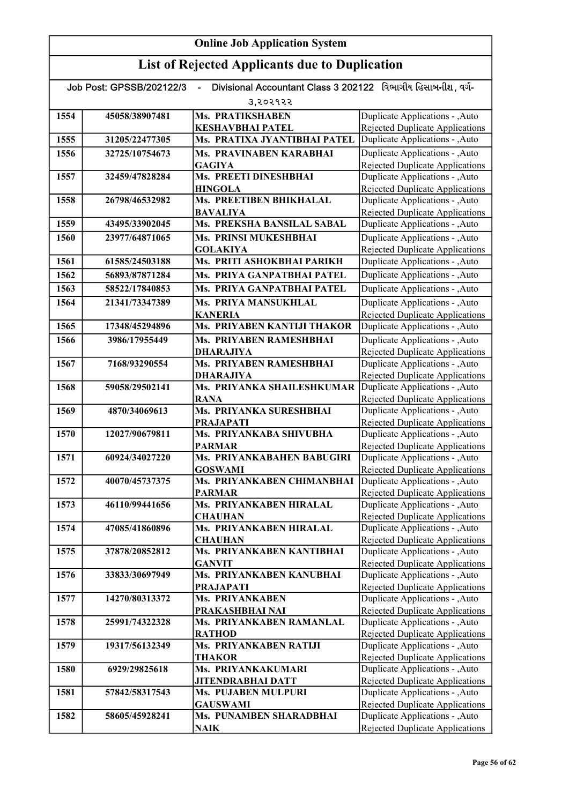| Divisional Accountant Class 3 202122 વિભાગીય હિસાબનીશ. વર્ગ-<br>Job Post: GPSSB/202122/3 |                |                                                        |                                                                           |
|------------------------------------------------------------------------------------------|----------------|--------------------------------------------------------|---------------------------------------------------------------------------|
|                                                                                          |                | उ,२०२१२२                                               |                                                                           |
| 1554                                                                                     | 45058/38907481 | Ms. PRATIKSHABEN                                       | Duplicate Applications - , Auto                                           |
|                                                                                          |                | <b>KESHAVBHAI PATEL</b>                                | Rejected Duplicate Applications                                           |
| 1555                                                                                     | 31205/22477305 | Ms. PRATIXA JYANTIBHAI PATEL                           | Duplicate Applications - ,Auto                                            |
| 1556                                                                                     | 32725/10754673 | Ms. PRAVINABEN KARABHAI                                | Duplicate Applications - , Auto                                           |
|                                                                                          |                | <b>GAGIYA</b>                                          | <b>Rejected Duplicate Applications</b>                                    |
| 1557                                                                                     | 32459/47828284 | Ms. PREETI DINESHBHAI                                  | Duplicate Applications - , Auto                                           |
|                                                                                          |                | <b>HINGOLA</b>                                         | Rejected Duplicate Applications                                           |
| 1558                                                                                     | 26798/46532982 | Ms. PREETIBEN BHIKHALAL                                | Duplicate Applications - , Auto                                           |
| 1559                                                                                     | 43495/33902045 | <b>BAVALIYA</b><br>Ms. PREKSHA BANSILAL SABAL          | Rejected Duplicate Applications<br>Duplicate Applications - , Auto        |
| 1560                                                                                     | 23977/64871065 | Ms. PRINSI MUKESHBHAI                                  | Duplicate Applications - , Auto                                           |
|                                                                                          |                | <b>GOLAKIYA</b>                                        | <b>Rejected Duplicate Applications</b>                                    |
| 1561                                                                                     | 61585/24503188 | Ms. PRITI ASHOKBHAI PARIKH                             | Duplicate Applications - , Auto                                           |
| 1562                                                                                     | 56893/87871284 | Ms. PRIYA GANPATBHAI PATEL                             | Duplicate Applications - , Auto                                           |
| 1563                                                                                     | 58522/17840853 | Ms. PRIYA GANPATBHAI PATEL                             | Duplicate Applications - , Auto                                           |
|                                                                                          |                |                                                        |                                                                           |
| 1564                                                                                     | 21341/73347389 | Ms. PRIYA MANSUKHLAL<br><b>KANERIA</b>                 | Duplicate Applications - , Auto<br><b>Rejected Duplicate Applications</b> |
| 1565                                                                                     | 17348/45294896 | Ms. PRIYABEN KANTIJI THAKOR                            | Duplicate Applications - , Auto                                           |
| 1566                                                                                     | 3986/17955449  | Ms. PRIYABEN RAMESHBHAI                                | Duplicate Applications - , Auto                                           |
|                                                                                          |                | <b>DHARAJIYA</b>                                       | <b>Rejected Duplicate Applications</b>                                    |
| 1567                                                                                     | 7168/93290554  | Ms. PRIYABEN RAMESHBHAI                                | Duplicate Applications - , Auto                                           |
|                                                                                          |                | <b>DHARAJIYA</b>                                       | Rejected Duplicate Applications                                           |
| 1568                                                                                     | 59058/29502141 | Ms. PRIYANKA SHAILESHKUMAR                             | Duplicate Applications - , Auto                                           |
|                                                                                          |                | <b>RANA</b>                                            | Rejected Duplicate Applications                                           |
| 1569                                                                                     | 4870/34069613  | Ms. PRIYANKA SURESHBHAI                                | Duplicate Applications - , Auto                                           |
|                                                                                          |                | <b>PRAJAPATI</b>                                       | <b>Rejected Duplicate Applications</b>                                    |
| 1570                                                                                     | 12027/90679811 | Ms. PRIYANKABA SHIVUBHA                                | Duplicate Applications - , Auto                                           |
| 1571                                                                                     | 60924/34027220 | <b>PARMAR</b><br>Ms. PRIYANKABAHEN BABUGIRI            | Rejected Duplicate Applications<br>Duplicate Applications - , Auto        |
|                                                                                          |                | <b>GOSWAMI</b>                                         | <b>Rejected Duplicate Applications</b>                                    |
| 1572                                                                                     | 40070/45737375 | Ms. PRIYANKABEN CHIMANBHAI                             | Duplicate Applications - , Auto                                           |
|                                                                                          |                | <b>PARMAR</b>                                          | <b>Rejected Duplicate Applications</b>                                    |
| 1573                                                                                     | 46110/99441656 | Ms. PRIYANKABEN HIRALAL                                | Duplicate Applications - , Auto                                           |
|                                                                                          |                | <b>CHAUHAN</b>                                         | <b>Rejected Duplicate Applications</b>                                    |
| 1574                                                                                     | 47085/41860896 | Ms. PRIYANKABEN HIRALAL                                | Duplicate Applications - , Auto                                           |
|                                                                                          |                | <b>CHAUHAN</b>                                         | <b>Rejected Duplicate Applications</b>                                    |
| 1575                                                                                     | 37878/20852812 | Ms. PRIYANKABEN KANTIBHAI<br><b>GANVIT</b>             | Duplicate Applications - , Auto<br><b>Rejected Duplicate Applications</b> |
| 1576                                                                                     | 33833/30697949 | Ms. PRIYANKABEN KANUBHAI                               | Duplicate Applications - ,Auto                                            |
|                                                                                          |                | <b>PRAJAPATI</b>                                       | Rejected Duplicate Applications                                           |
| 1577                                                                                     | 14270/80313372 | Ms. PRIYANKABEN                                        | Duplicate Applications - , Auto                                           |
|                                                                                          |                | PRAKASHBHAI NAI                                        | <b>Rejected Duplicate Applications</b>                                    |
| 1578                                                                                     | 25991/74322328 | Ms. PRIYANKABEN RAMANLAL                               | Duplicate Applications - , Auto                                           |
|                                                                                          |                | <b>RATHOD</b>                                          | Rejected Duplicate Applications                                           |
| 1579                                                                                     | 19317/56132349 | Ms. PRIYANKABEN RATIJI                                 | Duplicate Applications - , Auto                                           |
|                                                                                          |                | <b>THAKOR</b>                                          | <b>Rejected Duplicate Applications</b>                                    |
| 1580                                                                                     | 6929/29825618  | Ms. PRIYANKAKUMARI                                     | Duplicate Applications - , Auto                                           |
| 1581                                                                                     | 57842/58317543 | <b>JITENDRABHAI DATT</b><br><b>Ms. PUJABEN MULPURI</b> | Rejected Duplicate Applications<br>Duplicate Applications - , Auto        |
|                                                                                          |                | <b>GAUSWAMI</b>                                        | Rejected Duplicate Applications                                           |
| 1582                                                                                     | 58605/45928241 | Ms. PUNAMBEN SHARADBHAI                                | Duplicate Applications - , Auto                                           |
|                                                                                          |                | <b>NAIK</b>                                            | <b>Rejected Duplicate Applications</b>                                    |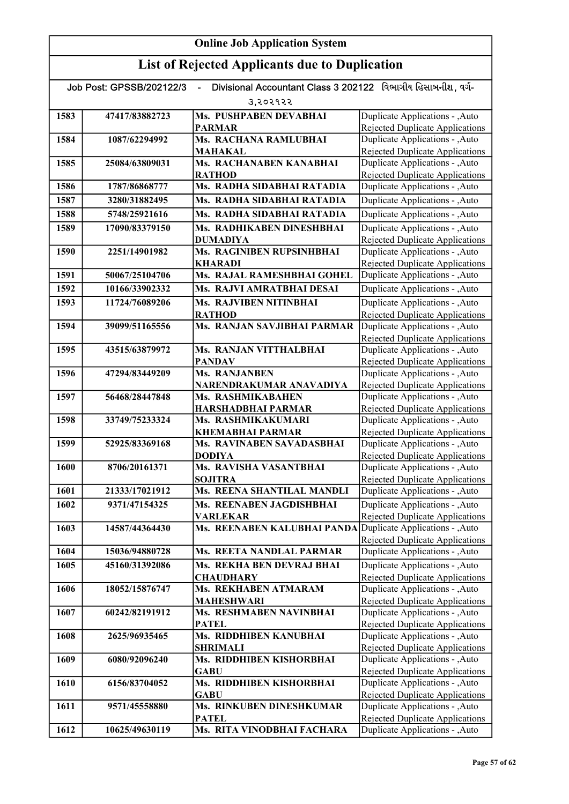# List of Rejected Applicants due to Duplication

| Divisional Accountant Class 3 202122 વિભાગીય હિસાબનીશ, વર્ગ-<br>Job Post: GPSSB/202122/3 |                |                                                      |                                                                           |
|------------------------------------------------------------------------------------------|----------------|------------------------------------------------------|---------------------------------------------------------------------------|
|                                                                                          |                | उ,२०२१२२                                             |                                                                           |
| 1583                                                                                     | 47417/83882723 | Ms. PUSHPABEN DEVABHAI                               | Duplicate Applications - , Auto                                           |
|                                                                                          |                | <b>PARMAR</b>                                        | Rejected Duplicate Applications                                           |
| 1584                                                                                     | 1087/62294992  | Ms. RACHANA RAMLUBHAI                                | Duplicate Applications - , Auto                                           |
|                                                                                          |                | <b>MAHAKAL</b>                                       | Rejected Duplicate Applications                                           |
| 1585                                                                                     | 25084/63809031 | Ms. RACHANABEN KANABHAI                              | Duplicate Applications - , Auto                                           |
|                                                                                          |                | <b>RATHOD</b>                                        | <b>Rejected Duplicate Applications</b>                                    |
| 1586                                                                                     | 1787/86868777  | Ms. RADHA SIDABHAI RATADIA                           | Duplicate Applications - , Auto                                           |
| 1587                                                                                     | 3280/31882495  | Ms. RADHA SIDABHAI RATADIA                           | Duplicate Applications - , Auto                                           |
| 1588                                                                                     | 5748/25921616  | Ms. RADHA SIDABHAI RATADIA                           | Duplicate Applications - , Auto                                           |
| 1589                                                                                     | 17090/83379150 | Ms. RADHIKABEN DINESHBHAI                            | Duplicate Applications - , Auto                                           |
|                                                                                          |                | <b>DUMADIYA</b>                                      | <b>Rejected Duplicate Applications</b>                                    |
| 1590                                                                                     | 2251/14901982  | Ms. RAGINIBEN RUPSINHBHAI                            | Duplicate Applications - , Auto                                           |
| 1591                                                                                     | 50067/25104706 | <b>KHARADI</b><br>Ms. RAJAL RAMESHBHAI GOHEL         | <b>Rejected Duplicate Applications</b><br>Duplicate Applications - , Auto |
| 1592                                                                                     | 10166/33902332 | Ms. RAJVI AMRATBHAI DESAI                            | Duplicate Applications - , Auto                                           |
|                                                                                          |                | <b>Ms. RAJVIBEN NITINBHAI</b>                        |                                                                           |
| 1593                                                                                     | 11724/76089206 | <b>RATHOD</b>                                        | Duplicate Applications - , Auto<br><b>Rejected Duplicate Applications</b> |
| 1594                                                                                     | 39099/51165556 | <b>Ms. RANJAN SAVJIBHAI PARMAR</b>                   | Duplicate Applications - , Auto                                           |
|                                                                                          |                |                                                      | Rejected Duplicate Applications                                           |
| 1595                                                                                     | 43515/63879972 | Ms. RANJAN VITTHALBHAI                               | Duplicate Applications - , Auto                                           |
|                                                                                          |                | <b>PANDAV</b>                                        | Rejected Duplicate Applications                                           |
| 1596                                                                                     | 47294/83449209 | Ms. RANJANBEN                                        | Duplicate Applications - , Auto                                           |
|                                                                                          |                | NARENDRAKUMAR ANAVADIYA                              | Rejected Duplicate Applications                                           |
| 1597                                                                                     | 56468/28447848 | Ms. RASHMIKABAHEN                                    | Duplicate Applications - , Auto                                           |
|                                                                                          |                | HARSHADBHAI PARMAR                                   | <b>Rejected Duplicate Applications</b>                                    |
| 1598                                                                                     | 33749/75233324 | Ms. RASHMIKAKUMARI                                   | Duplicate Applications - , Auto                                           |
| 1599                                                                                     | 52925/83369168 | <b>KHEMABHAI PARMAR</b><br>Ms. RAVINABEN SAVADASBHAI | Rejected Duplicate Applications<br>Duplicate Applications - , Auto        |
|                                                                                          |                | <b>DODIYA</b>                                        | Rejected Duplicate Applications                                           |
| 1600                                                                                     | 8706/20161371  | Ms. RAVISHA VASANTBHAI                               | Duplicate Applications - , Auto                                           |
|                                                                                          |                | <b>SOJITRA</b>                                       | <b>Rejected Duplicate Applications</b>                                    |
| 1601                                                                                     | 21333/17021912 | Ms. REENA SHANTILAL MANDLI                           | Duplicate Applications - , Auto                                           |
| 1602                                                                                     | 9371/47154325  | Ms. REENABEN JAGDISHBHAI                             | Duplicate Applications - , Auto                                           |
|                                                                                          |                | <b>VARLEKAR</b>                                      | Rejected Duplicate Applications                                           |
| 1603                                                                                     | 14587/44364430 | Ms. REENABEN KALUBHAI PANDA                          | Duplicate Applications - , Auto                                           |
|                                                                                          |                |                                                      | <b>Rejected Duplicate Applications</b>                                    |
| 1604                                                                                     | 15036/94880728 | Ms. REETA NANDLAL PARMAR                             | Duplicate Applications - , Auto                                           |
| 1605                                                                                     | 45160/31392086 | Ms. REKHA BEN DEVRAJ BHAI                            | Duplicate Applications - , Auto                                           |
| 1606                                                                                     | 18052/15876747 | <b>CHAUDHARY</b><br>Ms. REKHABEN ATMARAM             | Rejected Duplicate Applications<br>Duplicate Applications - , Auto        |
|                                                                                          |                | <b>MAHESHWARI</b>                                    | <b>Rejected Duplicate Applications</b>                                    |
| 1607                                                                                     | 60242/82191912 | Ms. RESHMABEN NAVINBHAI                              | Duplicate Applications - , Auto                                           |
|                                                                                          |                | <b>PATEL</b>                                         | <b>Rejected Duplicate Applications</b>                                    |
| 1608                                                                                     | 2625/96935465  | Ms. RIDDHIBEN KANUBHAI                               | Duplicate Applications - , Auto                                           |
|                                                                                          |                | <b>SHRIMALI</b>                                      | Rejected Duplicate Applications                                           |
| 1609                                                                                     | 6080/92096240  | Ms. RIDDHIBEN KISHORBHAI                             | Duplicate Applications - , Auto                                           |
|                                                                                          |                | <b>GABU</b>                                          | Rejected Duplicate Applications                                           |
| 1610                                                                                     | 6156/83704052  | Ms. RIDDHIBEN KISHORBHAI                             | Duplicate Applications - , Auto                                           |
|                                                                                          |                | <b>GABU</b>                                          | Rejected Duplicate Applications                                           |
| 1611                                                                                     | 9571/45558880  | Ms. RINKUBEN DINESHKUMAR<br><b>PATEL</b>             | Duplicate Applications - , Auto<br>Rejected Duplicate Applications        |
| 1612                                                                                     | 10625/49630119 | Ms. RITA VINODBHAI FACHARA                           | Duplicate Applications - , Auto                                           |
|                                                                                          |                |                                                      |                                                                           |

 $R_{\rm eff}$  and  $R_{\rm eff}$  are defined by  $R_{\rm eff}$  and  $R_{\rm eff}$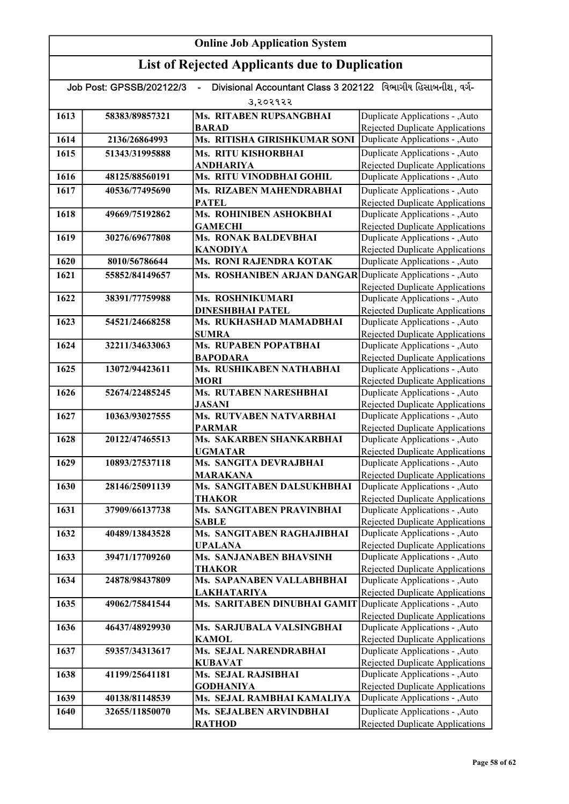| Divisional Accountant Class 3 202122 વિભાગીય હિસાબનીશ, વર્ગ-<br>Job Post: GPSSB/202122/3 |                |                                                             |                                                                           |
|------------------------------------------------------------------------------------------|----------------|-------------------------------------------------------------|---------------------------------------------------------------------------|
|                                                                                          |                | उ,२०२१२२                                                    |                                                                           |
| 1613                                                                                     | 58383/89857321 | Ms. RITABEN RUPSANGBHAI                                     | Duplicate Applications - , Auto                                           |
|                                                                                          |                | <b>BARAD</b>                                                | Rejected Duplicate Applications                                           |
| 1614                                                                                     | 2136/26864993  | Ms. RITISHA GIRISHKUMAR SONI                                | Duplicate Applications - ,Auto                                            |
| 1615                                                                                     | 51343/31995888 | Ms. RITU KISHORBHAI                                         | Duplicate Applications - , Auto                                           |
|                                                                                          |                | ANDHARIYA                                                   | Rejected Duplicate Applications                                           |
| 1616                                                                                     | 48125/88560191 | Ms. RITU VINODBHAI GOHIL                                    | Duplicate Applications - , Auto                                           |
| 1617                                                                                     | 40536/77495690 | Ms. RIZABEN MAHENDRABHAI                                    | Duplicate Applications - , Auto                                           |
|                                                                                          |                | <b>PATEL</b>                                                | Rejected Duplicate Applications                                           |
| 1618                                                                                     | 49669/75192862 | Ms. ROHINIBEN ASHOKBHAI<br><b>GAMECHI</b>                   | Duplicate Applications - , Auto<br><b>Rejected Duplicate Applications</b> |
| 1619                                                                                     | 30276/69677808 | <b>Ms. RONAK BALDEVBHAI</b>                                 | Duplicate Applications - , Auto                                           |
|                                                                                          |                | <b>KANODIYA</b>                                             | <b>Rejected Duplicate Applications</b>                                    |
| 1620                                                                                     | 8010/56786644  | Ms. RONI RAJENDRA KOTAK                                     | Duplicate Applications - ,Auto                                            |
| 1621                                                                                     | 55852/84149657 | Ms. ROSHANIBEN ARJAN DANGAR Duplicate Applications - , Auto |                                                                           |
|                                                                                          |                |                                                             | <b>Rejected Duplicate Applications</b>                                    |
| 1622                                                                                     | 38391/77759988 | Ms. ROSHNIKUMARI                                            | Duplicate Applications - , Auto                                           |
|                                                                                          |                | <b>DINESHBHAI PATEL</b>                                     | Rejected Duplicate Applications                                           |
| 1623                                                                                     | 54521/24668258 | Ms. RUKHASHAD MAMADBHAI                                     | Duplicate Applications - , Auto                                           |
|                                                                                          |                | <b>SUMRA</b>                                                | Rejected Duplicate Applications                                           |
| 1624                                                                                     | 32211/34633063 | Ms. RUPABEN POPATBHAI<br><b>BAPODARA</b>                    | Duplicate Applications - , Auto<br><b>Rejected Duplicate Applications</b> |
| 1625                                                                                     | 13072/94423611 | Ms. RUSHIKABEN NATHABHAI                                    | Duplicate Applications - , Auto                                           |
|                                                                                          |                | <b>MORI</b>                                                 | <b>Rejected Duplicate Applications</b>                                    |
| 1626                                                                                     | 52674/22485245 | <b>Ms. RUTABEN NARESHBHAI</b>                               | Duplicate Applications - , Auto                                           |
|                                                                                          |                | <b>JASANI</b>                                               | Rejected Duplicate Applications                                           |
| 1627                                                                                     | 10363/93027555 | Ms. RUTVABEN NATVARBHAI                                     | Duplicate Applications - , Auto                                           |
|                                                                                          |                | <b>PARMAR</b>                                               | <b>Rejected Duplicate Applications</b>                                    |
| 1628                                                                                     | 20122/47465513 | Ms. SAKARBEN SHANKARBHAI                                    | Duplicate Applications - , Auto                                           |
| 1629                                                                                     | 10893/27537118 | <b>UGMATAR</b><br>Ms. SANGITA DEVRAJBHAI                    | Rejected Duplicate Applications<br>Duplicate Applications - , Auto        |
|                                                                                          |                | <b>MARAKANA</b>                                             | Rejected Duplicate Applications                                           |
| 1630                                                                                     | 28146/25091139 | Ms. SANGITABEN DALSUKHBHAI                                  | Duplicate Applications - , Auto                                           |
|                                                                                          |                | THAKOR                                                      | <b>Rejected Duplicate Applications</b>                                    |
| 1631                                                                                     | 37909/66137738 | <b>Ms. SANGITABEN PRAVINBHAI</b>                            | Duplicate Applications - , Auto                                           |
|                                                                                          |                | SABLE                                                       | Rejected Duplicate Applications                                           |
| 1632                                                                                     | 40489/13843528 | Ms. SANGITABEN RAGHAJIBHAI                                  | Duplicate Applications - , Auto                                           |
|                                                                                          |                | <b>UPALANA</b>                                              | Rejected Duplicate Applications                                           |
| 1633                                                                                     | 39471/17709260 | Ms. SANJANABEN BHAVSINH<br>THAKOR                           | Duplicate Applications - , Auto<br>Rejected Duplicate Applications        |
| 1634                                                                                     | 24878/98437809 | Ms. SAPANABEN VALLABHBHAI                                   | Duplicate Applications - , Auto                                           |
|                                                                                          |                | <b>LAKHATARIYA</b>                                          | Rejected Duplicate Applications                                           |
| 1635                                                                                     | 49062/75841544 | Ms. SARITABEN DINUBHAI GAMIT                                | Duplicate Applications - , Auto                                           |
|                                                                                          |                |                                                             | Rejected Duplicate Applications                                           |
| 1636                                                                                     | 46437/48929930 | Ms. SARJUBALA VALSINGBHAI                                   | Duplicate Applications - , Auto                                           |
|                                                                                          |                | <b>KAMOL</b>                                                | Rejected Duplicate Applications                                           |
| 1637                                                                                     | 59357/34313617 | Ms. SEJAL NARENDRABHAI                                      | Duplicate Applications - , Auto                                           |
| 1638                                                                                     | 41199/25641181 | <b>KUBAVAT</b><br>Ms. SEJAL RAJSIBHAI                       | <b>Rejected Duplicate Applications</b><br>Duplicate Applications - , Auto |
|                                                                                          |                | <b>GODHANIYA</b>                                            | <b>Rejected Duplicate Applications</b>                                    |
| 1639                                                                                     | 40138/81148539 | Ms. SEJAL RAMBHAI KAMALIYA                                  | Duplicate Applications - , Auto                                           |
| 1640                                                                                     | 32655/11850070 | Ms. SEJALBEN ARVINDBHAI                                     | Duplicate Applications - , Auto                                           |
|                                                                                          |                | <b>RATHOD</b>                                               | Rejected Duplicate Applications                                           |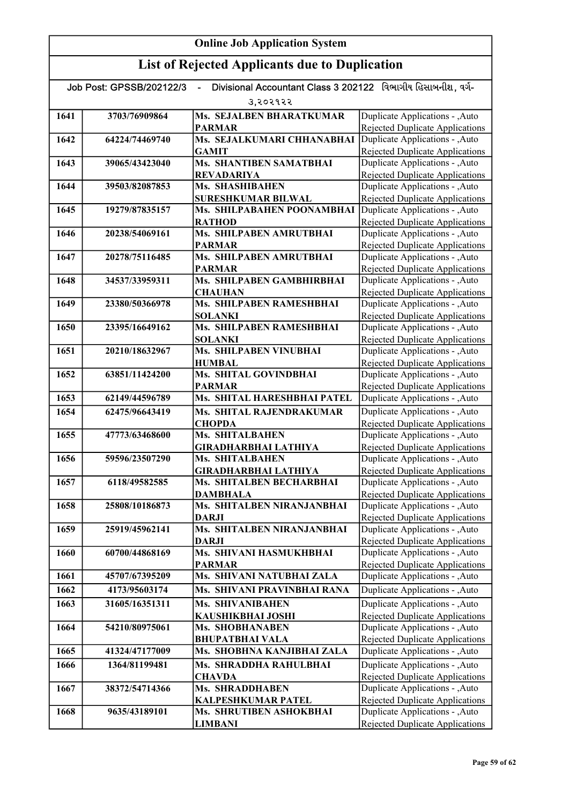| Divisional Accountant Class 3 202122 વિભાગીય હિસાબનીશ, વર્ગ-<br>Job Post: GPSSB/202122/3<br>$\blacksquare$ |                |                                                |                                                                           |
|------------------------------------------------------------------------------------------------------------|----------------|------------------------------------------------|---------------------------------------------------------------------------|
|                                                                                                            |                | उ,२०२१२२                                       |                                                                           |
| 1641                                                                                                       | 3703/76909864  | Ms. SEJALBEN BHARATKUMAR                       | Duplicate Applications - , Auto                                           |
|                                                                                                            |                | <b>PARMAR</b>                                  | Rejected Duplicate Applications                                           |
| 1642                                                                                                       | 64224/74469740 | Ms. SEJALKUMARI CHHANABHAI                     | Duplicate Applications - , Auto                                           |
|                                                                                                            |                | <b>GAMIT</b>                                   | Rejected Duplicate Applications                                           |
| 1643                                                                                                       | 39065/43423040 | Ms. SHANTIBEN SAMATBHAI                        | Duplicate Applications - , Auto                                           |
|                                                                                                            |                | <b>REVADARIYA</b>                              | <b>Rejected Duplicate Applications</b>                                    |
| 1644                                                                                                       | 39503/82087853 | Ms. SHASHIBAHEN                                | Duplicate Applications - , Auto                                           |
|                                                                                                            |                | <b>SURESHKUMAR BILWAL</b>                      | <b>Rejected Duplicate Applications</b>                                    |
| 1645                                                                                                       | 19279/87835157 | Ms. SHILPABAHEN POONAMBHAI                     | Duplicate Applications - , Auto                                           |
| 1646                                                                                                       | 20238/54069161 | <b>RATHOD</b><br>Ms. SHILPABEN AMRUTBHAI       | Rejected Duplicate Applications<br>Duplicate Applications - , Auto        |
|                                                                                                            |                | <b>PARMAR</b>                                  | <b>Rejected Duplicate Applications</b>                                    |
| 1647                                                                                                       | 20278/75116485 | Ms. SHILPABEN AMRUTBHAI                        | Duplicate Applications - , Auto                                           |
|                                                                                                            |                | <b>PARMAR</b>                                  | Rejected Duplicate Applications                                           |
| 1648                                                                                                       | 34537/33959311 | Ms. SHILPABEN GAMBHIRBHAI                      | Duplicate Applications - , Auto                                           |
|                                                                                                            |                | <b>CHAUHAN</b>                                 | <b>Rejected Duplicate Applications</b>                                    |
| 1649                                                                                                       | 23380/50366978 | Ms. SHILPABEN RAMESHBHAI                       | Duplicate Applications - , Auto                                           |
|                                                                                                            |                | <b>SOLANKI</b>                                 | <b>Rejected Duplicate Applications</b>                                    |
| 1650                                                                                                       | 23395/16649162 | Ms. SHILPABEN RAMESHBHAI                       | Duplicate Applications - , Auto                                           |
|                                                                                                            |                | <b>SOLANKI</b>                                 | Rejected Duplicate Applications                                           |
| 1651                                                                                                       | 20210/18632967 | Ms. SHILPABEN VINUBHAI                         | Duplicate Applications - , Auto                                           |
|                                                                                                            |                | <b>HUMBAL</b>                                  | <b>Rejected Duplicate Applications</b>                                    |
| 1652                                                                                                       | 63851/11424200 | Ms. SHITAL GOVINDBHAI                          | Duplicate Applications - , Auto                                           |
|                                                                                                            |                | <b>PARMAR</b>                                  | Rejected Duplicate Applications                                           |
| 1653                                                                                                       | 62149/44596789 | Ms. SHITAL HARESHBHAI PATEL                    | Duplicate Applications - ,Auto                                            |
| 1654                                                                                                       | 62475/96643419 | Ms. SHITAL RAJENDRAKUMAR                       | Duplicate Applications - , Auto                                           |
|                                                                                                            |                | <b>CHOPDA</b>                                  | <b>Rejected Duplicate Applications</b>                                    |
| 1655                                                                                                       | 47773/63468600 | <b>Ms. SHITALBAHEN</b>                         | Duplicate Applications - , Auto                                           |
| 1656                                                                                                       | 59596/23507290 | <b>GIRADHARBHAI LATHIYA</b><br>Ms. SHITALBAHEN | <b>Rejected Duplicate Applications</b><br>Duplicate Applications - , Auto |
|                                                                                                            |                | <b>GIRADHARBHAI LATHIYA</b>                    | <b>Rejected Duplicate Applications</b>                                    |
| 1657                                                                                                       | 6118/49582585  | Ms. SHITALBEN BECHARBHAI                       | Duplicate Applications - , Auto                                           |
|                                                                                                            |                | <b>DAMBHALA</b>                                | <b>Rejected Duplicate Applications</b>                                    |
| 1658                                                                                                       | 25808/10186873 | Ms. SHITALBEN NIRANJANBHAI                     | Duplicate Applications - , Auto                                           |
|                                                                                                            |                | <b>DARJI</b>                                   | Rejected Duplicate Applications                                           |
| 1659                                                                                                       | 25919/45962141 | Ms. SHITALBEN NIRANJANBHAI                     | Duplicate Applications - , Auto                                           |
|                                                                                                            |                | <b>DARJI</b>                                   | Rejected Duplicate Applications                                           |
| 1660                                                                                                       | 60700/44868169 | Ms. SHIVANI HASMUKHBHAI                        | Duplicate Applications - , Auto                                           |
|                                                                                                            |                | <b>PARMAR</b>                                  | <b>Rejected Duplicate Applications</b>                                    |
| 1661                                                                                                       | 45707/67395209 | Ms. SHIVANI NATUBHAI ZALA                      | Duplicate Applications - , Auto                                           |
| 1662                                                                                                       | 4173/95603174  | Ms. SHIVANI PRAVINBHAI RANA                    | Duplicate Applications - , Auto                                           |
| 1663                                                                                                       | 31605/16351311 | <b>Ms. SHIVANIBAHEN</b>                        | Duplicate Applications - , Auto                                           |
|                                                                                                            |                | KAUSHIKBHAI JOSHI                              | Rejected Duplicate Applications                                           |
| 1664                                                                                                       | 54210/80975061 | Ms. SHOBHANABEN                                | Duplicate Applications - , Auto                                           |
|                                                                                                            |                | <b>BHUPATBHAI VALA</b>                         | Rejected Duplicate Applications                                           |
| 1665                                                                                                       | 41324/47177009 | Ms. SHOBHNA KANJIBHAI ZALA                     | Duplicate Applications - ,Auto                                            |
| 1666                                                                                                       | 1364/81199481  | Ms. SHRADDHA RAHULBHAI                         | Duplicate Applications - , Auto                                           |
|                                                                                                            |                | <b>CHAVDA</b>                                  | Rejected Duplicate Applications                                           |
| 1667                                                                                                       | 38372/54714366 | <b>Ms. SHRADDHABEN</b>                         | Duplicate Applications - , Auto                                           |
|                                                                                                            |                | <b>KALPESHKUMAR PATEL</b>                      | Rejected Duplicate Applications                                           |
| 1668                                                                                                       | 9635/43189101  | Ms. SHRUTIBEN ASHOKBHAI                        | Duplicate Applications - , Auto                                           |
|                                                                                                            |                | <b>LIMBANI</b>                                 | Rejected Duplicate Applications                                           |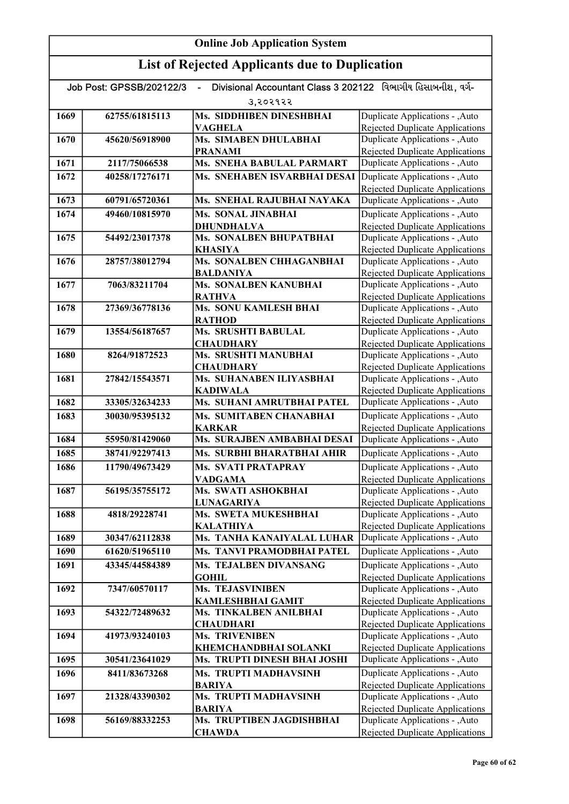| Divisional Accountant Class 3 202122 વિભાગીય હિસાબનીશ. વર્ગ-<br>Job Post: GPSSB/202122/3 |                |                                              |                                                                           |
|------------------------------------------------------------------------------------------|----------------|----------------------------------------------|---------------------------------------------------------------------------|
|                                                                                          |                | उ,२०२१२२                                     |                                                                           |
| 1669                                                                                     | 62755/61815113 | Ms. SIDDHIBEN DINESHBHAI                     | Duplicate Applications - , Auto                                           |
|                                                                                          |                | <b>VAGHELA</b>                               | <b>Rejected Duplicate Applications</b>                                    |
| 1670                                                                                     | 45620/56918900 | Ms. SIMABEN DHULABHAI                        | Duplicate Applications - , Auto                                           |
|                                                                                          |                | <b>PRANAMI</b>                               | Rejected Duplicate Applications                                           |
| 1671                                                                                     | 2117/75066538  | <b>Ms. SNEHA BABULAL PARMART</b>             | Duplicate Applications - , Auto                                           |
| 1672                                                                                     | 40258/17276171 | Ms. SNEHABEN ISVARBHAI DESAI                 | Duplicate Applications - , Auto                                           |
|                                                                                          |                |                                              | <b>Rejected Duplicate Applications</b>                                    |
| 1673                                                                                     | 60791/65720361 | Ms. SNEHAL RAJUBHAI NAYAKA                   | Duplicate Applications - , Auto                                           |
| 1674                                                                                     | 49460/10815970 | Ms. SONAL JINABHAI                           | Duplicate Applications - , Auto                                           |
| 1675                                                                                     | 54492/23017378 | <b>DHUNDHALVA</b><br>Ms. SONALBEN BHUPATBHAI | <b>Rejected Duplicate Applications</b>                                    |
|                                                                                          |                | <b>KHASIYA</b>                               | Duplicate Applications - , Auto<br><b>Rejected Duplicate Applications</b> |
| 1676                                                                                     | 28757/38012794 | Ms. SONALBEN CHHAGANBHAI                     | Duplicate Applications - , Auto                                           |
|                                                                                          |                | <b>BALDANIYA</b>                             | <b>Rejected Duplicate Applications</b>                                    |
| 1677                                                                                     | 7063/83211704  | Ms. SONALBEN KANUBHAI                        | Duplicate Applications - , Auto                                           |
|                                                                                          |                | <b>RATHVA</b>                                | <b>Rejected Duplicate Applications</b>                                    |
| 1678                                                                                     | 27369/36778136 | Ms. SONU KAMLESH BHAI                        | Duplicate Applications - , Auto                                           |
|                                                                                          |                | <b>RATHOD</b>                                | <b>Rejected Duplicate Applications</b>                                    |
| 1679                                                                                     | 13554/56187657 | <b>Ms. SRUSHTI BABULAL</b>                   | Duplicate Applications - , Auto                                           |
|                                                                                          |                | <b>CHAUDHARY</b>                             | Rejected Duplicate Applications                                           |
| 1680                                                                                     | 8264/91872523  | Ms. SRUSHTI MANUBHAI                         | Duplicate Applications - , Auto                                           |
| 1681                                                                                     | 27842/15543571 | <b>CHAUDHARY</b><br>Ms. SUHANABEN ILIYASBHAI | Rejected Duplicate Applications<br>Duplicate Applications - , Auto        |
|                                                                                          |                | <b>KADIWALA</b>                              | Rejected Duplicate Applications                                           |
| 1682                                                                                     | 33305/32634233 | Ms. SUHANI AMRUTBHAI PATEL                   | Duplicate Applications - , Auto                                           |
| 1683                                                                                     | 30030/95395132 | Ms. SUMITABEN CHANABHAI                      | Duplicate Applications - , Auto                                           |
|                                                                                          |                | <b>KARKAR</b>                                | <b>Rejected Duplicate Applications</b>                                    |
| 1684                                                                                     | 55950/81429060 | Ms. SURAJBEN AMBABHAI DESAI                  | Duplicate Applications - , Auto                                           |
| 1685                                                                                     | 38741/92297413 | Ms. SURBHI BHARATBHAI AHIR                   | Duplicate Applications - , Auto                                           |
| 1686                                                                                     | 11790/49673429 | <b>Ms. SVATI PRATAPRAY</b>                   | Duplicate Applications - , Auto                                           |
|                                                                                          |                | <b>VADGAMA</b>                               | <b>Rejected Duplicate Applications</b>                                    |
| 1687                                                                                     | 56195/35755172 | Ms. SWATI ASHOKBHAI                          | Duplicate Applications - , Auto                                           |
|                                                                                          |                | <b>LUNAGARIYA</b>                            | Rejected Duplicate Applications                                           |
| 1688                                                                                     | 4818/29228741  | Ms. SWETA MUKESHBHAI                         | Duplicate Applications - , Auto                                           |
|                                                                                          |                | <b>KALATHIYA</b>                             | <b>Rejected Duplicate Applications</b>                                    |
| 1689                                                                                     | 30347/62112838 | Ms. TANHA KANAIYALAL LUHAR                   | Duplicate Applications - , Auto                                           |
| 1690                                                                                     | 61620/51965110 | Ms. TANVI PRAMODBHAI PATEL                   | Duplicate Applications - , Auto                                           |
| 1691                                                                                     | 43345/44584389 | Ms. TEJALBEN DIVANSANG                       | Duplicate Applications - , Auto                                           |
| 1692                                                                                     | 7347/60570117  | <b>GOHIL</b><br><b>Ms. TEJASVINIBEN</b>      | Rejected Duplicate Applications<br>Duplicate Applications - , Auto        |
|                                                                                          |                | <b>KAMLESHBHAI GAMIT</b>                     | <b>Rejected Duplicate Applications</b>                                    |
| 1693                                                                                     | 54322/72489632 | Ms. TINKALBEN ANILBHAI                       | Duplicate Applications - , Auto                                           |
|                                                                                          |                | <b>CHAUDHARI</b>                             | <b>Rejected Duplicate Applications</b>                                    |
| 1694                                                                                     | 41973/93240103 | <b>Ms. TRIVENIBEN</b>                        | Duplicate Applications - , Auto                                           |
|                                                                                          |                | KHEMCHANDBHAI SOLANKI                        | Rejected Duplicate Applications                                           |
| 1695                                                                                     | 30541/23641029 | <b>Ms. TRUPTI DINESH BHAI JOSHI</b>          | Duplicate Applications - , Auto                                           |
| 1696                                                                                     | 8411/83673268  | Ms. TRUPTI MADHAVSINH                        | Duplicate Applications - , Auto                                           |
|                                                                                          |                | <b>BARIYA</b>                                | Rejected Duplicate Applications                                           |
| 1697                                                                                     | 21328/43390302 | Ms. TRUPTI MADHAVSINH                        | Duplicate Applications - , Auto                                           |
|                                                                                          |                | <b>BARIYA</b><br>Ms. TRUPTIBEN JAGDISHBHAI   | Rejected Duplicate Applications                                           |
| 1698                                                                                     | 56169/88332253 | <b>CHAWDA</b>                                | Duplicate Applications - , Auto<br>Rejected Duplicate Applications        |
|                                                                                          |                |                                              |                                                                           |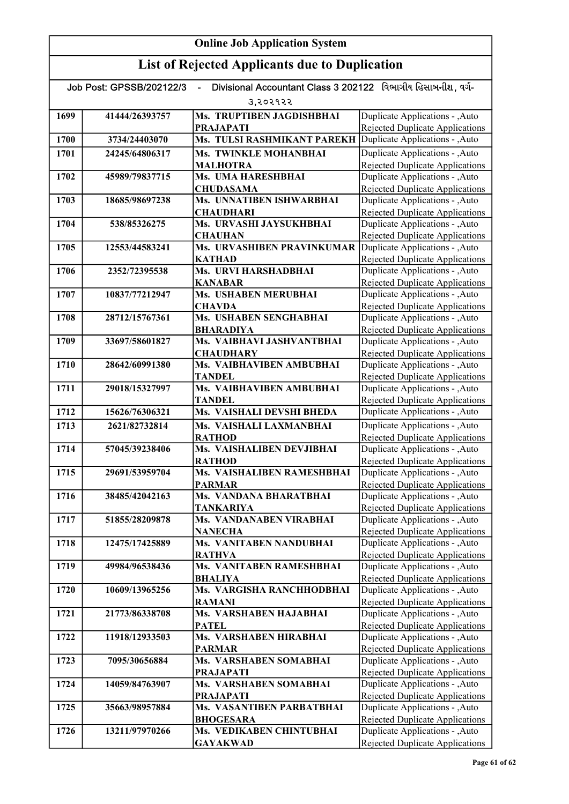| Divisional Accountant Class 3 202122 વિભાગીય હિસાબનીશ. વર્ગ-<br>Job Post: GPSSB/202122/3 |                |                                                  |                                                                           |
|------------------------------------------------------------------------------------------|----------------|--------------------------------------------------|---------------------------------------------------------------------------|
| 3,२०२१२२                                                                                 |                |                                                  |                                                                           |
| 1699                                                                                     | 41444/26393757 | Ms. TRUPTIBEN JAGDISHBHAI                        | Duplicate Applications - , Auto                                           |
|                                                                                          |                | <b>PRAJAPATI</b>                                 | Rejected Duplicate Applications                                           |
| 1700                                                                                     | 3734/24403070  | <b>Ms. TULSI RASHMIKANT PAREKH</b>               | Duplicate Applications - , Auto                                           |
| 1701                                                                                     | 24245/64806317 | Ms. TWINKLE MOHANBHAI                            | Duplicate Applications - , Auto                                           |
|                                                                                          |                | <b>MALHOTRA</b>                                  | <b>Rejected Duplicate Applications</b>                                    |
| 1702                                                                                     | 45989/79837715 | Ms. UMA HARESHBHAI                               | Duplicate Applications - , Auto                                           |
|                                                                                          |                | <b>CHUDASAMA</b>                                 | <b>Rejected Duplicate Applications</b>                                    |
| 1703                                                                                     | 18685/98697238 | Ms. UNNATIBEN ISHWARBHAI<br><b>CHAUDHARI</b>     | Duplicate Applications - , Auto<br>Rejected Duplicate Applications        |
| 1704                                                                                     | 538/85326275   | Ms. URVASHI JAYSUKHBHAI                          | Duplicate Applications - , Auto                                           |
|                                                                                          |                | <b>CHAUHAN</b>                                   | <b>Rejected Duplicate Applications</b>                                    |
| 1705                                                                                     | 12553/44583241 | Ms. URVASHIBEN PRAVINKUMAR                       | Duplicate Applications - , Auto                                           |
|                                                                                          |                | <b>KATHAD</b>                                    | Rejected Duplicate Applications                                           |
| 1706                                                                                     | 2352/72395538  | Ms. URVI HARSHADBHAI                             | Duplicate Applications - , Auto                                           |
|                                                                                          |                | <b>KANABAR</b>                                   | <b>Rejected Duplicate Applications</b>                                    |
| 1707                                                                                     | 10837/77212947 | Ms. USHABEN MERUBHAI                             | Duplicate Applications - , Auto                                           |
| 1708                                                                                     | 28712/15767361 | <b>CHAVDA</b><br>Ms. USHABEN SENGHABHAI          | <b>Rejected Duplicate Applications</b><br>Duplicate Applications - , Auto |
|                                                                                          |                | <b>BHARADIYA</b>                                 | <b>Rejected Duplicate Applications</b>                                    |
| 1709                                                                                     | 33697/58601827 | Ms. VAIBHAVI JASHVANTBHAI                        | Duplicate Applications - , Auto                                           |
|                                                                                          |                | <b>CHAUDHARY</b>                                 | <b>Rejected Duplicate Applications</b>                                    |
| 1710                                                                                     | 28642/60991380 | Ms. VAIBHAVIBEN AMBUBHAI                         | Duplicate Applications - , Auto                                           |
|                                                                                          |                | <b>TANDEL</b>                                    | <b>Rejected Duplicate Applications</b>                                    |
| 1711                                                                                     | 29018/15327997 | Ms. VAIBHAVIBEN AMBUBHAI                         | Duplicate Applications - , Auto                                           |
|                                                                                          |                | TANDEL                                           | <b>Rejected Duplicate Applications</b>                                    |
| 1712                                                                                     | 15626/76306321 | Ms. VAISHALI DEVSHI BHEDA                        | Duplicate Applications - , Auto                                           |
| 1713                                                                                     | 2621/82732814  | Ms. VAISHALI LAXMANBHAI                          | Duplicate Applications - , Auto                                           |
| 1714                                                                                     | 57045/39238406 | <b>RATHOD</b><br>Ms. VAISHALIBEN DEVJIBHAI       | <b>Rejected Duplicate Applications</b><br>Duplicate Applications - , Auto |
|                                                                                          |                | <b>RATHOD</b>                                    | <b>Rejected Duplicate Applications</b>                                    |
| 1715                                                                                     | 29691/53959704 | Ms. VAISHALIBEN RAMESHBHAI                       | Duplicate Applications - , Auto                                           |
|                                                                                          |                | <b>PARMAR</b>                                    | <b>Rejected Duplicate Applications</b>                                    |
| 1716                                                                                     | 38485/42042163 | Ms. VANDANA BHARATBHAI                           | Duplicate Applications - , Auto                                           |
|                                                                                          |                | <b>TANKARIYA</b>                                 | Rejected Duplicate Applications                                           |
| 1717                                                                                     | 51855/28209878 | <b>Ms. VANDANABEN VIRABHAI</b>                   | Duplicate Applications - , Auto                                           |
| 1718                                                                                     | 12475/17425889 | <b>NANECHA</b><br><b>Ms. VANITABEN NANDUBHAI</b> | <b>Rejected Duplicate Applications</b><br>Duplicate Applications - , Auto |
|                                                                                          |                | <b>RATHVA</b>                                    | Rejected Duplicate Applications                                           |
| 1719                                                                                     | 49984/96538436 | <b>Ms. VANITABEN RAMESHBHAI</b>                  | Duplicate Applications - , Auto                                           |
|                                                                                          |                | <b>BHALIYA</b>                                   | Rejected Duplicate Applications                                           |
| 1720                                                                                     | 10609/13965256 | Ms. VARGISHA RANCHHODBHAI                        | Duplicate Applications - , Auto                                           |
|                                                                                          |                | <b>RAMANI</b>                                    | Rejected Duplicate Applications                                           |
| 1721                                                                                     | 21773/86338708 | Ms. VARSHABEN HAJABHAI                           | Duplicate Applications - , Auto                                           |
|                                                                                          |                | <b>PATEL</b>                                     | Rejected Duplicate Applications                                           |
| 1722                                                                                     | 11918/12933503 | Ms. VARSHABEN HIRABHAI<br><b>PARMAR</b>          | Duplicate Applications - , Auto<br>Rejected Duplicate Applications        |
| 1723                                                                                     | 7095/30656884  | Ms. VARSHABEN SOMABHAI                           | Duplicate Applications - , Auto                                           |
|                                                                                          |                | <b>PRAJAPATI</b>                                 | <b>Rejected Duplicate Applications</b>                                    |
| 1724                                                                                     | 14059/84763907 | Ms. VARSHABEN SOMABHAI                           | Duplicate Applications - , Auto                                           |
|                                                                                          |                | <b>PRAJAPATI</b>                                 | <b>Rejected Duplicate Applications</b>                                    |
| 1725                                                                                     | 35663/98957884 | Ms. VASANTIBEN PARBATBHAI                        | Duplicate Applications - , Auto                                           |
|                                                                                          |                | <b>BHOGESARA</b>                                 | <b>Rejected Duplicate Applications</b>                                    |
| 1726                                                                                     | 13211/97970266 | Ms. VEDIKABEN CHINTUBHAI                         | Duplicate Applications - , Auto                                           |
|                                                                                          |                | <b>GAYAKWAD</b>                                  | <b>Rejected Duplicate Applications</b>                                    |